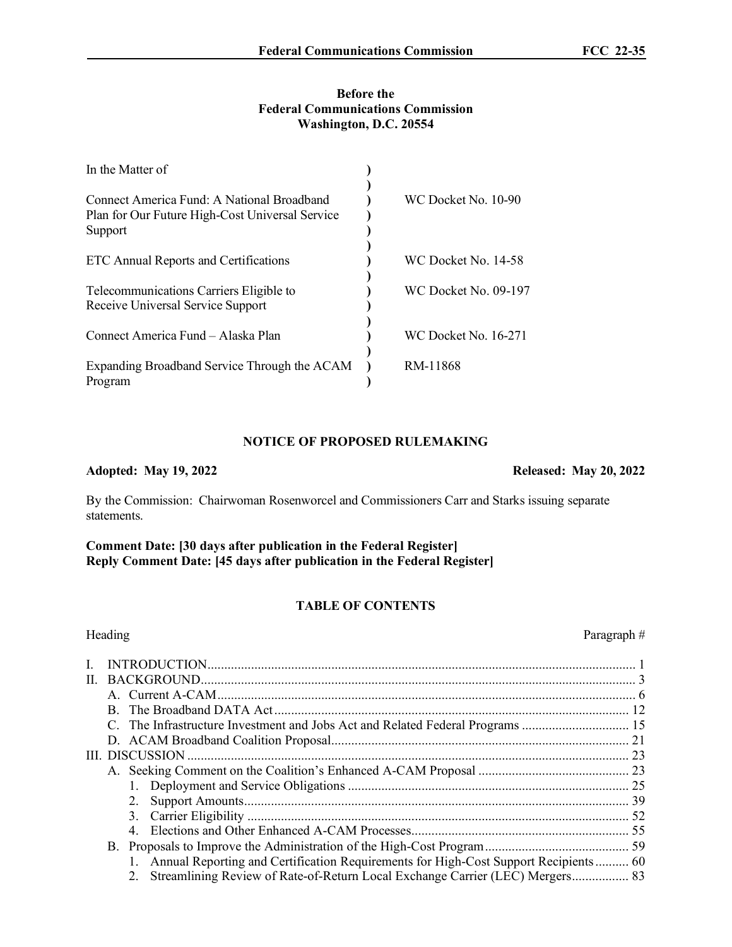# **Before the Federal Communications Commission Washington, D.C. 20554**

| In the Matter of                                                                                         |                             |
|----------------------------------------------------------------------------------------------------------|-----------------------------|
| Connect America Fund: A National Broadband<br>Plan for Our Future High-Cost Universal Service<br>Support | WC Docket No. 10-90         |
| <b>ETC Annual Reports and Certifications</b>                                                             | WC Docket No. 14-58         |
| Telecommunications Carriers Eligible to<br>Receive Universal Service Support                             | WC Docket No. 09-197        |
| Connect America Fund - Alaska Plan                                                                       | <b>WC Docket No. 16-271</b> |
| Expanding Broadband Service Through the ACAM<br>Program                                                  | RM-11868                    |

# **NOTICE OF PROPOSED RULEMAKING**

### **Adopted: May 19, 2022 Released: May 20, 2022**

By the Commission: Chairwoman Rosenworcel and Commissioners Carr and Starks issuing separate statements.

**Comment Date: [30 days after publication in the Federal Register] Reply Comment Date: [45 days after publication in the Federal Register]**

# **TABLE OF CONTENTS**

|    | Heading                                                                                | Paragraph# |
|----|----------------------------------------------------------------------------------------|------------|
| L. |                                                                                        |            |
| Н. |                                                                                        |            |
|    |                                                                                        |            |
|    |                                                                                        |            |
|    | C. The Infrastructure Investment and Jobs Act and Related Federal Programs             |            |
|    |                                                                                        |            |
|    |                                                                                        |            |
|    |                                                                                        |            |
|    |                                                                                        |            |
|    |                                                                                        |            |
|    |                                                                                        |            |
|    |                                                                                        |            |
|    |                                                                                        |            |
|    | 1. Annual Reporting and Certification Requirements for High-Cost Support Recipients 60 |            |
|    | 2. Streamlining Review of Rate-of-Return Local Exchange Carrier (LEC) Mergers 83       |            |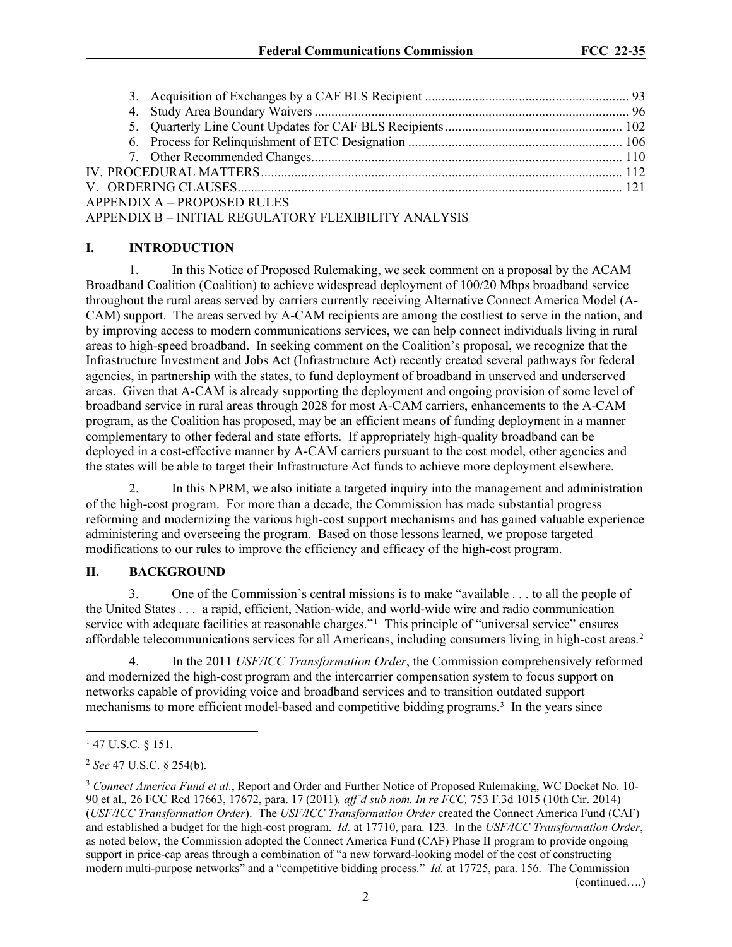| <b>APPENDIX A - PROPOSED RULES</b>                   |  |
|------------------------------------------------------|--|
| APPENDIX B - INITIAL REGULATORY FLEXIBILITY ANALYSIS |  |

# **I. INTRODUCTION**

1. In this Notice of Proposed Rulemaking, we seek comment on a proposal by the ACAM Broadband Coalition (Coalition) to achieve widespread deployment of 100/20 Mbps broadband service throughout the rural areas served by carriers currently receiving Alternative Connect America Model (A-CAM) support. The areas served by A-CAM recipients are among the costliest to serve in the nation, and by improving access to modern communications services, we can help connect individuals living in rural areas to high-speed broadband. In seeking comment on the Coalition's proposal, we recognize that the Infrastructure Investment and Jobs Act (Infrastructure Act) recently created several pathways for federal agencies, in partnership with the states, to fund deployment of broadband in unserved and underserved areas. Given that A-CAM is already supporting the deployment and ongoing provision of some level of broadband service in rural areas through 2028 for most A-CAM carriers, enhancements to the A-CAM program, as the Coalition has proposed, may be an efficient means of funding deployment in a manner complementary to other federal and state efforts. If appropriately high-quality broadband can be deployed in a cost-effective manner by A-CAM carriers pursuant to the cost model, other agencies and the states will be able to target their Infrastructure Act funds to achieve more deployment elsewhere.

2. In this NPRM, we also initiate a targeted inquiry into the management and administration of the high-cost program. For more than a decade, the Commission has made substantial progress reforming and modernizing the various high-cost support mechanisms and has gained valuable experience administering and overseeing the program. Based on those lessons learned, we propose targeted modifications to our rules to improve the efficiency and efficacy of the high-cost program.

## **II. BACKGROUND**

3. One of the Commission's central missions is to make "available . . . to all the people of the United States . . . a rapid, efficient, Nation-wide, and world-wide wire and radio communication service with adequate facilities at reasonable charges."<sup>[1](#page-1-0)</sup> This principle of "universal service" ensures affordable telecommunications services for all Americans, including consumers living in high-cost areas.<sup>[2](#page-1-1)</sup>

4. In the 2011 *USF/ICC Transformation Order*, the Commission comprehensively reformed and modernized the high-cost program and the intercarrier compensation system to focus support on networks capable of providing voice and broadband services and to transition outdated support mechanisms to more efficient model-based and competitive bidding programs.<sup>[3](#page-1-2)</sup> In the years since

(continued….)

<span id="page-1-0"></span><sup>&</sup>lt;sup>1</sup> 47 U.S.C. § 151.

<span id="page-1-1"></span><sup>2</sup> *See* 47 U.S.C. § 254(b).

<span id="page-1-2"></span><sup>3</sup> *Connect America Fund et al.*, Report and Order and Further Notice of Proposed Rulemaking, WC Docket No. 10- 90 et al.*,* 26 FCC Rcd 17663, 17672, para. 17 (2011)*, aff'd sub nom. In re FCC,* 753 F.3d 1015 (10th Cir. 2014) (*USF/ICC Transformation Order*). The *USF/ICC Transformation Order* created the Connect America Fund (CAF) and established a budget for the high-cost program. *Id.* at 17710, para. 123. In the *USF/ICC Transformation Order*, as noted below, the Commission adopted the Connect America Fund (CAF) Phase II program to provide ongoing support in price-cap areas through a combination of "a new forward-looking model of the cost of constructing modern multi-purpose networks" and a "competitive bidding process." *Id.* at 17725, para. 156. The Commission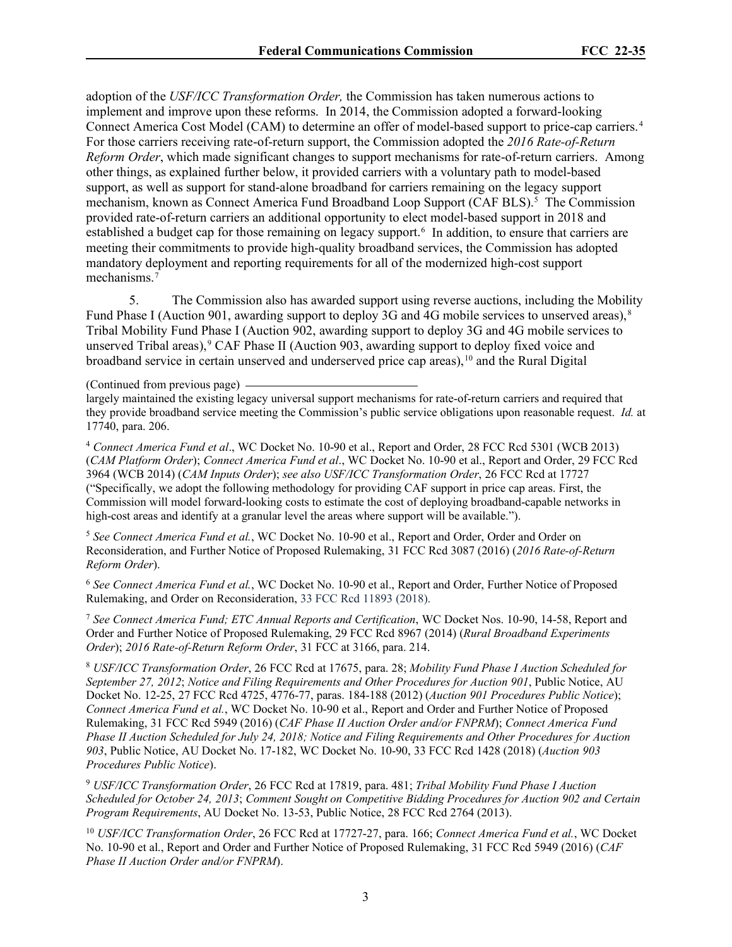adoption of the *USF/ICC Transformation Order,* the Commission has taken numerous actions to implement and improve upon these reforms. In 2014, the Commission adopted a forward-looking Connect America Cost Model (CAM) to determine an offer of model-based support to price-cap carriers. [4](#page-2-0) For those carriers receiving rate-of-return support, the Commission adopted the *2016 Rate-of-Return Reform Order*, which made significant changes to support mechanisms for rate-of-return carriers. Among other things, as explained further below, it provided carriers with a voluntary path to model-based support, as well as support for stand-alone broadband for carriers remaining on the legacy support mechanism, known as Connect America Fund Broadband Loop Support (CAF BLS).<sup>[5](#page-2-1)</sup> The Commission provided rate-of-return carriers an additional opportunity to elect model-based support in 2018 and established a budget cap for those remaining on legacy support.<sup>[6](#page-2-2)</sup> In addition, to ensure that carriers are meeting their commitments to provide high-quality broadband services, the Commission has adopted mandatory deployment and reporting requirements for all of the modernized high-cost support mechanisms.<sup>[7](#page-2-3)</sup>

5. The Commission also has awarded support using reverse auctions, including the Mobility Fund Phase I (Auction 901, awarding support to deploy 3G and 4G mobile services to unserved areas),<sup>[8](#page-2-4)</sup> Tribal Mobility Fund Phase I (Auction 902, awarding support to deploy 3G and 4G mobile services to unserved Tribal areas),  $\degree$  CAF Phase II (Auction [9](#page-2-5)03, awarding support to deploy fixed voice and broadband service in certain unserved and underserved price cap areas),  $\frac{10}{10}$  $\frac{10}{10}$  $\frac{10}{10}$  and the Rural Digital

(Continued from previous page)

largely maintained the existing legacy universal support mechanisms for rate-of-return carriers and required that they provide broadband service meeting the Commission's public service obligations upon reasonable request. *Id.* at 17740, para. 206.

<span id="page-2-0"></span><sup>4</sup> *Connect America Fund et al*., WC Docket No. 10-90 et al., Report and Order, 28 FCC Rcd 5301 (WCB 2013) (*CAM Platform Order*); *Connect America Fund et al*., WC Docket No. 10-90 et al., Report and Order, 29 FCC Rcd 3964 (WCB 2014) (*CAM Inputs Order*); *see also USF/ICC Transformation Order*, 26 FCC Rcd at 17727 ("Specifically, we adopt the following methodology for providing CAF support in price cap areas. First, the Commission will model forward-looking costs to estimate the cost of deploying broadband-capable networks in high-cost areas and identify at a granular level the areas where support will be available.").

<span id="page-2-1"></span><sup>5</sup> *See Connect America Fund et al.*, WC Docket No. 10-90 et al., Report and Order, Order and Order on Reconsideration, and Further Notice of Proposed Rulemaking, 31 FCC Rcd 3087 (2016) (*2016 Rate-of-Return Reform Order*).

<span id="page-2-2"></span><sup>6</sup> *See Connect America Fund et al.*, WC Docket No. 10-90 et al., Report and Order, Further Notice of Proposed Rulemaking, and Order on Reconsideration, 33 FCC Rcd 11893 (2018).

<span id="page-2-3"></span><sup>7</sup> *See Connect America Fund; ETC Annual Reports and Certification*, WC Docket Nos. 10-90, 14-58, Report and Order and Further Notice of Proposed Rulemaking, 29 FCC Rcd 8967 (2014) (*Rural Broadband Experiments Order*); *2016 Rate-of-Return Reform Order*, 31 FCC at 3166, para. 214.

<span id="page-2-4"></span><sup>8</sup> *USF/ICC Transformation Order*, 26 FCC Rcd at 17675, para. 28; *Mobility Fund Phase I Auction Scheduled for September 27, 2012*; *Notice and Filing Requirements and Other Procedures for Auction 901*, Public Notice, AU Docket No. 12-25, 27 FCC Rcd 4725, 4776-77, paras. 184-188 (2012) (*Auction 901 Procedures Public Notice*); *Connect America Fund et al.*, WC Docket No. 10-90 et al., Report and Order and Further Notice of Proposed Rulemaking, 31 FCC Rcd 5949 (2016) (*CAF Phase II Auction Order and/or FNPRM*); *Connect America Fund Phase II Auction Scheduled for July 24, 2018; Notice and Filing Requirements and Other Procedures for Auction 903*, Public Notice, AU Docket No. 17-182, WC Docket No. 10-90, 33 FCC Rcd 1428 (2018) (*Auction 903 Procedures Public Notice*).

<span id="page-2-5"></span><sup>9</sup> *USF/ICC Transformation Order*, 26 FCC Rcd at 17819, para. 481; *Tribal Mobility Fund Phase I Auction Scheduled for October 24, 2013*; *Comment Sought on Competitive Bidding Procedures for Auction 902 and Certain Program Requirements*, AU Docket No. 13-53, Public Notice, 28 FCC Rcd 2764 (2013).

<span id="page-2-6"></span><sup>10</sup> *USF/ICC Transformation Order*, 26 FCC Rcd at 17727-27, para. 166; *Connect America Fund et al.*, WC Docket No. 10-90 et al., Report and Order and Further Notice of Proposed Rulemaking, 31 FCC Rcd 5949 (2016) (*CAF Phase II Auction Order and/or FNPRM*).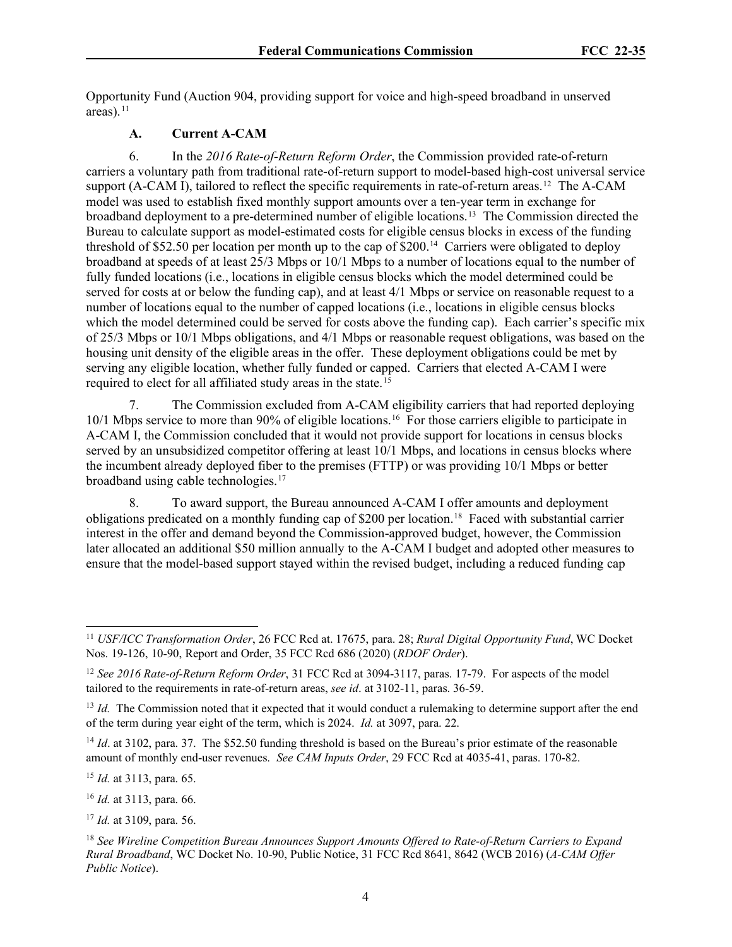Opportunity Fund (Auction 904, providing support for voice and high-speed broadband in unserved areas). $11$ 

### **A. Current A-CAM**

6. In the *2016 Rate-of-Return Reform Order*, the Commission provided rate-of-return carriers a voluntary path from traditional rate-of-return support to model-based high-cost universal service support (A-CAM I), tailored to reflect the specific requirements in rate-of-return areas.<sup>[12](#page-3-1)</sup> The A-CAM model was used to establish fixed monthly support amounts over a ten-year term in exchange for broadband deployment to a pre-determined number of eligible locations.[13](#page-3-2) The Commission directed the Bureau to calculate support as model-estimated costs for eligible census blocks in excess of the funding threshold of \$52.50 per location per month up to the cap of \$200.[14](#page-3-3) Carriers were obligated to deploy broadband at speeds of at least 25/3 Mbps or 10/1 Mbps to a number of locations equal to the number of fully funded locations (i.e., locations in eligible census blocks which the model determined could be served for costs at or below the funding cap), and at least 4/1 Mbps or service on reasonable request to a number of locations equal to the number of capped locations (i.e., locations in eligible census blocks which the model determined could be served for costs above the funding cap). Each carrier's specific mix of 25/3 Mbps or 10/1 Mbps obligations, and 4/1 Mbps or reasonable request obligations, was based on the housing unit density of the eligible areas in the offer. These deployment obligations could be met by serving any eligible location, whether fully funded or capped. Carriers that elected A-CAM I were required to elect for all affiliated study areas in the state.<sup>[15](#page-3-4)</sup>

7. The Commission excluded from A-CAM eligibility carriers that had reported deploying 10/1 Mbps service to more than 90% of eligible locations. [16](#page-3-5) For those carriers eligible to participate in A-CAM I, the Commission concluded that it would not provide support for locations in census blocks served by an unsubsidized competitor offering at least 10/1 Mbps, and locations in census blocks where the incumbent already deployed fiber to the premises (FTTP) or was providing 10/1 Mbps or better broadband using cable technologies.[17](#page-3-6)

8. To award support, the Bureau announced A-CAM I offer amounts and deployment obligations predicated on a monthly funding cap of \$200 per location.[18](#page-3-7) Faced with substantial carrier interest in the offer and demand beyond the Commission-approved budget, however, the Commission later allocated an additional \$50 million annually to the A-CAM I budget and adopted other measures to ensure that the model-based support stayed within the revised budget, including a reduced funding cap

<span id="page-3-3"></span><sup>14</sup> *Id.* at 3102, para. 37. The \$52.50 funding threshold is based on the Bureau's prior estimate of the reasonable amount of monthly end-user revenues. *See CAM Inputs Order*, 29 FCC Rcd at 4035-41, paras. 170-82.

<span id="page-3-4"></span><sup>15</sup> *Id.* at 3113, para. 65.

<span id="page-3-5"></span><sup>16</sup> *Id.* at 3113, para. 66.

<span id="page-3-6"></span><sup>17</sup> *Id.* at 3109, para. 56.

<span id="page-3-0"></span><sup>11</sup> *USF/ICC Transformation Order*, 26 FCC Rcd at. 17675, para. 28; *Rural Digital Opportunity Fund*, WC Docket Nos. 19-126, 10-90, Report and Order, 35 FCC Rcd 686 (2020) (*RDOF Order*).

<span id="page-3-1"></span><sup>12</sup> *See 2016 Rate-of-Return Reform Order*, 31 FCC Rcd at 3094-3117, paras. 17-79. For aspects of the model tailored to the requirements in rate-of-return areas, *see id*. at 3102-11, paras. 36-59.

<span id="page-3-2"></span><sup>&</sup>lt;sup>13</sup> *Id.* The Commission noted that it expected that it would conduct a rulemaking to determine support after the end of the term during year eight of the term, which is 2024. *Id.* at 3097, para. 22.

<span id="page-3-7"></span><sup>18</sup> *See Wireline Competition Bureau Announces Support Amounts Offered to Rate-of-Return Carriers to Expand Rural Broadband*, WC Docket No. 10-90, Public Notice, 31 FCC Rcd 8641, 8642 (WCB 2016) (*A-CAM Offer Public Notice*).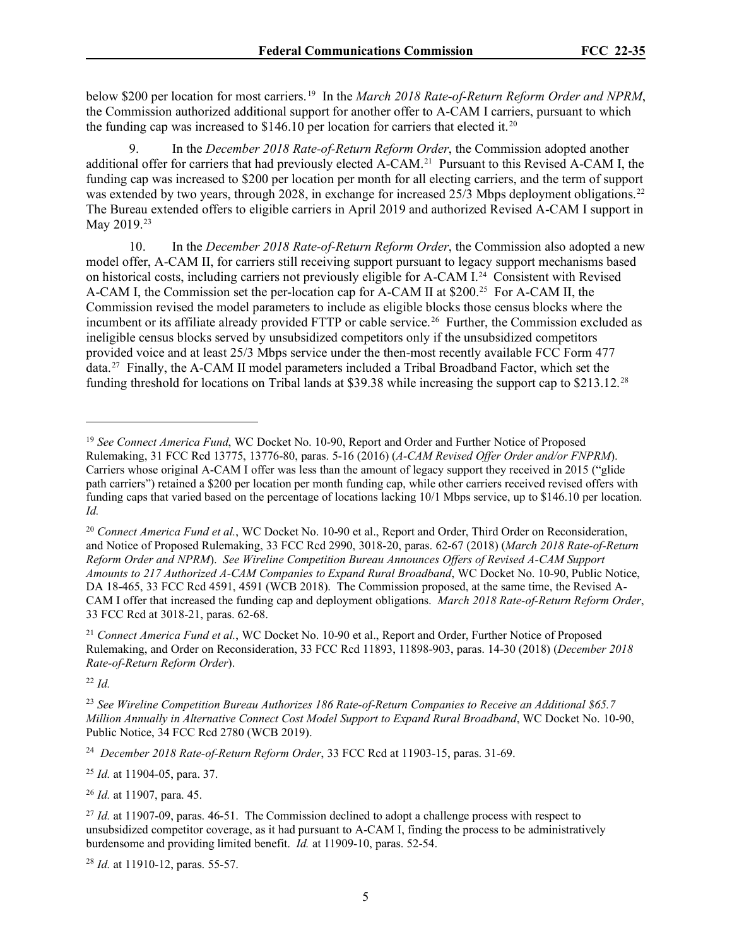below \$200 per location for most carriers. [19](#page-4-0) In the *March 2018 Rate-of-Return Reform Order and NPRM*, the Commission authorized additional support for another offer to A-CAM I carriers, pursuant to which the funding cap was increased to \$146.10 per location for carriers that elected it.<sup>[20](#page-4-1)</sup>

9. In the *December 2018 Rate-of-Return Reform Order*, the Commission adopted another additional offer for carriers that had previously elected A-CAM.[21](#page-4-2) Pursuant to this Revised A-CAM I, the funding cap was increased to \$200 per location per month for all electing carriers, and the term of support was extended by two years, through 2028, in exchange for increased 25/3 Mbps deployment obligations.<sup>22</sup> The Bureau extended offers to eligible carriers in April 2019 and authorized Revised A-CAM I support in May 2019.<sup>[23](#page-4-4)</sup>

10. In the *December 2018 Rate-of-Return Reform Order*, the Commission also adopted a new model offer, A-CAM II, for carriers still receiving support pursuant to legacy support mechanisms based on historical costs, including carriers not previously eligible for A-CAM I.[24](#page-4-5) Consistent with Revised A-CAM I, the Commission set the per-location cap for A-CAM II at \$200.[25](#page-4-6) For A-CAM II, the Commission revised the model parameters to include as eligible blocks those census blocks where the incumbent or its affiliate already provided FTTP or cable service.<sup>26</sup> Further, the Commission excluded as ineligible census blocks served by unsubsidized competitors only if the unsubsidized competitors provided voice and at least 25/3 Mbps service under the then-most recently available FCC Form 477 data.[27](#page-4-8) Finally, the A-CAM II model parameters included a Tribal Broadband Factor, which set the funding threshold for locations on Tribal lands at \$39.38 while increasing the support cap to \$213.12.[28](#page-4-9)

<span id="page-4-2"></span><sup>21</sup> *Connect America Fund et al.*, WC Docket No. 10-90 et al., Report and Order, Further Notice of Proposed Rulemaking, and Order on Reconsideration, 33 FCC Rcd 11893, 11898-903, paras. 14-30 (2018) (*December 2018 Rate-of-Return Reform Order*).

<span id="page-4-3"></span><sup>22</sup> *Id.*

<span id="page-4-5"></span><sup>24</sup> *December 2018 Rate-of-Return Reform Order*, 33 FCC Rcd at 11903-15, paras. 31-69.

<span id="page-4-6"></span><sup>25</sup> *Id.* at 11904-05, para. 37.

<span id="page-4-7"></span><sup>26</sup> *Id.* at 11907, para. 45.

<span id="page-4-9"></span><sup>28</sup> *Id.* at 11910-12, paras. 55-57.

<span id="page-4-0"></span><sup>&</sup>lt;sup>19</sup> See Connect America Fund, WC Docket No. 10-90, Report and Order and Further Notice of Proposed Rulemaking, 31 FCC Rcd 13775, 13776-80, paras. 5-16 (2016) (*A-CAM Revised Offer Order and/or FNPRM*). Carriers whose original A-CAM I offer was less than the amount of legacy support they received in 2015 ("glide path carriers") retained a \$200 per location per month funding cap, while other carriers received revised offers with funding caps that varied based on the percentage of locations lacking 10/1 Mbps service, up to \$146.10 per location. *Id.*

<span id="page-4-1"></span><sup>20</sup> *Connect America Fund et al.*, WC Docket No. 10-90 et al., Report and Order, Third Order on Reconsideration, and Notice of Proposed Rulemaking, 33 FCC Rcd 2990, 3018-20, paras. 62-67 (2018) (*March 2018 Rate-of-Return Reform Order and NPRM*). *See Wireline Competition Bureau Announces Offers of Revised A-CAM Support Amounts to 217 Authorized A-CAM Companies to Expand Rural Broadband*, WC Docket No. 10-90, Public Notice, DA 18-465, 33 FCC Rcd 4591, 4591 (WCB 2018). The Commission proposed, at the same time, the Revised A-CAM I offer that increased the funding cap and deployment obligations. *March 2018 Rate-of-Return Reform Order*, 33 FCC Rcd at 3018-21, paras. 62-68.

<span id="page-4-4"></span><sup>23</sup> *See Wireline Competition Bureau Authorizes 186 Rate-of-Return Companies to Receive an Additional \$65.7 Million Annually in Alternative Connect Cost Model Support to Expand Rural Broadband*, WC Docket No. 10-90, Public Notice, 34 FCC Rcd 2780 (WCB 2019).

<span id="page-4-8"></span><sup>&</sup>lt;sup>27</sup> *Id.* at 11907-09, paras. 46-51. The Commission declined to adopt a challenge process with respect to unsubsidized competitor coverage, as it had pursuant to A-CAM I, finding the process to be administratively burdensome and providing limited benefit. *Id.* at 11909-10, paras. 52-54.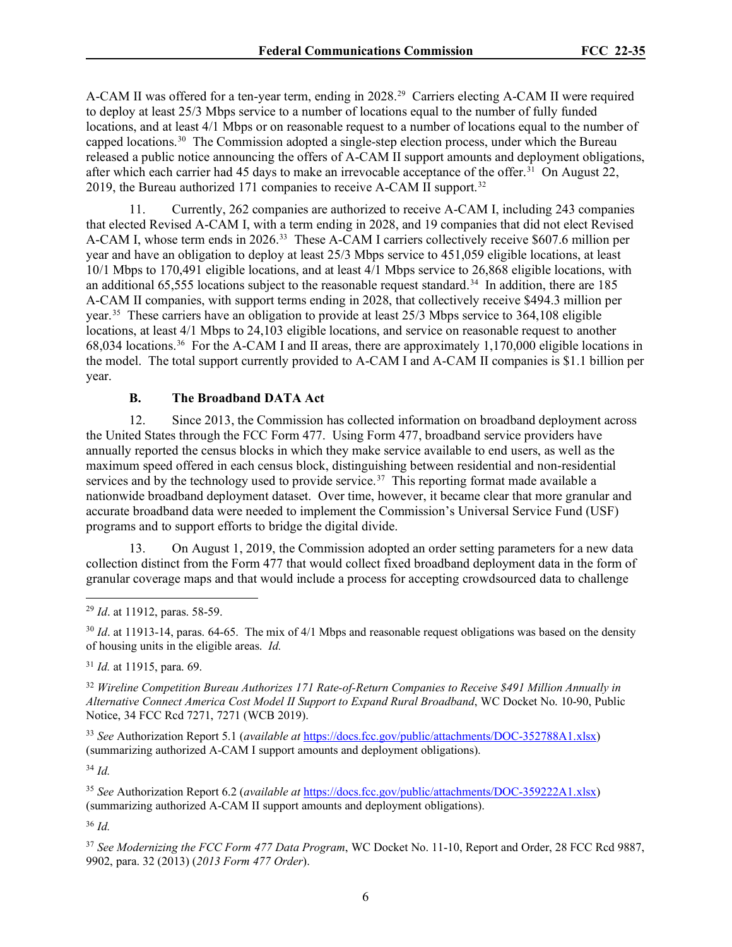A-CAM II was offered for a ten-year term, ending in 2028.<sup>[29](#page-5-0)</sup> Carriers electing A-CAM II were required to deploy at least 25/3 Mbps service to a number of locations equal to the number of fully funded locations, and at least 4/1 Mbps or on reasonable request to a number of locations equal to the number of capped locations.[30](#page-5-1) The Commission adopted a single-step election process, under which the Bureau released a public notice announcing the offers of A-CAM II support amounts and deployment obligations, after which each carrier had 45 days to make an irrevocable acceptance of the offer.<sup>31</sup> On August 22, 2019, the Bureau authorized 171 companies to receive A-CAM II support.<sup>[32](#page-5-3)</sup>

11. Currently, 262 companies are authorized to receive A-CAM I, including 243 companies that elected Revised A-CAM I, with a term ending in 2028, and 19 companies that did not elect Revised A-CAM I, whose term ends in 2026.[33](#page-5-4) These A-CAM I carriers collectively receive \$607.6 million per year and have an obligation to deploy at least 25/3 Mbps service to 451,059 eligible locations, at least 10/1 Mbps to 170,491 eligible locations, and at least 4/1 Mbps service to 26,868 eligible locations, with an additional 65,555 locations subject to the reasonable request standard.<sup>[34](#page-5-5)</sup> In addition, there are 185 A-CAM II companies, with support terms ending in 2028, that collectively receive \$494.3 million per year.[35](#page-5-6) These carriers have an obligation to provide at least 25/3 Mbps service to 364,108 eligible locations, at least 4/1 Mbps to 24,103 eligible locations, and service on reasonable request to another 68,034 locations.[36](#page-5-7) For the A-CAM I and II areas, there are approximately 1,170,000 eligible locations in the model. The total support currently provided to A-CAM I and A-CAM II companies is \$1.1 billion per year.

### **B. The Broadband DATA Act**

12. Since 2013, the Commission has collected information on broadband deployment across the United States through the FCC Form 477. Using Form 477, broadband service providers have annually reported the census blocks in which they make service available to end users, as well as the maximum speed offered in each census block, distinguishing between residential and non-residential services and by the technology used to provide service.<sup>[37](#page-5-8)</sup> This reporting format made available a nationwide broadband deployment dataset. Over time, however, it became clear that more granular and accurate broadband data were needed to implement the Commission's Universal Service Fund (USF) programs and to support efforts to bridge the digital divide.

13. On August 1, 2019, the Commission adopted an order setting parameters for a new data collection distinct from the Form 477 that would collect fixed broadband deployment data in the form of granular coverage maps and that would include a process for accepting crowdsourced data to challenge

<span id="page-5-1"></span><sup>30</sup> *Id.* at 11913-14, paras. 64-65. The mix of 4/1 Mbps and reasonable request obligations was based on the density of housing units in the eligible areas. *Id.* 

<span id="page-5-2"></span><sup>31</sup> *Id.* at 11915, para. 69.

<span id="page-5-3"></span><sup>32</sup> *Wireline Competition Bureau Authorizes 171 Rate-of-Return Companies to Receive \$491 Million Annually in Alternative Connect America Cost Model II Support to Expand Rural Broadband*, WC Docket No. 10-90, Public Notice, 34 FCC Rcd 7271, 7271 (WCB 2019).

<span id="page-5-4"></span><sup>33</sup> *See* Authorization Report 5.1 (*available at* [https://docs.fcc.gov/public/attachments/DOC-352788A1.xlsx\)](https://docs.fcc.gov/public/attachments/DOC-352788A1.xlsx) (summarizing authorized A-CAM I support amounts and deployment obligations).

<span id="page-5-5"></span><sup>34</sup> *Id.* 

<span id="page-5-6"></span><sup>35</sup> *See* Authorization Report 6.2 (*available at* [https://docs.fcc.gov/public/attachments/DOC-359222A1.xlsx\)](https://docs.fcc.gov/public/attachments/DOC-359222A1.xlsx) (summarizing authorized A-CAM II support amounts and deployment obligations).

<span id="page-5-7"></span> $36$  *Id.* 

<span id="page-5-8"></span><sup>37</sup> *See Modernizing the FCC Form 477 Data Program*, WC Docket No. 11-10, Report and Order, 28 FCC Rcd 9887, 9902, para. 32 (2013) (*2013 Form 477 Order*).

<span id="page-5-0"></span><sup>29</sup> *Id*. at 11912, paras. 58-59.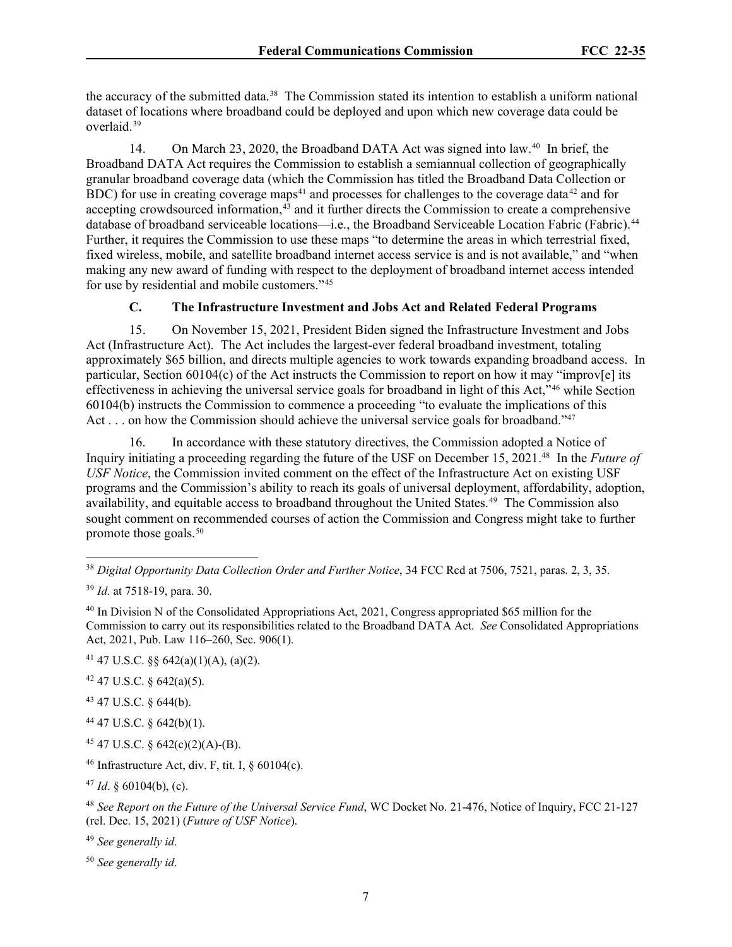the accuracy of the submitted data.<sup>38</sup> The Commission stated its intention to establish a uniform national dataset of locations where broadband could be deployed and upon which new coverage data could be overlaid.[39](#page-6-1)

14. On March 23, 2020, the Broadband DATA Act was signed into law.[40](#page-6-2) In brief, the Broadband DATA Act requires the Commission to establish a semiannual collection of geographically granular broadband coverage data (which the Commission has titled the Broadband Data Collection or BDC) for use in creating coverage maps<sup>[41](#page-6-3)</sup> and processes for challenges to the coverage data<sup>[42](#page-6-4)</sup> and for accepting crowdsourced information, $43$  and it further directs the Commission to create a comprehensive database of broadband serviceable locations—i.e., the Broadband Serviceable Location Fabric (Fabric).<sup>[44](#page-6-6)</sup> Further, it requires the Commission to use these maps "to determine the areas in which terrestrial fixed, fixed wireless, mobile, and satellite broadband internet access service is and is not available," and "when making any new award of funding with respect to the deployment of broadband internet access intended for use by residential and mobile customers."[45](#page-6-7)

# **C. The Infrastructure Investment and Jobs Act and Related Federal Programs**

15. On November 15, 2021, President Biden signed the Infrastructure Investment and Jobs Act (Infrastructure Act). The Act includes the largest-ever federal broadband investment, totaling approximately \$65 billion, and directs multiple agencies to work towards expanding broadband access. In particular, Section 60104(c) of the Act instructs the Commission to report on how it may "improv[e] its effectiveness in achieving the universal service goals for broadband in light of this Act,"[46](#page-6-8) while Section 60104(b) instructs the Commission to commence a proceeding "to evaluate the implications of this Act . . . on how the Commission should achieve the universal service goals for broadband."<sup>[47](#page-6-9)</sup>

16. In accordance with these statutory directives, the Commission adopted a Notice of Inquiry initiating a proceeding regarding the future of the USF on December 15, 2021[.48](#page-6-10) In the *Future of USF Notice*, the Commission invited comment on the effect of the Infrastructure Act on existing USF programs and the Commission's ability to reach its goals of universal deployment, affordability, adoption, availability, and equitable access to broadband throughout the United States.<sup>[49](#page-6-11)</sup> The Commission also sought comment on recommended courses of action the Commission and Congress might take to further promote those goals.<sup>[50](#page-6-12)</sup>

<span id="page-6-2"></span><sup>40</sup> In Division N of the Consolidated Appropriations Act, 2021, Congress appropriated \$65 million for the Commission to carry out its responsibilities related to the Broadband DATA Act. *See* Consolidated Appropriations Act, 2021, Pub. Law 116–260, Sec. 906(1).

- <span id="page-6-3"></span><sup>41</sup> 47 U.S.C. §§  $642(a)(1)(A)$ , (a)(2).
- <span id="page-6-4"></span> $42$  47 U.S.C. § 642(a)(5).
- <span id="page-6-5"></span><sup>43</sup> 47 U.S.C. § 644(b).
- <span id="page-6-6"></span><sup>44</sup> 47 U.S.C. § 642(b)(1).
- <span id="page-6-7"></span> $45$  47 U.S.C. § 642(c)(2)(A)-(B).
- <span id="page-6-8"></span><sup>46</sup> Infrastructure Act, div. F, tit. I,  $\S$  60104(c).
- <span id="page-6-9"></span><sup>47</sup> *Id*. § 60104(b), (c).

<span id="page-6-10"></span><sup>48</sup> *See Report on the Future of the Universal Service Fund*, WC Docket No. 21-476, Notice of Inquiry, FCC 21-127 (rel. Dec. 15, 2021) (*Future of USF Notice*).

<span id="page-6-11"></span><sup>49</sup> *See generally id*.

<span id="page-6-12"></span><sup>50</sup> *See generally id*.

<span id="page-6-0"></span><sup>38</sup> *Digital Opportunity Data Collection Order and Further Notice*, 34 FCC Rcd at 7506, 7521, paras. 2, 3, 35.

<span id="page-6-1"></span><sup>39</sup> *Id.* at 7518-19, para. 30.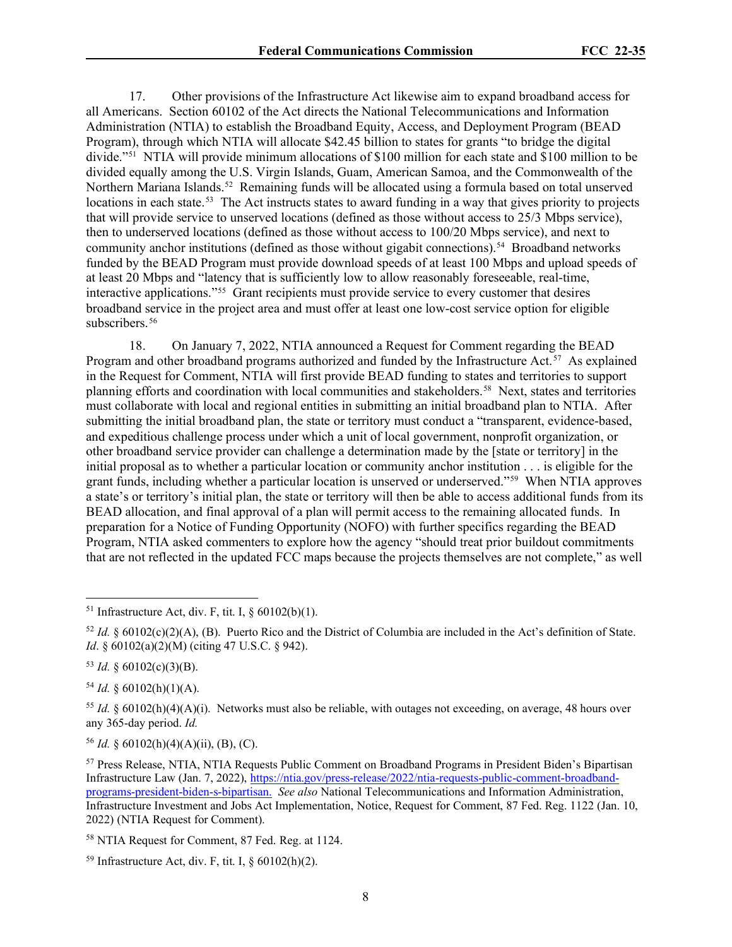17. Other provisions of the Infrastructure Act likewise aim to expand broadband access for all Americans. Section 60102 of the Act directs the National Telecommunications and Information Administration (NTIA) to establish the Broadband Equity, Access, and Deployment Program (BEAD Program), through which NTIA will allocate \$42.45 billion to states for grants "to bridge the digital divide."[51](#page-7-0) NTIA will provide minimum allocations of \$100 million for each state and \$100 million to be divided equally among the U.S. Virgin Islands, Guam, American Samoa, and the Commonwealth of the Northern Mariana Islands.<sup>[52](#page-7-1)</sup> Remaining funds will be allocated using a formula based on total unserved locations in each state.<sup>53</sup> The Act instructs states to award funding in a way that gives priority to projects that will provide service to unserved locations (defined as those without access to 25/3 Mbps service), then to underserved locations (defined as those without access to 100/20 Mbps service), and next to community anchor institutions (defined as those without gigabit connections).[54](#page-7-3) Broadband networks funded by the BEAD Program must provide download speeds of at least 100 Mbps and upload speeds of at least 20 Mbps and "latency that is sufficiently low to allow reasonably foreseeable, real-time, interactive applications."[55](#page-7-4) Grant recipients must provide service to every customer that desires broadband service in the project area and must offer at least one low-cost service option for eligible subscribers.<sup>[56](#page-7-5)</sup>

18. On January 7, 2022, NTIA announced a Request for Comment regarding the BEAD Program and other broadband programs authorized and funded by the Infrastructure Act.<sup>57</sup> As explained in the Request for Comment, NTIA will first provide BEAD funding to states and territories to support planning efforts and coordination with local communities and stakeholders.[58](#page-7-7) Next, states and territories must collaborate with local and regional entities in submitting an initial broadband plan to NTIA. After submitting the initial broadband plan, the state or territory must conduct a "transparent, evidence-based, and expeditious challenge process under which a unit of local government, nonprofit organization, or other broadband service provider can challenge a determination made by the [state or territory] in the initial proposal as to whether a particular location or community anchor institution . . . is eligible for the grant funds, including whether a particular location is unserved or underserved."[59](#page-7-8) When NTIA approves a state's or territory's initial plan, the state or territory will then be able to access additional funds from its BEAD allocation, and final approval of a plan will permit access to the remaining allocated funds. In preparation for a Notice of Funding Opportunity (NOFO) with further specifics regarding the BEAD Program, NTIA asked commenters to explore how the agency "should treat prior buildout commitments that are not reflected in the updated FCC maps because the projects themselves are not complete," as well

<span id="page-7-2"></span> $53$  *Id.* § 60102(c)(3)(B).

<span id="page-7-3"></span> $54$  *Id.* § 60102(h)(1)(A).

<span id="page-7-4"></span><sup>55</sup> *Id.* § 60102(h)(4)(A)(i). Networks must also be reliable, with outages not exceeding, on average, 48 hours over any 365-day period. *Id.*

<span id="page-7-5"></span><sup>56</sup> *Id.* § 60102(h)(4)(A)(ii), (B), (C).

<span id="page-7-0"></span><sup>&</sup>lt;sup>51</sup> Infrastructure Act, div. F, tit. I,  $\delta$  60102(b)(1).

<span id="page-7-1"></span> $52$  *Id.* § 60102(c)(2)(A), (B). Puerto Rico and the District of Columbia are included in the Act's definition of State. *Id.* § 60102(a)(2)(M) (citing 47 U.S.C. § 942).

<span id="page-7-6"></span><sup>57</sup> Press Release, NTIA, NTIA Requests Public Comment on Broadband Programs in President Biden's Bipartisan Infrastructure Law (Jan. 7, 2022), [https://ntia.gov/press-release/2022/ntia-requests-public-comment-broadband](https://ntia.gov/press-release/2022/ntia-requests-public-comment-broadband-programs-president-biden-s-bipartisan)[programs-president-biden-s-bipartisan.](https://ntia.gov/press-release/2022/ntia-requests-public-comment-broadband-programs-president-biden-s-bipartisan) *See also* National Telecommunications and Information Administration, Infrastructure Investment and Jobs Act Implementation, Notice, Request for Comment, 87 Fed. Reg. 1122 (Jan. 10, 2022) (NTIA Request for Comment).

<span id="page-7-7"></span><sup>58</sup> NTIA Request for Comment, 87 Fed. Reg. at 1124.

<span id="page-7-8"></span><sup>&</sup>lt;sup>59</sup> Infrastructure Act, div. F, tit. I,  $\S$  60102(h)(2).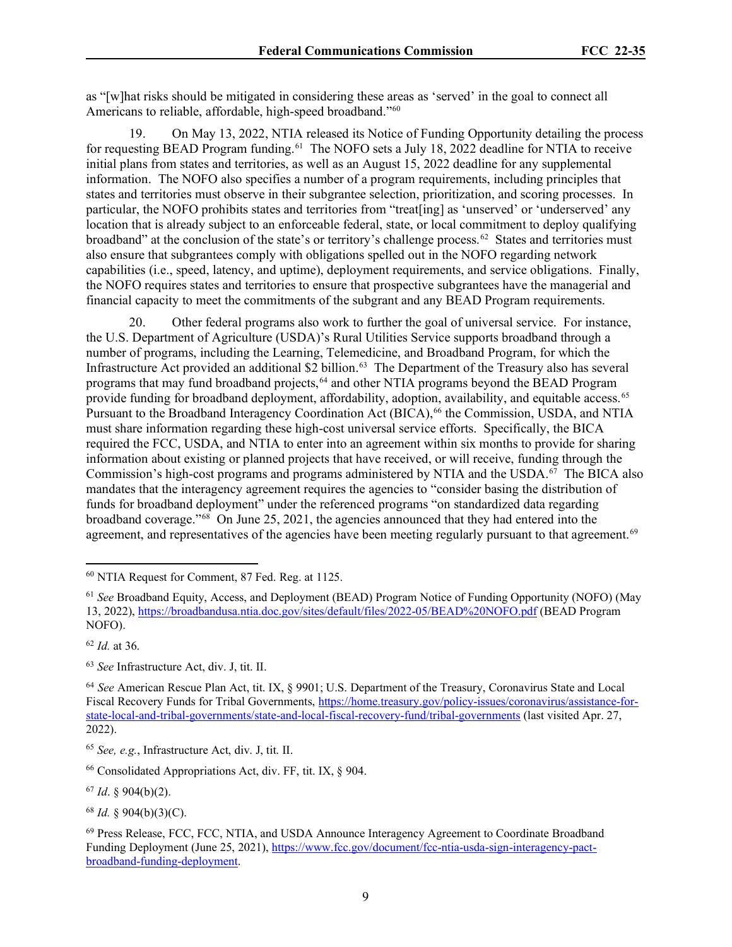as "[w]hat risks should be mitigated in considering these areas as 'served' in the goal to connect all Americans to reliable, affordable, high-speed broadband.["60](#page-8-0)

19. On May 13, 2022, NTIA released its Notice of Funding Opportunity detailing the process for requesting BEAD Program funding.<sup>61</sup> The NOFO sets a July 18, 2022 deadline for NTIA to receive initial plans from states and territories, as well as an August 15, 2022 deadline for any supplemental information. The NOFO also specifies a number of a program requirements, including principles that states and territories must observe in their subgrantee selection, prioritization, and scoring processes. In particular, the NOFO prohibits states and territories from "treat[ing] as 'unserved' or 'underserved' any location that is already subject to an enforceable federal, state, or local commitment to deploy qualifying broadband" at the conclusion of the state's or territory's challenge process.<sup>62</sup> States and territories must also ensure that subgrantees comply with obligations spelled out in the NOFO regarding network capabilities (i.e., speed, latency, and uptime), deployment requirements, and service obligations. Finally, the NOFO requires states and territories to ensure that prospective subgrantees have the managerial and financial capacity to meet the commitments of the subgrant and any BEAD Program requirements.

20. Other federal programs also work to further the goal of universal service. For instance, the U.S. Department of Agriculture (USDA)'s Rural Utilities Service supports broadband through a number of programs, including the Learning, Telemedicine, and Broadband Program, for which the Infrastructure Act provided an additional \$2 billion.<sup>[63](#page-8-3)</sup> The Department of the Treasury also has several programs that may fund broadband projects,<sup>[64](#page-8-4)</sup> and other NTIA programs beyond the BEAD Program provide funding for broadband deployment, affordability, adoption, availability, and equitable access.<sup>65</sup> Pursuant to the Broadband Interagency Coordination Act (BICA),<sup>[66](#page-8-6)</sup> the Commission, USDA, and NTIA must share information regarding these high-cost universal service efforts. Specifically, the BICA required the FCC, USDA, and NTIA to enter into an agreement within six months to provide for sharing information about existing or planned projects that have received, or will receive, funding through the Commission's high-cost programs and programs administered by NTIA and the USDA. [67](#page-8-7) The BICA also mandates that the interagency agreement requires the agencies to "consider basing the distribution of funds for broadband deployment" under the referenced programs "on standardized data regarding broadband coverage."[68](#page-8-8) On June 25, 2021, the agencies announced that they had entered into the agreement, and representatives of the agencies have been meeting regularly pursuant to that agreement.<sup>[69](#page-8-9)</sup>

<span id="page-8-7"></span><sup>67</sup> *Id*. § 904(b)(2).

<span id="page-8-0"></span><sup>60</sup> NTIA Request for Comment, 87 Fed. Reg. at 1125.

<span id="page-8-1"></span><sup>61</sup> *See* Broadband Equity, Access, and Deployment (BEAD) Program Notice of Funding Opportunity (NOFO) (May 13, 2022),<https://broadbandusa.ntia.doc.gov/sites/default/files/2022-05/BEAD%20NOFO.pdf> (BEAD Program NOFO).

<span id="page-8-2"></span><sup>62</sup> *Id.* at 36.

<span id="page-8-3"></span><sup>63</sup> *See* Infrastructure Act, div. J, tit. II.

<span id="page-8-4"></span><sup>64</sup> *See* American Rescue Plan Act, tit. IX, § 9901; U.S. Department of the Treasury, Coronavirus State and Local Fiscal Recovery Funds for Tribal Governments, [https://home.treasury.gov/policy-issues/coronavirus/assistance-for](https://home.treasury.gov/policy-issues/coronavirus/assistance-for-state-local-and-tribal-governments/state-and-local-fiscal-recovery-fund/tribal-governments)[state-local-and-tribal-governments/state-and-local-fiscal-recovery-fund/tribal-governments](https://home.treasury.gov/policy-issues/coronavirus/assistance-for-state-local-and-tribal-governments/state-and-local-fiscal-recovery-fund/tribal-governments) (last visited Apr. 27, 2022).

<span id="page-8-5"></span><sup>65</sup> *See, e.g.*, Infrastructure Act, div. J, tit. II.

<span id="page-8-6"></span> $66$  Consolidated Appropriations Act, div. FF, tit. IX,  $\frac{6}{904}$ .

<span id="page-8-8"></span><sup>68</sup> *Id.* § 904(b)(3)(C).

<span id="page-8-9"></span><sup>69</sup> Press Release, FCC, FCC, NTIA, and USDA Announce Interagency Agreement to Coordinate Broadband Funding Deployment (June 25, 2021), [https://www.fcc.gov/document/fcc-ntia-usda-sign-interagency-pact](https://www.fcc.gov/document/fcc-ntia-usda-sign-interagency-pact-broadband-funding-deployment)[broadband-funding-deployment.](https://www.fcc.gov/document/fcc-ntia-usda-sign-interagency-pact-broadband-funding-deployment)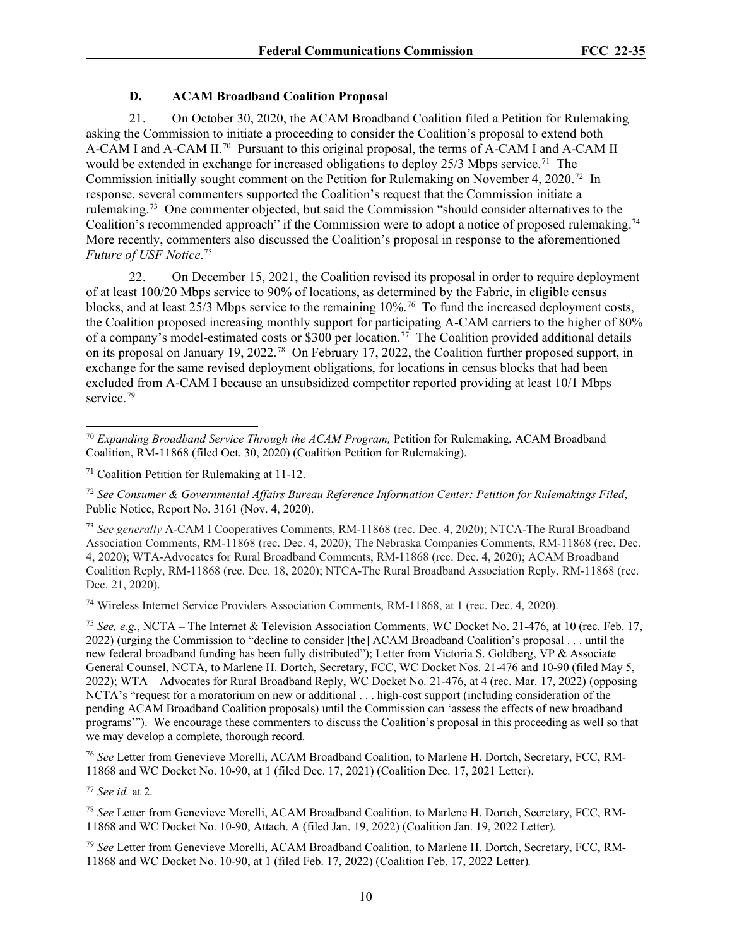# **D. ACAM Broadband Coalition Proposal**

21. On October 30, 2020, the ACAM Broadband Coalition filed a Petition for Rulemaking asking the Commission to initiate a proceeding to consider the Coalition's proposal to extend both A-CAM I and A-CAM II.<sup>[70](#page-9-0)</sup> Pursuant to this original proposal, the terms of A-CAM I and A-CAM II would be extended in exchange for increased obligations to deploy 25/3 Mbps service.<sup>[71](#page-9-1)</sup> The Commission initially sought comment on the Petition for Rulemaking on November 4, 2020.<sup>[72](#page-9-2)</sup> In response, several commenters supported the Coalition's request that the Commission initiate a rulemaking.[73](#page-9-3) One commenter objected, but said the Commission "should consider alternatives to the Coalition's recommended approach" if the Commission were to adopt a notice of proposed rulemaking.[74](#page-9-4)  More recently, commenters also discussed the Coalition's proposal in response to the aforementioned *Future of USF Notice*. [75](#page-9-5)

22. On December 15, 2021, the Coalition revised its proposal in order to require deployment of at least 100/20 Mbps service to 90% of locations, as determined by the Fabric, in eligible census blocks, and at least 25/3 Mbps service to the remaining 10%.[76](#page-9-6) To fund the increased deployment costs, the Coalition proposed increasing monthly support for participating A-CAM carriers to the higher of 80% of a company's model-estimated costs or \$300 per location.<sup>[77](#page-9-7)</sup> The Coalition provided additional details on its proposal on January 19, 2022.[78](#page-9-8) On February 17, 2022, the Coalition further proposed support, in exchange for the same revised deployment obligations, for locations in census blocks that had been excluded from A-CAM I because an unsubsidized competitor reported providing at least 10/1 Mbps service.<sup>[79](#page-9-9)</sup>

<span id="page-9-2"></span><sup>72</sup> *See Consumer & Governmental Affairs Bureau Reference Information Center: Petition for Rulemakings Filed*, Public Notice, Report No. 3161 (Nov. 4, 2020).

<span id="page-9-3"></span><sup>73</sup> *See generally* A-CAM I Cooperatives Comments, RM-11868 (rec. Dec. 4, 2020); NTCA-The Rural Broadband Association Comments, RM-11868 (rec. Dec. 4, 2020); The Nebraska Companies Comments, RM-11868 (rec. Dec. 4, 2020); WTA-Advocates for Rural Broadband Comments, RM-11868 (rec. Dec. 4, 2020); ACAM Broadband Coalition Reply, RM-11868 (rec. Dec. 18, 2020); NTCA-The Rural Broadband Association Reply, RM-11868 (rec. Dec. 21, 2020).

<span id="page-9-4"></span><sup>74</sup> Wireless Internet Service Providers Association Comments, RM-11868, at 1 (rec. Dec. 4, 2020).

<span id="page-9-5"></span><sup>75</sup> *See, e.g.*, NCTA – The Internet & Television Association Comments, WC Docket No. 21-476, at 10 (rec. Feb. 17, 2022) (urging the Commission to "decline to consider [the] ACAM Broadband Coalition's proposal . . . until the new federal broadband funding has been fully distributed"); Letter from Victoria S. Goldberg, VP & Associate General Counsel, NCTA, to Marlene H. Dortch, Secretary, FCC, WC Docket Nos. 21-476 and 10-90 (filed May 5, 2022); WTA – Advocates for Rural Broadband Reply, WC Docket No. 21-476, at 4 (rec. Mar. 17, 2022) (opposing NCTA's "request for a moratorium on new or additional . . . high-cost support (including consideration of the pending ACAM Broadband Coalition proposals) until the Commission can 'assess the effects of new broadband programs'"). We encourage these commenters to discuss the Coalition's proposal in this proceeding as well so that we may develop a complete, thorough record.

<span id="page-9-6"></span><sup>76</sup> *See* Letter from Genevieve Morelli, ACAM Broadband Coalition, to Marlene H. Dortch, Secretary, FCC, RM-11868 and WC Docket No. 10-90, at 1 (filed Dec. 17, 2021) (Coalition Dec. 17, 2021 Letter).

<span id="page-9-7"></span><sup>77</sup> *See id.* at 2.

<span id="page-9-8"></span><sup>78</sup> *See* Letter from Genevieve Morelli, ACAM Broadband Coalition, to Marlene H. Dortch, Secretary, FCC, RM-11868 and WC Docket No. 10-90, Attach. A (filed Jan. 19, 2022) (Coalition Jan. 19, 2022 Letter)*.*

<span id="page-9-9"></span><sup>79</sup> *See* Letter from Genevieve Morelli, ACAM Broadband Coalition, to Marlene H. Dortch, Secretary, FCC, RM-11868 and WC Docket No. 10-90, at 1 (filed Feb. 17, 2022) (Coalition Feb. 17, 2022 Letter)*.*

<span id="page-9-0"></span><sup>70</sup> *Expanding Broadband Service Through the ACAM Program,* Petition for Rulemaking, ACAM Broadband Coalition, RM-11868 (filed Oct. 30, 2020) (Coalition Petition for Rulemaking).

<span id="page-9-1"></span><sup>71</sup> Coalition Petition for Rulemaking at 11-12.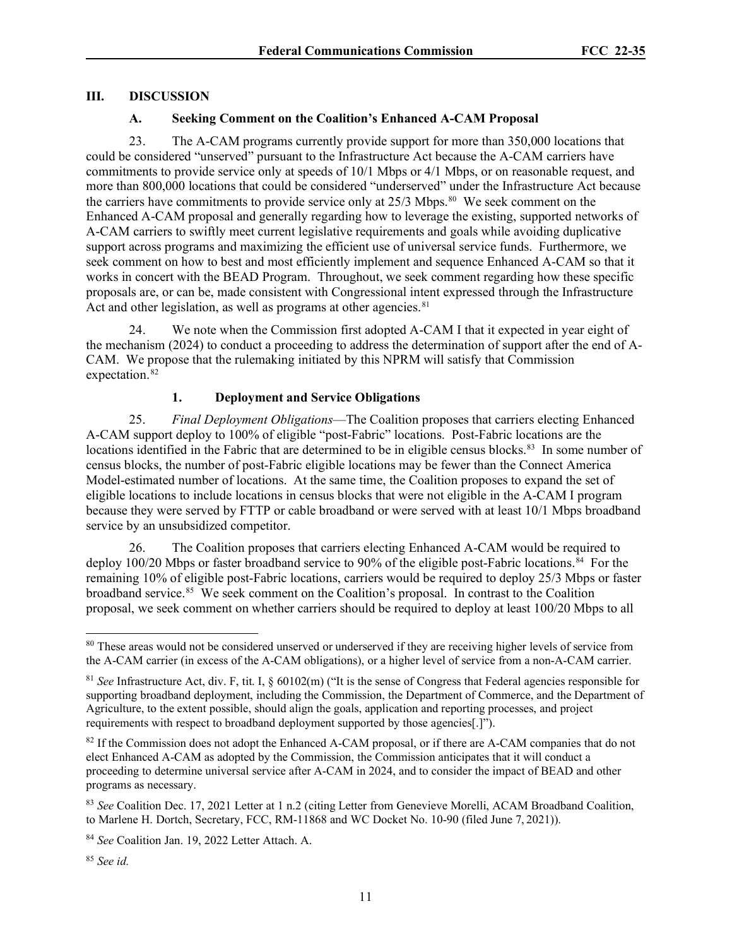# **III. DISCUSSION**

# **A. Seeking Comment on the Coalition's Enhanced A-CAM Proposal**

23. The A-CAM programs currently provide support for more than 350,000 locations that could be considered "unserved" pursuant to the Infrastructure Act because the A-CAM carriers have commitments to provide service only at speeds of 10/1 Mbps or 4/1 Mbps, or on reasonable request, and more than 800,000 locations that could be considered "underserved" under the Infrastructure Act because the carriers have commitments to provide service only at 25/3 Mbps.<sup>[80](#page-10-0)</sup> We seek comment on the Enhanced A-CAM proposal and generally regarding how to leverage the existing, supported networks of A-CAM carriers to swiftly meet current legislative requirements and goals while avoiding duplicative support across programs and maximizing the efficient use of universal service funds. Furthermore, we seek comment on how to best and most efficiently implement and sequence Enhanced A-CAM so that it works in concert with the BEAD Program. Throughout, we seek comment regarding how these specific proposals are, or can be, made consistent with Congressional intent expressed through the Infrastructure Act and other legislation, as well as programs at other agencies.  $81$ 

24. We note when the Commission first adopted A-CAM I that it expected in year eight of the mechanism (2024) to conduct a proceeding to address the determination of support after the end of A-CAM. We propose that the rulemaking initiated by this NPRM will satisfy that Commission expectation.<sup>82</sup>

### **1. Deployment and Service Obligations**

25. *Final Deployment Obligations*—The Coalition proposes that carriers electing Enhanced A-CAM support deploy to 100% of eligible "post-Fabric" locations. Post-Fabric locations are the locations identified in the Fabric that are determined to be in eligible census blocks.<sup>83</sup> In some number of census blocks, the number of post-Fabric eligible locations may be fewer than the Connect America Model-estimated number of locations. At the same time, the Coalition proposes to expand the set of eligible locations to include locations in census blocks that were not eligible in the A-CAM I program because they were served by FTTP or cable broadband or were served with at least 10/1 Mbps broadband service by an unsubsidized competitor.

26. The Coalition proposes that carriers electing Enhanced A-CAM would be required to deploy 100/20 Mbps or faster broadband service to 90% of the eligible post-Fabric locations.<sup>84</sup> For the remaining 10% of eligible post-Fabric locations, carriers would be required to deploy 25/3 Mbps or faster broadband service.<sup>[85](#page-10-5)</sup> We seek comment on the Coalition's proposal. In contrast to the Coalition proposal, we seek comment on whether carriers should be required to deploy at least 100/20 Mbps to all

<span id="page-10-0"></span><sup>&</sup>lt;sup>80</sup> These areas would not be considered unserved or underserved if they are receiving higher levels of service from the A-CAM carrier (in excess of the A-CAM obligations), or a higher level of service from a non-A-CAM carrier.

<span id="page-10-1"></span><sup>81</sup> *See* Infrastructure Act, div. F, tit. I, § 60102(m) ("It is the sense of Congress that Federal agencies responsible for supporting broadband deployment, including the Commission, the Department of Commerce, and the Department of Agriculture, to the extent possible, should align the goals, application and reporting processes, and project requirements with respect to broadband deployment supported by those agencies[.]").

<span id="page-10-2"></span><sup>&</sup>lt;sup>82</sup> If the Commission does not adopt the Enhanced A-CAM proposal, or if there are A-CAM companies that do not elect Enhanced A-CAM as adopted by the Commission, the Commission anticipates that it will conduct a proceeding to determine universal service after A-CAM in 2024, and to consider the impact of BEAD and other programs as necessary.

<span id="page-10-3"></span><sup>83</sup> *See* Coalition Dec. 17, 2021 Letter at 1 n.2 (citing Letter from Genevieve Morelli, ACAM Broadband Coalition, to Marlene H. Dortch, Secretary, FCC, RM-11868 and WC Docket No. 10-90 (filed June 7, 2021)).

<span id="page-10-4"></span><sup>84</sup> *See* Coalition Jan. 19, 2022 Letter Attach. A.

<span id="page-10-5"></span><sup>85</sup> *See id.*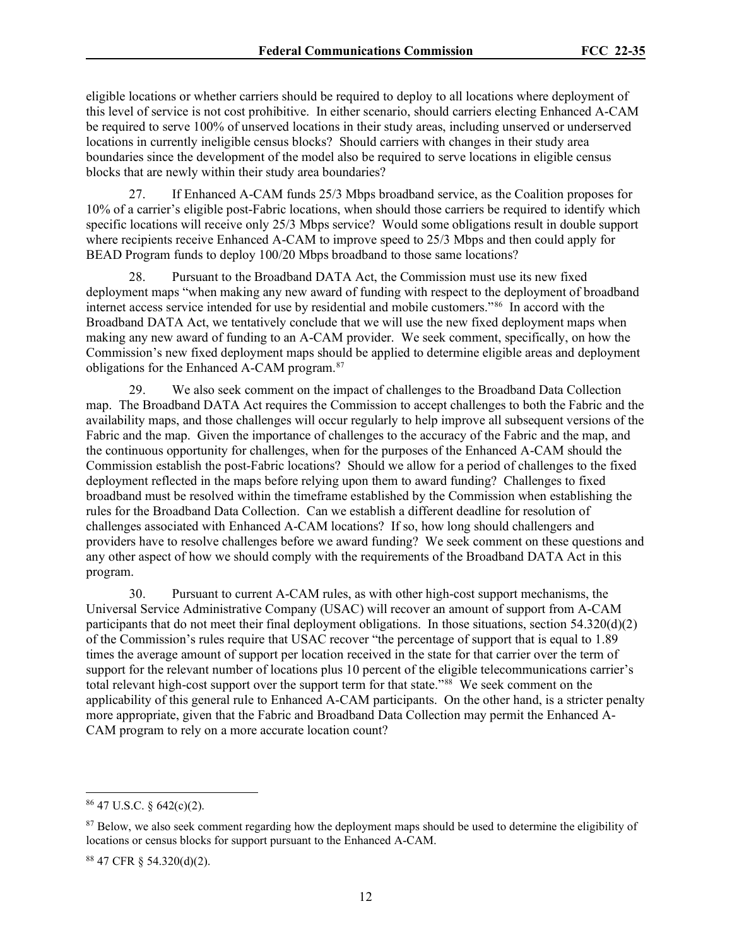eligible locations or whether carriers should be required to deploy to all locations where deployment of this level of service is not cost prohibitive. In either scenario, should carriers electing Enhanced A-CAM be required to serve 100% of unserved locations in their study areas, including unserved or underserved locations in currently ineligible census blocks? Should carriers with changes in their study area boundaries since the development of the model also be required to serve locations in eligible census blocks that are newly within their study area boundaries?

27. If Enhanced A-CAM funds 25/3 Mbps broadband service, as the Coalition proposes for 10% of a carrier's eligible post-Fabric locations, when should those carriers be required to identify which specific locations will receive only 25/3 Mbps service? Would some obligations result in double support where recipients receive Enhanced A-CAM to improve speed to 25/3 Mbps and then could apply for BEAD Program funds to deploy 100/20 Mbps broadband to those same locations?

28. Pursuant to the Broadband DATA Act, the Commission must use its new fixed deployment maps "when making any new award of funding with respect to the deployment of broadband internet access service intended for use by residential and mobile customers."[86](#page-11-0) In accord with the Broadband DATA Act, we tentatively conclude that we will use the new fixed deployment maps when making any new award of funding to an A-CAM provider. We seek comment, specifically, on how the Commission's new fixed deployment maps should be applied to determine eligible areas and deployment obligations for the Enhanced A-CAM program.[87](#page-11-1)

29. We also seek comment on the impact of challenges to the Broadband Data Collection map. The Broadband DATA Act requires the Commission to accept challenges to both the Fabric and the availability maps, and those challenges will occur regularly to help improve all subsequent versions of the Fabric and the map. Given the importance of challenges to the accuracy of the Fabric and the map, and the continuous opportunity for challenges, when for the purposes of the Enhanced A-CAM should the Commission establish the post-Fabric locations? Should we allow for a period of challenges to the fixed deployment reflected in the maps before relying upon them to award funding? Challenges to fixed broadband must be resolved within the timeframe established by the Commission when establishing the rules for the Broadband Data Collection. Can we establish a different deadline for resolution of challenges associated with Enhanced A-CAM locations? If so, how long should challengers and providers have to resolve challenges before we award funding? We seek comment on these questions and any other aspect of how we should comply with the requirements of the Broadband DATA Act in this program.

30. Pursuant to current A-CAM rules, as with other high-cost support mechanisms, the Universal Service Administrative Company (USAC) will recover an amount of support from A-CAM participants that do not meet their final deployment obligations. In those situations, section  $54.320(d)(2)$ of the Commission's rules require that USAC recover "the percentage of support that is equal to 1.89 times the average amount of support per location received in the state for that carrier over the term of support for the relevant number of locations plus 10 percent of the eligible telecommunications carrier's total relevant high-cost support over the support term for that state."<sup>88</sup> We seek comment on the applicability of this general rule to Enhanced A-CAM participants. On the other hand, is a stricter penalty more appropriate, given that the Fabric and Broadband Data Collection may permit the Enhanced A-CAM program to rely on a more accurate location count?

<span id="page-11-0"></span> $86$  47 U.S.C.  $\frac{642(c)(2)}{c}$ .

<span id="page-11-1"></span><sup>&</sup>lt;sup>87</sup> Below, we also seek comment regarding how the deployment maps should be used to determine the eligibility of locations or census blocks for support pursuant to the Enhanced A-CAM.

<span id="page-11-2"></span><sup>88</sup> 47 CFR § 54.320(d)(2).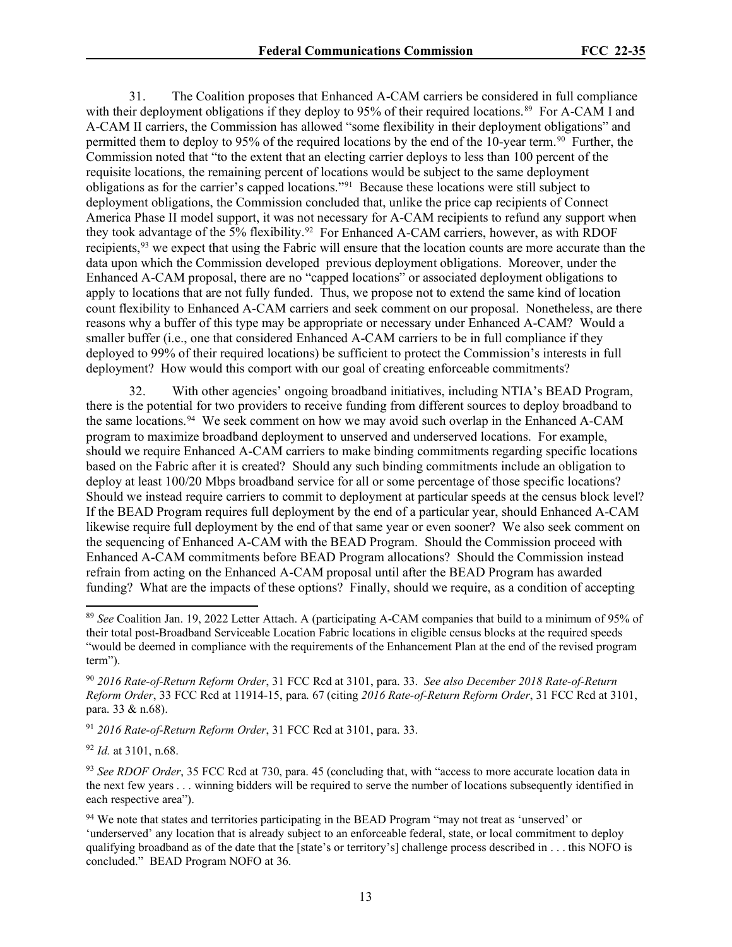31. The Coalition proposes that Enhanced A-CAM carriers be considered in full compliance with their deployment obligations if they deploy to 95% of their required locations.<sup>89</sup> For A-CAM I and A-CAM II carriers, the Commission has allowed "some flexibility in their deployment obligations" and permitted them to deploy to 95% of the required locations by the end of the 10-year term.<sup>[90](#page-12-1)</sup> Further, the Commission noted that "to the extent that an electing carrier deploys to less than 100 percent of the requisite locations, the remaining percent of locations would be subject to the same deployment obligations as for the carrier's capped locations."[91](#page-12-2) Because these locations were still subject to deployment obligations, the Commission concluded that, unlike the price cap recipients of Connect America Phase II model support, it was not necessary for A-CAM recipients to refund any support when they took advantage of the 5% flexibility.<sup>[92](#page-12-3)</sup> For Enhanced A-CAM carriers, however, as with RDOF recipients,[93](#page-12-4) we expect that using the Fabric will ensure that the location counts are more accurate than the data upon which the Commission developed previous deployment obligations. Moreover, under the Enhanced A-CAM proposal, there are no "capped locations" or associated deployment obligations to apply to locations that are not fully funded. Thus, we propose not to extend the same kind of location count flexibility to Enhanced A-CAM carriers and seek comment on our proposal. Nonetheless, are there reasons why a buffer of this type may be appropriate or necessary under Enhanced A-CAM? Would a smaller buffer (i.e., one that considered Enhanced A-CAM carriers to be in full compliance if they deployed to 99% of their required locations) be sufficient to protect the Commission's interests in full deployment? How would this comport with our goal of creating enforceable commitments?

32. With other agencies' ongoing broadband initiatives, including NTIA's BEAD Program, there is the potential for two providers to receive funding from different sources to deploy broadband to the same locations.<sup>[94](#page-12-5)</sup> We seek comment on how we may avoid such overlap in the Enhanced A-CAM program to maximize broadband deployment to unserved and underserved locations. For example, should we require Enhanced A-CAM carriers to make binding commitments regarding specific locations based on the Fabric after it is created? Should any such binding commitments include an obligation to deploy at least 100/20 Mbps broadband service for all or some percentage of those specific locations? Should we instead require carriers to commit to deployment at particular speeds at the census block level? If the BEAD Program requires full deployment by the end of a particular year, should Enhanced A-CAM likewise require full deployment by the end of that same year or even sooner? We also seek comment on the sequencing of Enhanced A-CAM with the BEAD Program. Should the Commission proceed with Enhanced A-CAM commitments before BEAD Program allocations? Should the Commission instead refrain from acting on the Enhanced A-CAM proposal until after the BEAD Program has awarded funding? What are the impacts of these options? Finally, should we require, as a condition of accepting

<span id="page-12-2"></span><sup>91</sup> *2016 Rate-of-Return Reform Order*, 31 FCC Rcd at 3101, para. 33.

<span id="page-12-3"></span><sup>92</sup> *Id.* at 3101, n.68.

<span id="page-12-0"></span><sup>89</sup> *See* Coalition Jan. 19, 2022 Letter Attach. A (participating A-CAM companies that build to a minimum of 95% of their total post-Broadband Serviceable Location Fabric locations in eligible census blocks at the required speeds "would be deemed in compliance with the requirements of the Enhancement Plan at the end of the revised program term").

<span id="page-12-1"></span><sup>90</sup> *2016 Rate-of-Return Reform Order*, 31 FCC Rcd at 3101, para. 33. *See also December 2018 Rate-of-Return Reform Order*, 33 FCC Rcd at 11914-15, para. 67 (citing *2016 Rate-of-Return Reform Order*, 31 FCC Rcd at 3101, para. 33 & n.68).

<span id="page-12-4"></span><sup>93</sup> *See RDOF Order*, 35 FCC Rcd at 730, para. 45 (concluding that, with "access to more accurate location data in the next few years . . . winning bidders will be required to serve the number of locations subsequently identified in each respective area").

<span id="page-12-5"></span><sup>&</sup>lt;sup>94</sup> We note that states and territories participating in the BEAD Program "may not treat as 'unserved' or 'underserved' any location that is already subject to an enforceable federal, state, or local commitment to deploy qualifying broadband as of the date that the [state's or territory's] challenge process described in . . . this NOFO is concluded." BEAD Program NOFO at 36.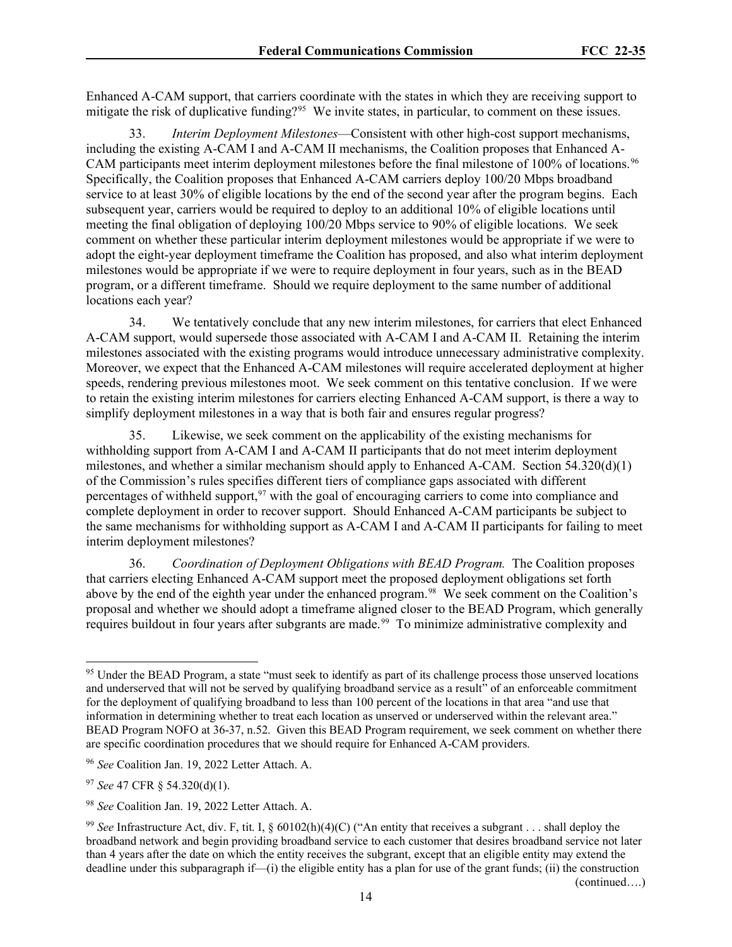Enhanced A-CAM support, that carriers coordinate with the states in which they are receiving support to mitigate the risk of duplicative funding?[95](#page-13-0) We invite states, in particular, to comment on these issues.

33. *Interim Deployment Milestones*—Consistent with other high-cost support mechanisms, including the existing A-CAM I and A-CAM II mechanisms, the Coalition proposes that Enhanced A-CAM participants meet interim deployment milestones before the final milestone of 100% of locations.<sup>96</sup> Specifically, the Coalition proposes that Enhanced A-CAM carriers deploy 100/20 Mbps broadband service to at least 30% of eligible locations by the end of the second year after the program begins. Each subsequent year, carriers would be required to deploy to an additional 10% of eligible locations until meeting the final obligation of deploying 100/20 Mbps service to 90% of eligible locations. We seek comment on whether these particular interim deployment milestones would be appropriate if we were to adopt the eight-year deployment timeframe the Coalition has proposed, and also what interim deployment milestones would be appropriate if we were to require deployment in four years, such as in the BEAD program, or a different timeframe. Should we require deployment to the same number of additional locations each year?

34. We tentatively conclude that any new interim milestones, for carriers that elect Enhanced A-CAM support, would supersede those associated with A-CAM I and A-CAM II. Retaining the interim milestones associated with the existing programs would introduce unnecessary administrative complexity. Moreover, we expect that the Enhanced A-CAM milestones will require accelerated deployment at higher speeds, rendering previous milestones moot. We seek comment on this tentative conclusion. If we were to retain the existing interim milestones for carriers electing Enhanced A-CAM support, is there a way to simplify deployment milestones in a way that is both fair and ensures regular progress?

35. Likewise, we seek comment on the applicability of the existing mechanisms for withholding support from A-CAM I and A-CAM II participants that do not meet interim deployment milestones, and whether a similar mechanism should apply to Enhanced A-CAM. Section  $54.320(d)(1)$ of the Commission's rules specifies different tiers of compliance gaps associated with different percentages of withheld support,  $97$  with the goal of encouraging carriers to come into compliance and complete deployment in order to recover support. Should Enhanced A-CAM participants be subject to the same mechanisms for withholding support as A-CAM I and A-CAM II participants for failing to meet interim deployment milestones?

36. *Coordination of Deployment Obligations with BEAD Program.* The Coalition proposes that carriers electing Enhanced A-CAM support meet the proposed deployment obligations set forth above by the end of the eighth year under the enhanced program.<sup>[98](#page-13-3)</sup> We seek comment on the Coalition's proposal and whether we should adopt a timeframe aligned closer to the BEAD Program, which generally requires buildout in four years after subgrants are made.<sup>99</sup> To minimize administrative complexity and

(continued….)

<span id="page-13-0"></span><sup>&</sup>lt;sup>95</sup> Under the BEAD Program, a state "must seek to identify as part of its challenge process those unserved locations and underserved that will not be served by qualifying broadband service as a result" of an enforceable commitment for the deployment of qualifying broadband to less than 100 percent of the locations in that area "and use that information in determining whether to treat each location as unserved or underserved within the relevant area." BEAD Program NOFO at 36-37, n.52. Given this BEAD Program requirement, we seek comment on whether there are specific coordination procedures that we should require for Enhanced A-CAM providers.

<span id="page-13-1"></span><sup>96</sup> *See* Coalition Jan. 19, 2022 Letter Attach. A.

<span id="page-13-2"></span><sup>97</sup> *See* 47 CFR § 54.320(d)(1).

<span id="page-13-3"></span><sup>98</sup> *See* Coalition Jan. 19, 2022 Letter Attach. A.

<span id="page-13-4"></span><sup>99</sup> *See* Infrastructure Act, div. F, tit. I, § 60102(h)(4)(C) ("An entity that receives a subgrant . . . shall deploy the broadband network and begin providing broadband service to each customer that desires broadband service not later than 4 years after the date on which the entity receives the subgrant, except that an eligible entity may extend the deadline under this subparagraph if—(i) the eligible entity has a plan for use of the grant funds; (ii) the construction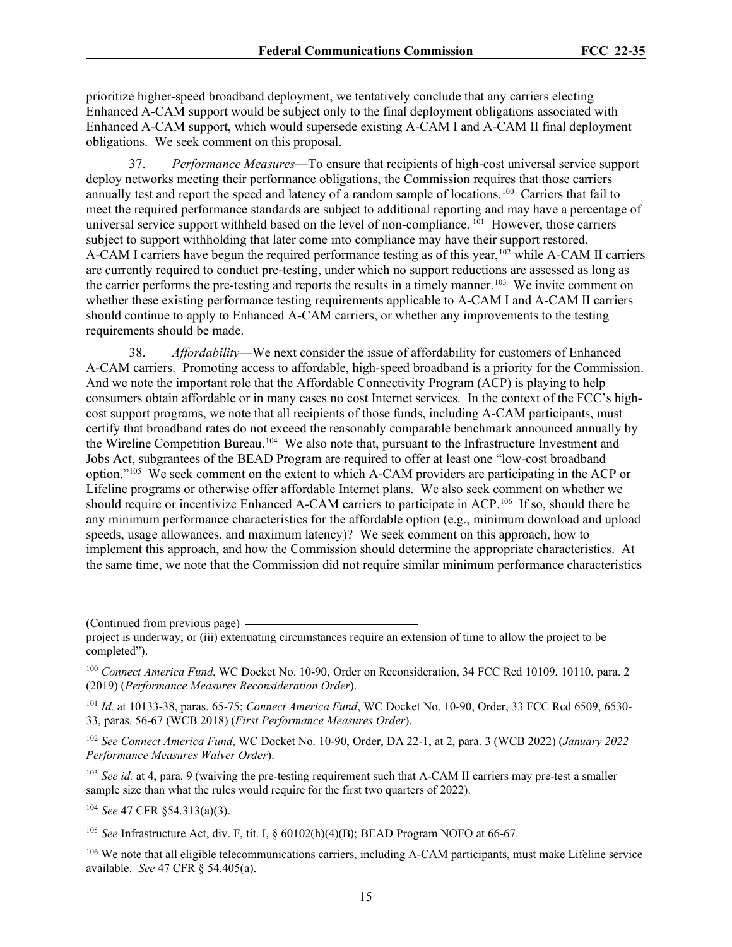prioritize higher-speed broadband deployment, we tentatively conclude that any carriers electing Enhanced A-CAM support would be subject only to the final deployment obligations associated with Enhanced A-CAM support, which would supersede existing A-CAM I and A-CAM II final deployment obligations. We seek comment on this proposal.

37. *Performance Measures*—To ensure that recipients of high-cost universal service support deploy networks meeting their performance obligations, the Commission requires that those carriers annually test and report the speed and latency of a random sample of locations.[100](#page-14-0) Carriers that fail to meet the required performance standards are subject to additional reporting and may have a percentage of universal service support withheld based on the level of non-compliance.<sup>101</sup> However, those carriers subject to support withholding that later come into compliance may have their support restored. A-CAM I carriers have begun the required performance testing as of this year,<sup>[102](#page-14-2)</sup> while A-CAM II carriers are currently required to conduct pre-testing, under which no support reductions are assessed as long as the carrier performs the pre-testing and reports the results in a timely manner.<sup>[103](#page-14-3)</sup> We invite comment on whether these existing performance testing requirements applicable to A-CAM I and A-CAM II carriers should continue to apply to Enhanced A-CAM carriers, or whether any improvements to the testing requirements should be made.

38. *Affordability*—We next consider the issue of affordability for customers of Enhanced A-CAM carriers. Promoting access to affordable, high-speed broadband is a priority for the Commission. And we note the important role that the Affordable Connectivity Program (ACP) is playing to help consumers obtain affordable or in many cases no cost Internet services. In the context of the FCC's highcost support programs, we note that all recipients of those funds, including A-CAM participants, must certify that broadband rates do not exceed the reasonably comparable benchmark announced annually by the Wireline Competition Bureau.<sup>[104](#page-14-4)</sup> We also note that, pursuant to the Infrastructure Investment and Jobs Act, subgrantees of the BEAD Program are required to offer at least one "low-cost broadband option."[105](#page-14-5) We seek comment on the extent to which A-CAM providers are participating in the ACP or Lifeline programs or otherwise offer affordable Internet plans. We also seek comment on whether we should require or incentivize Enhanced A-CAM carriers to participate in ACP.[106](#page-14-6) If so, should there be any minimum performance characteristics for the affordable option (e.g., minimum download and upload speeds, usage allowances, and maximum latency)? We seek comment on this approach, how to implement this approach, and how the Commission should determine the appropriate characteristics. At the same time, we note that the Commission did not require similar minimum performance characteristics

(Continued from previous page)

<span id="page-14-1"></span><sup>101</sup> *Id.* at 10133-38, paras. 65-75; *Connect America Fund*, WC Docket No. 10-90, Order, 33 FCC Rcd 6509, 6530- 33, paras. 56-67 (WCB 2018) (*First Performance Measures Order*).

<span id="page-14-2"></span><sup>102</sup> *See Connect America Fund*, WC Docket No. 10-90, Order, DA 22-1, at 2, para. 3 (WCB 2022) (*January 2022 Performance Measures Waiver Order*).

<span id="page-14-3"></span><sup>103</sup> *See id.* at 4, para. 9 (waiving the pre-testing requirement such that A-CAM II carriers may pre-test a smaller sample size than what the rules would require for the first two quarters of 2022).

<span id="page-14-4"></span><sup>104</sup> *See* 47 CFR §54.313(a)(3).

<span id="page-14-5"></span><sup>105</sup> *See* Infrastructure Act, div. F, tit. I, § 60102(h)(4)(B); BEAD Program NOFO at 66-67.

<span id="page-14-6"></span><sup>106</sup> We note that all eligible telecommunications carriers, including A-CAM participants, must make Lifeline service available. *See* 47 CFR § 54.405(a).

project is underway; or (iii) extenuating circumstances require an extension of time to allow the project to be completed").

<span id="page-14-0"></span><sup>&</sup>lt;sup>100</sup> Connect America Fund, WC Docket No. 10-90, Order on Reconsideration, 34 FCC Rcd 10109, 10110, para. 2 (2019) (*Performance Measures Reconsideration Order*).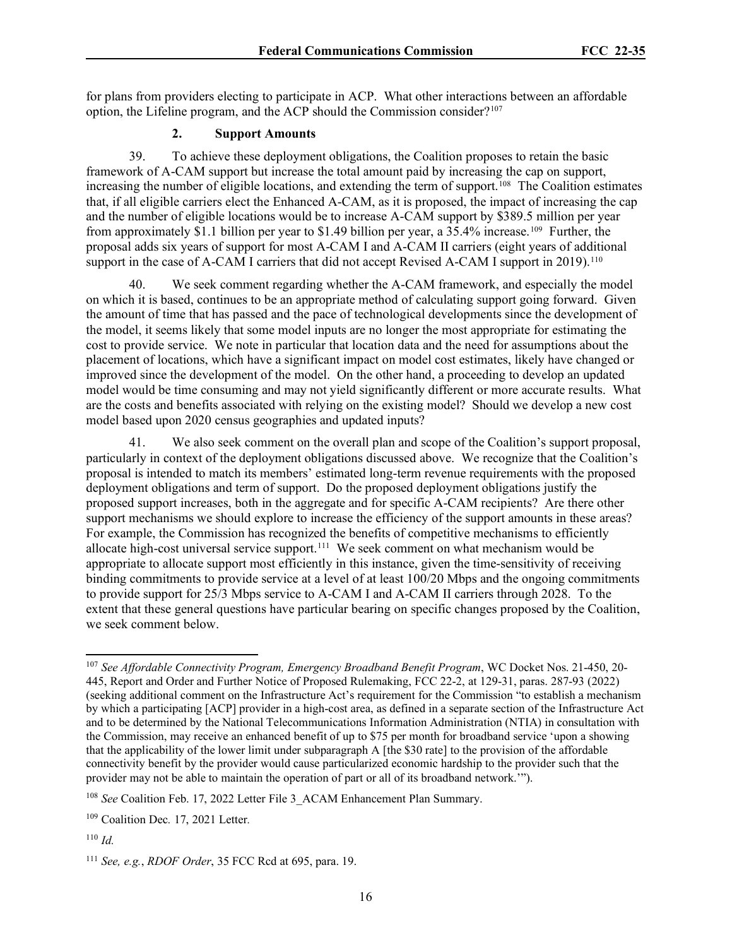for plans from providers electing to participate in ACP. What other interactions between an affordable option, the Lifeline program, and the ACP should the Commission consider?[107](#page-15-0) 

### **2. Support Amounts**

39. To achieve these deployment obligations, the Coalition proposes to retain the basic framework of A-CAM support but increase the total amount paid by increasing the cap on support, increasing the number of eligible locations, and extending the term of support.<sup>108</sup> The Coalition estimates that, if all eligible carriers elect the Enhanced A-CAM, as it is proposed, the impact of increasing the cap and the number of eligible locations would be to increase A-CAM support by \$389.5 million per year from approximately \$1.1 billion per year to \$1.49 billion per year, a 35.4% increase.<sup>[109](#page-15-2)</sup> Further, the proposal adds six years of support for most A-CAM I and A-CAM II carriers (eight years of additional support in the case of A-CAM I carriers that did not accept Revised A-CAM I support in 2019).<sup>[110](#page-15-3)</sup>

40. We seek comment regarding whether the A-CAM framework, and especially the model on which it is based, continues to be an appropriate method of calculating support going forward. Given the amount of time that has passed and the pace of technological developments since the development of the model, it seems likely that some model inputs are no longer the most appropriate for estimating the cost to provide service. We note in particular that location data and the need for assumptions about the placement of locations, which have a significant impact on model cost estimates, likely have changed or improved since the development of the model. On the other hand, a proceeding to develop an updated model would be time consuming and may not yield significantly different or more accurate results. What are the costs and benefits associated with relying on the existing model? Should we develop a new cost model based upon 2020 census geographies and updated inputs?

41. We also seek comment on the overall plan and scope of the Coalition's support proposal, particularly in context of the deployment obligations discussed above. We recognize that the Coalition's proposal is intended to match its members' estimated long-term revenue requirements with the proposed deployment obligations and term of support. Do the proposed deployment obligations justify the proposed support increases, both in the aggregate and for specific A-CAM recipients? Are there other support mechanisms we should explore to increase the efficiency of the support amounts in these areas? For example, the Commission has recognized the benefits of competitive mechanisms to efficiently allocate high-cost universal service support.<sup>[111](#page-15-4)</sup> We seek comment on what mechanism would be appropriate to allocate support most efficiently in this instance, given the time-sensitivity of receiving binding commitments to provide service at a level of at least 100/20 Mbps and the ongoing commitments to provide support for 25/3 Mbps service to A-CAM I and A-CAM II carriers through 2028. To the extent that these general questions have particular bearing on specific changes proposed by the Coalition, we seek comment below.

<span id="page-15-0"></span><sup>107</sup> *See Affordable Connectivity Program, Emergency Broadband Benefit Program*, WC Docket Nos. 21-450, 20- 445, Report and Order and Further Notice of Proposed Rulemaking, FCC 22-2, at 129-31, paras. 287-93 (2022) (seeking additional comment on the Infrastructure Act's requirement for the Commission "to establish a mechanism by which a participating [ACP] provider in a high-cost area, as defined in a separate section of the Infrastructure Act and to be determined by the National Telecommunications Information Administration (NTIA) in consultation with the Commission, may receive an enhanced benefit of up to \$75 per month for broadband service 'upon a showing that the applicability of the lower limit under subparagraph A [the \$30 rate] to the provision of the affordable connectivity benefit by the provider would cause particularized economic hardship to the provider such that the provider may not be able to maintain the operation of part or all of its broadband network.'").

<span id="page-15-1"></span><sup>&</sup>lt;sup>108</sup> *See* Coalition Feb. 17, 2022 Letter File 3 ACAM Enhancement Plan Summary.

<span id="page-15-2"></span><sup>109</sup> Coalition Dec*.* 17, 2021 Letter*.*

<span id="page-15-3"></span><sup>110</sup> *Id.*

<span id="page-15-4"></span><sup>111</sup> *See, e.g.*, *RDOF Order*, 35 FCC Rcd at 695, para. 19.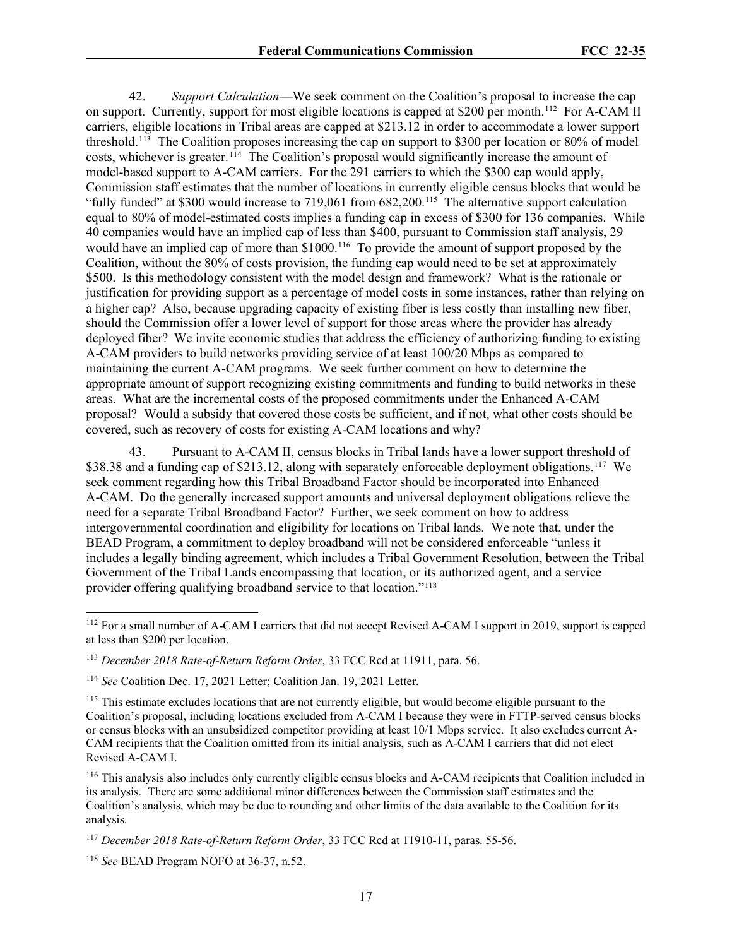42. *Support Calculation*—We seek comment on the Coalition's proposal to increase the cap on support. Currently, support for most eligible locations is capped at \$200 per month.<sup>[112](#page-16-0)</sup> For A-CAM II carriers, eligible locations in Tribal areas are capped at \$213.12 in order to accommodate a lower support threshold.[113](#page-16-1) The Coalition proposes increasing the cap on support to \$300 per location or 80% of model costs, whichever is greater. [114](#page-16-2) The Coalition's proposal would significantly increase the amount of model-based support to A-CAM carriers. For the 291 carriers to which the \$300 cap would apply, Commission staff estimates that the number of locations in currently eligible census blocks that would be "fully funded" at \$300 would increase to 719,061 from 682,200.<sup>[115](#page-16-3)</sup> The alternative support calculation equal to 80% of model-estimated costs implies a funding cap in excess of \$300 for 136 companies. While 40 companies would have an implied cap of less than \$400, pursuant to Commission staff analysis, 29 would have an implied cap of more than \$1000.<sup>[116](#page-16-4)</sup> To provide the amount of support proposed by the Coalition, without the 80% of costs provision, the funding cap would need to be set at approximately \$500. Is this methodology consistent with the model design and framework? What is the rationale or justification for providing support as a percentage of model costs in some instances, rather than relying on a higher cap? Also, because upgrading capacity of existing fiber is less costly than installing new fiber, should the Commission offer a lower level of support for those areas where the provider has already deployed fiber? We invite economic studies that address the efficiency of authorizing funding to existing A-CAM providers to build networks providing service of at least 100/20 Mbps as compared to maintaining the current A-CAM programs. We seek further comment on how to determine the appropriate amount of support recognizing existing commitments and funding to build networks in these areas. What are the incremental costs of the proposed commitments under the Enhanced A-CAM proposal? Would a subsidy that covered those costs be sufficient, and if not, what other costs should be covered, such as recovery of costs for existing A-CAM locations and why?

43. Pursuant to A-CAM II, census blocks in Tribal lands have a lower support threshold of \$38.38 and a funding cap of \$213.12, along with separately enforceable deployment obligations.<sup>[117](#page-16-5)</sup> We seek comment regarding how this Tribal Broadband Factor should be incorporated into Enhanced A-CAM. Do the generally increased support amounts and universal deployment obligations relieve the need for a separate Tribal Broadband Factor? Further, we seek comment on how to address intergovernmental coordination and eligibility for locations on Tribal lands. We note that, under the BEAD Program, a commitment to deploy broadband will not be considered enforceable "unless it includes a legally binding agreement, which includes a Tribal Government Resolution, between the Tribal Government of the Tribal Lands encompassing that location, or its authorized agent, and a service provider offering qualifying broadband service to that location."[118](#page-16-6) 

<span id="page-16-3"></span><sup>115</sup> This estimate excludes locations that are not currently eligible, but would become eligible pursuant to the Coalition's proposal, including locations excluded from A-CAM I because they were in FTTP-served census blocks or census blocks with an unsubsidized competitor providing at least 10/1 Mbps service. It also excludes current A-CAM recipients that the Coalition omitted from its initial analysis, such as A-CAM I carriers that did not elect Revised A-CAM I.

<span id="page-16-4"></span><sup>116</sup> This analysis also includes only currently eligible census blocks and A-CAM recipients that Coalition included in its analysis. There are some additional minor differences between the Commission staff estimates and the Coalition's analysis, which may be due to rounding and other limits of the data available to the Coalition for its analysis.

<span id="page-16-0"></span><sup>&</sup>lt;sup>112</sup> For a small number of A-CAM I carriers that did not accept Revised A-CAM I support in 2019, support is capped at less than \$200 per location.

<span id="page-16-1"></span><sup>113</sup> *December 2018 Rate-of-Return Reform Order*, 33 FCC Rcd at 11911, para. 56.

<span id="page-16-2"></span><sup>114</sup> *See* Coalition Dec. 17, 2021 Letter; Coalition Jan. 19, 2021 Letter.

<span id="page-16-5"></span><sup>117</sup> *December 2018 Rate-of-Return Reform Order*, 33 FCC Rcd at 11910-11, paras. 55-56.

<span id="page-16-6"></span><sup>118</sup> *See* BEAD Program NOFO at 36-37, n.52.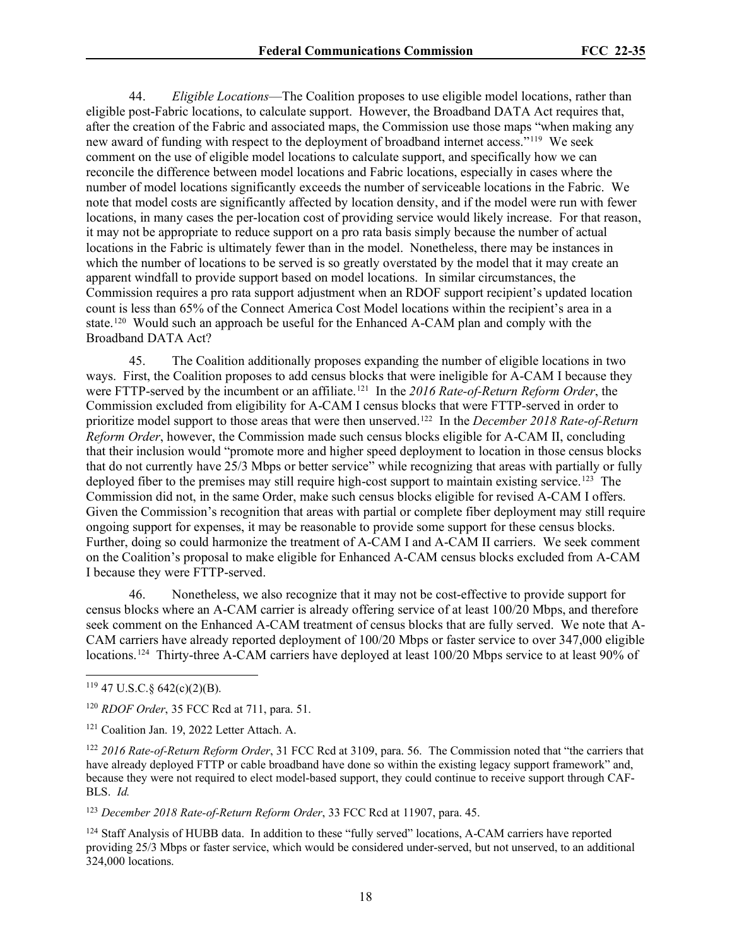44. *Eligible Locations*—The Coalition proposes to use eligible model locations, rather than eligible post-Fabric locations, to calculate support. However, the Broadband DATA Act requires that, after the creation of the Fabric and associated maps, the Commission use those maps "when making any new award of funding with respect to the deployment of broadband internet access."[119](#page-17-0) We seek comment on the use of eligible model locations to calculate support, and specifically how we can reconcile the difference between model locations and Fabric locations, especially in cases where the number of model locations significantly exceeds the number of serviceable locations in the Fabric. We note that model costs are significantly affected by location density, and if the model were run with fewer locations, in many cases the per-location cost of providing service would likely increase. For that reason, it may not be appropriate to reduce support on a pro rata basis simply because the number of actual locations in the Fabric is ultimately fewer than in the model. Nonetheless, there may be instances in which the number of locations to be served is so greatly overstated by the model that it may create an apparent windfall to provide support based on model locations. In similar circumstances, the Commission requires a pro rata support adjustment when an RDOF support recipient's updated location count is less than 65% of the Connect America Cost Model locations within the recipient's area in a state.<sup>120</sup> Would such an approach be useful for the Enhanced A-CAM plan and comply with the Broadband DATA Act?

45. The Coalition additionally proposes expanding the number of eligible locations in two ways. First, the Coalition proposes to add census blocks that were ineligible for A-CAM I because they were FTTP-served by the incumbent or an affiliate.<sup>121</sup> In the 2016 Rate-of-Return Reform Order, the Commission excluded from eligibility for A-CAM I census blocks that were FTTP-served in order to prioritize model support to those areas that were then unserved.[122](#page-17-3) In the *December 2018 Rate-of-Return Reform Order*, however, the Commission made such census blocks eligible for A-CAM II, concluding that their inclusion would "promote more and higher speed deployment to location in those census blocks that do not currently have 25/3 Mbps or better service" while recognizing that areas with partially or fully deployed fiber to the premises may still require high-cost support to maintain existing service.<sup>[123](#page-17-4)</sup> The Commission did not, in the same Order, make such census blocks eligible for revised A-CAM I offers. Given the Commission's recognition that areas with partial or complete fiber deployment may still require ongoing support for expenses, it may be reasonable to provide some support for these census blocks. Further, doing so could harmonize the treatment of A-CAM I and A-CAM II carriers. We seek comment on the Coalition's proposal to make eligible for Enhanced A-CAM census blocks excluded from A-CAM I because they were FTTP-served.

46. Nonetheless, we also recognize that it may not be cost-effective to provide support for census blocks where an A-CAM carrier is already offering service of at least 100/20 Mbps, and therefore seek comment on the Enhanced A-CAM treatment of census blocks that are fully served. We note that A-CAM carriers have already reported deployment of 100/20 Mbps or faster service to over 347,000 eligible locations.<sup>[124](#page-17-5)</sup> Thirty-three A-CAM carriers have deployed at least 100/20 Mbps service to at least 90% of

<span id="page-17-4"></span><sup>123</sup> *December 2018 Rate-of-Return Reform Order*, 33 FCC Rcd at 11907, para. 45.

<span id="page-17-5"></span><sup>124</sup> Staff Analysis of HUBB data. In addition to these "fully served" locations, A-CAM carriers have reported providing 25/3 Mbps or faster service, which would be considered under-served, but not unserved, to an additional 324,000 locations.

<span id="page-17-0"></span> $119$  47 U.S.C. § 642(c)(2)(B).

<span id="page-17-1"></span><sup>120</sup> *RDOF Order*, 35 FCC Rcd at 711, para. 51.

<span id="page-17-2"></span><sup>&</sup>lt;sup>121</sup> Coalition Jan. 19, 2022 Letter Attach. A.

<span id="page-17-3"></span><sup>122</sup> *2016 Rate-of-Return Reform Order*, 31 FCC Rcd at 3109, para. 56. The Commission noted that "the carriers that have already deployed FTTP or cable broadband have done so within the existing legacy support framework" and, because they were not required to elect model-based support, they could continue to receive support through CAF-BLS. *Id.*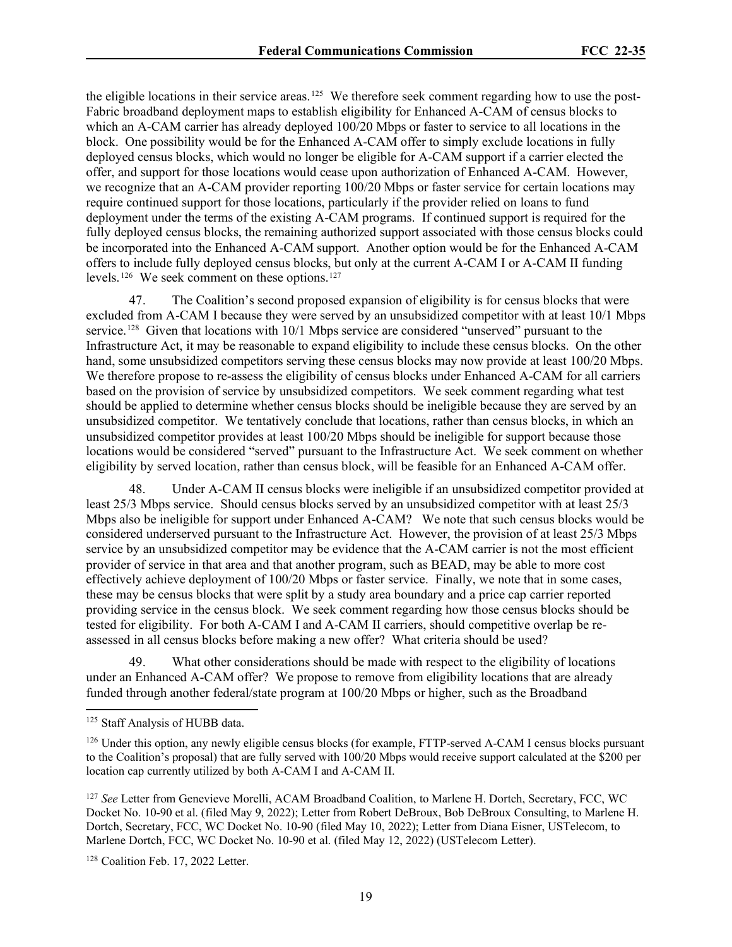the eligible locations in their service areas.<sup>125</sup> We therefore seek comment regarding how to use the post-Fabric broadband deployment maps to establish eligibility for Enhanced A-CAM of census blocks to which an A-CAM carrier has already deployed 100/20 Mbps or faster to service to all locations in the block. One possibility would be for the Enhanced A-CAM offer to simply exclude locations in fully deployed census blocks, which would no longer be eligible for A-CAM support if a carrier elected the offer, and support for those locations would cease upon authorization of Enhanced A-CAM. However, we recognize that an A-CAM provider reporting 100/20 Mbps or faster service for certain locations may require continued support for those locations, particularly if the provider relied on loans to fund deployment under the terms of the existing A-CAM programs. If continued support is required for the fully deployed census blocks, the remaining authorized support associated with those census blocks could be incorporated into the Enhanced A-CAM support. Another option would be for the Enhanced A-CAM offers to include fully deployed census blocks, but only at the current A-CAM I or A-CAM II funding levels.<sup>[126](#page-18-1)</sup> We seek comment on these options.<sup>[127](#page-18-2)</sup>

47. The Coalition's second proposed expansion of eligibility is for census blocks that were excluded from A-CAM I because they were served by an unsubsidized competitor with at least 10/1 Mbps service.<sup>128</sup> Given that locations with 10/1 Mbps service are considered "unserved" pursuant to the Infrastructure Act, it may be reasonable to expand eligibility to include these census blocks. On the other hand, some unsubsidized competitors serving these census blocks may now provide at least 100/20 Mbps. We therefore propose to re-assess the eligibility of census blocks under Enhanced A-CAM for all carriers based on the provision of service by unsubsidized competitors. We seek comment regarding what test should be applied to determine whether census blocks should be ineligible because they are served by an unsubsidized competitor. We tentatively conclude that locations, rather than census blocks, in which an unsubsidized competitor provides at least 100/20 Mbps should be ineligible for support because those locations would be considered "served" pursuant to the Infrastructure Act. We seek comment on whether eligibility by served location, rather than census block, will be feasible for an Enhanced A-CAM offer.

48. Under A-CAM II census blocks were ineligible if an unsubsidized competitor provided at least 25/3 Mbps service. Should census blocks served by an unsubsidized competitor with at least 25/3 Mbps also be ineligible for support under Enhanced A-CAM? We note that such census blocks would be considered underserved pursuant to the Infrastructure Act. However, the provision of at least 25/3 Mbps service by an unsubsidized competitor may be evidence that the A-CAM carrier is not the most efficient provider of service in that area and that another program, such as BEAD, may be able to more cost effectively achieve deployment of 100/20 Mbps or faster service. Finally, we note that in some cases, these may be census blocks that were split by a study area boundary and a price cap carrier reported providing service in the census block. We seek comment regarding how those census blocks should be tested for eligibility. For both A-CAM I and A-CAM II carriers, should competitive overlap be reassessed in all census blocks before making a new offer? What criteria should be used?

49. What other considerations should be made with respect to the eligibility of locations under an Enhanced A-CAM offer? We propose to remove from eligibility locations that are already funded through another federal/state program at 100/20 Mbps or higher, such as the Broadband

<span id="page-18-3"></span><sup>128</sup> Coalition Feb. 17, 2022 Letter.

<span id="page-18-0"></span><sup>125</sup> Staff Analysis of HUBB data.

<span id="page-18-1"></span><sup>&</sup>lt;sup>126</sup> Under this option, any newly eligible census blocks (for example, FTTP-served A-CAM I census blocks pursuant to the Coalition's proposal) that are fully served with 100/20 Mbps would receive support calculated at the \$200 per location cap currently utilized by both A-CAM I and A-CAM II.

<span id="page-18-2"></span><sup>127</sup> *See* Letter from Genevieve Morelli, ACAM Broadband Coalition, to Marlene H. Dortch, Secretary, FCC, WC Docket No. 10-90 et al. (filed May 9, 2022); Letter from Robert DeBroux, Bob DeBroux Consulting, to Marlene H. Dortch, Secretary, FCC, WC Docket No. 10-90 (filed May 10, 2022); Letter from Diana Eisner, USTelecom, to Marlene Dortch, FCC, WC Docket No. 10-90 et al. (filed May 12, 2022) (USTelecom Letter).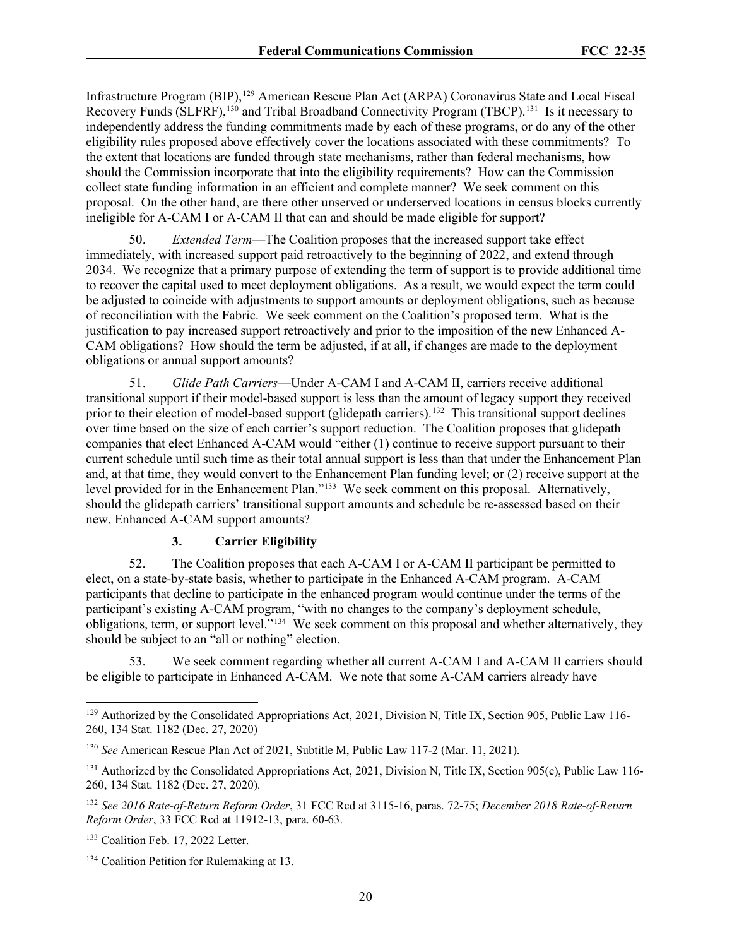Infrastructure Program (BIP), [129](#page-19-0) American Rescue Plan Act (ARPA) Coronavirus State and Local Fiscal Recovery Funds (SLFRF),<sup>[130](#page-19-1)</sup> and Tribal Broadband Connectivity Program (TBCP).<sup>[131](#page-19-2)</sup> Is it necessary to independently address the funding commitments made by each of these programs, or do any of the other eligibility rules proposed above effectively cover the locations associated with these commitments? To the extent that locations are funded through state mechanisms, rather than federal mechanisms, how should the Commission incorporate that into the eligibility requirements? How can the Commission collect state funding information in an efficient and complete manner? We seek comment on this proposal. On the other hand, are there other unserved or underserved locations in census blocks currently ineligible for A-CAM I or A-CAM II that can and should be made eligible for support?

50. *Extended Term*—The Coalition proposes that the increased support take effect immediately, with increased support paid retroactively to the beginning of 2022, and extend through 2034. We recognize that a primary purpose of extending the term of support is to provide additional time to recover the capital used to meet deployment obligations. As a result, we would expect the term could be adjusted to coincide with adjustments to support amounts or deployment obligations, such as because of reconciliation with the Fabric. We seek comment on the Coalition's proposed term. What is the justification to pay increased support retroactively and prior to the imposition of the new Enhanced A-CAM obligations? How should the term be adjusted, if at all, if changes are made to the deployment obligations or annual support amounts?

51. *Glide Path Carriers*—Under A-CAM I and A-CAM II, carriers receive additional transitional support if their model-based support is less than the amount of legacy support they received prior to their election of model-based support (glidepath carriers).<sup>[132](#page-19-3)</sup> This transitional support declines over time based on the size of each carrier's support reduction. The Coalition proposes that glidepath companies that elect Enhanced A-CAM would "either (1) continue to receive support pursuant to their current schedule until such time as their total annual support is less than that under the Enhancement Plan and, at that time, they would convert to the Enhancement Plan funding level; or (2) receive support at the level provided for in the Enhancement Plan.["133](#page-19-4) We seek comment on this proposal. Alternatively, should the glidepath carriers' transitional support amounts and schedule be re-assessed based on their new, Enhanced A-CAM support amounts?

### **3. Carrier Eligibility**

52. The Coalition proposes that each A-CAM I or A-CAM II participant be permitted to elect, on a state-by-state basis, whether to participate in the Enhanced A-CAM program. A-CAM participants that decline to participate in the enhanced program would continue under the terms of the participant's existing A-CAM program, "with no changes to the company's deployment schedule, obligations, term, or support level."[134](#page-19-5) We seek comment on this proposal and whether alternatively, they should be subject to an "all or nothing" election.

53. We seek comment regarding whether all current A-CAM I and A-CAM II carriers should be eligible to participate in Enhanced A-CAM. We note that some A-CAM carriers already have

<span id="page-19-0"></span><sup>&</sup>lt;sup>129</sup> Authorized by the Consolidated Appropriations Act, 2021, Division N, Title IX, Section 905, Public Law 116-260, 134 Stat. 1182 (Dec. 27, 2020)

<span id="page-19-1"></span><sup>130</sup> *See* American Rescue Plan Act of 2021, Subtitle M, Public Law 117-2 (Mar. 11, 2021).

<span id="page-19-2"></span><sup>&</sup>lt;sup>131</sup> Authorized by the Consolidated Appropriations Act, 2021, Division N, Title IX, Section 905(c), Public Law 116-260, 134 Stat. 1182 (Dec. 27, 2020).

<span id="page-19-3"></span><sup>132</sup> *See 2016 Rate-of-Return Reform Order*, 31 FCC Rcd at 3115-16, paras. 72-75; *December 2018 Rate-of-Return Reform Order*, 33 FCC Rcd at 11912-13, para. 60-63.

<span id="page-19-4"></span><sup>&</sup>lt;sup>133</sup> Coalition Feb. 17, 2022 Letter.

<span id="page-19-5"></span><sup>134</sup> Coalition Petition for Rulemaking at 13.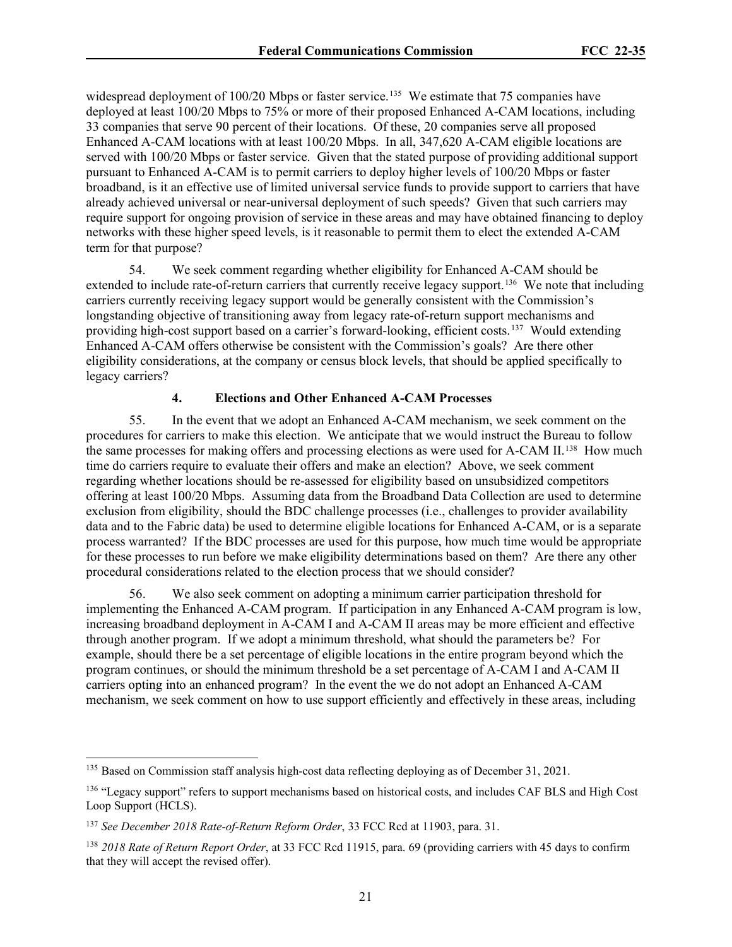widespread deployment of 100/20 Mbps or faster service.<sup>[135](#page-20-0)</sup> We estimate that 75 companies have deployed at least 100/20 Mbps to 75% or more of their proposed Enhanced A-CAM locations, including 33 companies that serve 90 percent of their locations. Of these, 20 companies serve all proposed Enhanced A-CAM locations with at least 100/20 Mbps. In all, 347,620 A-CAM eligible locations are served with 100/20 Mbps or faster service. Given that the stated purpose of providing additional support pursuant to Enhanced A-CAM is to permit carriers to deploy higher levels of 100/20 Mbps or faster broadband, is it an effective use of limited universal service funds to provide support to carriers that have already achieved universal or near-universal deployment of such speeds? Given that such carriers may require support for ongoing provision of service in these areas and may have obtained financing to deploy networks with these higher speed levels, is it reasonable to permit them to elect the extended A-CAM term for that purpose?

54. We seek comment regarding whether eligibility for Enhanced A-CAM should be extended to include rate-of-return carriers that currently receive legacy support.<sup>136</sup> We note that including carriers currently receiving legacy support would be generally consistent with the Commission's longstanding objective of transitioning away from legacy rate-of-return support mechanisms and providing high-cost support based on a carrier's forward-looking, efficient costs. [137](#page-20-2) Would extending Enhanced A-CAM offers otherwise be consistent with the Commission's goals? Are there other eligibility considerations, at the company or census block levels, that should be applied specifically to legacy carriers?

# **4. Elections and Other Enhanced A-CAM Processes**

55. In the event that we adopt an Enhanced A-CAM mechanism, we seek comment on the procedures for carriers to make this election. We anticipate that we would instruct the Bureau to follow the same processes for making offers and processing elections as were used for A-CAM II.<sup>[138](#page-20-3)</sup> How much time do carriers require to evaluate their offers and make an election? Above, we seek comment regarding whether locations should be re-assessed for eligibility based on unsubsidized competitors offering at least 100/20 Mbps. Assuming data from the Broadband Data Collection are used to determine exclusion from eligibility, should the BDC challenge processes (i.e., challenges to provider availability data and to the Fabric data) be used to determine eligible locations for Enhanced A-CAM, or is a separate process warranted? If the BDC processes are used for this purpose, how much time would be appropriate for these processes to run before we make eligibility determinations based on them? Are there any other procedural considerations related to the election process that we should consider?

56. We also seek comment on adopting a minimum carrier participation threshold for implementing the Enhanced A-CAM program. If participation in any Enhanced A-CAM program is low, increasing broadband deployment in A-CAM I and A-CAM II areas may be more efficient and effective through another program. If we adopt a minimum threshold, what should the parameters be? For example, should there be a set percentage of eligible locations in the entire program beyond which the program continues, or should the minimum threshold be a set percentage of A-CAM I and A-CAM II carriers opting into an enhanced program? In the event the we do not adopt an Enhanced A-CAM mechanism, we seek comment on how to use support efficiently and effectively in these areas, including

<span id="page-20-0"></span><sup>&</sup>lt;sup>135</sup> Based on Commission staff analysis high-cost data reflecting deploying as of December 31, 2021.

<span id="page-20-1"></span><sup>&</sup>lt;sup>136</sup> "Legacy support" refers to support mechanisms based on historical costs, and includes CAF BLS and High Cost Loop Support (HCLS).

<span id="page-20-2"></span><sup>137</sup> *See December 2018 Rate-of-Return Reform Order*, 33 FCC Rcd at 11903, para. 31.

<span id="page-20-3"></span><sup>138</sup> *2018 Rate of Return Report Order*, at 33 FCC Rcd 11915, para. 69 (providing carriers with 45 days to confirm that they will accept the revised offer).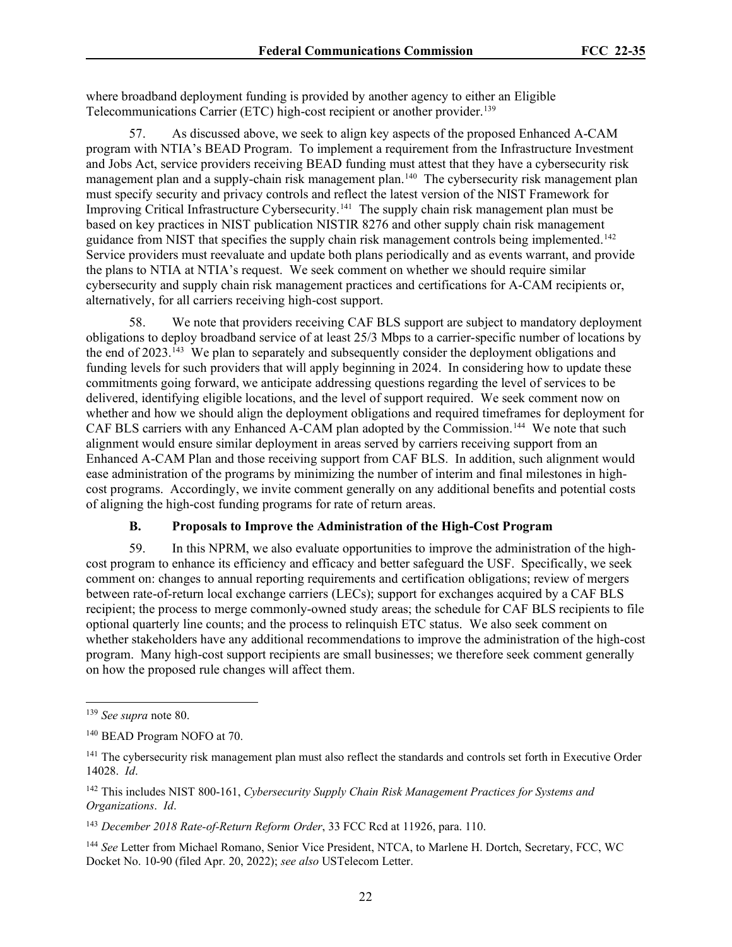where broadband deployment funding is provided by another agency to either an Eligible Telecommunications Carrier (ETC) high-cost recipient or another provider.<sup>[139](#page-21-0)</sup>

57. As discussed above, we seek to align key aspects of the proposed Enhanced A-CAM program with NTIA's BEAD Program. To implement a requirement from the Infrastructure Investment and Jobs Act, service providers receiving BEAD funding must attest that they have a cybersecurity risk management plan and a supply-chain risk management plan. [140](#page-21-1) The cybersecurity risk management plan must specify security and privacy controls and reflect the latest version of the NIST Framework for Improving Critical Infrastructure Cybersecurity.<sup>141</sup> The supply chain risk management plan must be based on key practices in NIST publication NISTIR 8276 and other supply chain risk management guidance from NIST that specifies the supply chain risk management controls being implemented. [142](#page-21-3)  Service providers must reevaluate and update both plans periodically and as events warrant, and provide the plans to NTIA at NTIA's request. We seek comment on whether we should require similar cybersecurity and supply chain risk management practices and certifications for A-CAM recipients or, alternatively, for all carriers receiving high-cost support.

58. We note that providers receiving CAF BLS support are subject to mandatory deployment obligations to deploy broadband service of at least 25/3 Mbps to a carrier-specific number of locations by the end of 2023.<sup>[143](#page-21-4)</sup> We plan to separately and subsequently consider the deployment obligations and funding levels for such providers that will apply beginning in 2024. In considering how to update these commitments going forward, we anticipate addressing questions regarding the level of services to be delivered, identifying eligible locations, and the level of support required. We seek comment now on whether and how we should align the deployment obligations and required timeframes for deployment for CAF BLS carriers with any Enhanced A-CAM plan adopted by the Commission.<sup>144</sup> We note that such alignment would ensure similar deployment in areas served by carriers receiving support from an Enhanced A-CAM Plan and those receiving support from CAF BLS. In addition, such alignment would ease administration of the programs by minimizing the number of interim and final milestones in highcost programs. Accordingly, we invite comment generally on any additional benefits and potential costs of aligning the high-cost funding programs for rate of return areas.

### **B. Proposals to Improve the Administration of the High-Cost Program**

59. In this NPRM, we also evaluate opportunities to improve the administration of the highcost program to enhance its efficiency and efficacy and better safeguard the USF. Specifically, we seek comment on: changes to annual reporting requirements and certification obligations; review of mergers between rate-of-return local exchange carriers (LECs); support for exchanges acquired by a CAF BLS recipient; the process to merge commonly-owned study areas; the schedule for CAF BLS recipients to file optional quarterly line counts; and the process to relinquish ETC status. We also seek comment on whether stakeholders have any additional recommendations to improve the administration of the high-cost program. Many high-cost support recipients are small businesses; we therefore seek comment generally on how the proposed rule changes will affect them.

<span id="page-21-0"></span><sup>139</sup> *See supra* note 80.

<span id="page-21-1"></span><sup>140</sup> BEAD Program NOFO at 70.

<span id="page-21-2"></span><sup>&</sup>lt;sup>141</sup> The cybersecurity risk management plan must also reflect the standards and controls set forth in Executive Order 14028. *Id*.

<span id="page-21-3"></span><sup>142</sup> This includes NIST 800-161, *Cybersecurity Supply Chain Risk Management Practices for Systems and Organizations*. *Id*.

<span id="page-21-4"></span><sup>143</sup> *December 2018 Rate-of-Return Reform Order*, 33 FCC Rcd at 11926, para. 110.

<span id="page-21-5"></span><sup>144</sup> *See* Letter from Michael Romano, Senior Vice President, NTCA, to Marlene H. Dortch, Secretary, FCC, WC Docket No. 10-90 (filed Apr. 20, 2022); *see also* USTelecom Letter.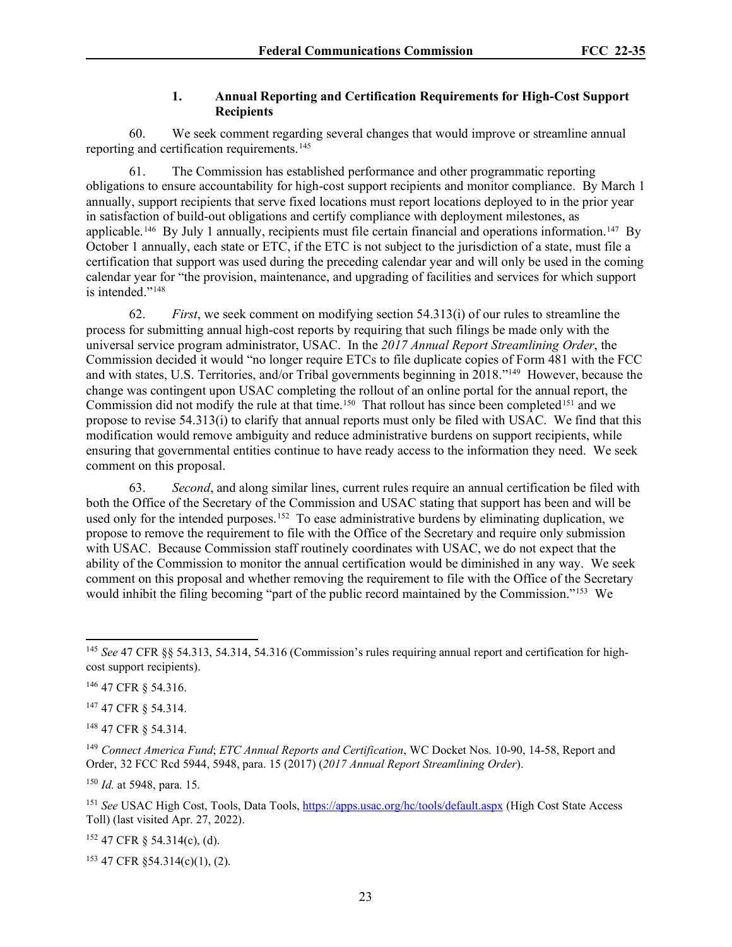# **1. Annual Reporting and Certification Requirements for High-Cost Support Recipients**

60. We seek comment regarding several changes that would improve or streamline annual reporting and certification requirements.<sup>[145](#page-22-0)</sup>

61. The Commission has established performance and other programmatic reporting obligations to ensure accountability for high-cost support recipients and monitor compliance. By March 1 annually, support recipients that serve fixed locations must report locations deployed to in the prior year in satisfaction of build-out obligations and certify compliance with deployment milestones, as applicable.<sup>146</sup> By July 1 annually, recipients must file certain financial and operations information.<sup>[147](#page-22-2)</sup> By October 1 annually, each state or ETC, if the ETC is not subject to the jurisdiction of a state, must file a certification that support was used during the preceding calendar year and will only be used in the coming calendar year for "the provision, maintenance, and upgrading of facilities and services for which support is intended."[148](#page-22-3)

62. *First*, we seek comment on modifying section 54.313(i) of our rules to streamline the process for submitting annual high-cost reports by requiring that such filings be made only with the universal service program administrator, USAC. In the *2017 Annual Report Streamlining Order*, the Commission decided it would "no longer require ETCs to file duplicate copies of Form 481 with the FCC and with states, U.S. Territories, and/or Tribal governments beginning in 2018.["149](#page-22-4) However, because the change was contingent upon USAC completing the rollout of an online portal for the annual report, the Commission did not modify the rule at that time.<sup>[150](#page-22-5)</sup> That rollout has since been completed<sup>[151](#page-22-6)</sup> and we propose to revise 54.313(i) to clarify that annual reports must only be filed with USAC. We find that this modification would remove ambiguity and reduce administrative burdens on support recipients, while ensuring that governmental entities continue to have ready access to the information they need. We seek comment on this proposal.

63. *Second*, and along similar lines, current rules require an annual certification be filed with both the Office of the Secretary of the Commission and USAC stating that support has been and will be used only for the intended purposes.<sup>[152](#page-22-7)</sup> To ease administrative burdens by eliminating duplication, we propose to remove the requirement to file with the Office of the Secretary and require only submission with USAC. Because Commission staff routinely coordinates with USAC, we do not expect that the ability of the Commission to monitor the annual certification would be diminished in any way. We seek comment on this proposal and whether removing the requirement to file with the Office of the Secretary would inhibit the filing becoming "part of the public record maintained by the Commission."[153](#page-22-8) We

<span id="page-22-1"></span><sup>146</sup> 47 CFR § 54.316.

<span id="page-22-2"></span><sup>147</sup> 47 CFR § 54.314.

<span id="page-22-3"></span><sup>148</sup> 47 CFR § 54.314.

<span id="page-22-5"></span><sup>150</sup> *Id.* at 5948, para. 15.

<span id="page-22-6"></span><sup>151</sup> *See* USAC High Cost, Tools, Data Tools[, https://apps.usac.org/hc/tools/default.aspx](https://apps.usac.org/hc/tools/default.aspx) (High Cost State Access Toll) (last visited Apr. 27, 2022).

<span id="page-22-7"></span><sup>152</sup> 47 CFR § 54.314(c), (d).

<span id="page-22-8"></span><sup>153</sup> 47 CFR §54.314(c)(1), (2).

<span id="page-22-0"></span><sup>145</sup> *See* 47 CFR §§ 54.313, 54.314, 54.316 (Commission's rules requiring annual report and certification for highcost support recipients).

<span id="page-22-4"></span><sup>149</sup> *Connect America Fund*; *ETC Annual Reports and Certification*, WC Docket Nos. 10-90, 14-58, Report and Order, 32 FCC Rcd 5944, 5948, para. 15 (2017) (*2017 Annual Report Streamlining Order*).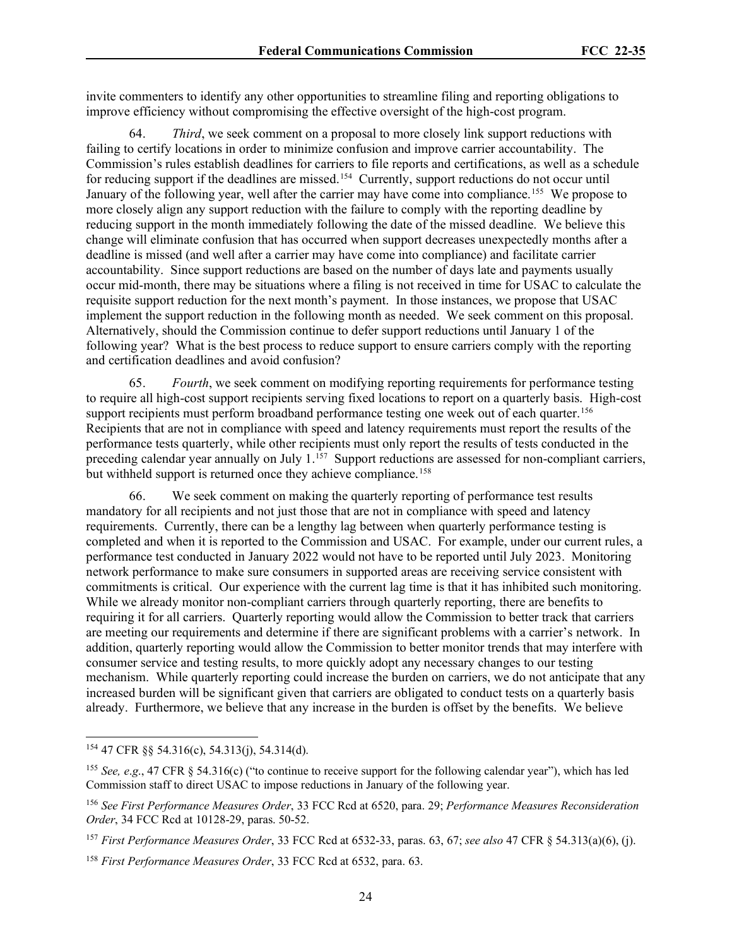invite commenters to identify any other opportunities to streamline filing and reporting obligations to improve efficiency without compromising the effective oversight of the high-cost program.

64. *Third*, we seek comment on a proposal to more closely link support reductions with failing to certify locations in order to minimize confusion and improve carrier accountability. The Commission's rules establish deadlines for carriers to file reports and certifications, as well as a schedule for reducing support if the deadlines are missed.<sup>154</sup> Currently, support reductions do not occur until January of the following year, well after the carrier may have come into compliance.<sup>[155](#page-23-1)</sup> We propose to more closely align any support reduction with the failure to comply with the reporting deadline by reducing support in the month immediately following the date of the missed deadline. We believe this change will eliminate confusion that has occurred when support decreases unexpectedly months after a deadline is missed (and well after a carrier may have come into compliance) and facilitate carrier accountability. Since support reductions are based on the number of days late and payments usually occur mid-month, there may be situations where a filing is not received in time for USAC to calculate the requisite support reduction for the next month's payment. In those instances, we propose that USAC implement the support reduction in the following month as needed. We seek comment on this proposal. Alternatively, should the Commission continue to defer support reductions until January 1 of the following year? What is the best process to reduce support to ensure carriers comply with the reporting and certification deadlines and avoid confusion?

65. *Fourth*, we seek comment on modifying reporting requirements for performance testing to require all high-cost support recipients serving fixed locations to report on a quarterly basis. High-cost support recipients must perform broadband performance testing one week out of each quarter.<sup>[156](#page-23-2)</sup> Recipients that are not in compliance with speed and latency requirements must report the results of the performance tests quarterly, while other recipients must only report the results of tests conducted in the preceding calendar year annually on July 1.<sup>[157](#page-23-3)</sup> Support reductions are assessed for non-compliant carriers, but withheld support is returned once they achieve compliance.<sup>[158](#page-23-4)</sup>

66. We seek comment on making the quarterly reporting of performance test results mandatory for all recipients and not just those that are not in compliance with speed and latency requirements. Currently, there can be a lengthy lag between when quarterly performance testing is completed and when it is reported to the Commission and USAC. For example, under our current rules, a performance test conducted in January 2022 would not have to be reported until July 2023. Monitoring network performance to make sure consumers in supported areas are receiving service consistent with commitments is critical. Our experience with the current lag time is that it has inhibited such monitoring. While we already monitor non-compliant carriers through quarterly reporting, there are benefits to requiring it for all carriers. Quarterly reporting would allow the Commission to better track that carriers are meeting our requirements and determine if there are significant problems with a carrier's network. In addition, quarterly reporting would allow the Commission to better monitor trends that may interfere with consumer service and testing results, to more quickly adopt any necessary changes to our testing mechanism. While quarterly reporting could increase the burden on carriers, we do not anticipate that any increased burden will be significant given that carriers are obligated to conduct tests on a quarterly basis already. Furthermore, we believe that any increase in the burden is offset by the benefits. We believe

<span id="page-23-0"></span><sup>154</sup> 47 CFR §§ 54.316(c), 54.313(j), 54.314(d).

<span id="page-23-1"></span><sup>155</sup> *See, e*.*g*., 47 CFR § 54.316(c) ("to continue to receive support for the following calendar year"), which has led Commission staff to direct USAC to impose reductions in January of the following year.

<span id="page-23-2"></span><sup>156</sup> *See First Performance Measures Order*, 33 FCC Rcd at 6520, para. 29; *Performance Measures Reconsideration Order*, 34 FCC Rcd at 10128-29, paras. 50-52.

<span id="page-23-3"></span><sup>157</sup> *First Performance Measures Order*, 33 FCC Rcd at 6532-33, paras. 63, 67; *see also* 47 CFR § 54.313(a)(6), (j).

<span id="page-23-4"></span><sup>158</sup> *First Performance Measures Order*, 33 FCC Rcd at 6532, para. 63.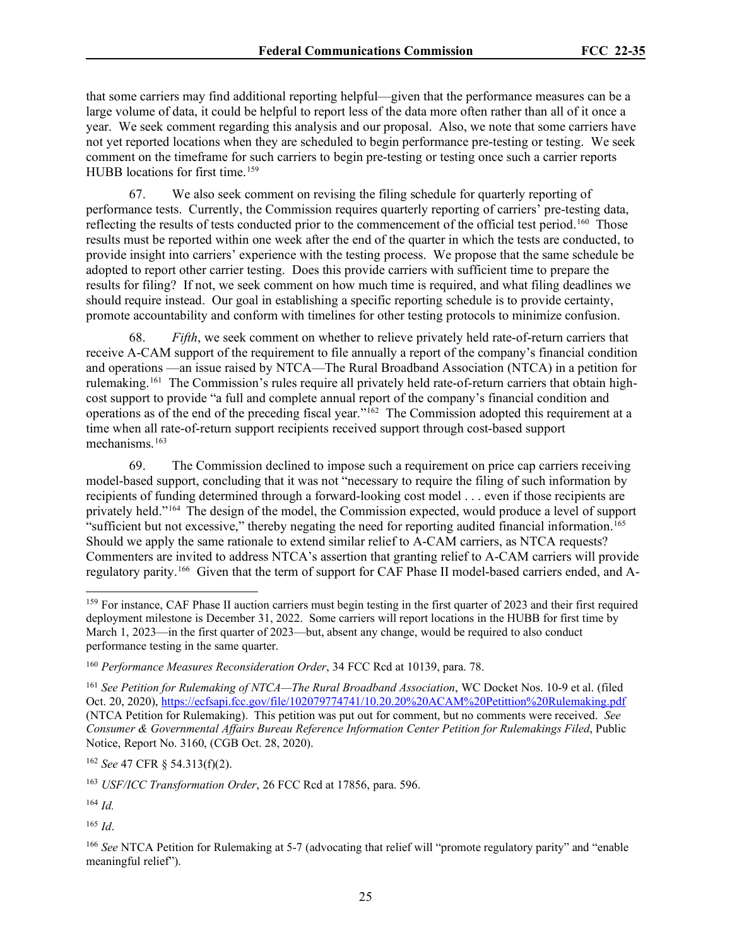that some carriers may find additional reporting helpful—given that the performance measures can be a large volume of data, it could be helpful to report less of the data more often rather than all of it once a year. We seek comment regarding this analysis and our proposal. Also, we note that some carriers have not yet reported locations when they are scheduled to begin performance pre-testing or testing. We seek comment on the timeframe for such carriers to begin pre-testing or testing once such a carrier reports HUBB locations for first time.<sup>[159](#page-24-0)</sup>

67. We also seek comment on revising the filing schedule for quarterly reporting of performance tests. Currently, the Commission requires quarterly reporting of carriers' pre-testing data, reflecting the results of tests conducted prior to the commencement of the official test period.<sup>[160](#page-24-1)</sup> Those results must be reported within one week after the end of the quarter in which the tests are conducted, to provide insight into carriers' experience with the testing process. We propose that the same schedule be adopted to report other carrier testing. Does this provide carriers with sufficient time to prepare the results for filing? If not, we seek comment on how much time is required, and what filing deadlines we should require instead. Our goal in establishing a specific reporting schedule is to provide certainty, promote accountability and conform with timelines for other testing protocols to minimize confusion.

68. *Fifth*, we seek comment on whether to relieve privately held rate-of-return carriers that receive A-CAM support of the requirement to file annually a report of the company's financial condition and operations —an issue raised by NTCA—The Rural Broadband Association (NTCA) in a petition for rulemaking.[161](#page-24-2) The Commission's rules require all privately held rate-of-return carriers that obtain highcost support to provide "a full and complete annual report of the company's financial condition and operations as of the end of the preceding fiscal year."[162](#page-24-3) The Commission adopted this requirement at a time when all rate-of-return support recipients received support through cost-based support mechanisms.<sup>163</sup>

69. The Commission declined to impose such a requirement on price cap carriers receiving model-based support, concluding that it was not "necessary to require the filing of such information by recipients of funding determined through a forward-looking cost model . . . even if those recipients are privately held."[164](#page-24-5) The design of the model, the Commission expected, would produce a level of support "sufficient but not excessive," thereby negating the need for reporting audited financial information.<sup>[165](#page-24-6)</sup> Should we apply the same rationale to extend similar relief to A-CAM carriers, as NTCA requests? Commenters are invited to address NTCA's assertion that granting relief to A-CAM carriers will provide regulatory parity.[166](#page-24-7) Given that the term of support for CAF Phase II model-based carriers ended, and A-

<span id="page-24-3"></span><sup>162</sup> *See* 47 CFR § 54.313(f)(2).

<span id="page-24-4"></span><sup>163</sup> *USF/ICC Transformation Order*, 26 FCC Rcd at 17856, para. 596.

<span id="page-24-5"></span><sup>164</sup> *Id.*

<span id="page-24-6"></span><sup>165</sup> *Id*.

<span id="page-24-7"></span><sup>166</sup> See NTCA Petition for Rulemaking at 5-7 (advocating that relief will "promote regulatory parity" and "enable meaningful relief").

<span id="page-24-0"></span><sup>&</sup>lt;sup>159</sup> For instance, CAF Phase II auction carriers must begin testing in the first quarter of 2023 and their first required deployment milestone is December 31, 2022. Some carriers will report locations in the HUBB for first time by March 1, 2023—in the first quarter of 2023—but, absent any change, would be required to also conduct performance testing in the same quarter.

<span id="page-24-1"></span><sup>160</sup> *Performance Measures Reconsideration Order*, 34 FCC Rcd at 10139, para. 78.

<span id="page-24-2"></span><sup>161</sup> *See Petition for Rulemaking of NTCA—The Rural Broadband Association*, WC Docket Nos. 10-9 et al. (filed Oct. 20, 2020),<https://ecfsapi.fcc.gov/file/102079774741/10.20.20%20ACAM%20Petittion%20Rulemaking.pdf> (NTCA Petition for Rulemaking). This petition was put out for comment, but no comments were received. *See Consumer & Governmental Affairs Bureau Reference Information Center Petition for Rulemakings Filed*, Public Notice, Report No. 3160, (CGB Oct. 28, 2020).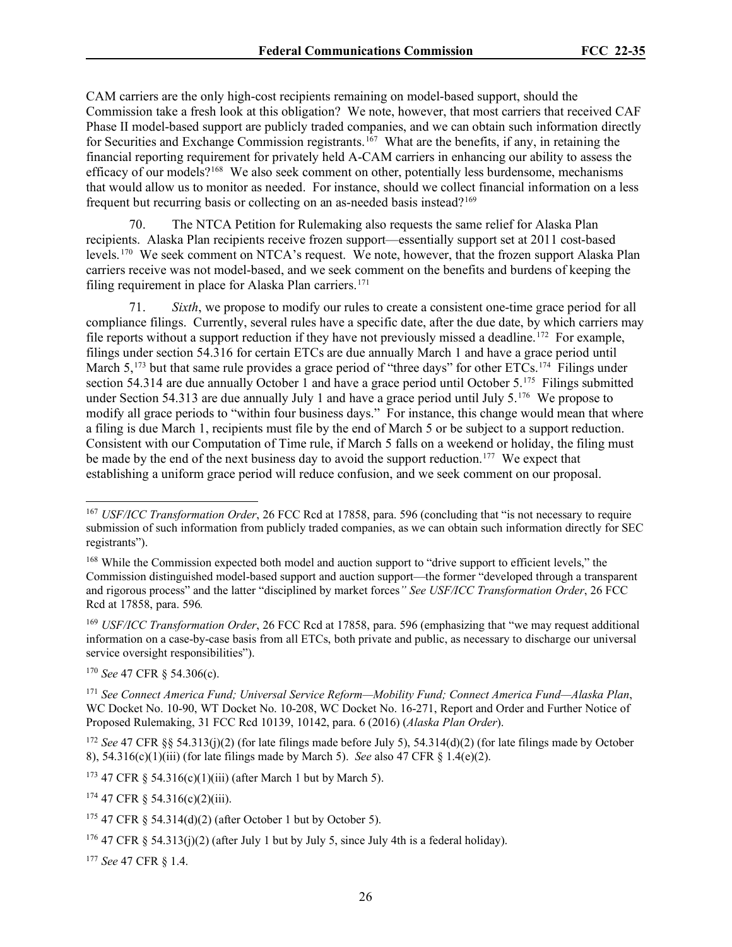CAM carriers are the only high-cost recipients remaining on model-based support, should the Commission take a fresh look at this obligation? We note, however, that most carriers that received CAF Phase II model-based support are publicly traded companies, and we can obtain such information directly for Securities and Exchange Commission registrants.<sup>[167](#page-25-0)</sup> What are the benefits, if any, in retaining the financial reporting requirement for privately held A-CAM carriers in enhancing our ability to assess the efficacy of our models?<sup>168</sup> We also seek comment on other, potentially less burdensome, mechanisms that would allow us to monitor as needed. For instance, should we collect financial information on a less frequent but recurring basis or collecting on an as-needed basis instead?[169](#page-25-2)

The NTCA Petition for Rulemaking also requests the same relief for Alaska Plan recipients. Alaska Plan recipients receive frozen support—essentially support set at 2011 cost-based levels. [170](#page-25-3) We seek comment on NTCA's request. We note, however, that the frozen support Alaska Plan carriers receive was not model-based, and we seek comment on the benefits and burdens of keeping the filing requirement in place for Alaska Plan carriers.<sup>[171](#page-25-4)</sup>

71. *Sixth*, we propose to modify our rules to create a consistent one-time grace period for all compliance filings. Currently, several rules have a specific date, after the due date, by which carriers may file reports without a support reduction if they have not previously missed a deadline.[172](#page-25-5) For example, filings under section 54.316 for certain ETCs are due annually March 1 and have a grace period until March 5,<sup>[173](#page-25-6)</sup> but that same rule provides a grace period of "three days" for other ETCs.<sup>[174](#page-25-7)</sup> Filings under section 54.314 are due annually October 1 and have a grace period until October 5.<sup>[175](#page-25-8)</sup> Filings submitted under Section 54.313 are due annually July 1 and have a grace period until July 5.<sup>176</sup> We propose to modify all grace periods to "within four business days." For instance, this change would mean that where a filing is due March 1, recipients must file by the end of March 5 or be subject to a support reduction. Consistent with our Computation of Time rule, if March 5 falls on a weekend or holiday, the filing must be made by the end of the next business day to avoid the support reduction.<sup>[177](#page-25-10)</sup> We expect that establishing a uniform grace period will reduce confusion, and we seek comment on our proposal.

<span id="page-25-2"></span><sup>169</sup> *USF/ICC Transformation Order*, 26 FCC Rcd at 17858, para. 596 (emphasizing that "we may request additional information on a case-by-case basis from all ETCs, both private and public, as necessary to discharge our universal service oversight responsibilities").

<span id="page-25-3"></span><sup>170</sup> *See* 47 CFR § 54.306(c).

<span id="page-25-10"></span><sup>177</sup> *See* 47 CFR § 1.4.

<span id="page-25-0"></span><sup>&</sup>lt;sup>167</sup> *USF/ICC Transformation Order*, 26 FCC Rcd at 17858, para. 596 (concluding that "is not necessary to require submission of such information from publicly traded companies, as we can obtain such information directly for SEC registrants").

<span id="page-25-1"></span><sup>&</sup>lt;sup>168</sup> While the Commission expected both model and auction support to "drive support to efficient levels," the Commission distinguished model-based support and auction support—the former "developed through a transparent and rigorous process" and the latter "disciplined by market forces*" See USF/ICC Transformation Order*, 26 FCC Rcd at 17858, para. 596*.*

<span id="page-25-4"></span><sup>171</sup> *See Connect America Fund; Universal Service Reform—Mobility Fund; Connect America Fund—Alaska Plan*, WC Docket No. 10-90, WT Docket No. 10-208, WC Docket No. 16-271, Report and Order and Further Notice of Proposed Rulemaking, 31 FCC Rcd 10139, 10142, para. 6 (2016) (*Alaska Plan Order*).

<span id="page-25-5"></span><sup>&</sup>lt;sup>172</sup> *See* 47 CFR §§ 54.313(j)(2) (for late filings made before July 5), 54.314(d)(2) (for late filings made by October 8), 54.316(c)(1)(iii) (for late filings made by March 5). *See* also 47 CFR § 1.4(e)(2).

<span id="page-25-6"></span><sup>&</sup>lt;sup>173</sup> 47 CFR § 54.316(c)(1)(iii) (after March 1 but by March 5).

<span id="page-25-7"></span> $174$  47 CFR § 54.316(c)(2)(iii).

<span id="page-25-8"></span> $175$  47 CFR  $\frac{54.314(d)(2)}{2}$  (after October 1 but by October 5).

<span id="page-25-9"></span><sup>&</sup>lt;sup>176</sup> 47 CFR § 54.313(j)(2) (after July 1 but by July 5, since July 4th is a federal holiday).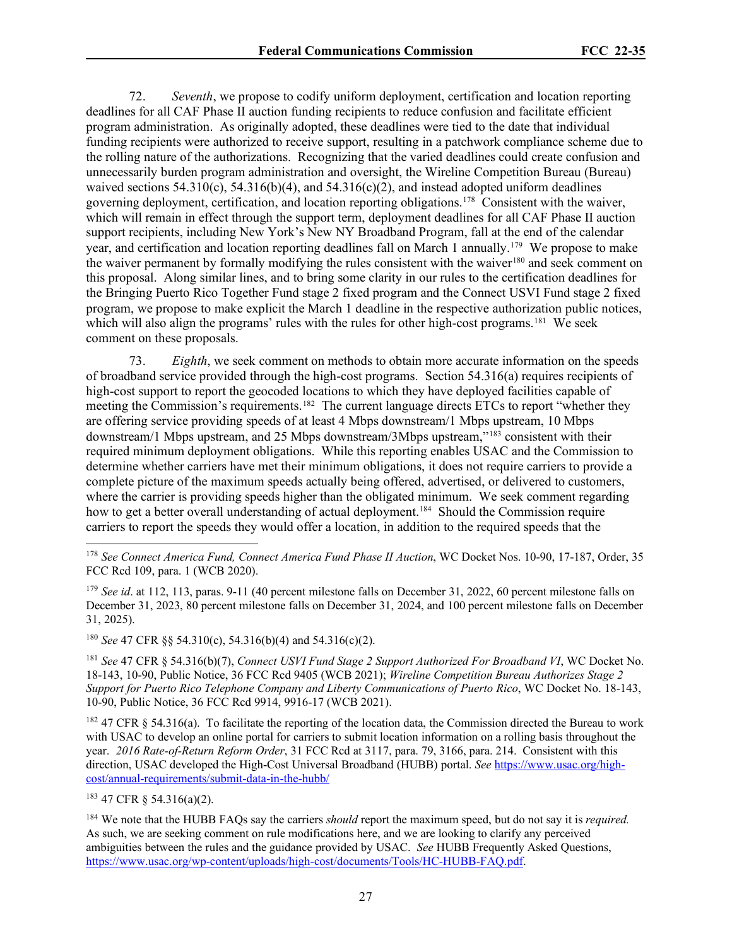72. *Seventh*, we propose to codify uniform deployment, certification and location reporting deadlines for all CAF Phase II auction funding recipients to reduce confusion and facilitate efficient program administration. As originally adopted, these deadlines were tied to the date that individual funding recipients were authorized to receive support, resulting in a patchwork compliance scheme due to the rolling nature of the authorizations. Recognizing that the varied deadlines could create confusion and unnecessarily burden program administration and oversight, the Wireline Competition Bureau (Bureau) waived sections  $54.310(c)$ ,  $54.316(b)(4)$ , and  $54.316(c)(2)$ , and instead adopted uniform deadlines governing deployment, certification, and location reporting obligations.[178](#page-26-0) Consistent with the waiver, which will remain in effect through the support term, deployment deadlines for all CAF Phase II auction support recipients, including New York's New NY Broadband Program, fall at the end of the calendar year, and certification and location reporting deadlines fall on March 1 annually.[179](#page-26-1) We propose to make the waiver permanent by formally modifying the rules consistent with the waiver<sup>[180](#page-26-2)</sup> and seek comment on this proposal. Along similar lines, and to bring some clarity in our rules to the certification deadlines for the Bringing Puerto Rico Together Fund stage 2 fixed program and the Connect USVI Fund stage 2 fixed program, we propose to make explicit the March 1 deadline in the respective authorization public notices, which will also align the programs' rules with the rules for other high-cost programs.<sup>[181](#page-26-3)</sup> We seek comment on these proposals.

73. *Eighth*, we seek comment on methods to obtain more accurate information on the speeds of broadband service provided through the high-cost programs. Section 54.316(a) requires recipients of high-cost support to report the geocoded locations to which they have deployed facilities capable of meeting the Commission's requirements.<sup>182</sup> The current language directs ETCs to report "whether they are offering service providing speeds of at least 4 Mbps downstream/1 Mbps upstream, 10 Mbps downstream/1 Mbps upstream, and 25 Mbps downstream/3Mbps upstream,"[183](#page-26-5) consistent with their required minimum deployment obligations. While this reporting enables USAC and the Commission to determine whether carriers have met their minimum obligations, it does not require carriers to provide a complete picture of the maximum speeds actually being offered, advertised, or delivered to customers, where the carrier is providing speeds higher than the obligated minimum. We seek comment regarding how to get a better overall understanding of actual deployment.<sup>[184](#page-26-6)</sup> Should the Commission require carriers to report the speeds they would offer a location, in addition to the required speeds that the

<span id="page-26-2"></span><sup>180</sup> *See* 47 CFR §§ 54.310(c), 54.316(b)(4) and 54.316(c)(2).

<span id="page-26-3"></span><sup>181</sup> *See* 47 CFR § 54.316(b)(7), *Connect USVI Fund Stage 2 Support Authorized For Broadband VI*, WC Docket No. 18-143, 10-90, Public Notice, 36 FCC Rcd 9405 (WCB 2021); *Wireline Competition Bureau Authorizes Stage 2 Support for Puerto Rico Telephone Company and Liberty Communications of Puerto Rico*, WC Docket No. 18-143, 10-90, Public Notice, 36 FCC Rcd 9914, 9916-17 (WCB 2021).

<span id="page-26-4"></span> $182$  47 CFR § 54.316(a). To facilitate the reporting of the location data, the Commission directed the Bureau to work with USAC to develop an online portal for carriers to submit location information on a rolling basis throughout the year. *2016 Rate-of-Return Reform Order*, 31 FCC Rcd at 3117, para. 79, 3166, para. 214. Consistent with this direction, USAC developed the High-Cost Universal Broadband (HUBB) portal. *See* [https://www.usac.org/high](https://www.usac.org/high-cost/annual-requirements/submit-data-in-the-hubb/)[cost/annual-requirements/submit-data-in-the-hubb/](https://www.usac.org/high-cost/annual-requirements/submit-data-in-the-hubb/) 

<span id="page-26-5"></span><sup>183</sup> 47 CFR § 54.316(a)(2).

<span id="page-26-0"></span><sup>178</sup> *See Connect America Fund, Connect America Fund Phase II Auction*, WC Docket Nos. 10-90, 17-187, Order, 35 FCC Rcd 109, para. 1 (WCB 2020).

<span id="page-26-1"></span><sup>&</sup>lt;sup>179</sup> *See id.* at 112, 113, paras. 9-11 (40 percent milestone falls on December 31, 2022, 60 percent milestone falls on December 31, 2023, 80 percent milestone falls on December 31, 2024, and 100 percent milestone falls on December 31, 2025).

<span id="page-26-6"></span><sup>184</sup> We note that the HUBB FAQs say the carriers *should* report the maximum speed, but do not say it is *required.* As such, we are seeking comment on rule modifications here, and we are looking to clarify any perceived ambiguities between the rules and the guidance provided by USAC. *See* HUBB Frequently Asked Questions, [https://www.usac.org/wp-content/uploads/high-cost/documents/Tools/HC-HUBB-FAQ.pdf.](https://www.usac.org/wp-content/uploads/high-cost/documents/Tools/HC-HUBB-FAQ.pdf)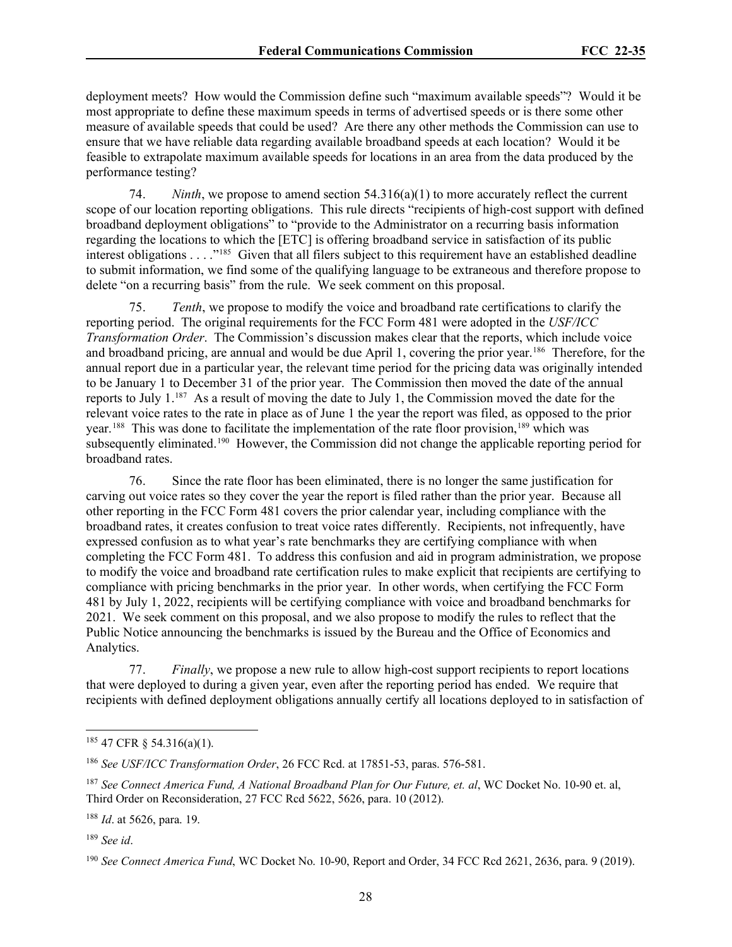deployment meets? How would the Commission define such "maximum available speeds"? Would it be most appropriate to define these maximum speeds in terms of advertised speeds or is there some other measure of available speeds that could be used? Are there any other methods the Commission can use to ensure that we have reliable data regarding available broadband speeds at each location? Would it be feasible to extrapolate maximum available speeds for locations in an area from the data produced by the performance testing?

74. *Ninth*, we propose to amend section 54.316(a)(1) to more accurately reflect the current scope of our location reporting obligations. This rule directs "recipients of high-cost support with defined broadband deployment obligations" to "provide to the Administrator on a recurring basis information regarding the locations to which the [ETC] is offering broadband service in satisfaction of its public interest obligations . . . .["185](#page-27-0) Given that all filers subject to this requirement have an established deadline to submit information, we find some of the qualifying language to be extraneous and therefore propose to delete "on a recurring basis" from the rule. We seek comment on this proposal.

75. *Tenth*, we propose to modify the voice and broadband rate certifications to clarify the reporting period. The original requirements for the FCC Form 481 were adopted in the *USF/ICC Transformation Order*. The Commission's discussion makes clear that the reports, which include voice and broadband pricing, are annual and would be due April 1, covering the prior year.[186](#page-27-1) Therefore, for the annual report due in a particular year, the relevant time period for the pricing data was originally intended to be January 1 to December 31 of the prior year. The Commission then moved the date of the annual reports to July  $1.^{187}$  As a result of moving the date to July 1, the Commission moved the date for the relevant voice rates to the rate in place as of June 1 the year the report was filed, as opposed to the prior year.<sup>[188](#page-27-3)</sup> This was done to facilitate the implementation of the rate floor provision,<sup>[189](#page-27-4)</sup> which was subsequently eliminated.[190](#page-27-5) However, the Commission did not change the applicable reporting period for broadband rates.

76. Since the rate floor has been eliminated, there is no longer the same justification for carving out voice rates so they cover the year the report is filed rather than the prior year. Because all other reporting in the FCC Form 481 covers the prior calendar year, including compliance with the broadband rates, it creates confusion to treat voice rates differently. Recipients, not infrequently, have expressed confusion as to what year's rate benchmarks they are certifying compliance with when completing the FCC Form 481. To address this confusion and aid in program administration, we propose to modify the voice and broadband rate certification rules to make explicit that recipients are certifying to compliance with pricing benchmarks in the prior year. In other words, when certifying the FCC Form 481 by July 1, 2022, recipients will be certifying compliance with voice and broadband benchmarks for 2021. We seek comment on this proposal, and we also propose to modify the rules to reflect that the Public Notice announcing the benchmarks is issued by the Bureau and the Office of Economics and Analytics.

77. *Finally*, we propose a new rule to allow high-cost support recipients to report locations that were deployed to during a given year, even after the reporting period has ended. We require that recipients with defined deployment obligations annually certify all locations deployed to in satisfaction of

<span id="page-27-3"></span><sup>188</sup> *Id*. at 5626, para. 19.

<span id="page-27-4"></span><sup>189</sup> *See id*.

<span id="page-27-0"></span><sup>185</sup> 47 CFR § 54.316(a)(1).

<span id="page-27-1"></span><sup>186</sup> *See USF/ICC Transformation Order*, 26 FCC Rcd. at 17851-53, paras. 576-581.

<span id="page-27-2"></span><sup>187</sup> *See Connect America Fund, A National Broadband Plan for Our Future, et. al*, WC Docket No. 10-90 et. al, Third Order on Reconsideration, 27 FCC Rcd 5622, 5626, para. 10 (2012).

<span id="page-27-5"></span><sup>190</sup> *See Connect America Fund*, WC Docket No. 10-90, Report and Order, 34 FCC Rcd 2621, 2636, para. 9 (2019).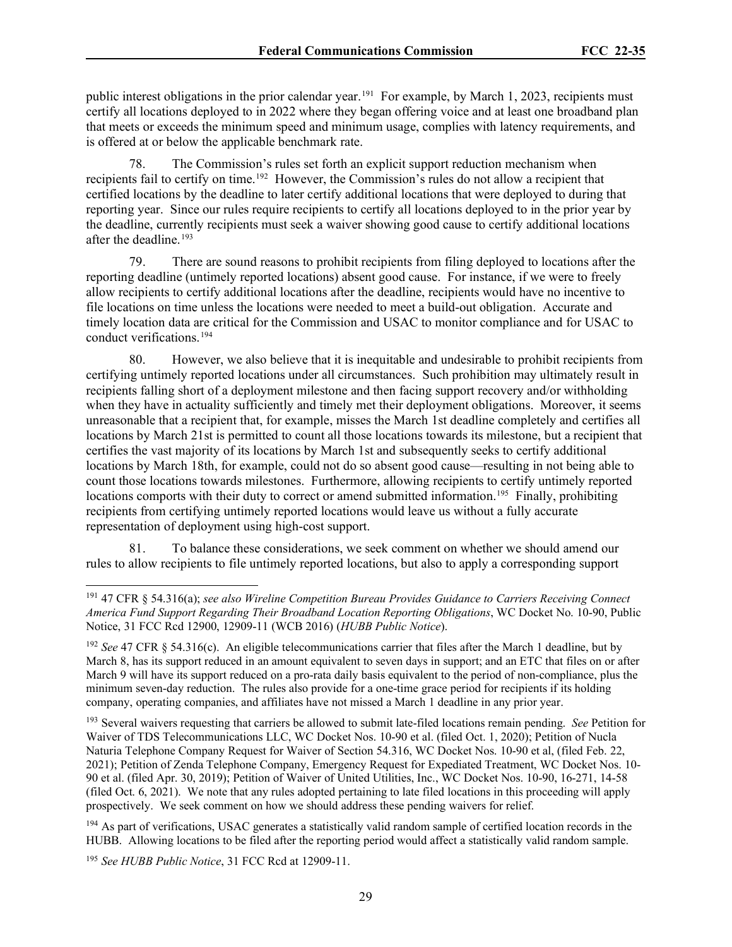public interest obligations in the prior calendar year.<sup>[191](#page-28-0)</sup> For example, by March 1, 2023, recipients must certify all locations deployed to in 2022 where they began offering voice and at least one broadband plan that meets or exceeds the minimum speed and minimum usage, complies with latency requirements, and is offered at or below the applicable benchmark rate.

78. The Commission's rules set forth an explicit support reduction mechanism when recipients fail to certify on time.[192](#page-28-1) However, the Commission's rules do not allow a recipient that certified locations by the deadline to later certify additional locations that were deployed to during that reporting year. Since our rules require recipients to certify all locations deployed to in the prior year by the deadline, currently recipients must seek a waiver showing good cause to certify additional locations after the deadline.<sup>193</sup>

79. There are sound reasons to prohibit recipients from filing deployed to locations after the reporting deadline (untimely reported locations) absent good cause. For instance, if we were to freely allow recipients to certify additional locations after the deadline, recipients would have no incentive to file locations on time unless the locations were needed to meet a build-out obligation. Accurate and timely location data are critical for the Commission and USAC to monitor compliance and for USAC to conduct verifications.[194](#page-28-3)

80. However, we also believe that it is inequitable and undesirable to prohibit recipients from certifying untimely reported locations under all circumstances. Such prohibition may ultimately result in recipients falling short of a deployment milestone and then facing support recovery and/or withholding when they have in actuality sufficiently and timely met their deployment obligations. Moreover, it seems unreasonable that a recipient that, for example, misses the March 1st deadline completely and certifies all locations by March 21st is permitted to count all those locations towards its milestone, but a recipient that certifies the vast majority of its locations by March 1st and subsequently seeks to certify additional locations by March 18th, for example, could not do so absent good cause—resulting in not being able to count those locations towards milestones. Furthermore, allowing recipients to certify untimely reported locations comports with their duty to correct or amend submitted information.<sup>195</sup> Finally, prohibiting recipients from certifying untimely reported locations would leave us without a fully accurate representation of deployment using high-cost support.

81. To balance these considerations, we seek comment on whether we should amend our rules to allow recipients to file untimely reported locations, but also to apply a corresponding support

<span id="page-28-0"></span><sup>191</sup> 47 CFR § 54.316(a); *see also Wireline Competition Bureau Provides Guidance to Carriers Receiving Connect America Fund Support Regarding Their Broadband Location Reporting Obligations*, WC Docket No. 10-90, Public Notice, 31 FCC Rcd 12900, 12909-11 (WCB 2016) (*HUBB Public Notice*).

<span id="page-28-1"></span><sup>192</sup> *See* 47 CFR § 54.316(c). An eligible telecommunications carrier that files after the March 1 deadline, but by March 8, has its support reduced in an amount equivalent to seven days in support; and an ETC that files on or after March 9 will have its support reduced on a pro-rata daily basis equivalent to the period of non-compliance, plus the minimum seven-day reduction. The rules also provide for a one-time grace period for recipients if its holding company, operating companies, and affiliates have not missed a March 1 deadline in any prior year.

<span id="page-28-2"></span><sup>193</sup> Several waivers requesting that carriers be allowed to submit late-filed locations remain pending. *See* Petition for Waiver of TDS Telecommunications LLC, WC Docket Nos. 10-90 et al. (filed Oct. 1, 2020); Petition of Nucla Naturia Telephone Company Request for Waiver of Section 54.316, WC Docket Nos. 10-90 et al, (filed Feb. 22, 2021); Petition of Zenda Telephone Company, Emergency Request for Expediated Treatment, WC Docket Nos. 10- 90 et al. (filed Apr. 30, 2019); Petition of Waiver of United Utilities, Inc., WC Docket Nos. 10-90, 16-271, 14-58 (filed Oct. 6, 2021). We note that any rules adopted pertaining to late filed locations in this proceeding will apply prospectively. We seek comment on how we should address these pending waivers for relief.

<span id="page-28-3"></span><sup>&</sup>lt;sup>194</sup> As part of verifications, USAC generates a statistically valid random sample of certified location records in the HUBB. Allowing locations to be filed after the reporting period would affect a statistically valid random sample.

<span id="page-28-4"></span><sup>195</sup> *See HUBB Public Notice*, 31 FCC Rcd at 12909-11.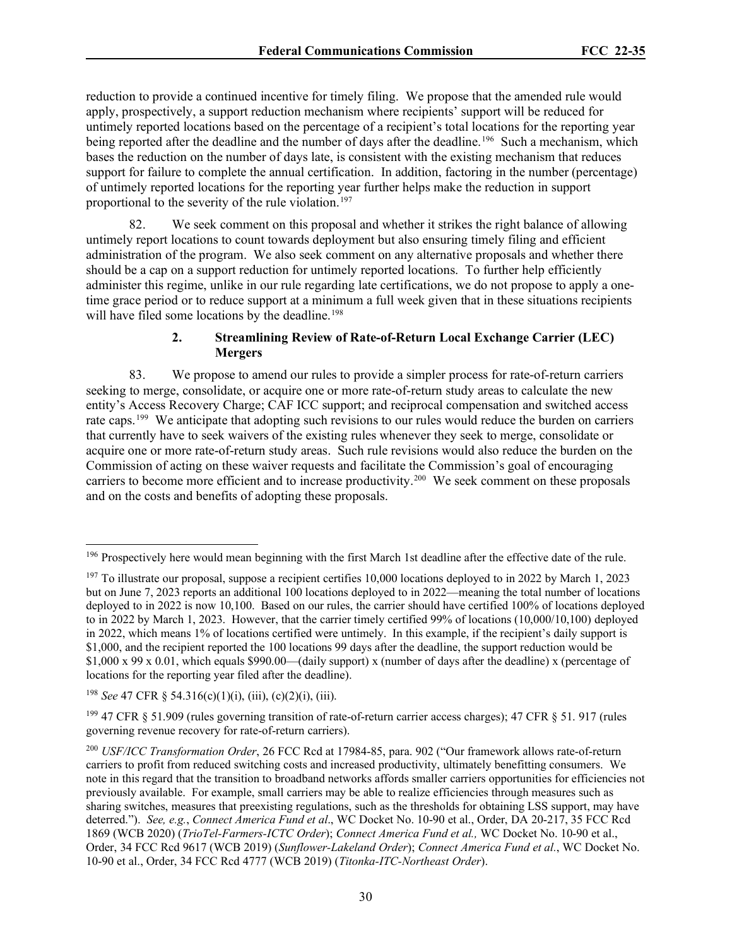reduction to provide a continued incentive for timely filing. We propose that the amended rule would apply, prospectively, a support reduction mechanism where recipients' support will be reduced for untimely reported locations based on the percentage of a recipient's total locations for the reporting year being reported after the deadline and the number of days after the deadline.<sup>[196](#page-29-0)</sup> Such a mechanism, which bases the reduction on the number of days late, is consistent with the existing mechanism that reduces support for failure to complete the annual certification. In addition, factoring in the number (percentage) of untimely reported locations for the reporting year further helps make the reduction in support proportional to the severity of the rule violation.<sup>[197](#page-29-1)</sup>

We seek comment on this proposal and whether it strikes the right balance of allowing untimely report locations to count towards deployment but also ensuring timely filing and efficient administration of the program. We also seek comment on any alternative proposals and whether there should be a cap on a support reduction for untimely reported locations. To further help efficiently administer this regime, unlike in our rule regarding late certifications, we do not propose to apply a onetime grace period or to reduce support at a minimum a full week given that in these situations recipients will have filed some locations by the deadline.<sup>[198](#page-29-2)</sup>

# **2. Streamlining Review of Rate-of-Return Local Exchange Carrier (LEC) Mergers**

83. We propose to amend our rules to provide a simpler process for rate-of-return carriers seeking to merge, consolidate, or acquire one or more rate-of-return study areas to calculate the new entity's Access Recovery Charge; CAF ICC support; and reciprocal compensation and switched access rate caps.[199](#page-29-3) We anticipate that adopting such revisions to our rules would reduce the burden on carriers that currently have to seek waivers of the existing rules whenever they seek to merge, consolidate or acquire one or more rate-of-return study areas. Such rule revisions would also reduce the burden on the Commission of acting on these waiver requests and facilitate the Commission's goal of encouraging carriers to become more efficient and to increase productivity.<sup>200</sup> We seek comment on these proposals and on the costs and benefits of adopting these proposals.

<span id="page-29-2"></span><sup>198</sup> *See* 47 CFR § 54.316(c)(1)(i), (iii), (c)(2)(i), (iii).

<span id="page-29-0"></span><sup>&</sup>lt;sup>196</sup> Prospectively here would mean beginning with the first March 1st deadline after the effective date of the rule.

<span id="page-29-1"></span> $197$  To illustrate our proposal, suppose a recipient certifies 10,000 locations deployed to in 2022 by March 1, 2023 but on June 7, 2023 reports an additional 100 locations deployed to in 2022—meaning the total number of locations deployed to in 2022 is now 10,100. Based on our rules, the carrier should have certified 100% of locations deployed to in 2022 by March 1, 2023. However, that the carrier timely certified 99% of locations (10,000/10,100) deployed in 2022, which means 1% of locations certified were untimely. In this example, if the recipient's daily support is \$1,000, and the recipient reported the 100 locations 99 days after the deadline, the support reduction would be \$1,000 x 99 x 0.01, which equals \$990.00—(daily support) x (number of days after the deadline) x (percentage of locations for the reporting year filed after the deadline).

<span id="page-29-3"></span><sup>&</sup>lt;sup>199</sup> 47 CFR  $\S$  51.909 (rules governing transition of rate-of-return carrier access charges); 47 CFR  $\S$  51.917 (rules governing revenue recovery for rate-of-return carriers).

<span id="page-29-4"></span><sup>200</sup> *USF/ICC Transformation Order*, 26 FCC Rcd at 17984-85, para. 902 ("Our framework allows rate-of-return carriers to profit from reduced switching costs and increased productivity, ultimately benefitting consumers. We note in this regard that the transition to broadband networks affords smaller carriers opportunities for efficiencies not previously available. For example, small carriers may be able to realize efficiencies through measures such as sharing switches, measures that preexisting regulations, such as the thresholds for obtaining LSS support, may have deterred."). *See, e.g.*, *Connect America Fund et al*., WC Docket No. 10-90 et al., Order, DA 20-217, 35 FCC Rcd 1869 (WCB 2020) (*TrioTel-Farmers-ICTC Order*); *Connect America Fund et al.,* WC Docket No. 10-90 et al., Order, 34 FCC Rcd 9617 (WCB 2019) (*Sunflower-Lakeland Order*); *Connect America Fund et al.*, WC Docket No. 10-90 et al., Order, 34 FCC Rcd 4777 (WCB 2019) (*Titonka-ITC-Northeast Order*).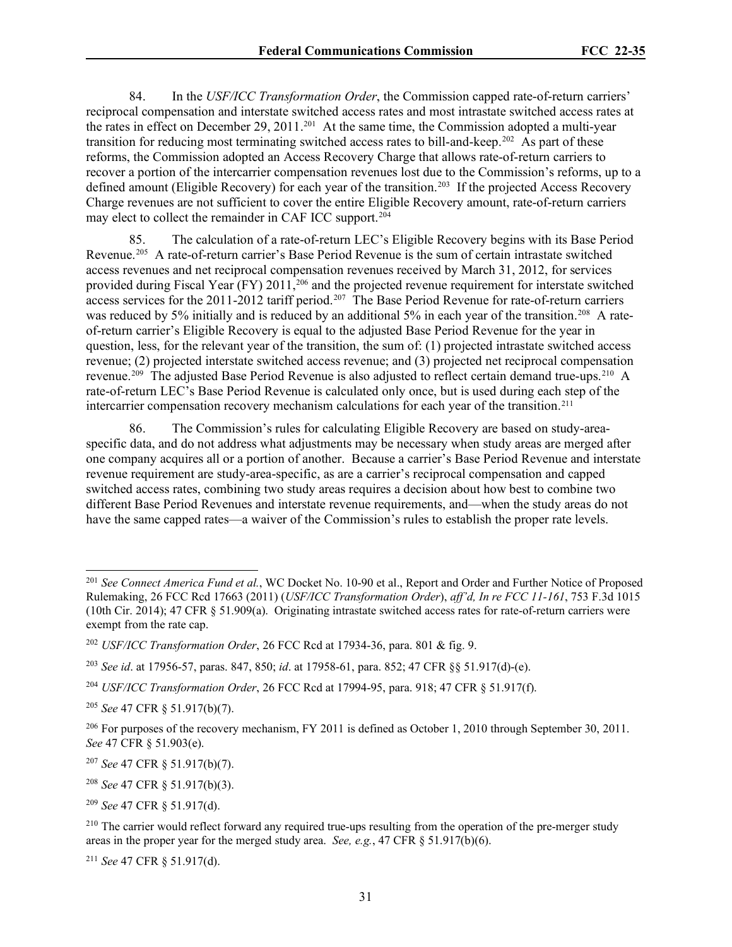84. In the *USF/ICC Transformation Order*, the Commission capped rate-of-return carriers' reciprocal compensation and interstate switched access rates and most intrastate switched access rates at the rates in effect on December 29, [201](#page-30-0)1.<sup>201</sup> At the same time, the Commission adopted a multi-year transition for reducing most terminating switched access rates to bill-and-keep.<sup>[202](#page-30-1)</sup> As part of these reforms, the Commission adopted an Access Recovery Charge that allows rate-of-return carriers to recover a portion of the intercarrier compensation revenues lost due to the Commission's reforms, up to a defined amount (Eligible Recovery) for each year of the transition.<sup>203</sup> If the projected Access Recovery Charge revenues are not sufficient to cover the entire Eligible Recovery amount, rate-of-return carriers may elect to collect the remainder in CAF ICC support.[204](#page-30-3)

85. The calculation of a rate-of-return LEC's Eligible Recovery begins with its Base Period Revenue.[205](#page-30-4) A rate-of-return carrier's Base Period Revenue is the sum of certain intrastate switched access revenues and net reciprocal compensation revenues received by March 31, 2012, for services provided during Fiscal Year (FY) 2011,<sup>[206](#page-30-5)</sup> and the projected revenue requirement for interstate switched access services for the 2011-2012 tariff period.<sup>[207](#page-30-6)</sup> The Base Period Revenue for rate-of-return carriers was reduced by 5% initially and is reduced by an additional 5% in each year of the transition.<sup>208</sup> A rateof-return carrier's Eligible Recovery is equal to the adjusted Base Period Revenue for the year in question, less, for the relevant year of the transition, the sum of: (1) projected intrastate switched access revenue; (2) projected interstate switched access revenue; and (3) projected net reciprocal compensation revenue.<sup>[209](#page-30-8)</sup> The adjusted Base Period Revenue is also adjusted to reflect certain demand true-ups.<sup>210</sup> A rate-of-return LEC's Base Period Revenue is calculated only once, but is used during each step of the intercarrier compensation recovery mechanism calculations for each year of the transition.[211](#page-30-10)

86. The Commission's rules for calculating Eligible Recovery are based on study-areaspecific data, and do not address what adjustments may be necessary when study areas are merged after one company acquires all or a portion of another. Because a carrier's Base Period Revenue and interstate revenue requirement are study-area-specific, as are a carrier's reciprocal compensation and capped switched access rates, combining two study areas requires a decision about how best to combine two different Base Period Revenues and interstate revenue requirements, and—when the study areas do not have the same capped rates—a waiver of the Commission's rules to establish the proper rate levels.

<span id="page-30-0"></span><sup>201</sup> *See Connect America Fund et al.*, WC Docket No. 10-90 et al., Report and Order and Further Notice of Proposed Rulemaking, 26 FCC Rcd 17663 (2011) (*USF/ICC Transformation Order*), *aff'd, In re FCC 11-161*, 753 F.3d 1015 (10th Cir. 2014); 47 CFR § 51.909(a). Originating intrastate switched access rates for rate-of-return carriers were exempt from the rate cap.

<span id="page-30-1"></span><sup>202</sup> *USF/ICC Transformation Order*, 26 FCC Rcd at 17934-36, para. 801 & fig. 9.

<span id="page-30-2"></span><sup>203</sup> *See id*. at 17956-57, paras. 847, 850; *id*. at 17958-61, para. 852; 47 CFR §§ 51.917(d)-(e).

<span id="page-30-3"></span><sup>204</sup> *USF/ICC Transformation Order*, 26 FCC Rcd at 17994-95, para. 918; 47 CFR § 51.917(f).

<span id="page-30-4"></span><sup>205</sup> *See* 47 CFR § 51.917(b)(7).

<span id="page-30-5"></span><sup>&</sup>lt;sup>206</sup> For purposes of the recovery mechanism, FY 2011 is defined as October 1, 2010 through September 30, 2011. *See* 47 CFR § 51.903(e).

<span id="page-30-6"></span><sup>207</sup> *See* 47 CFR § 51.917(b)(7).

<span id="page-30-7"></span><sup>208</sup> *See* 47 CFR § 51.917(b)(3).

<span id="page-30-8"></span><sup>209</sup> *See* 47 CFR § 51.917(d).

<span id="page-30-9"></span><sup>&</sup>lt;sup>210</sup> The carrier would reflect forward any required true-ups resulting from the operation of the pre-merger study areas in the proper year for the merged study area. *See, e.g.*, 47 CFR § 51.917(b)(6).

<span id="page-30-10"></span><sup>211</sup> *See* 47 CFR § 51.917(d).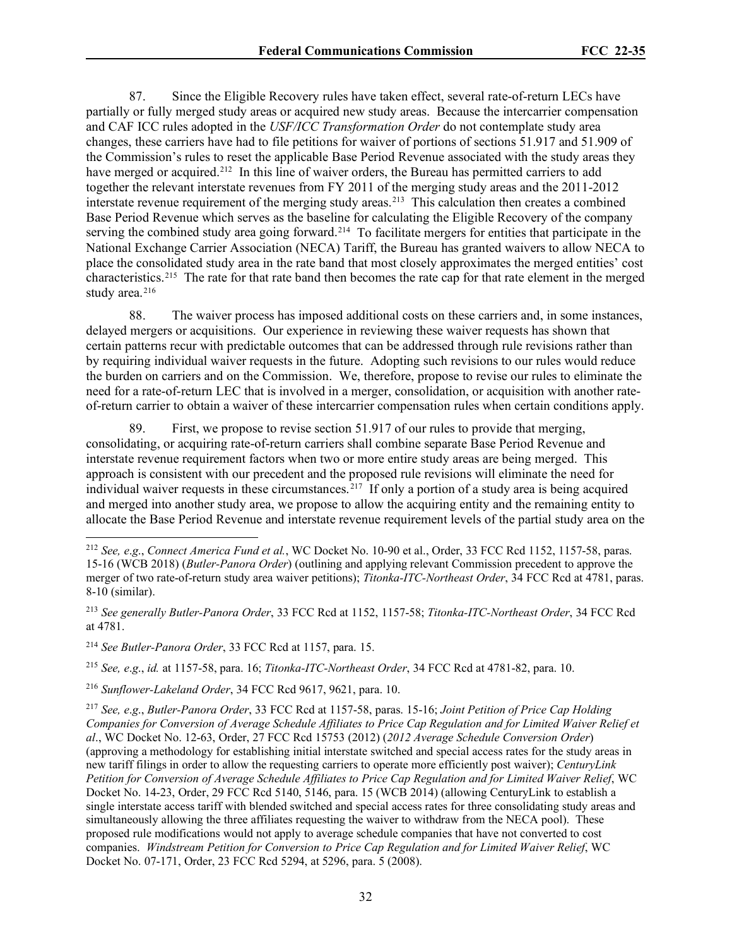87. Since the Eligible Recovery rules have taken effect, several rate-of-return LECs have partially or fully merged study areas or acquired new study areas. Because the intercarrier compensation and CAF ICC rules adopted in the *USF/ICC Transformation Order* do not contemplate study area changes, these carriers have had to file petitions for waiver of portions of sections 51.917 and 51.909 of the Commission's rules to reset the applicable Base Period Revenue associated with the study areas they have merged or acquired.<sup>[212](#page-31-0)</sup> In this line of waiver orders, the Bureau has permitted carriers to add together the relevant interstate revenues from FY 2011 of the merging study areas and the 2011-2012 interstate revenue requirement of the merging study areas.<sup>213</sup> This calculation then creates a combined Base Period Revenue which serves as the baseline for calculating the Eligible Recovery of the company serving the combined study area going forward.<sup>[214](#page-31-2)</sup> To facilitate mergers for entities that participate in the National Exchange Carrier Association (NECA) Tariff, the Bureau has granted waivers to allow NECA to place the consolidated study area in the rate band that most closely approximates the merged entities' cost characteristics.[215](#page-31-3) The rate for that rate band then becomes the rate cap for that rate element in the merged study area.<sup>[216](#page-31-4)</sup>

88. The waiver process has imposed additional costs on these carriers and, in some instances, delayed mergers or acquisitions. Our experience in reviewing these waiver requests has shown that certain patterns recur with predictable outcomes that can be addressed through rule revisions rather than by requiring individual waiver requests in the future. Adopting such revisions to our rules would reduce the burden on carriers and on the Commission. We, therefore, propose to revise our rules to eliminate the need for a rate-of-return LEC that is involved in a merger, consolidation, or acquisition with another rateof-return carrier to obtain a waiver of these intercarrier compensation rules when certain conditions apply.

89. First, we propose to revise section 51.917 of our rules to provide that merging, consolidating, or acquiring rate-of-return carriers shall combine separate Base Period Revenue and interstate revenue requirement factors when two or more entire study areas are being merged. This approach is consistent with our precedent and the proposed rule revisions will eliminate the need for individual waiver requests in these circumstances.<sup>[217](#page-31-5)</sup> If only a portion of a study area is being acquired and merged into another study area, we propose to allow the acquiring entity and the remaining entity to allocate the Base Period Revenue and interstate revenue requirement levels of the partial study area on the

<span id="page-31-3"></span><sup>215</sup> *See, e*.*g*., *id.* at 1157-58, para. 16; *Titonka-ITC-Northeast Order*, 34 FCC Rcd at 4781-82, para. 10.

<span id="page-31-4"></span><sup>216</sup> *Sunflower-Lakeland Order*, 34 FCC Rcd 9617, 9621, para. 10.

<span id="page-31-0"></span><sup>212</sup> *See, e*.*g*., *Connect America Fund et al.*, WC Docket No. 10-90 et al., Order, 33 FCC Rcd 1152, 1157-58, paras. 15-16 (WCB 2018) (*Butler-Panora Order*) (outlining and applying relevant Commission precedent to approve the merger of two rate-of-return study area waiver petitions); *Titonka-ITC-Northeast Order*, 34 FCC Rcd at 4781, paras. 8-10 (similar).

<span id="page-31-1"></span><sup>213</sup> *See generally Butler-Panora Order*, 33 FCC Rcd at 1152, 1157-58; *Titonka-ITC-Northeast Order*, 34 FCC Rcd at 4781.

<span id="page-31-2"></span><sup>214</sup> *See Butler-Panora Order*, 33 FCC Rcd at 1157, para. 15.

<span id="page-31-5"></span><sup>217</sup> *See, e*.*g*., *Butler-Panora Order*, 33 FCC Rcd at 1157-58, paras. 15-16; *Joint Petition of Price Cap Holding Companies for Conversion of Average Schedule Affiliates to Price Cap Regulation and for Limited Waiver Relief et al*., WC Docket No. 12-63, Order, 27 FCC Rcd 15753 (2012) (*2012 Average Schedule Conversion Order*) (approving a methodology for establishing initial interstate switched and special access rates for the study areas in new tariff filings in order to allow the requesting carriers to operate more efficiently post waiver); *CenturyLink Petition for Conversion of Average Schedule Affiliates to Price Cap Regulation and for Limited Waiver Relief*, WC Docket No. 14-23, Order, 29 FCC Rcd 5140, 5146, para. 15 (WCB 2014) (allowing CenturyLink to establish a single interstate access tariff with blended switched and special access rates for three consolidating study areas and simultaneously allowing the three affiliates requesting the waiver to withdraw from the NECA pool). These proposed rule modifications would not apply to average schedule companies that have not converted to cost companies. *Windstream Petition for Conversion to Price Cap Regulation and for Limited Waiver Relief*, WC Docket No. 07-171, Order, 23 FCC Rcd 5294, at 5296, para. 5 (2008).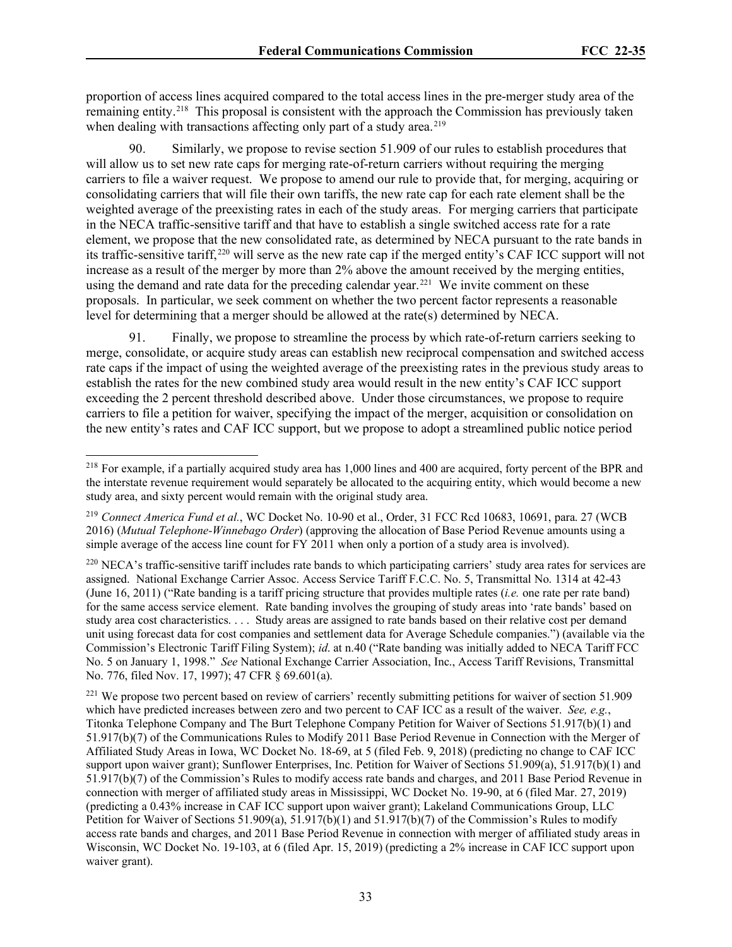proportion of access lines acquired compared to the total access lines in the pre-merger study area of the remaining entity.<sup>218</sup> This proposal is consistent with the approach the Commission has previously taken when dealing with transactions affecting only part of a study area.<sup>[219](#page-32-1)</sup>

Similarly, we propose to revise section 51.909 of our rules to establish procedures that will allow us to set new rate caps for merging rate-of-return carriers without requiring the merging carriers to file a waiver request. We propose to amend our rule to provide that, for merging, acquiring or consolidating carriers that will file their own tariffs, the new rate cap for each rate element shall be the weighted average of the preexisting rates in each of the study areas. For merging carriers that participate in the NECA traffic-sensitive tariff and that have to establish a single switched access rate for a rate element, we propose that the new consolidated rate, as determined by NECA pursuant to the rate bands in its traffic-sensitive tariff,<sup>[220](#page-32-2)</sup> will serve as the new rate cap if the merged entity's CAF ICC support will not increase as a result of the merger by more than 2% above the amount received by the merging entities, using the demand and rate data for the preceding calendar year.<sup>221</sup> We invite comment on these proposals. In particular, we seek comment on whether the two percent factor represents a reasonable level for determining that a merger should be allowed at the rate(s) determined by NECA.

91. Finally, we propose to streamline the process by which rate-of-return carriers seeking to merge, consolidate, or acquire study areas can establish new reciprocal compensation and switched access rate caps if the impact of using the weighted average of the preexisting rates in the previous study areas to establish the rates for the new combined study area would result in the new entity's CAF ICC support exceeding the 2 percent threshold described above. Under those circumstances, we propose to require carriers to file a petition for waiver, specifying the impact of the merger, acquisition or consolidation on the new entity's rates and CAF ICC support, but we propose to adopt a streamlined public notice period

<span id="page-32-0"></span><sup>&</sup>lt;sup>218</sup> For example, if a partially acquired study area has 1,000 lines and 400 are acquired, forty percent of the BPR and the interstate revenue requirement would separately be allocated to the acquiring entity, which would become a new study area, and sixty percent would remain with the original study area.

<span id="page-32-1"></span><sup>219</sup> *Connect America Fund et al.*, WC Docket No. 10-90 et al., Order, 31 FCC Rcd 10683, 10691, para. 27 (WCB 2016) (*Mutual Telephone-Winnebago Order*) (approving the allocation of Base Period Revenue amounts using a simple average of the access line count for FY 2011 when only a portion of a study area is involved).

<span id="page-32-2"></span><sup>&</sup>lt;sup>220</sup> NECA's traffic-sensitive tariff includes rate bands to which participating carriers' study area rates for services are assigned. National Exchange Carrier Assoc. Access Service Tariff F.C.C. No. 5, Transmittal No. 1314 at 42-43 (June 16, 2011) ("Rate banding is a tariff pricing structure that provides multiple rates (*i.e.* one rate per rate band) for the same access service element. Rate banding involves the grouping of study areas into 'rate bands' based on study area cost characteristics. . . . Study areas are assigned to rate bands based on their relative cost per demand unit using forecast data for cost companies and settlement data for Average Schedule companies.") (available via the Commission's Electronic Tariff Filing System); *id*. at n.40 ("Rate banding was initially added to NECA Tariff FCC No. 5 on January 1, 1998." *See* National Exchange Carrier Association, Inc., Access Tariff Revisions, Transmittal No. 776, filed Nov. 17, 1997); 47 CFR § 69.601(a).

<span id="page-32-3"></span><sup>&</sup>lt;sup>221</sup> We propose two percent based on review of carriers' recently submitting petitions for waiver of section 51.909 which have predicted increases between zero and two percent to CAF ICC as a result of the waiver. *See, e.g.*, Titonka Telephone Company and The Burt Telephone Company Petition for Waiver of Sections 51.917(b)(1) and 51.917(b)(7) of the Communications Rules to Modify 2011 Base Period Revenue in Connection with the Merger of Affiliated Study Areas in Iowa, WC Docket No. 18-69, at 5 (filed Feb. 9, 2018) (predicting no change to CAF ICC support upon waiver grant); Sunflower Enterprises, Inc. Petition for Waiver of Sections 51.909(a), 51.917(b)(1) and 51.917(b)(7) of the Commission's Rules to modify access rate bands and charges, and 2011 Base Period Revenue in connection with merger of affiliated study areas in Mississippi, WC Docket No. 19-90, at 6 (filed Mar. 27, 2019) (predicting a 0.43% increase in CAF ICC support upon waiver grant); Lakeland Communications Group, LLC Petition for Waiver of Sections 51.909(a),  $51.917(b)(1)$  and  $51.917(b)(7)$  of the Commission's Rules to modify access rate bands and charges, and 2011 Base Period Revenue in connection with merger of affiliated study areas in Wisconsin, WC Docket No. 19-103, at 6 (filed Apr. 15, 2019) (predicting a 2% increase in CAF ICC support upon waiver grant).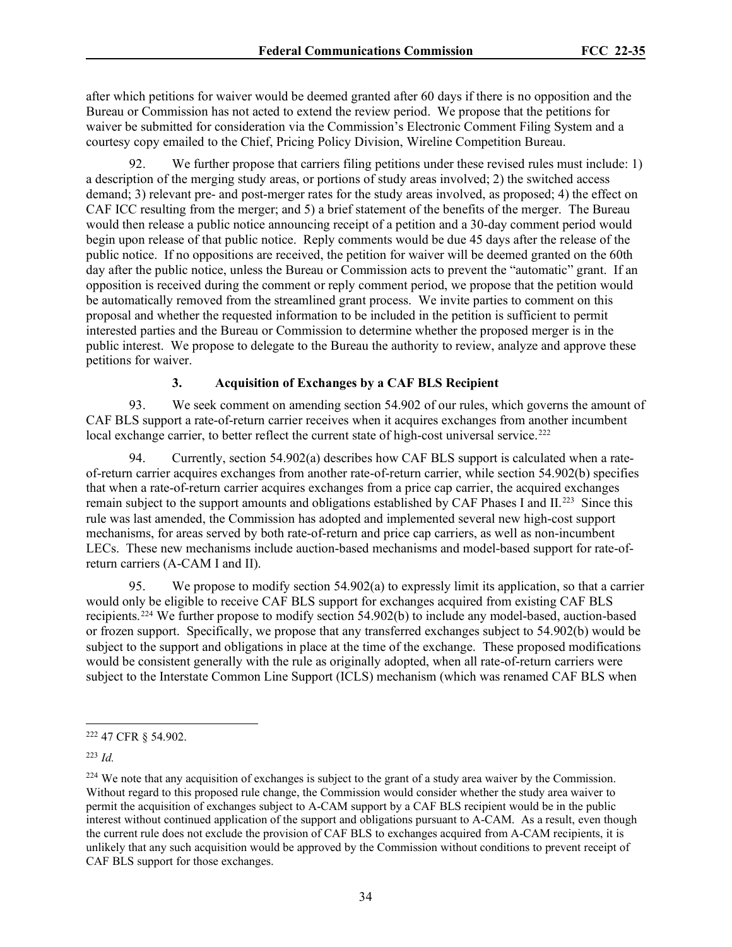after which petitions for waiver would be deemed granted after 60 days if there is no opposition and the Bureau or Commission has not acted to extend the review period. We propose that the petitions for waiver be submitted for consideration via the Commission's Electronic Comment Filing System and a courtesy copy emailed to the Chief, Pricing Policy Division, Wireline Competition Bureau.

92. We further propose that carriers filing petitions under these revised rules must include: 1) a description of the merging study areas, or portions of study areas involved; 2) the switched access demand; 3) relevant pre- and post-merger rates for the study areas involved, as proposed; 4) the effect on CAF ICC resulting from the merger; and 5) a brief statement of the benefits of the merger. The Bureau would then release a public notice announcing receipt of a petition and a 30-day comment period would begin upon release of that public notice. Reply comments would be due 45 days after the release of the public notice. If no oppositions are received, the petition for waiver will be deemed granted on the 60th day after the public notice, unless the Bureau or Commission acts to prevent the "automatic" grant. If an opposition is received during the comment or reply comment period, we propose that the petition would be automatically removed from the streamlined grant process. We invite parties to comment on this proposal and whether the requested information to be included in the petition is sufficient to permit interested parties and the Bureau or Commission to determine whether the proposed merger is in the public interest. We propose to delegate to the Bureau the authority to review, analyze and approve these petitions for waiver.

### **3. Acquisition of Exchanges by a CAF BLS Recipient**

93. We seek comment on amending section 54.902 of our rules, which governs the amount of CAF BLS support a rate-of-return carrier receives when it acquires exchanges from another incumbent local exchange carrier, to better reflect the current state of high-cost universal service.<sup>222</sup>

94. Currently, section 54.902(a) describes how CAF BLS support is calculated when a rateof-return carrier acquires exchanges from another rate-of-return carrier, while section 54.902(b) specifies that when a rate-of-return carrier acquires exchanges from a price cap carrier, the acquired exchanges remain subject to the support amounts and obligations established by CAF Phases I and II.<sup>223</sup> Since this rule was last amended, the Commission has adopted and implemented several new high-cost support mechanisms, for areas served by both rate-of-return and price cap carriers, as well as non-incumbent LECs. These new mechanisms include auction-based mechanisms and model-based support for rate-ofreturn carriers (A-CAM I and II).

95. We propose to modify section 54.902(a) to expressly limit its application, so that a carrier would only be eligible to receive CAF BLS support for exchanges acquired from existing CAF BLS recipients.[224](#page-33-2) We further propose to modify section 54.902(b) to include any model-based, auction-based or frozen support. Specifically, we propose that any transferred exchanges subject to 54.902(b) would be subject to the support and obligations in place at the time of the exchange. These proposed modifications would be consistent generally with the rule as originally adopted, when all rate-of-return carriers were subject to the Interstate Common Line Support (ICLS) mechanism (which was renamed CAF BLS when

<span id="page-33-1"></span><sup>223</sup> *Id.*

<span id="page-33-0"></span><sup>222</sup> 47 CFR § 54.902.

<span id="page-33-2"></span> $^{224}$  We note that any acquisition of exchanges is subject to the grant of a study area waiver by the Commission. Without regard to this proposed rule change, the Commission would consider whether the study area waiver to permit the acquisition of exchanges subject to A-CAM support by a CAF BLS recipient would be in the public interest without continued application of the support and obligations pursuant to A-CAM. As a result, even though the current rule does not exclude the provision of CAF BLS to exchanges acquired from A-CAM recipients, it is unlikely that any such acquisition would be approved by the Commission without conditions to prevent receipt of CAF BLS support for those exchanges.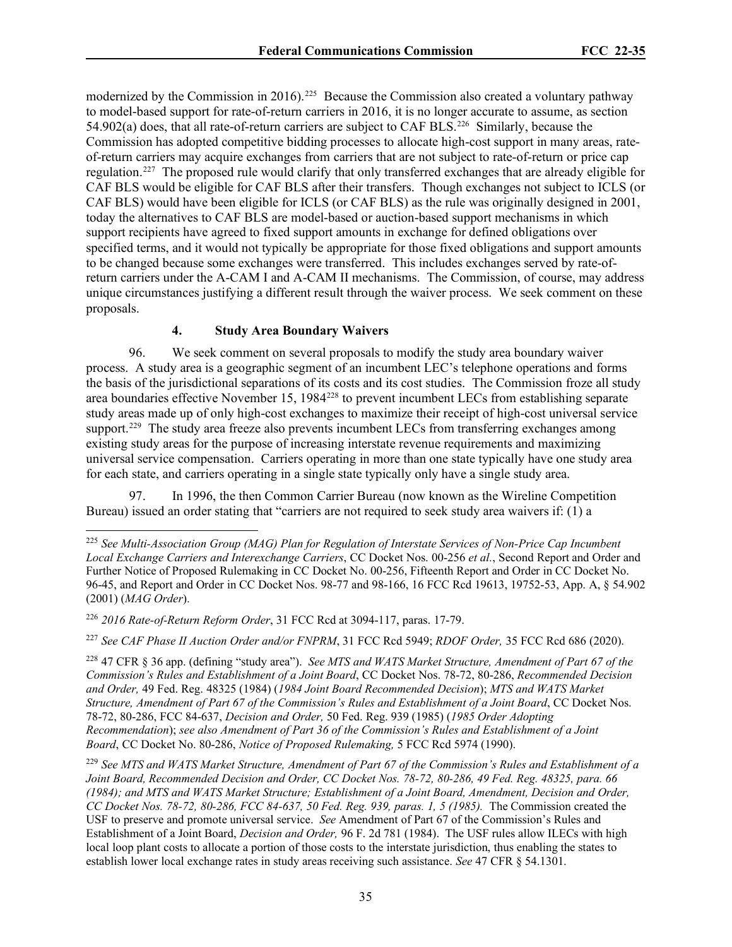modernized by the Commission in 2016).<sup>[225](#page-34-0)</sup> Because the Commission also created a voluntary pathway to model-based support for rate-of-return carriers in 2016, it is no longer accurate to assume, as section 54.902(a) does, that all rate-of-return carriers are subject to CAF BLS.[226](#page-34-1) Similarly, because the Commission has adopted competitive bidding processes to allocate high-cost support in many areas, rateof-return carriers may acquire exchanges from carriers that are not subject to rate-of-return or price cap regulation.[227](#page-34-2) The proposed rule would clarify that only transferred exchanges that are already eligible for CAF BLS would be eligible for CAF BLS after their transfers. Though exchanges not subject to ICLS (or CAF BLS) would have been eligible for ICLS (or CAF BLS) as the rule was originally designed in 2001, today the alternatives to CAF BLS are model-based or auction-based support mechanisms in which support recipients have agreed to fixed support amounts in exchange for defined obligations over specified terms, and it would not typically be appropriate for those fixed obligations and support amounts to be changed because some exchanges were transferred. This includes exchanges served by rate-ofreturn carriers under the A-CAM I and A-CAM II mechanisms. The Commission, of course, may address unique circumstances justifying a different result through the waiver process. We seek comment on these proposals.

# **4. Study Area Boundary Waivers**

96. We seek comment on several proposals to modify the study area boundary waiver process. A study area is a geographic segment of an incumbent LEC's telephone operations and forms the basis of the jurisdictional separations of its costs and its cost studies. The Commission froze all study area boundaries effective November 15, 198[4228](#page-34-3) to prevent incumbent LECs from establishing separate study areas made up of only high-cost exchanges to maximize their receipt of high-cost universal service support.<sup>[229](#page-34-4)</sup> The study area freeze also prevents incumbent LECs from transferring exchanges among existing study areas for the purpose of increasing interstate revenue requirements and maximizing universal service compensation. Carriers operating in more than one state typically have one study area for each state, and carriers operating in a single state typically only have a single study area.

97. In 1996, the then Common Carrier Bureau (now known as the Wireline Competition Bureau) issued an order stating that "carriers are not required to seek study area waivers if: (1) a

<span id="page-34-2"></span><sup>227</sup> *See CAF Phase II Auction Order and/or FNPRM*, 31 FCC Rcd 5949; *RDOF Order,* 35 FCC Rcd 686 (2020).

<span id="page-34-3"></span>228 47 CFR § 36 app. (defining "study area"). *See MTS and WATS Market Structure, Amendment of Part 67 of the Commission's Rules and Establishment of a Joint Board*, CC Docket Nos. 78-72, 80-286, *Recommended Decision and Order,* 49 Fed. [Reg. 48325 \(1984\)](https://1.next.westlaw.com/Link/Document/FullText?findType=l&pubNum=0001037&cite=UUID(I05F543C0348711DAAECA8D28B8108CB8)&originatingDoc=Ic3d743acd6ad11e7b92bf4314c15140f&refType=CP&fi=co_pp_sp_1037_48325&originationContext=document&transitionType=DocumentItem&contextData=(sc.UserEnteredCitation)#co_pp_sp_1037_48325) (*1984 Joint Board Recommended Decision*); *MTS and WATS Market Structure, Amendment of Part 67 of the Commission's Rules and Establishment of a Joint Board*, CC Docket Nos. 78-72, 80-286, FCC 84-637, *Decision and Order,* [50 Fed.](https://1.next.westlaw.com/Link/Document/FullText?findType=l&pubNum=0001037&cite=UUID(I0A6899F0362811DA815BD679F0D6A697)&originatingDoc=Ic3d743acd6ad11e7b92bf4314c15140f&refType=CP&fi=co_pp_sp_1037_939&originationContext=document&transitionType=DocumentItem&contextData=(sc.UserEnteredCitation)#co_pp_sp_1037_939) [Reg. 939 \(1985\)](https://1.next.westlaw.com/Link/Document/FullText?findType=l&pubNum=0001037&cite=UUID(I0A6899F0362811DA815BD679F0D6A697)&originatingDoc=Ic3d743acd6ad11e7b92bf4314c15140f&refType=CP&fi=co_pp_sp_1037_939&originationContext=document&transitionType=DocumentItem&contextData=(sc.UserEnteredCitation)#co_pp_sp_1037_939) (*1985 Order Adopting Recommendation*); *see also [Amendment of Part 36 of the Commission's Rules and Establishment of a Joint](https://1.next.westlaw.com/Link/Document/FullText?findType=Y&serNum=1990194929&pubNum=0004493&originatingDoc=Ic3d743acd6ad11e7b92bf4314c15140f&refType=CA&originationContext=document&transitionType=DocumentItem&contextData=(sc.UserEnteredCitation))  Board*, CC Docket No. 80-286, *[Notice of Proposed Rulemaking,](https://1.next.westlaw.com/Link/Document/FullText?findType=Y&serNum=1990194929&pubNum=0004493&originatingDoc=Ic3d743acd6ad11e7b92bf4314c15140f&refType=CA&originationContext=document&transitionType=DocumentItem&contextData=(sc.UserEnteredCitation))* 5 FCC Rcd 5974 (1990).

<span id="page-34-0"></span><sup>225</sup> *See Multi-Association Group (MAG) Plan for Regulation of Interstate Services of Non-Price Cap Incumbent Local Exchange Carriers and Interexchange Carriers*, CC Docket Nos. 00-256 *et al.*, Second Report and Order and Further Notice of Proposed Rulemaking in CC Docket No. 00-256, Fifteenth Report and Order in CC Docket No. 96-45, and Report and Order in CC Docket Nos. 98-77 and 98-166, 16 FCC Rcd 19613, 19752-53, App. A, § 54.902 (2001) (*MAG Order*).

<span id="page-34-1"></span><sup>226</sup> *2016 Rate-of-Return Reform Order*, 31 FCC Rcd at 3094-117, paras. 17-79.

<span id="page-34-4"></span><sup>229</sup> *See MTS and WATS Market Structure, Amendment of Part 67 of the Commission's Rules and Establishment of a Joint Board, Recommended Decision and Order, CC Docket Nos. 78-72, 80-286, 49 Fed. Reg. 48325, para. 66 (1984); and MTS and WATS Market Structure; Establishment of a Joint Board, Amendment, Decision and Order, CC Docket Nos. 78-72, 80-286, FCC 84-637, 50 Fed. Reg. 939, paras. 1, 5 (1985).* The Commission created the USF to preserve and promote universal service. *See* [Amendment of Part 67 of the Commission's Rules](https://1.next.westlaw.com/Link/Document/FullText?findType=Y&serNum=1984035256&pubNum=1017&originatingDoc=Ic3d743acd6ad11e7b92bf4314c15140f&refType=CA&originationContext=document&transitionType=DocumentItem&contextData=(sc.UserEnteredCitation)) and [Establishment of a Joint Board,](https://1.next.westlaw.com/Link/Document/FullText?findType=Y&serNum=1984035256&pubNum=1017&originatingDoc=Ic3d743acd6ad11e7b92bf4314c15140f&refType=CA&originationContext=document&transitionType=DocumentItem&contextData=(sc.UserEnteredCitation)) *Decision and Order,* 96 F. 2d 781 (1984). The USF rules allow ILECs with high local loop plant costs to allocate a portion of those costs to the interstate jurisdiction, thus enabling the states to establish lower local exchange rates in study areas receiving such assistance. *See* [47 CFR § 54.1301.](https://1.next.westlaw.com/Link/Document/FullText?findType=L&pubNum=1000547&cite=47CFRS36.631&originatingDoc=Ic3d743acd6ad11e7b92bf4314c15140f&refType=LQ&originationContext=document&transitionType=DocumentItem&contextData=(sc.UserEnteredCitation))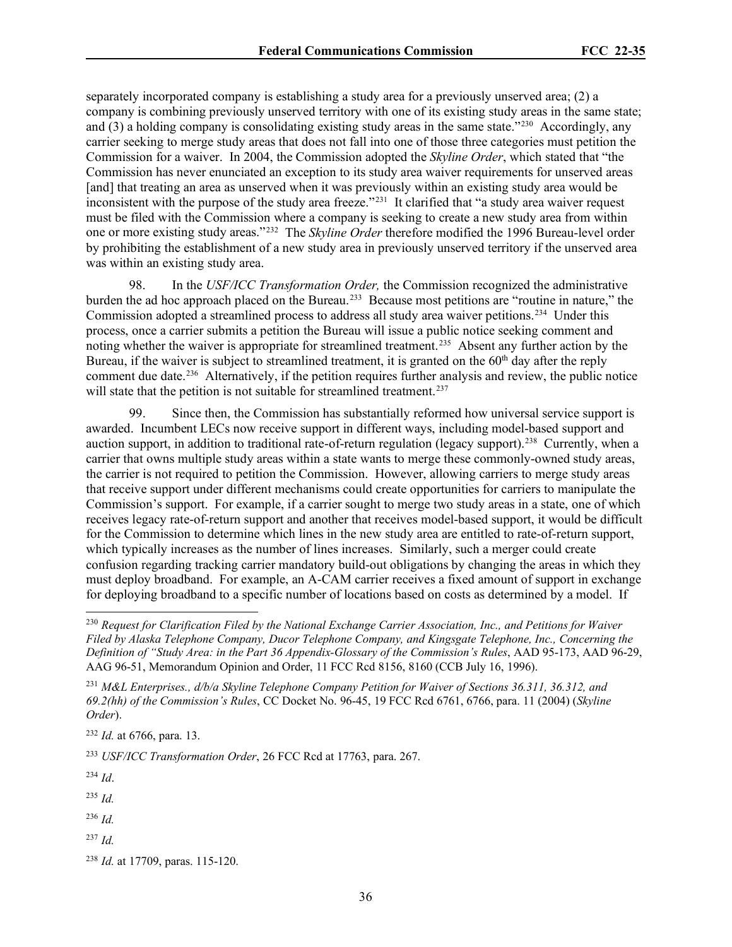separately incorporated company is establishing a study area for a previously unserved area; (2) a company is combining previously unserved territory with one of its existing study areas in the same state; and  $(3)$  a holding company is consolidating existing study areas in the same state."<sup>[230](#page-35-0)</sup> Accordingly, any carrier seeking to merge study areas that does not fall into one of those three categories must petition the Commission for a waiver. In 2004, the Commission adopted the *Skyline Order*, which stated that "the Commission has never enunciated an exception to its study area waiver requirements for unserved areas [and] that treating an area as unserved when it was previously within an existing study area would be inconsistent with the purpose of the study area freeze."[231](#page-35-1) It clarified that "a study area waiver request must be filed with the Commission where a company is seeking to create a new study area from within one or more existing study areas."[232](#page-35-2) The *Skyline Order* therefore modified the 1996 Bureau-level order by prohibiting the establishment of a new study area in previously unserved territory if the unserved area was within an existing study area.

98. In the *USF/ICC Transformation Order,* the Commission recognized the administrative burden the ad hoc approach placed on the Bureau.<sup>[233](#page-35-3)</sup> Because most petitions are "routine in nature," the Commission adopted a streamlined process to address all study area waiver petitions.[234](#page-35-4) Under this process, once a carrier submits a petition the Bureau will issue a public notice seeking comment and noting whether the waiver is appropriate for streamlined treatment.<sup>235</sup> Absent any further action by the Bureau, if the waiver is subject to streamlined treatment, it is granted on the 60<sup>th</sup> day after the reply comment due date.<sup>[236](#page-35-6)</sup> Alternatively, if the petition requires further analysis and review, the public notice will state that the petition is not suitable for streamlined treatment.<sup>[237](#page-35-7)</sup>

99. Since then, the Commission has substantially reformed how universal service support is awarded. Incumbent LECs now receive support in different ways, including model-based support and auction support, in addition to traditional rate-of-return regulation (legacy support).<sup>238</sup> Currently, when a carrier that owns multiple study areas within a state wants to merge these commonly-owned study areas, the carrier is not required to petition the Commission. However, allowing carriers to merge study areas that receive support under different mechanisms could create opportunities for carriers to manipulate the Commission's support. For example, if a carrier sought to merge two study areas in a state, one of which receives legacy rate-of-return support and another that receives model-based support, it would be difficult for the Commission to determine which lines in the new study area are entitled to rate-of-return support, which typically increases as the number of lines increases. Similarly, such a merger could create confusion regarding tracking carrier mandatory build-out obligations by changing the areas in which they must deploy broadband. For example, an A-CAM carrier receives a fixed amount of support in exchange for deploying broadband to a specific number of locations based on costs as determined by a model. If

<span id="page-35-2"></span><sup>232</sup> *Id.* at 6766, para. 13.

<span id="page-35-3"></span><sup>233</sup> *USF/ICC Transformation Order*, 26 FCC Rcd at 17763, para. 267.

<span id="page-35-4"></span><sup>234</sup> *Id*.

<span id="page-35-5"></span><sup>235</sup> *Id.*

<span id="page-35-6"></span><sup>236</sup> *Id.*

<span id="page-35-7"></span> $^{237}$  *Id.* 

<span id="page-35-0"></span><sup>230</sup> *Request for Clarification Filed by the National Exchange Carrier Association, Inc., and Petitions for Waiver Filed by Alaska Telephone Company, Ducor Telephone Company, and Kingsgate Telephone, Inc., Concerning the Definition of "Study Area: in the Part 36 Appendix-Glossary of the Commission's Rules*, AAD 95-173, AAD 96-29, AAG 96-51, Memorandum Opinion and Order, 11 FCC Rcd 8156, 8160 (CCB July 16, 1996).

<span id="page-35-1"></span><sup>231</sup> *M&L Enterprises., d/b/a Skyline Telephone Company Petition for Waiver of Sections 36.311, 36.312, and 69.2(hh) of the Commission's Rules*, CC Docket No. 96-45, 19 FCC Rcd 6761, 6766, para. 11 (2004) (*Skyline Order*).

<span id="page-35-8"></span><sup>238</sup> *Id.* at 17709, paras. 115-120.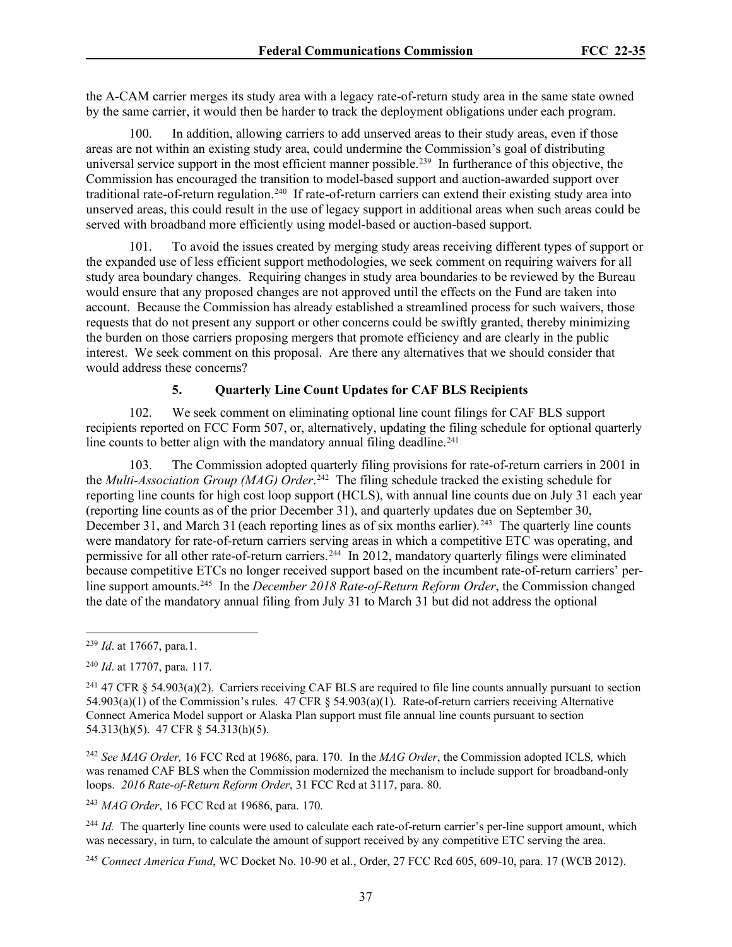the A-CAM carrier merges its study area with a legacy rate-of-return study area in the same state owned by the same carrier, it would then be harder to track the deployment obligations under each program.

100. In addition, allowing carriers to add unserved areas to their study areas, even if those areas are not within an existing study area, could undermine the Commission's goal of distributing universal service support in the most efficient manner possible.<sup>[239](#page-36-0)</sup> In furtherance of this objective, the Commission has encouraged the transition to model-based support and auction-awarded support over traditional rate-of-return regulation.[240](#page-36-1) If rate-of-return carriers can extend their existing study area into unserved areas, this could result in the use of legacy support in additional areas when such areas could be served with broadband more efficiently using model-based or auction-based support.

101. To avoid the issues created by merging study areas receiving different types of support or the expanded use of less efficient support methodologies, we seek comment on requiring waivers for all study area boundary changes. Requiring changes in study area boundaries to be reviewed by the Bureau would ensure that any proposed changes are not approved until the effects on the Fund are taken into account. Because the Commission has already established a streamlined process for such waivers, those requests that do not present any support or other concerns could be swiftly granted, thereby minimizing the burden on those carriers proposing mergers that promote efficiency and are clearly in the public interest. We seek comment on this proposal. Are there any alternatives that we should consider that would address these concerns?

### **5. Quarterly Line Count Updates for CAF BLS Recipients**

102. We seek comment on eliminating optional line count filings for CAF BLS support recipients reported on FCC Form 507, or, alternatively, updating the filing schedule for optional quarterly line counts to better align with the mandatory annual filing deadline.<sup>[241](#page-36-2)</sup>

103. The Commission adopted quarterly filing provisions for rate-of-return carriers in 2001 in the *Multi-Association Group (MAG) Order*. [242](#page-36-3) The filing schedule tracked the existing schedule for reporting line counts for high cost loop support (HCLS), with annual line counts due on July 31 each year (reporting line counts as of the prior December 31), and quarterly updates due on September 30, December 31, and March 31 (each reporting lines as of six months earlier).<sup>[243](#page-36-4)</sup> The quarterly line counts were mandatory for rate-of-return carriers serving areas in which a competitive ETC was operating, and permissive for all other rate-of-return carriers.<sup>244</sup> In 2012, mandatory quarterly filings were eliminated because competitive ETCs no longer received support based on the incumbent rate-of-return carriers' perline support amounts.[245](#page-36-6) In the *December 2018 Rate-of-Return Reform Order*, the Commission changed the date of the mandatory annual filing from July 31 to March 31 but did not address the optional

<span id="page-36-0"></span><sup>239</sup> *Id*. at 17667, para.1.

<span id="page-36-1"></span><sup>240</sup> *Id*. at 17707, para. 117.

<span id="page-36-2"></span><sup>&</sup>lt;sup>241</sup> 47 CFR § 54.903(a)(2). Carriers receiving CAF BLS are required to file line counts annually pursuant to section 54.903(a)(1) of the Commission's rules. 47 CFR § 54.903(a)(1). Rate-of-return carriers receiving Alternative Connect America Model support or Alaska Plan support must file annual line counts pursuant to section 54.313(h)(5). 47 CFR § 54.313(h)(5).

<span id="page-36-3"></span><sup>242</sup> *See MAG Order,* 16 FCC Rcd at 19686, para. 170. In the *MAG Order*, the Commission adopted ICLS*,* which was renamed CAF BLS when the Commission modernized the mechanism to include support for broadband-only loops. *2016 Rate-of-Return Reform Order*, 31 FCC Rcd at 3117, para. 80.

<span id="page-36-4"></span><sup>243</sup> *MAG Order*, 16 FCC Rcd at 19686, para. 170.

<span id="page-36-5"></span><sup>&</sup>lt;sup>244</sup> *Id.* The quarterly line counts were used to calculate each rate-of-return carrier's per-line support amount, which was necessary, in turn, to calculate the amount of support received by any competitive ETC serving the area.

<span id="page-36-6"></span><sup>245</sup> *Connect America Fund*, WC Docket No. 10-90 et al., Order, 27 FCC Rcd 605, 609-10, para. 17 (WCB 2012).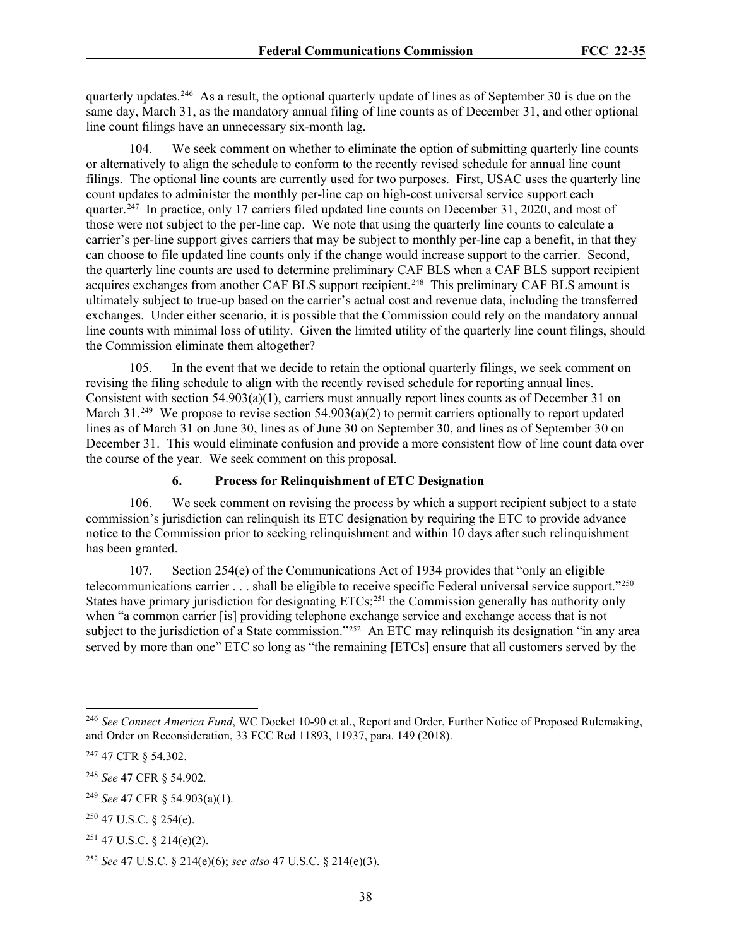quarterly updates.[246](#page-37-0) As a result, the optional quarterly update of lines as of September 30 is due on the same day, March 31, as the mandatory annual filing of line counts as of December 31, and other optional line count filings have an unnecessary six-month lag.

We seek comment on whether to eliminate the option of submitting quarterly line counts or alternatively to align the schedule to conform to the recently revised schedule for annual line count filings. The optional line counts are currently used for two purposes. First, USAC uses the quarterly line count updates to administer the monthly per-line cap on high-cost universal service support each quarter.<sup>247</sup> In practice, only 17 carriers filed updated line counts on December 31, 2020, and most of those were not subject to the per-line cap. We note that using the quarterly line counts to calculate a carrier's per-line support gives carriers that may be subject to monthly per-line cap a benefit, in that they can choose to file updated line counts only if the change would increase support to the carrier. Second, the quarterly line counts are used to determine preliminary CAF BLS when a CAF BLS support recipient acquires exchanges from another CAF BLS support recipient.<sup>248</sup> This preliminary CAF BLS amount is ultimately subject to true-up based on the carrier's actual cost and revenue data, including the transferred exchanges. Under either scenario, it is possible that the Commission could rely on the mandatory annual line counts with minimal loss of utility. Given the limited utility of the quarterly line count filings, should the Commission eliminate them altogether?

105. In the event that we decide to retain the optional quarterly filings, we seek comment on revising the filing schedule to align with the recently revised schedule for reporting annual lines. Consistent with section 54.903(a)(1), carriers must annually report lines counts as of December 31 on March 31.<sup>[249](#page-37-3)</sup> We propose to revise section 54.903(a)(2) to permit carriers optionally to report updated lines as of March 31 on June 30, lines as of June 30 on September 30, and lines as of September 30 on December 31. This would eliminate confusion and provide a more consistent flow of line count data over the course of the year. We seek comment on this proposal.

### **6. Process for Relinquishment of ETC Designation**

106. We seek comment on revising the process by which a support recipient subject to a state commission's jurisdiction can relinquish its ETC designation by requiring the ETC to provide advance notice to the Commission prior to seeking relinquishment and within 10 days after such relinquishment has been granted.

107. Section 254(e) of the Communications Act of 1934 provides that "only an eligible telecommunications carrier . . . shall be eligible to receive specific Federal universal service support."[250](#page-37-4) States have primary jurisdiction for designating ETCs;<sup>[251](#page-37-5)</sup> the Commission generally has authority only when "a common carrier [is] providing telephone exchange service and exchange access that is not subject to the jurisdiction of a State commission."<sup>[252](#page-37-6)</sup> An ETC may relinquish its designation "in any area served by more than one" ETC so long as "the remaining [ETCs] ensure that all customers served by the

<span id="page-37-0"></span><sup>246</sup> *See Connect America Fund*, WC Docket 10-90 et al., Report and Order, Further Notice of Proposed Rulemaking, and Order on Reconsideration, 33 FCC Rcd 11893, 11937, para. 149 (2018).

<span id="page-37-1"></span><sup>247</sup> 47 CFR § 54.302.

<span id="page-37-2"></span><sup>248</sup> *See* 47 CFR § 54.902.

<span id="page-37-3"></span><sup>249</sup> *See* 47 CFR § 54.903(a)(1).

<span id="page-37-4"></span> $250$  47 U.S.C. § 254(e).

<span id="page-37-5"></span> $251$  47 U.S.C. § 214(e)(2).

<span id="page-37-6"></span><sup>252</sup> *See* 47 U.S.C. § 214(e)(6); *see also* 47 U.S.C. § 214(e)(3).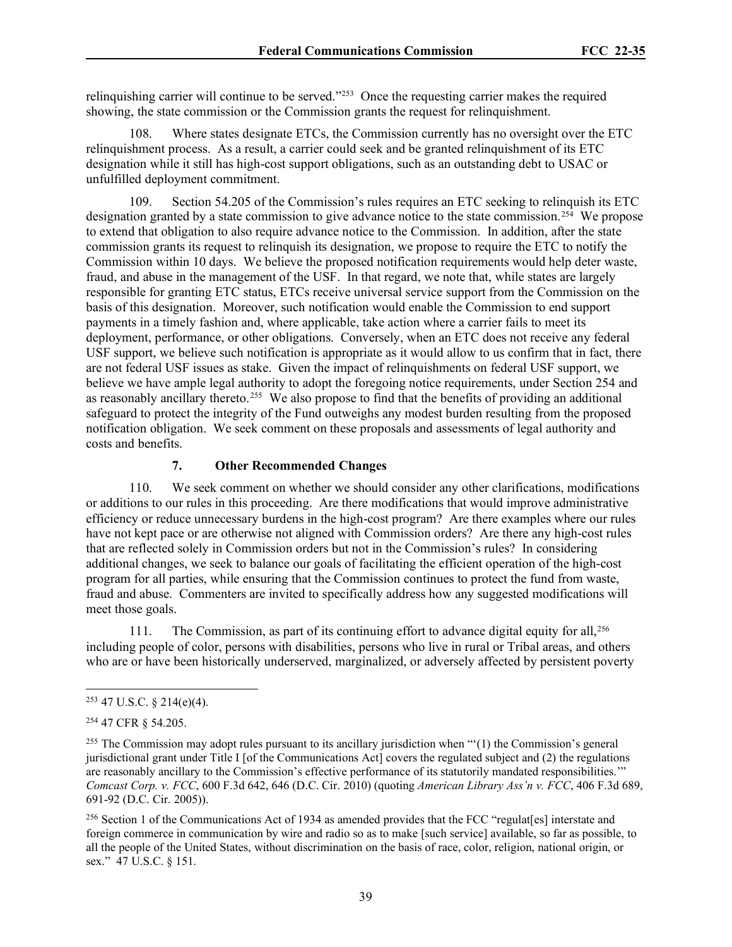relinquishing carrier will continue to be served."[253](#page-38-0) Once the requesting carrier makes the required showing, the state commission or the Commission grants the request for relinquishment.

108. Where states designate ETCs, the Commission currently has no oversight over the ETC relinquishment process. As a result, a carrier could seek and be granted relinquishment of its ETC designation while it still has high-cost support obligations, such as an outstanding debt to USAC or unfulfilled deployment commitment.

109. Section 54.205 of the Commission's rules requires an ETC seeking to relinquish its ETC designation granted by a state commission to give advance notice to the state commission.<sup>[254](#page-38-1)</sup> We propose to extend that obligation to also require advance notice to the Commission. In addition, after the state commission grants its request to relinquish its designation, we propose to require the ETC to notify the Commission within 10 days. We believe the proposed notification requirements would help deter waste, fraud, and abuse in the management of the USF. In that regard, we note that, while states are largely responsible for granting ETC status, ETCs receive universal service support from the Commission on the basis of this designation. Moreover, such notification would enable the Commission to end support payments in a timely fashion and, where applicable, take action where a carrier fails to meet its deployment, performance, or other obligations. Conversely, when an ETC does not receive any federal USF support, we believe such notification is appropriate as it would allow to us confirm that in fact, there are not federal USF issues as stake. Given the impact of relinquishments on federal USF support, we believe we have ample legal authority to adopt the foregoing notice requirements, under Section 254 and as reasonably ancillary thereto.<sup>255</sup> We also propose to find that the benefits of providing an additional safeguard to protect the integrity of the Fund outweighs any modest burden resulting from the proposed notification obligation. We seek comment on these proposals and assessments of legal authority and costs and benefits.

### **7. Other Recommended Changes**

110. We seek comment on whether we should consider any other clarifications, modifications or additions to our rules in this proceeding. Are there modifications that would improve administrative efficiency or reduce unnecessary burdens in the high-cost program? Are there examples where our rules have not kept pace or are otherwise not aligned with Commission orders? Are there any high-cost rules that are reflected solely in Commission orders but not in the Commission's rules? In considering additional changes, we seek to balance our goals of facilitating the efficient operation of the high-cost program for all parties, while ensuring that the Commission continues to protect the fund from waste, fraud and abuse. Commenters are invited to specifically address how any suggested modifications will meet those goals.

111. The Commission, as part of its continuing effort to advance digital equity for all,<sup>[256](#page-38-3)</sup> including people of color, persons with disabilities, persons who live in rural or Tribal areas, and others who are or have been historically underserved, marginalized, or adversely affected by persistent poverty

<span id="page-38-0"></span> $253$  47 U.S.C. § 214(e)(4).

<span id="page-38-1"></span><sup>254</sup> 47 CFR § 54.205.

<span id="page-38-2"></span><sup>&</sup>lt;sup>255</sup> The Commission may adopt rules pursuant to its ancillary jurisdiction when "'(1) the Commission's general jurisdictional grant under Title I [of the Communications Act] covers the regulated subject and (2) the regulations are reasonably ancillary to the Commission's effective performance of its statutorily mandated responsibilities.'" *Comcast Corp. v. FCC*, 600 F.3d 642, 646 (D.C. Cir. 2010) (quoting *American Library Ass'n v. FCC*, 406 F.3d 689, 691-92 (D.C. Cir. 2005)).

<span id="page-38-3"></span><sup>256</sup> Section 1 of the Communications Act of 1934 as amended provides that the FCC "regulat[es] interstate and foreign commerce in communication by wire and radio so as to make [such service] available, so far as possible, to all the people of the United States, without discrimination on the basis of race, color, religion, national origin, or sex." 47 U.S.C. § 151.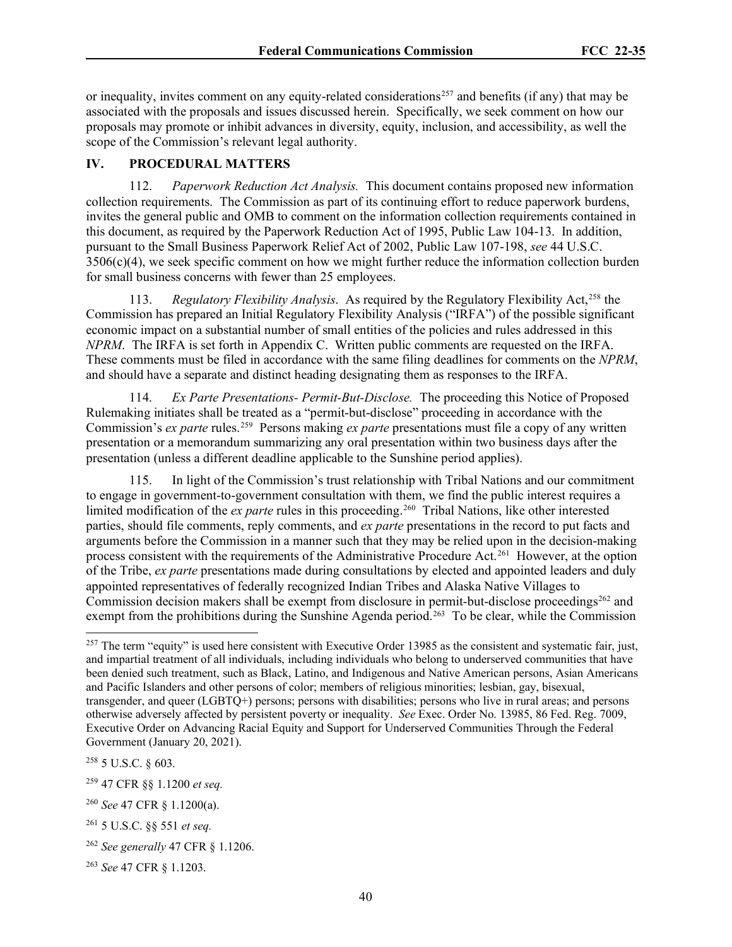or inequality, invites comment on any equity-related considerations<sup>[257](#page-39-0)</sup> and benefits (if any) that may be associated with the proposals and issues discussed herein. Specifically, we seek comment on how our proposals may promote or inhibit advances in diversity, equity, inclusion, and accessibility, as well the scope of the Commission's relevant legal authority.

### **IV. PROCEDURAL MATTERS**

112. *Paperwork Reduction Act Analysis.* This document contains proposed new information collection requirements. The Commission as part of its continuing effort to reduce paperwork burdens, invites the general public and OMB to comment on the information collection requirements contained in this document, as required by the Paperwork Reduction Act of 1995, Public Law 104-13. In addition, pursuant to the Small Business Paperwork Relief Act of 2002, Public Law 107-198, *see* 44 U.S.C. 3506(c)(4), we seek specific comment on how we might further reduce the information collection burden for small business concerns with fewer than 25 employees.

113. *Regulatory Flexibility Analysis*. As required by the Regulatory Flexibility Act,<sup>[258](#page-39-1)</sup> the Commission has prepared an Initial Regulatory Flexibility Analysis ("IRFA") of the possible significant economic impact on a substantial number of small entities of the policies and rules addressed in this *NPRM*. The IRFA is set forth in Appendix C. Written public comments are requested on the IRFA. These comments must be filed in accordance with the same filing deadlines for comments on the *NPRM*, and should have a separate and distinct heading designating them as responses to the IRFA.

114. *Ex Parte Presentations- Permit-But-Disclose.* The proceeding this Notice of Proposed Rulemaking initiates shall be treated as a "permit-but-disclose" proceeding in accordance with the Commission's *ex parte* rules.[259](#page-39-2) Persons making *ex parte* presentations must file a copy of any written presentation or a memorandum summarizing any oral presentation within two business days after the presentation (unless a different deadline applicable to the Sunshine period applies).

115. In light of the Commission's trust relationship with Tribal Nations and our commitment to engage in government-to-government consultation with them, we find the public interest requires a limited modification of the *ex parte* rules in this proceeding.<sup>260</sup> Tribal Nations, like other interested parties, should file comments, reply comments, and *ex parte* presentations in the record to put facts and arguments before the Commission in a manner such that they may be relied upon in the decision-making process consistent with the requirements of the Administrative Procedure Act.<sup>261</sup> However, at the option of the Tribe, *ex parte* presentations made during consultations by elected and appointed leaders and duly appointed representatives of federally recognized Indian Tribes and Alaska Native Villages to Commission decision makers shall be exempt from disclosure in permit-but-disclose proceedings<sup>[262](#page-39-5)</sup> and exempt from the prohibitions during the Sunshine Agenda period.<sup>263</sup> To be clear, while the Commission

<span id="page-39-0"></span> $257$  The term "equity" is used here consistent with Executive Order 13985 as the consistent and systematic fair, just, and impartial treatment of all individuals, including individuals who belong to underserved communities that have been denied such treatment, such as Black, Latino, and Indigenous and Native American persons, Asian Americans and Pacific Islanders and other persons of color; members of religious minorities; lesbian, gay, bisexual, transgender, and queer (LGBTQ+) persons; persons with disabilities; persons who live in rural areas; and persons otherwise adversely affected by persistent poverty or inequality. *See* Exec. Order No. 13985, 86 Fed. Reg. 7009, Executive Order on Advancing Racial Equity and Support for Underserved Communities Through the Federal Government (January 20, 2021).

<span id="page-39-1"></span><sup>258</sup> 5 U.S.C. § 603.

<span id="page-39-2"></span><sup>259</sup> 47 CFR §§ 1.1200 *et seq.*

<span id="page-39-3"></span><sup>260</sup> *See* 47 CFR § 1.1200(a).

<span id="page-39-4"></span><sup>261</sup> 5 U.S.C. §§ 551 *et seq.*

<span id="page-39-5"></span><sup>262</sup> *See generally* 47 CFR § 1.1206.

<span id="page-39-6"></span><sup>263</sup> *See* 47 CFR § 1.1203.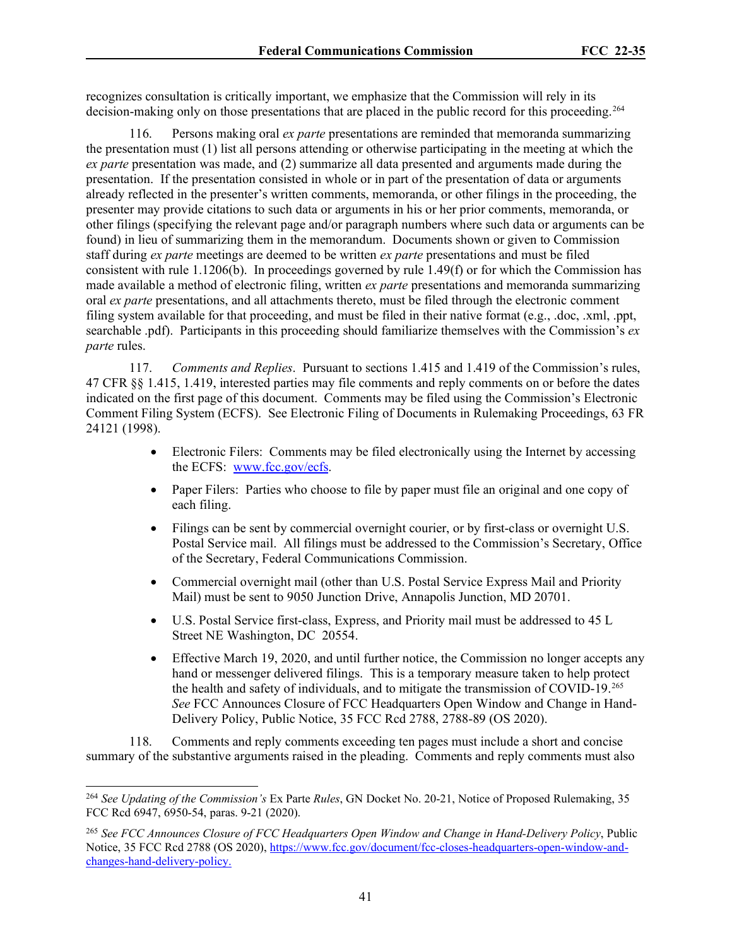recognizes consultation is critically important, we emphasize that the Commission will rely in its decision-making only on those presentations that are placed in the public record for this proceeding.<sup>[264](#page-40-0)</sup>

116. Persons making oral *ex parte* presentations are reminded that memoranda summarizing the presentation must (1) list all persons attending or otherwise participating in the meeting at which the *ex parte* presentation was made, and (2) summarize all data presented and arguments made during the presentation. If the presentation consisted in whole or in part of the presentation of data or arguments already reflected in the presenter's written comments, memoranda, or other filings in the proceeding, the presenter may provide citations to such data or arguments in his or her prior comments, memoranda, or other filings (specifying the relevant page and/or paragraph numbers where such data or arguments can be found) in lieu of summarizing them in the memorandum. Documents shown or given to Commission staff during *ex parte* meetings are deemed to be written *ex parte* presentations and must be filed consistent with rule 1.1206(b). In proceedings governed by rule 1.49(f) or for which the Commission has made available a method of electronic filing, written *ex parte* presentations and memoranda summarizing oral *ex parte* presentations, and all attachments thereto, must be filed through the electronic comment filing system available for that proceeding, and must be filed in their native format (e.g., .doc, .xml, .ppt, searchable .pdf). Participants in this proceeding should familiarize themselves with the Commission's *ex parte* rules.

117. *Comments and Replies*. Pursuant to sections 1.415 and 1.419 of the Commission's rules, 47 CFR §§ 1.415, 1.419, interested parties may file comments and reply comments on or before the dates indicated on the first page of this document. Comments may be filed using the Commission's Electronic Comment Filing System (ECFS). See Electronic Filing of Documents in Rulemaking Proceedings, 63 FR 24121 (1998).

- Electronic Filers: Comments may be filed electronically using the Internet by accessing the ECFS: [www.fcc.gov/ecfs.](http://www.fcc.gov/ecfs)
- Paper Filers: Parties who choose to file by paper must file an original and one copy of each filing.
- Filings can be sent by commercial overnight courier, or by first-class or overnight U.S. Postal Service mail. All filings must be addressed to the Commission's Secretary, Office of the Secretary, Federal Communications Commission.
- Commercial overnight mail (other than U.S. Postal Service Express Mail and Priority Mail) must be sent to 9050 Junction Drive, Annapolis Junction, MD 20701.
- U.S. Postal Service first-class, Express, and Priority mail must be addressed to 45 L Street NE Washington, DC 20554.
- Effective March 19, 2020, and until further notice, the Commission no longer accepts any hand or messenger delivered filings. This is a temporary measure taken to help protect the health and safety of individuals, and to mitigate the transmission of COVID-19.[265](#page-40-1) *See* FCC Announces Closure of FCC Headquarters Open Window and Change in Hand-Delivery Policy, Public Notice, 35 FCC Rcd 2788, 2788-89 (OS 2020).

118. Comments and reply comments exceeding ten pages must include a short and concise summary of the substantive arguments raised in the pleading. Comments and reply comments must also

<span id="page-40-0"></span><sup>264</sup> *See Updating of the Commission's* Ex Parte *Rules*, GN Docket No. 20-21, Notice of Proposed Rulemaking, 35 FCC Rcd 6947, 6950-54, paras. 9-21 (2020).

<span id="page-40-1"></span><sup>265</sup> *See FCC Announces Closure of FCC Headquarters Open Window and Change in Hand-Delivery Policy*, Public Notice, 35 FCC Rcd 2788 (OS 2020)[, https://www.fcc.gov/document/fcc-closes-headquarters-open-window-and](https://www.fcc.gov/document/fcc-closes-headquarters-open-window-and-changes-hand-delivery-policy)[changes-hand-delivery-policy.](https://www.fcc.gov/document/fcc-closes-headquarters-open-window-and-changes-hand-delivery-policy)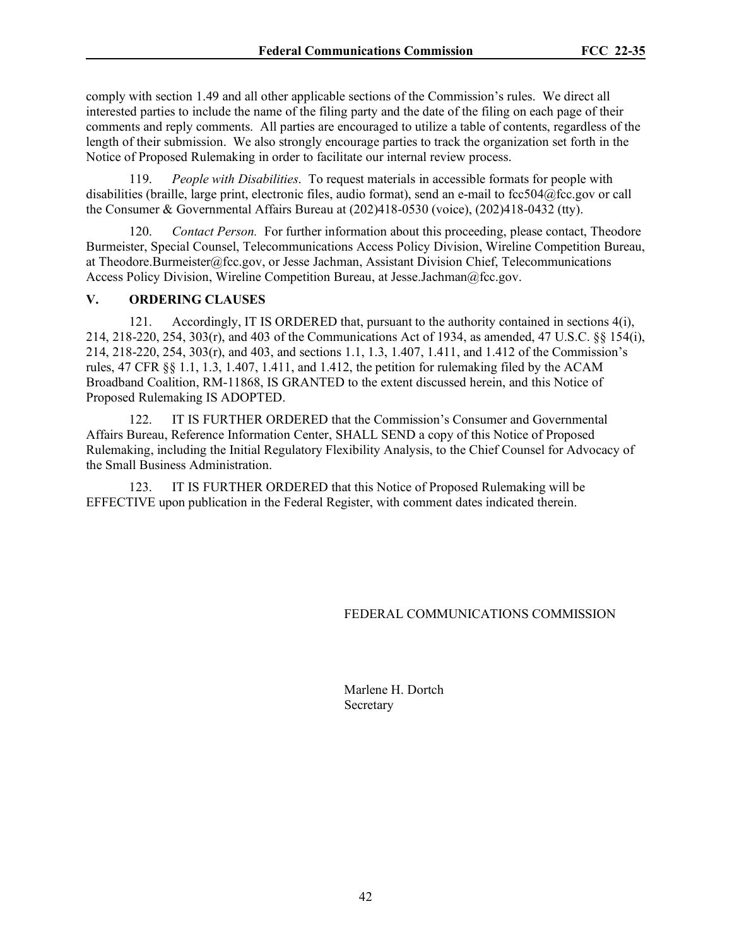comply with section 1.49 and all other applicable sections of the Commission's rules. We direct all interested parties to include the name of the filing party and the date of the filing on each page of their comments and reply comments. All parties are encouraged to utilize a table of contents, regardless of the length of their submission. We also strongly encourage parties to track the organization set forth in the Notice of Proposed Rulemaking in order to facilitate our internal review process.

119. *People with Disabilities*. To request materials in accessible formats for people with disabilities (braille, large print, electronic files, audio format), send an e-mail to fcc504@fcc.gov or call the Consumer & Governmental Affairs Bureau at (202)418-0530 (voice), (202)418-0432 (tty).

120. *Contact Person.* For further information about this proceeding, please contact, Theodore Burmeister, Special Counsel, Telecommunications Access Policy Division, Wireline Competition Bureau, at Theodore.Burmeister@fcc.gov, or Jesse Jachman, Assistant Division Chief, Telecommunications Access Policy Division, Wireline Competition Bureau, at Jesse.Jachman@fcc.gov.

### **V. ORDERING CLAUSES**

121. Accordingly, IT IS ORDERED that, pursuant to the authority contained in sections 4(i), 214, 218-220, 254, 303(r), and 403 of the Communications Act of 1934, as amended, 47 U.S.C. §§ 154(i), 214, 218-220, 254, 303(r), and 403, and sections 1.1, 1.3, 1.407, 1.411, and 1.412 of the Commission's rules, 47 CFR §§ 1.1, 1.3, 1.407, 1.411, and 1.412, the petition for rulemaking filed by the ACAM Broadband Coalition, RM-11868, IS GRANTED to the extent discussed herein, and this Notice of Proposed Rulemaking IS ADOPTED.

122. IT IS FURTHER ORDERED that the Commission's Consumer and Governmental Affairs Bureau, Reference Information Center, SHALL SEND a copy of this Notice of Proposed Rulemaking, including the Initial Regulatory Flexibility Analysis, to the Chief Counsel for Advocacy of the Small Business Administration.

123. IT IS FURTHER ORDERED that this Notice of Proposed Rulemaking will be EFFECTIVE upon publication in the Federal Register, with comment dates indicated therein.

### FEDERAL COMMUNICATIONS COMMISSION

Marlene H. Dortch Secretary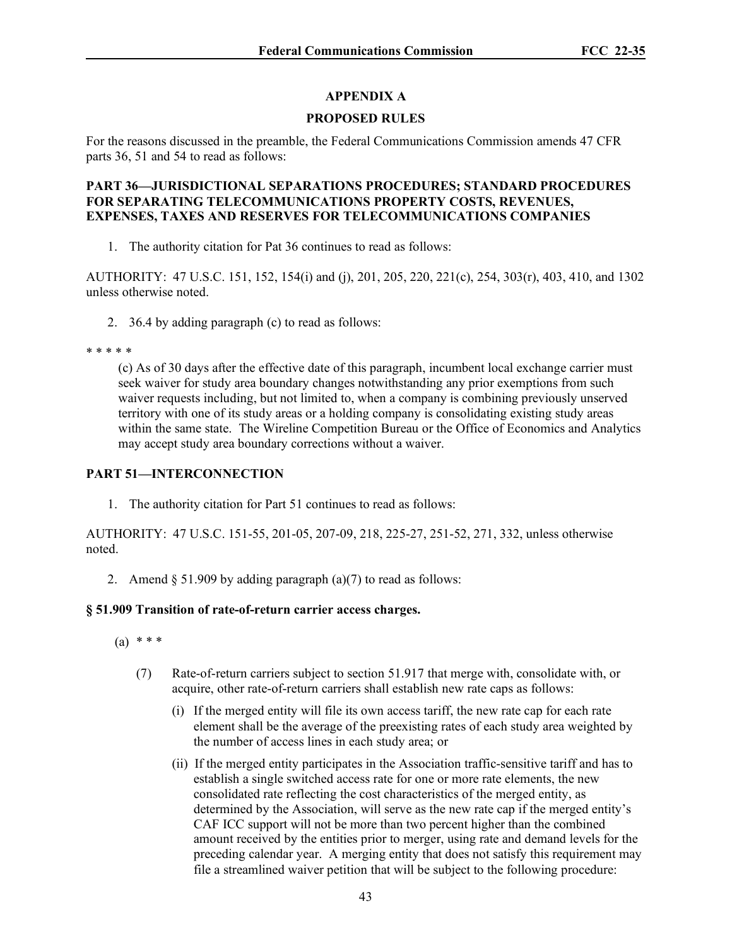# **APPENDIX A**

## **PROPOSED RULES**

For the reasons discussed in the preamble, the Federal Communications Commission amends 47 CFR parts 36, 51 and 54 to read as follows:

### **PART 36—JURISDICTIONAL SEPARATIONS PROCEDURES; STANDARD PROCEDURES FOR SEPARATING TELECOMMUNICATIONS PROPERTY COSTS, REVENUES, EXPENSES, TAXES AND RESERVES FOR TELECOMMUNICATIONS COMPANIES**

1. The authority citation for Pat 36 continues to read as follows:

AUTHORITY: 47 U.S.C. 151, 152, 154(i) and (j), 201, 205, 220, 221(c), 254, 303(r), 403, 410, and 1302 unless otherwise noted.

2. 36.4 by adding paragraph (c) to read as follows:

### \* \* \* \* \*

(c) As of 30 days after the effective date of this paragraph, incumbent local exchange carrier must seek waiver for study area boundary changes notwithstanding any prior exemptions from such waiver requests including, but not limited to, when a company is combining previously unserved territory with one of its study areas or a holding company is consolidating existing study areas within the same state. The Wireline Competition Bureau or the Office of Economics and Analytics may accept study area boundary corrections without a waiver.

### **PART 51—INTERCONNECTION**

1. The authority citation for Part 51 continues to read as follows:

AUTHORITY: 47 U.S.C. 151-55, 201-05, 207-09, 218, 225-27, 251-52, 271, 332, unless otherwise noted.

2. Amend  $\S 51.909$  by adding paragraph (a)(7) to read as follows:

### **§ 51.909 Transition of rate-of-return carrier access charges.**

- (a) \* \* \*
	- (7) Rate-of-return carriers subject to section 51.917 that merge with, consolidate with, or acquire, other rate-of-return carriers shall establish new rate caps as follows:
		- (i) If the merged entity will file its own access tariff, the new rate cap for each rate element shall be the average of the preexisting rates of each study area weighted by the number of access lines in each study area; or
		- (ii) If the merged entity participates in the Association traffic-sensitive tariff and has to establish a single switched access rate for one or more rate elements, the new consolidated rate reflecting the cost characteristics of the merged entity, as determined by the Association, will serve as the new rate cap if the merged entity's CAF ICC support will not be more than two percent higher than the combined amount received by the entities prior to merger, using rate and demand levels for the preceding calendar year. A merging entity that does not satisfy this requirement may file a streamlined waiver petition that will be subject to the following procedure: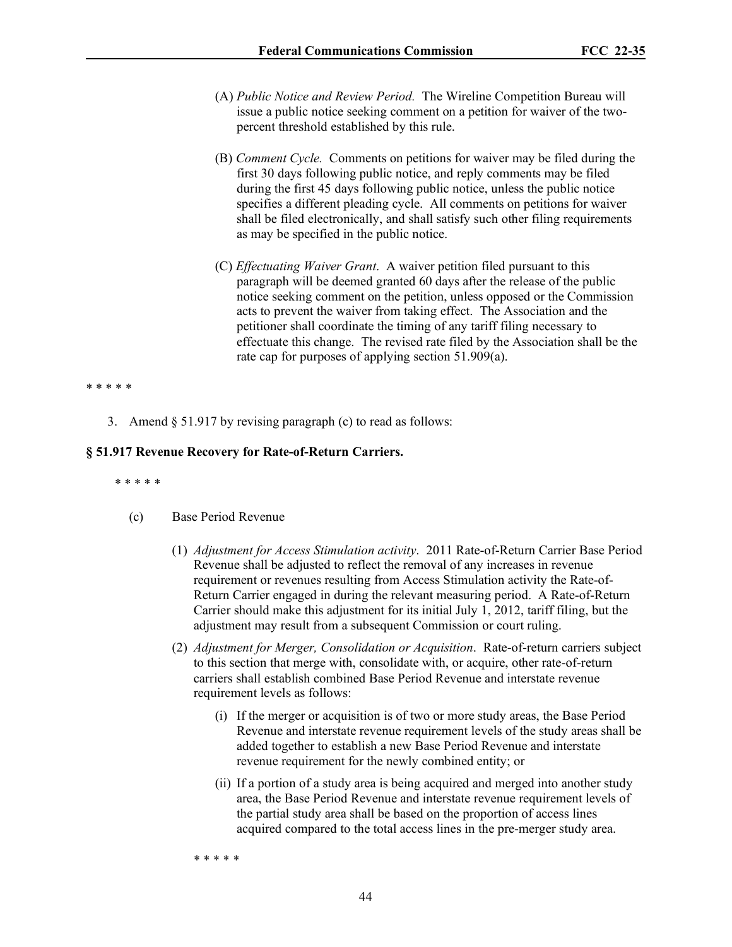- (A) *Public Notice and Review Period.* The Wireline Competition Bureau will issue a public notice seeking comment on a petition for waiver of the twopercent threshold established by this rule.
- (B) *Comment Cycle.* Comments on petitions for waiver may be filed during the first 30 days following public notice, and reply comments may be filed during the first 45 days following public notice, unless the public notice specifies a different pleading cycle. All comments on petitions for waiver shall be filed electronically, and shall satisfy such other filing requirements as may be specified in the public notice.
- (C) *Effectuating Waiver Grant*. A waiver petition filed pursuant to this paragraph will be deemed granted 60 days after the release of the public notice seeking comment on the petition, unless opposed or the Commission acts to prevent the waiver from taking effect. The Association and the petitioner shall coordinate the timing of any tariff filing necessary to effectuate this change. The revised rate filed by the Association shall be the rate cap for purposes of applying section 51.909(a).

#### \* \* \* \* \*

3. Amend § 51.917 by revising paragraph (c) to read as follows:

#### **§ 51.917 Revenue Recovery for Rate-of-Return Carriers.**

\* \* \* \* \*

#### (c) Base Period Revenue

- (1) *Adjustment for Access Stimulation activity*. 2011 Rate-of-Return Carrier Base Period Revenue shall be adjusted to reflect the removal of any increases in revenue requirement or revenues resulting from Access Stimulation activity the Rate-of-Return Carrier engaged in during the relevant measuring period. A Rate-of-Return Carrier should make this adjustment for its initial July 1, 2012, tariff filing, but the adjustment may result from a subsequent Commission or court ruling.
- (2) *Adjustment for Merger, Consolidation or Acquisition*. Rate-of-return carriers subject to this section that merge with, consolidate with, or acquire, other rate-of-return carriers shall establish combined Base Period Revenue and interstate revenue requirement levels as follows:
	- (i) If the merger or acquisition is of two or more study areas, the Base Period Revenue and interstate revenue requirement levels of the study areas shall be added together to establish a new Base Period Revenue and interstate revenue requirement for the newly combined entity; or
	- (ii) If a portion of a study area is being acquired and merged into another study area, the Base Period Revenue and interstate revenue requirement levels of the partial study area shall be based on the proportion of access lines acquired compared to the total access lines in the pre-merger study area.

\* \* \* \* \*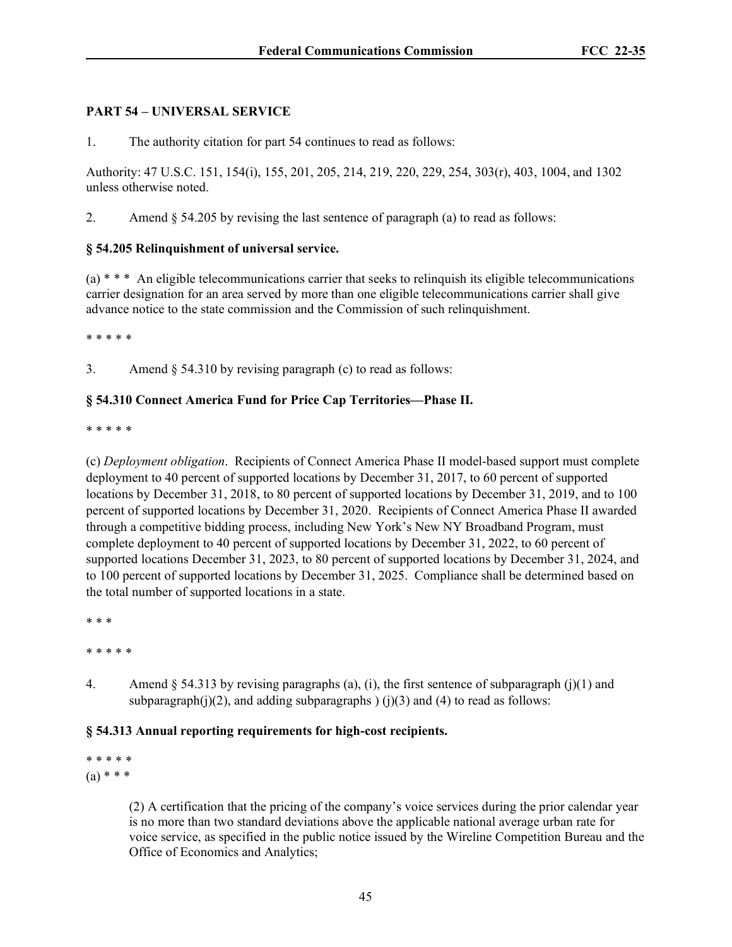# **PART 54 – UNIVERSAL SERVICE**

1. The authority citation for part 54 continues to read as follows:

Authority: 47 U.S.C. 151, 154(i), 155, 201, 205, 214, 219, 220, 229, 254, 303(r), 403, 1004, and 1302 unless otherwise noted.

2. Amend  $\S$  54.205 by revising the last sentence of paragraph (a) to read as follows:

# **§ 54.205 Relinquishment of universal service.**

 $(a)$ <sup>\*</sup> \* \* An eligible telecommunications carrier that seeks to relinquish its eligible telecommunications carrier designation for an area served by more than one eligible telecommunications carrier shall give advance notice to the state commission and the Commission of such relinquishment.

\* \* \* \* \*

3. Amend § 54.310 by revising paragraph (c) to read as follows:

# **§ 54.310 Connect America Fund for Price Cap Territories—Phase II.**

\* \* \* \* \*

(c) *Deployment obligation*. Recipients of Connect America Phase II model-based support must complete deployment to 40 percent of supported locations by December 31, 2017, to 60 percent of supported locations by December 31, 2018, to 80 percent of supported locations by December 31, 2019, and to 100 percent of supported locations by December 31, 2020. Recipients of Connect America Phase II awarded through a competitive bidding process, including New York's New NY Broadband Program, must complete deployment to 40 percent of supported locations by December 31, 2022, to 60 percent of supported locations December 31, 2023, to 80 percent of supported locations by December 31, 2024, and to 100 percent of supported locations by December 31, 2025. Compliance shall be determined based on the total number of supported locations in a state.

\* \* \*

\* \* \* \* \*

4. Amend  $\S$  54.313 by revising paragraphs (a), (i), the first sentence of subparagraph (j)(1) and subparagraph(j)(2), and adding subparagraphs ) (j)(3) and (4) to read as follows:

# **§ 54.313 Annual reporting requirements for high-cost recipients.**

\* \* \* \* \*  $(a) * * *$ 

> (2) A certification that the pricing of the company's voice services during the prior calendar year is no more than two standard deviations above the applicable national average urban rate for voice service, as specified in the public notice issued by the Wireline Competition Bureau and the Office of Economics and Analytics;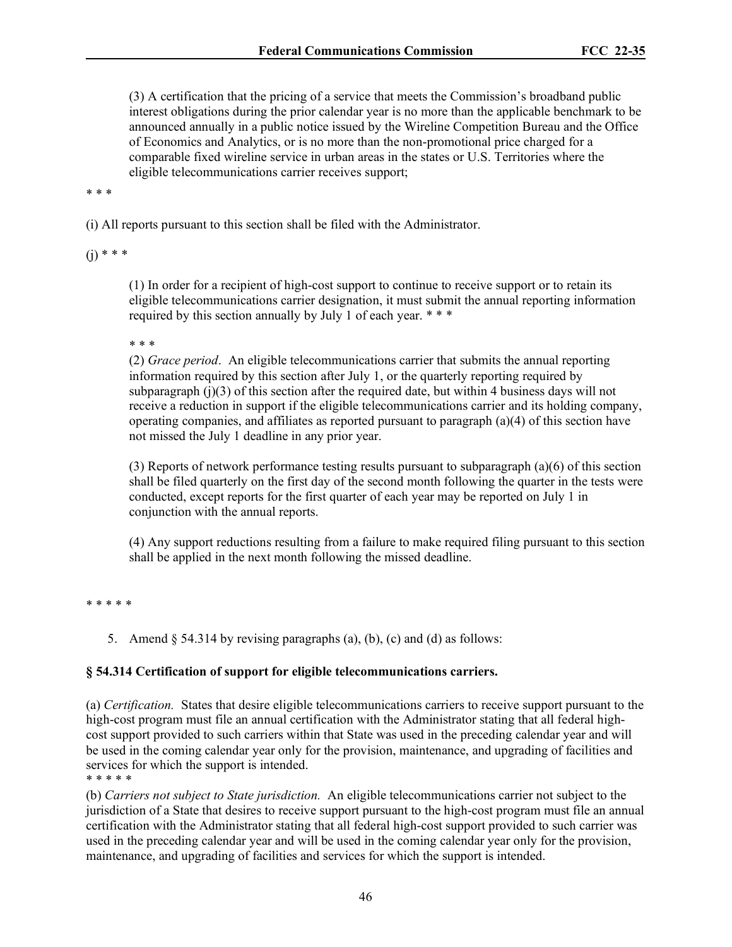(3) A certification that the pricing of a service that meets the Commission's broadband public interest obligations during the prior calendar year is no more than the applicable benchmark to be announced annually in a public notice issued by the Wireline Competition Bureau and the Office of Economics and Analytics, or is no more than the non-promotional price charged for a comparable fixed wireline service in urban areas in the states or U.S. Territories where the eligible telecommunications carrier receives support;

\* \* \*

(i) All reports pursuant to this section shall be filed with the Administrator.

 $(i)$  \* \* \*

(1) In order for a recipient of high-cost support to continue to receive support or to retain its eligible telecommunications carrier designation, it must submit the annual reporting information required by this section annually by July 1 of each year. \*\*\*

\* \* \*

(2) *Grace period*. An eligible telecommunications carrier that submits the annual reporting information required by this section after July 1, or the quarterly reporting required by subparagraph  $(j)(3)$  of this section after the required date, but within 4 business days will not receive a reduction in support if the eligible telecommunications carrier and its holding company, operating companies, and affiliates as reported pursuant to paragraph (a)(4) of this section have not missed the July 1 deadline in any prior year.

(3) Reports of network performance testing results pursuant to subparagraph (a)(6) of this section shall be filed quarterly on the first day of the second month following the quarter in the tests were conducted, except reports for the first quarter of each year may be reported on July 1 in conjunction with the annual reports.

(4) Any support reductions resulting from a failure to make required filing pursuant to this section shall be applied in the next month following the missed deadline.

\* \* \* \* \*

5. Amend  $\S$  54.314 by revising paragraphs (a), (b), (c) and (d) as follows:

### **§ 54.314 Certification of support for eligible telecommunications carriers.**

(a) *Certification.* States that desire eligible telecommunications carriers to receive support pursuant to the high-cost program must file an annual certification with the Administrator stating that all federal highcost support provided to such carriers within that State was used in the preceding calendar year and will be used in the coming calendar year only for the provision, maintenance, and upgrading of facilities and services for which the support is intended. \* \* \* \* \*

(b) *Carriers not subject to State jurisdiction.* An eligible telecommunications carrier not subject to the jurisdiction of a State that desires to receive support pursuant to the high-cost program must file an annual certification with the Administrator stating that all federal high-cost support provided to such carrier was used in the preceding calendar year and will be used in the coming calendar year only for the provision, maintenance, and upgrading of facilities and services for which the support is intended.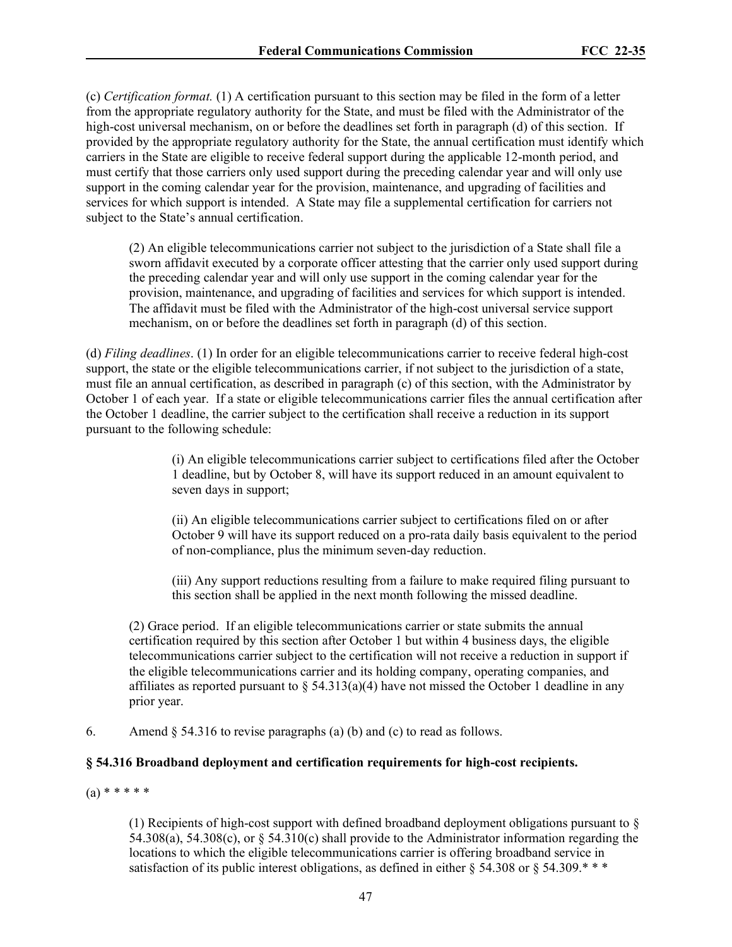(c) *Certification format.* (1) A certification pursuant to this section may be filed in the form of a letter from the appropriate regulatory authority for the State, and must be filed with the Administrator of the high-cost universal mechanism, on or before the deadlines set forth in paragraph (d) of this section. If provided by the appropriate regulatory authority for the State, the annual certification must identify which carriers in the State are eligible to receive federal support during the applicable 12-month period, and must certify that those carriers only used support during the preceding calendar year and will only use support in the coming calendar year for the provision, maintenance, and upgrading of facilities and services for which support is intended. A State may file a supplemental certification for carriers not subject to the State's annual certification.

(2) An eligible telecommunications carrier not subject to the jurisdiction of a State shall file a sworn affidavit executed by a corporate officer attesting that the carrier only used support during the preceding calendar year and will only use support in the coming calendar year for the provision, maintenance, and upgrading of facilities and services for which support is intended. The affidavit must be filed with the Administrator of the high-cost universal service support mechanism, on or before the deadlines set forth in paragraph (d) of this section.

(d) *Filing deadlines*. (1) In order for an eligible telecommunications carrier to receive federal high-cost support, the state or the eligible telecommunications carrier, if not subject to the jurisdiction of a state, must file an annual certification, as described in paragraph (c) of this section, with the Administrator by October 1 of each year. If a state or eligible telecommunications carrier files the annual certification after the October 1 deadline, the carrier subject to the certification shall receive a reduction in its support pursuant to the following schedule:

> (i) An eligible telecommunications carrier subject to certifications filed after the October 1 deadline, but by October 8, will have its support reduced in an amount equivalent to seven days in support;

> (ii) An eligible telecommunications carrier subject to certifications filed on or after October 9 will have its support reduced on a pro-rata daily basis equivalent to the period of non-compliance, plus the minimum seven-day reduction.

(iii) Any support reductions resulting from a failure to make required filing pursuant to this section shall be applied in the next month following the missed deadline.

(2) Grace period. If an eligible telecommunications carrier or state submits the annual certification required by this section after October 1 but within 4 business days, the eligible telecommunications carrier subject to the certification will not receive a reduction in support if the eligible telecommunications carrier and its holding company, operating companies, and affiliates as reported pursuant to  $\S 54.313(a)(4)$  have not missed the October 1 deadline in any prior year.

6. Amend  $\S$  54.316 to revise paragraphs (a) (b) and (c) to read as follows.

# **§ 54.316 Broadband deployment and certification requirements for high-cost recipients.**

 $(a) * * * * * *$ 

(1) Recipients of high-cost support with defined broadband deployment obligations pursuant to § 54.308(a), 54.308(c), or  $\S$  54.310(c) shall provide to the Administrator information regarding the locations to which the eligible telecommunications carrier is offering broadband service in satisfaction of its public interest obligations, as defined in either  $\S$  54.308 or  $\S$  54.309.\*\*\*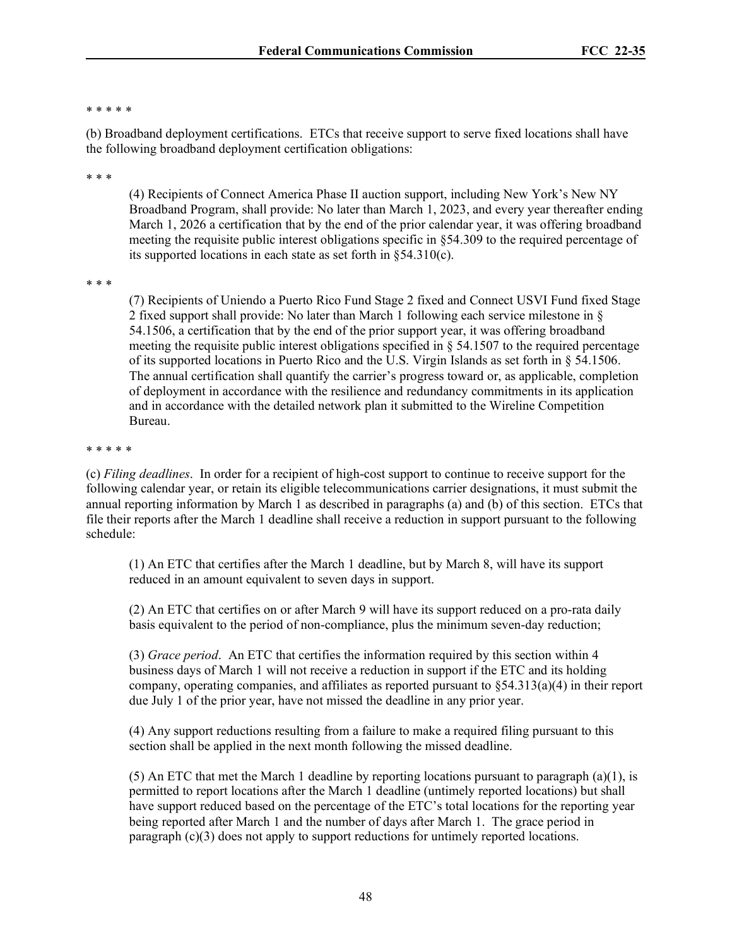### \* \* \* \* \*

(b) Broadband deployment certifications. ETCs that receive support to serve fixed locations shall have the following broadband deployment certification obligations:

\* \* \*

(4) Recipients of Connect America Phase II auction support, including New York's New NY Broadband Program, shall provide: No later than March 1, 2023, and every year thereafter ending March 1, 2026 a certification that by the end of the prior calendar year, it was offering broadband meeting the requisite public interest obligations specific in §54.309 to the required percentage of its supported locations in each state as set forth in §54.310(c).

\* \* \*

(7) Recipients of Uniendo a Puerto Rico Fund Stage 2 fixed and Connect USVI Fund fixed Stage 2 fixed support shall provide: No later than March 1 following each service milestone in § 54.1506, a certification that by the end of the prior support year, it was offering broadband meeting the requisite public interest obligations specified in  $\S$  54.1507 to the required percentage of its supported locations in Puerto Rico and the U.S. Virgin Islands as set forth in § 54.1506. The annual certification shall quantify the carrier's progress toward or, as applicable, completion of deployment in accordance with the resilience and redundancy commitments in its application and in accordance with the detailed network plan it submitted to the Wireline Competition Bureau.

### \* \* \* \* \*

(c) *Filing deadlines*. In order for a recipient of high-cost support to continue to receive support for the following calendar year, or retain its eligible telecommunications carrier designations, it must submit the annual reporting information by March 1 as described in paragraphs (a) and (b) of this section. ETCs that file their reports after the March 1 deadline shall receive a reduction in support pursuant to the following schedule:

(1) An ETC that certifies after the March 1 deadline, but by March 8, will have its support reduced in an amount equivalent to seven days in support.

(2) An ETC that certifies on or after March 9 will have its support reduced on a pro-rata daily basis equivalent to the period of non-compliance, plus the minimum seven-day reduction;

(3) *Grace period*. An ETC that certifies the information required by this section within 4 business days of March 1 will not receive a reduction in support if the ETC and its holding company, operating companies, and affiliates as reported pursuant to  $\S 54.313(a)(4)$  in their report due July 1 of the prior year, have not missed the deadline in any prior year.

(4) Any support reductions resulting from a failure to make a required filing pursuant to this section shall be applied in the next month following the missed deadline.

(5) An ETC that met the March 1 deadline by reporting locations pursuant to paragraph  $(a)(1)$ , is permitted to report locations after the March 1 deadline (untimely reported locations) but shall have support reduced based on the percentage of the ETC's total locations for the reporting year being reported after March 1 and the number of days after March 1. The grace period in paragraph  $(c)(3)$  does not apply to support reductions for untimely reported locations.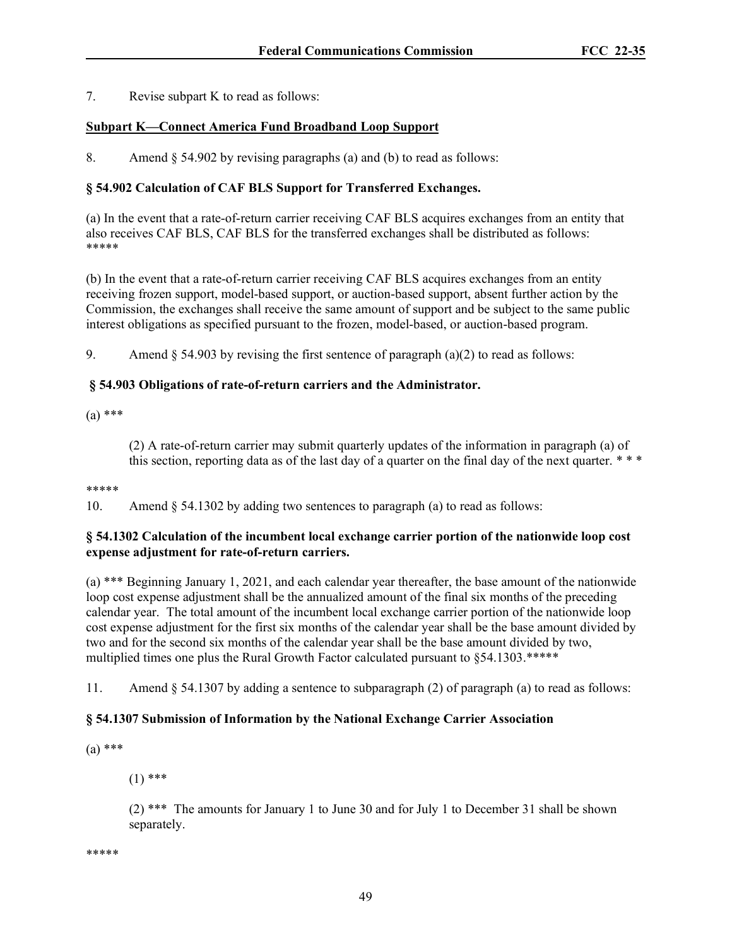7. Revise subpart K to read as follows:

# **Subpart K—Connect America Fund Broadband Loop Support**

8. Amend § 54.902 by revising paragraphs (a) and (b) to read as follows:

# **§ 54.902 Calculation of CAF BLS Support for Transferred Exchanges.**

(a) In the event that a rate-of-return carrier receiving CAF BLS acquires exchanges from an entity that also receives CAF BLS, CAF BLS for the transferred exchanges shall be distributed as follows: \*\*\*\*\*

(b) In the event that a rate-of-return carrier receiving CAF BLS acquires exchanges from an entity receiving frozen support, model-based support, or auction-based support, absent further action by the Commission, the exchanges shall receive the same amount of support and be subject to the same public interest obligations as specified pursuant to the frozen, model-based, or auction-based program.

9. Amend  $\S$  54.903 by revising the first sentence of paragraph (a)(2) to read as follows:

# **§ 54.903 Obligations of rate-of-return carriers and the Administrator.**

(a) \*\*\*

(2) A rate-of-return carrier may submit quarterly updates of the information in paragraph (a) of this section, reporting data as of the last day of a quarter on the final day of the next quarter. \*\*\*

### \*\*\*\*\*

10. Amend § 54.1302 by adding two sentences to paragraph (a) to read as follows:

### **§ 54.1302 Calculation of the incumbent local exchange carrier portion of the nationwide loop cost expense adjustment for rate-of-return carriers.**

(a) \*\*\* Beginning January 1, 2021, and each calendar year thereafter, the base amount of the nationwide loop cost expense adjustment shall be the annualized amount of the final six months of the preceding calendar year. The total amount of the incumbent local exchange carrier portion of the nationwide loop cost expense adjustment for the first six months of the calendar year shall be the base amount divided by two and for the second six months of the calendar year shall be the base amount divided by two, multiplied times one plus the Rural Growth Factor calculated pursuant to §54.1303.\*\*\*\*\*

11. Amend § 54.1307 by adding a sentence to subparagraph (2) of paragraph (a) to read as follows:

### **§ 54.1307 Submission of Information by the National Exchange Carrier Association**

(a) \*\*\*

 $(1)$ \*\*\*

(2) \*\*\* The amounts for January 1 to June 30 and for July 1 to December 31 shall be shown separately.

\*\*\*\*\*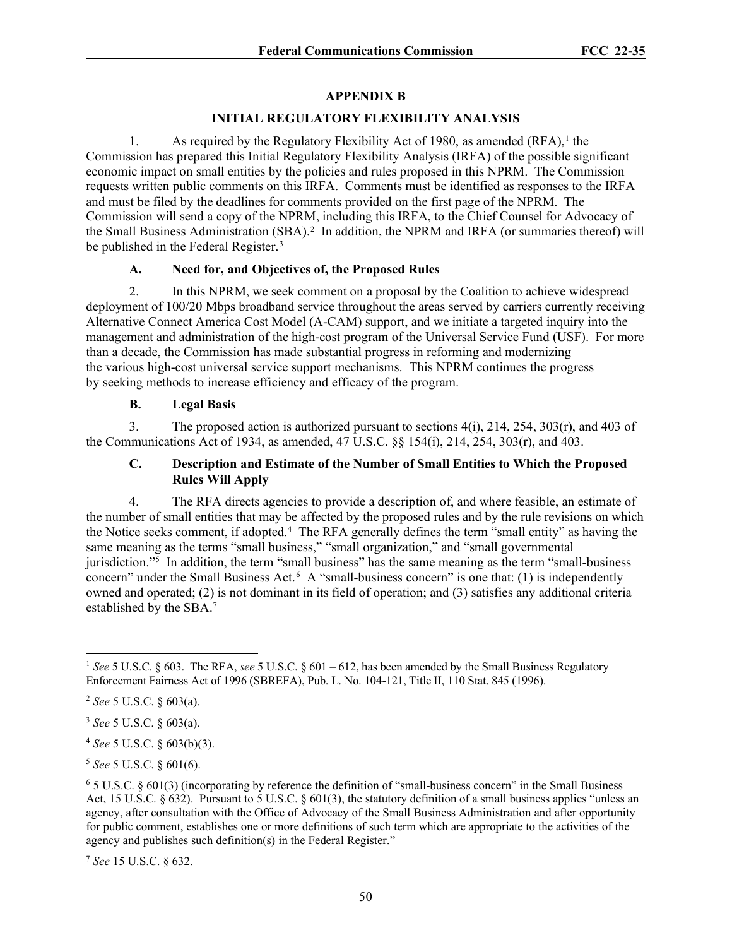# **APPENDIX B**

# **INITIAL REGULATORY FLEXIBILITY ANALYSIS**

[1](#page-49-0). As required by the Regulatory Flexibility Act of 1980, as amended  $(RFA)$ ,<sup>1</sup> the Commission has prepared this Initial Regulatory Flexibility Analysis (IRFA) of the possible significant economic impact on small entities by the policies and rules proposed in this NPRM. The Commission requests written public comments on this IRFA. Comments must be identified as responses to the IRFA and must be filed by the deadlines for comments provided on the first page of the NPRM. The Commission will send a copy of the NPRM, including this IRFA, to the Chief Counsel for Advocacy of the Small Business Administration (SBA).<sup>[2](#page-49-1)</sup> In addition, the NPRM and IRFA (or summaries thereof) will be published in the Federal Register.<sup>[3](#page-49-2)</sup>

# **A. Need for, and Objectives of, the Proposed Rules**

2. In this NPRM, we seek comment on a proposal by the Coalition to achieve widespread deployment of 100/20 Mbps broadband service throughout the areas served by carriers currently receiving Alternative Connect America Cost Model (A-CAM) support, and we initiate a targeted inquiry into the management and administration of the high-cost program of the Universal Service Fund (USF). For more than a decade, the Commission has made substantial progress in reforming and modernizing the various high-cost universal service support mechanisms. This NPRM continues the progress by seeking methods to increase efficiency and efficacy of the program.

# **B. Legal Basis**

3. The proposed action is authorized pursuant to sections 4(i), 214, 254, 303(r), and 403 of the Communications Act of 1934, as amended, 47 U.S.C. §§ 154(i), 214, 254, 303(r), and 403.

# **C. Description and Estimate of the Number of Small Entities to Which the Proposed Rules Will Apply**

4. The RFA directs agencies to provide a description of, and where feasible, an estimate of the number of small entities that may be affected by the proposed rules and by the rule revisions on which the Notice seeks comment, if adopted.[4](#page-49-3) The RFA generally defines the term "small entity" as having the same meaning as the terms "small business," "small organization," and "small governmental jurisdiction."[5](#page-49-4) In addition, the term "small business" has the same meaning as the term "small-business concern" under the Small Business Act.<sup>[6](#page-49-5)</sup> A "small-business concern" is one that: (1) is independently owned and operated; (2) is not dominant in its field of operation; and (3) satisfies any additional criteria established by the SBA.[7](#page-49-6)

<span id="page-49-6"></span><sup>7</sup> *See* 15 U.S.C. § 632.

<span id="page-49-0"></span><sup>&</sup>lt;sup>1</sup> *See* 5 U.S.C. § 603. The RFA, *see* 5 U.S.C. § 601 – 612, has been amended by the Small Business Regulatory Enforcement Fairness Act of 1996 (SBREFA), Pub. L. No. 104-121, Title II, 110 Stat. 845 (1996).

<span id="page-49-1"></span><sup>2</sup> *See* 5 U.S.C. § 603(a).

<span id="page-49-2"></span><sup>3</sup> *See* 5 U.S.C. § 603(a).

<span id="page-49-3"></span><sup>4</sup> *See* 5 U.S.C. § 603(b)(3).

<span id="page-49-4"></span><sup>5</sup> *See* 5 U.S.C. § 601(6).

<span id="page-49-5"></span> $6$  5 U.S.C. § 601(3) (incorporating by reference the definition of "small-business concern" in the Small Business Act, 15 U.S.C.  $\S 632$ ). Pursuant to 5 U.S.C.  $\S 601(3)$ , the statutory definition of a small business applies "unless an agency, after consultation with the Office of Advocacy of the Small Business Administration and after opportunity for public comment, establishes one or more definitions of such term which are appropriate to the activities of the agency and publishes such definition(s) in the Federal Register."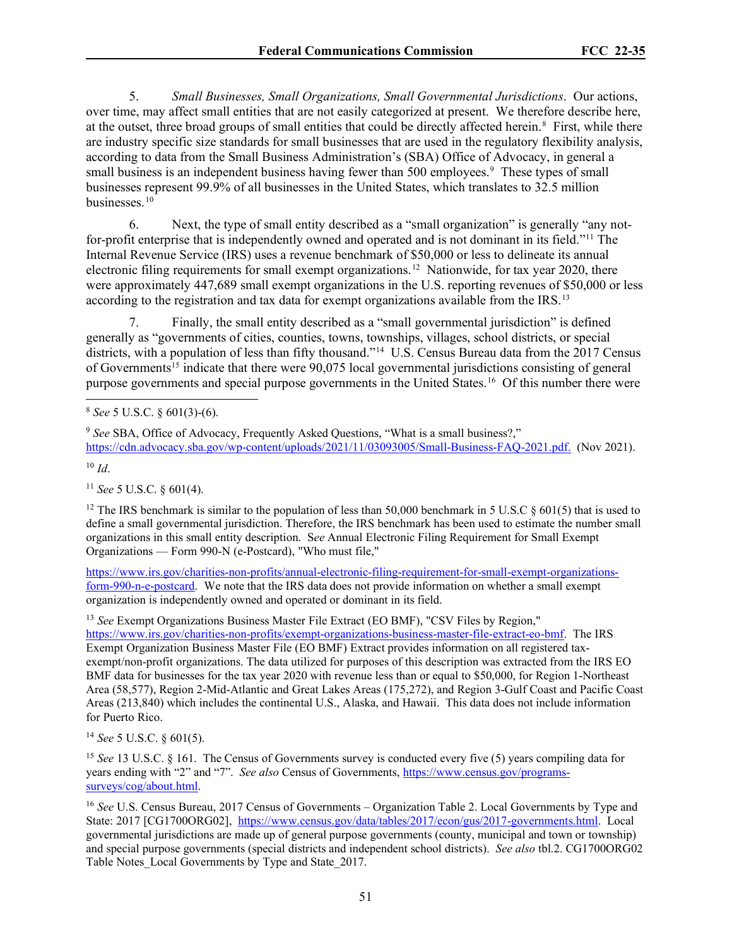5. *Small Businesses, Small Organizations, Small Governmental Jurisdictions*. Our actions, over time, may affect small entities that are not easily categorized at present. We therefore describe here, at the outset, three broad groups of small entities that could be directly affected herein.<sup>[8](#page-50-0)</sup> First, while there are industry specific size standards for small businesses that are used in the regulatory flexibility analysis, according to data from the Small Business Administration's (SBA) Office of Advocacy, in general a small business is an independent business having fewer than 500 employees.<sup>[9](#page-50-1)</sup> These types of small businesses represent 99.9% of all businesses in the United States, which translates to 32.5 million businesses. [10](#page-50-2)

6. Next, the type of small entity described as a "small organization" is generally "any notfor-profit enterprise that is independently owned and operated and is not dominant in its field."[11](#page-50-3) The Internal Revenue Service (IRS) uses a revenue benchmark of \$50,000 or less to delineate its annual electronic filing requirements for small exempt organizations.<sup>12</sup> Nationwide, for tax year 2020, there were approximately 447,689 small exempt organizations in the U.S. reporting revenues of \$50,000 or less according to the registration and tax data for exempt organizations available from the IRS.<sup>[13](#page-50-5)</sup>

7. Finally, the small entity described as a "small governmental jurisdiction" is defined generally as "governments of cities, counties, towns, townships, villages, school districts, or special districts, with a population of less than fifty thousand."[14](#page-50-6) U.S. Census Bureau data from the 2017 Census of Governments<sup>[15](#page-50-7)</sup> indicate that there were 90,075 local governmental jurisdictions consisting of general purpose governments and special purpose governments in the United States.[16](#page-50-8) Of this number there were

<span id="page-50-2"></span><sup>10</sup> *Id*.

<span id="page-50-3"></span><sup>11</sup> *See* 5 U.S.C. § 601(4).

<span id="page-50-4"></span><sup>12</sup> The IRS benchmark is similar to the population of less than 50,000 benchmark in 5 U.S.C  $\S 601(5)$  that is used to define a small governmental jurisdiction. Therefore, the IRS benchmark has been used to estimate the number small organizations in this small entity description. S*ee* Annual Electronic Filing Requirement for Small Exempt Organizations — Form 990-N (e-Postcard), "Who must file,"

[https://www.irs.gov/charities-non-profits/annual-electronic-filing-requirement-for-small-exempt-organizations](https://www.irs.gov/charities-non-profits/annual-electronic-filing-requirement-for-small-exempt-organizations-form-990-n-e-postcard)[form-990-n-e-postcard.](https://www.irs.gov/charities-non-profits/annual-electronic-filing-requirement-for-small-exempt-organizations-form-990-n-e-postcard) We note that the IRS data does not provide information on whether a small exempt organization is independently owned and operated or dominant in its field.

<span id="page-50-5"></span><sup>13</sup> *See* Exempt Organizations Business Master File Extract (EO BMF), "CSV Files by Region," [https://www.irs.gov/charities-non-profits/exempt-organizations-business-master-file-extract-eo-bmf.](https://www.irs.gov/charities-non-profits/exempt-organizations-business-master-file-extract-eo-bmf) The IRS Exempt Organization Business Master File (EO BMF) Extract provides information on all registered taxexempt/non-profit organizations. The data utilized for purposes of this description was extracted from the IRS EO BMF data for businesses for the tax year 2020 with revenue less than or equal to \$50,000, for Region 1-Northeast Area (58,577), Region 2-Mid-Atlantic and Great Lakes Areas (175,272), and Region 3-Gulf Coast and Pacific Coast Areas (213,840) which includes the continental U.S., Alaska, and Hawaii. This data does not include information for Puerto Rico.

<span id="page-50-6"></span><sup>14</sup> *See* 5 U.S.C. § 601(5).

<span id="page-50-7"></span><sup>15</sup> *See* 13 U.S.C. § 161. The Census of Governments survey is conducted every five (5) years compiling data for years ending with "2" and "7". *See also* Census of Governments, [https://www.census.gov/programs](https://www.census.gov/programs-surveys/cog/about.html)[surveys/cog/about.html.](https://www.census.gov/programs-surveys/cog/about.html)

<span id="page-50-8"></span><sup>16</sup> *See* U.S. Census Bureau, 2017 Census of Governments – Organization Table 2. Local Governments by Type and State: 2017 [CG1700ORG02], [https://www.census.gov/data/tables/2017/econ/gus/2017-governments.html.](https://www.census.gov/data/tables/2017/econ/gus/2017-governments.html) Local governmental jurisdictions are made up of general purpose governments (county, municipal and town or township) and special purpose governments (special districts and independent school districts). *See also* tbl.2. CG1700ORG02 Table Notes\_Local Governments by Type and State\_2017.

<span id="page-50-0"></span><sup>8</sup> *See* 5 U.S.C. § 601(3)-(6).

<span id="page-50-1"></span><sup>9</sup> *See* SBA, Office of Advocacy, Frequently Asked Questions, "What is a small business?," [https://cdn.advocacy.sba.gov/wp-content/uploads/2021/11/03093005/Small-Business-FAQ-2021.pdf.](https://cdn.advocacy.sba.gov/wp-content/uploads/2021/11/03093005/Small-Business-FAQ-2021.pdf) (Nov 2021).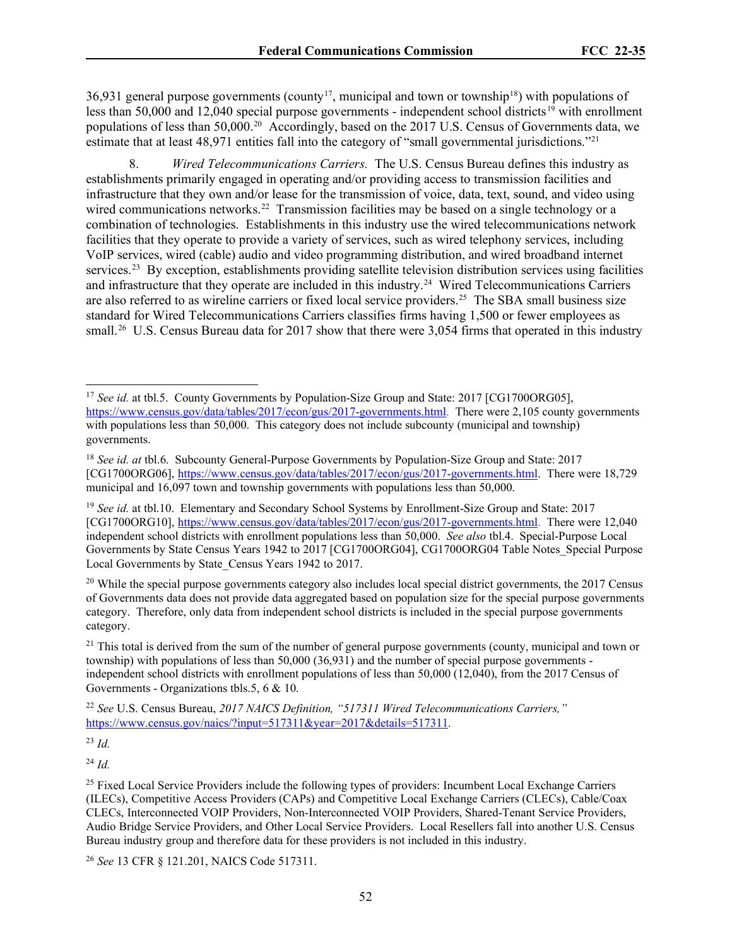36,931 general purpose governments (county<sup>[17](#page-51-0)</sup>, municipal and town or township<sup>[18](#page-51-1)</sup>) with populations of less than 50,000 and 12,040 special purpose governments - independent school districts<sup>[19](#page-51-2)</sup> with enrollment populations of less than 50,000. [20](#page-51-3) Accordingly, based on the 2017 U.S. Census of Governments data, we estimate that at least 48,971 entities fall into the category of "small governmental jurisdictions."<sup>[21](#page-51-4)</sup>

8. *Wired Telecommunications Carriers.* The U.S. Census Bureau defines this industry as establishments primarily engaged in operating and/or providing access to transmission facilities and infrastructure that they own and/or lease for the transmission of voice, data, text, sound, and video using wired communications networks.<sup>22</sup> Transmission facilities may be based on a single technology or a combination of technologies. Establishments in this industry use the wired telecommunications network facilities that they operate to provide a variety of services, such as wired telephony services, including VoIP services, wired (cable) audio and video programming distribution, and wired broadband internet services.<sup>[23](#page-51-6)</sup> By exception, establishments providing satellite television distribution services using facilities and infrastructure that they operate are included in this industry.[24](#page-51-7) Wired Telecommunications Carriers are also referred to as wireline carriers or fixed local service providers.<sup>25</sup> The SBA small business size standard for Wired Telecommunications Carriers classifies firms having 1,500 or fewer employees as small.<sup>26</sup> U.S. Census Bureau data for 2017 show that there were 3,054 firms that operated in this industry

<span id="page-51-6"></span><sup>23</sup> *Id.* 

<span id="page-51-7"></span><sup>24</sup> *Id.*

<span id="page-51-0"></span><sup>&</sup>lt;sup>17</sup> *See id.* at tbl.5. County Governments by Population-Size Group and State: 2017 [CG1700ORG05], [https://www.census.gov/data/tables/2017/econ/gus/2017-governments.html.](https://www.census.gov/data/tables/2017/econ/gus/2017-governments.html) There were 2,105 county governments with populations less than 50,000. This category does not include subcounty (municipal and township) governments.

<span id="page-51-1"></span><sup>18</sup> *See id. at* tbl.6. Subcounty General-Purpose Governments by Population-Size Group and State: 2017 [CG1700ORG06][, https://www.census.gov/data/tables/2017/econ/gus/2017-governments.html.](https://www.census.gov/data/tables/2017/econ/gus/2017-governments.html) There were 18,729 municipal and 16,097 town and township governments with populations less than 50,000.

<span id="page-51-2"></span><sup>19</sup> *See id.* at tbl.10. Elementary and Secondary School Systems by Enrollment-Size Group and State: 2017 [CG1700ORG10][, https://www.census.gov/data/tables/2017/econ/gus/2017-governments.html.](https://www.census.gov/data/tables/2017/econ/gus/2017-governments.html) There were 12,040 independent school districts with enrollment populations less than 50,000. *See also* tbl.4. Special-Purpose Local Governments by State Census Years 1942 to 2017 [CG1700ORG04], CG1700ORG04 Table Notes\_Special Purpose Local Governments by State\_Census Years 1942 to 2017.

<span id="page-51-3"></span> $20$  While the special purpose governments category also includes local special district governments, the 2017 Census of Governments data does not provide data aggregated based on population size for the special purpose governments category. Therefore, only data from independent school districts is included in the special purpose governments category.

<span id="page-51-4"></span> $21$  This total is derived from the sum of the number of general purpose governments (county, municipal and town or township) with populations of less than 50,000 (36,931) and the number of special purpose governments independent school districts with enrollment populations of less than 50,000 (12,040), from the 2017 Census of Governments - Organizations tbls.5, 6 & 10.

<span id="page-51-5"></span><sup>22</sup> *See* U.S. Census Bureau, *2017 NAICS Definition, "517311 Wired Telecommunications Carriers,"* [https://www.census.gov/naics/?input=517311&year=2017&details=517311.](https://www.census.gov/naics/?input=517311&year=2017&details=517311)

<span id="page-51-8"></span><sup>&</sup>lt;sup>25</sup> Fixed Local Service Providers include the following types of providers: Incumbent Local Exchange Carriers (ILECs), Competitive Access Providers (CAPs) and Competitive Local Exchange Carriers (CLECs), Cable/Coax CLECs, Interconnected VOIP Providers, Non-Interconnected VOIP Providers, Shared-Tenant Service Providers, Audio Bridge Service Providers, and Other Local Service Providers. Local Resellers fall into another U.S. Census Bureau industry group and therefore data for these providers is not included in this industry.

<span id="page-51-9"></span><sup>26</sup> *See* 13 CFR § 121.201, NAICS Code 517311.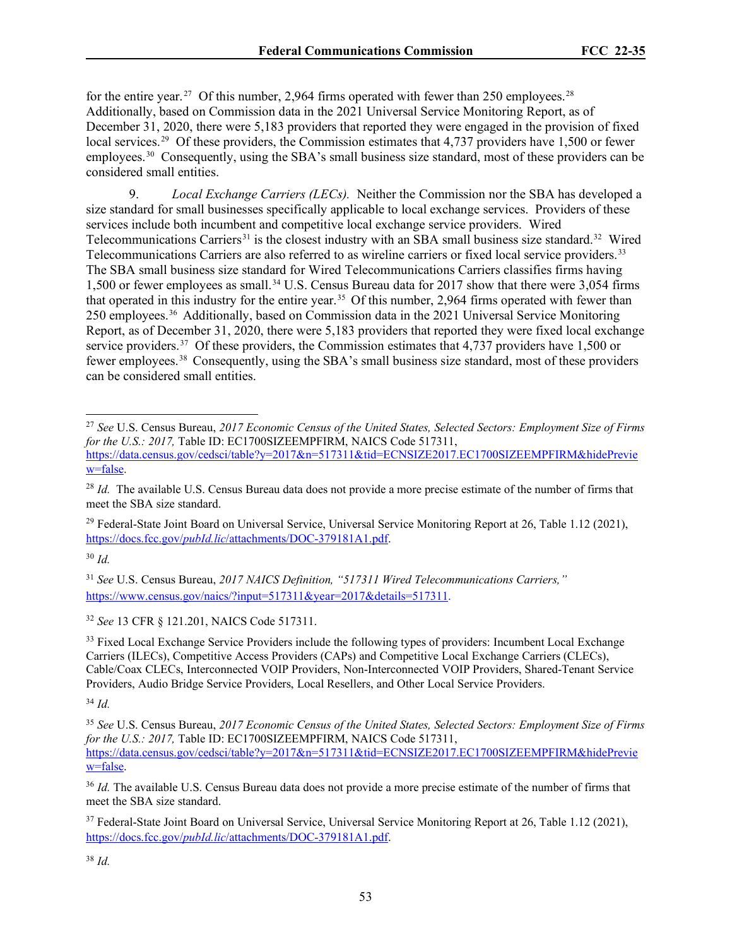for the entire year.<sup>27</sup> Of this number, 2,964 firms operated with fewer than 250 employees.<sup>[28](#page-52-1)</sup> Additionally, based on Commission data in the 2021 Universal Service Monitoring Report, as of December 31, 2020, there were 5,183 providers that reported they were engaged in the provision of fixed local services.<sup>29</sup> Of these providers, the Commission estimates that 4,737 providers have 1,500 or fewer employees.<sup>[30](#page-52-3)</sup> Consequently, using the SBA's small business size standard, most of these providers can be considered small entities.

9. *Local Exchange Carriers (LECs).* Neither the Commission nor the SBA has developed a size standard for small businesses specifically applicable to local exchange services. Providers of these services include both incumbent and competitive local exchange service providers. Wired Telecommunications Carriers<sup>[31](#page-52-4)</sup> is the closest industry with an SBA small business size standard.<sup>32</sup> Wired Telecommunications Carriers are also referred to as wireline carriers or fixed local service providers.[33](#page-52-6) The SBA small business size standard for Wired Telecommunications Carriers classifies firms having 1,500 or fewer employees as small.[34](#page-52-7) U.S. Census Bureau data for 2017 show that there were 3,054 firms that operated in this industry for the entire year.<sup>[35](#page-52-8)</sup> Of this number, 2,964 firms operated with fewer than 250 employees.[36](#page-52-9) Additionally, based on Commission data in the 2021 Universal Service Monitoring Report, as of December 31, 2020, there were 5,183 providers that reported they were fixed local exchange service providers.<sup>37</sup> Of these providers, the Commission estimates that 4,7[37](#page-52-10) providers have 1,500 or fewer employees.[38](#page-52-11) Consequently, using the SBA's small business size standard, most of these providers can be considered small entities.

<span id="page-52-2"></span><sup>29</sup> Federal-State Joint Board on Universal Service, Universal Service Monitoring Report at 26, Table 1.12 (2021), https://docs.fcc.gov/*pubId.lic*[/attachments/DOC-379181A1.pdf.](https://docs.fcc.gov/public/attachments/DOC-379181A1.pdf)

<span id="page-52-3"></span> $30$  *Id.* 

<span id="page-52-4"></span><sup>31</sup> *See* U.S. Census Bureau, *2017 NAICS Definition, "517311 Wired Telecommunications Carriers,"* [https://www.census.gov/naics/?input=517311&year=2017&details=517311.](https://www.census.gov/naics/?input=517311&year=2017&details=517311)

<span id="page-52-5"></span><sup>32</sup> *See* 13 CFR § 121.201, NAICS Code 517311.

<span id="page-52-6"></span><sup>33</sup> Fixed Local Exchange Service Providers include the following types of providers: Incumbent Local Exchange Carriers (ILECs), Competitive Access Providers (CAPs) and Competitive Local Exchange Carriers (CLECs), Cable/Coax CLECs, Interconnected VOIP Providers, Non-Interconnected VOIP Providers, Shared-Tenant Service Providers, Audio Bridge Service Providers, Local Resellers, and Other Local Service Providers.

<span id="page-52-7"></span><sup>34</sup> *Id.*

<span id="page-52-8"></span><sup>35</sup> *See* U.S. Census Bureau, *2017 Economic Census of the United States, Selected Sectors: Employment Size of Firms for the U.S.: 2017*, Table ID: EC1700SIZEEMPFIRM, NAICS Code 517311, [https://data.census.gov/cedsci/table?y=2017&n=517311&tid=ECNSIZE2017.EC1700SIZEEMPFIRM&hidePrevie](https://data.census.gov/cedsci/table?y=2017&n=517311&tid=ECNSIZE2017.EC1700SIZEEMPFIRM&hidePreview=false) [w=false.](https://data.census.gov/cedsci/table?y=2017&n=517311&tid=ECNSIZE2017.EC1700SIZEEMPFIRM&hidePreview=false)

<span id="page-52-9"></span><sup>36</sup> *Id.* The available U.S. Census Bureau data does not provide a more precise estimate of the number of firms that meet the SBA size standard.

<span id="page-52-10"></span><sup>37</sup> Federal-State Joint Board on Universal Service, Universal Service Monitoring Report at 26, Table 1.12 (2021), https://docs.fcc.gov/*pubId.lic*[/attachments/DOC-379181A1.pdf.](https://docs.fcc.gov/public/attachments/DOC-379181A1.pdf)

<span id="page-52-11"></span><sup>38</sup> *Id.*

<span id="page-52-0"></span><sup>27</sup> *See* U.S. Census Bureau, *2017 Economic Census of the United States, Selected Sectors: Employment Size of Firms for the U.S.: 2017,* Table ID: EC1700SIZEEMPFIRM, NAICS Code 517311,

[https://data.census.gov/cedsci/table?y=2017&n=517311&tid=ECNSIZE2017.EC1700SIZEEMPFIRM&hidePrevie](https://data.census.gov/cedsci/table?y=2017&n=517311&tid=ECNSIZE2017.EC1700SIZEEMPFIRM&hidePreview=false) [w=false.](https://data.census.gov/cedsci/table?y=2017&n=517311&tid=ECNSIZE2017.EC1700SIZEEMPFIRM&hidePreview=false)

<span id="page-52-1"></span><sup>&</sup>lt;sup>28</sup> *Id.* The available U.S. Census Bureau data does not provide a more precise estimate of the number of firms that meet the SBA size standard.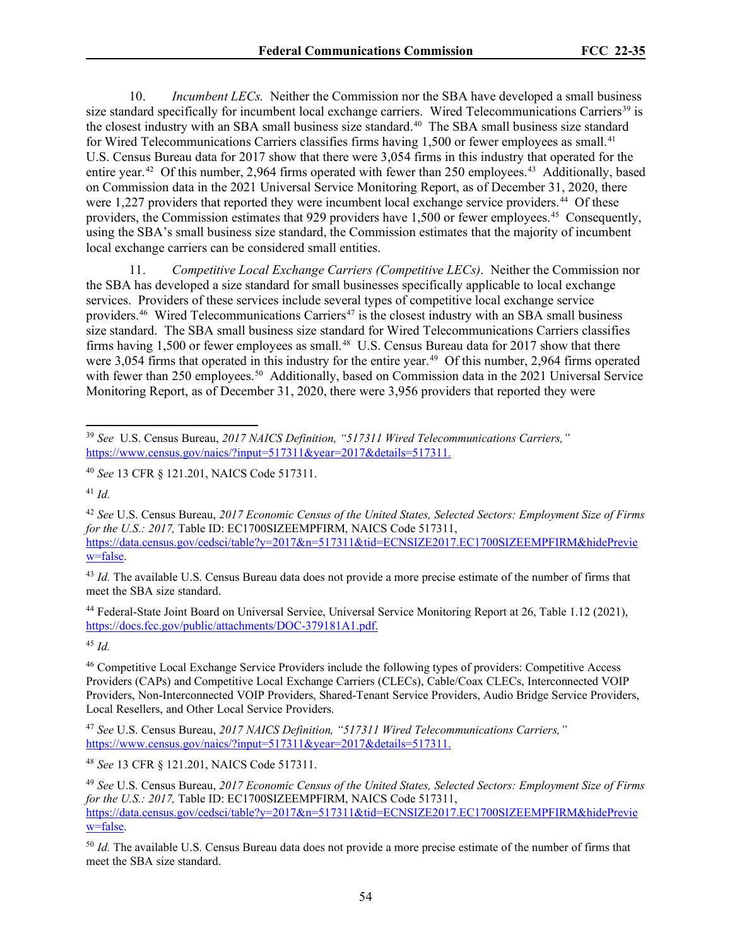10. *Incumbent LECs.* Neither the Commission nor the SBA have developed a small business size standard specifically for incumbent local exchange carriers. Wired Telecommunications Carriers<sup>[39](#page-53-0)</sup> is the closest industry with an SBA small business size standard.<sup>[40](#page-53-1)</sup> The SBA small business size standard for Wired Telecommunications Carriers classifies firms having 1,500 or fewer employees as small.<sup>[41](#page-53-2)</sup> U.S. Census Bureau data for 2017 show that there were 3,054 firms in this industry that operated for the entire year.<sup>42</sup> Of this number, 2,964 firms operated with fewer than 250 employees.<sup>43</sup> Additionally, based on Commission data in the 2021 Universal Service Monitoring Report, as of December 31, 2020, there were 1,227 providers that reported they were incumbent local exchange service providers.<sup>[44](#page-53-5)</sup> Of these providers, the Commission estimates that 929 providers have 1,500 or fewer employees.<sup>[45](#page-53-6)</sup> Consequently, using the SBA's small business size standard, the Commission estimates that the majority of incumbent local exchange carriers can be considered small entities.

11. *Competitive Local Exchange Carriers (Competitive LECs)*. Neither the Commission nor the SBA has developed a size standard for small businesses specifically applicable to local exchange services. Providers of these services include several types of competitive local exchange service providers.<sup>46</sup> Wired Telecommunications Carriers<sup>[47](#page-53-8)</sup> is the closest industry with an SBA small business size standard. The SBA small business size standard for Wired Telecommunications Carriers classifies firms having 1,500 or fewer employees as small.<sup>[48](#page-53-9)</sup> U.S. Census Bureau data for 2017 show that there were 3,054 firms that operated in this industry for the entire year.<sup>49</sup> Of this number, 2,964 firms operated with fewer than 2[50](#page-53-11) employees.<sup>50</sup> Additionally, based on Commission data in the 2021 Universal Service Monitoring Report, as of December 31, 2020, there were 3,956 providers that reported they were

<span id="page-53-5"></span><sup>44</sup> Federal-State Joint Board on Universal Service, Universal Service Monitoring Report at 26, Table 1.12 (2021), [https://docs.fcc.gov/public/attachments/DOC-379181A1.pdf.](https://docs.fcc.gov/public/attachments/DOC-379181A1.pdf)

<span id="page-53-6"></span><sup>45</sup> *Id.*

<span id="page-53-7"></span><sup>46</sup> Competitive Local Exchange Service Providers include the following types of providers: Competitive Access Providers (CAPs) and Competitive Local Exchange Carriers (CLECs), Cable/Coax CLECs, Interconnected VOIP Providers, Non-Interconnected VOIP Providers, Shared-Tenant Service Providers, Audio Bridge Service Providers, Local Resellers, and Other Local Service Providers.

<span id="page-53-8"></span><sup>47</sup> *See* U.S. Census Bureau, *2017 NAICS Definition, "517311 Wired Telecommunications Carriers,"* [https://www.census.gov/naics/?input=517311&year=2017&details=517311.](https://www.census.gov/naics/?input=517311&year=2017&details=517311)

<span id="page-53-9"></span><sup>48</sup> *See* 13 CFR § 121.201, NAICS Code 517311.

<span id="page-53-10"></span><sup>49</sup> *See* U.S. Census Bureau, *2017 Economic Census of the United States, Selected Sectors: Employment Size of Firms for the U.S.: 2017,* Table ID: EC1700SIZEEMPFIRM, NAICS Code 517311, [https://data.census.gov/cedsci/table?y=2017&n=517311&tid=ECNSIZE2017.EC1700SIZEEMPFIRM&hidePrevie](https://data.census.gov/cedsci/table?y=2017&n=517311&tid=ECNSIZE2017.EC1700SIZEEMPFIRM&hidePreview=false) [w=false.](https://data.census.gov/cedsci/table?y=2017&n=517311&tid=ECNSIZE2017.EC1700SIZEEMPFIRM&hidePreview=false)

<span id="page-53-11"></span><sup>50</sup> *Id.* The available U.S. Census Bureau data does not provide a more precise estimate of the number of firms that meet the SBA size standard.

<span id="page-53-0"></span><sup>39</sup> *See* U.S. Census Bureau, *2017 NAICS Definition, "517311 Wired Telecommunications Carriers,"* [https://www.census.gov/naics/?input=517311&year=2017&details=517311.](https://www.census.gov/naics/?input=517311&year=2017&details=517311)

<span id="page-53-1"></span><sup>40</sup> *See* 13 CFR § 121.201, NAICS Code 517311.

<span id="page-53-2"></span><sup>41</sup> *Id.*

<span id="page-53-3"></span><sup>42</sup> *See* U.S. Census Bureau, *2017 Economic Census of the United States, Selected Sectors: Employment Size of Firms for the U.S.: 2017, Table ID: EC1700SIZEEMPFIRM, NAICS Code 517311,* [https://data.census.gov/cedsci/table?y=2017&n=517311&tid=ECNSIZE2017.EC1700SIZEEMPFIRM&hidePrevie](https://data.census.gov/cedsci/table?y=2017&n=517311&tid=ECNSIZE2017.EC1700SIZEEMPFIRM&hidePreview=false) [w=false.](https://data.census.gov/cedsci/table?y=2017&n=517311&tid=ECNSIZE2017.EC1700SIZEEMPFIRM&hidePreview=false)

<span id="page-53-4"></span><sup>&</sup>lt;sup>43</sup> *Id.* The available U.S. Census Bureau data does not provide a more precise estimate of the number of firms that meet the SBA size standard.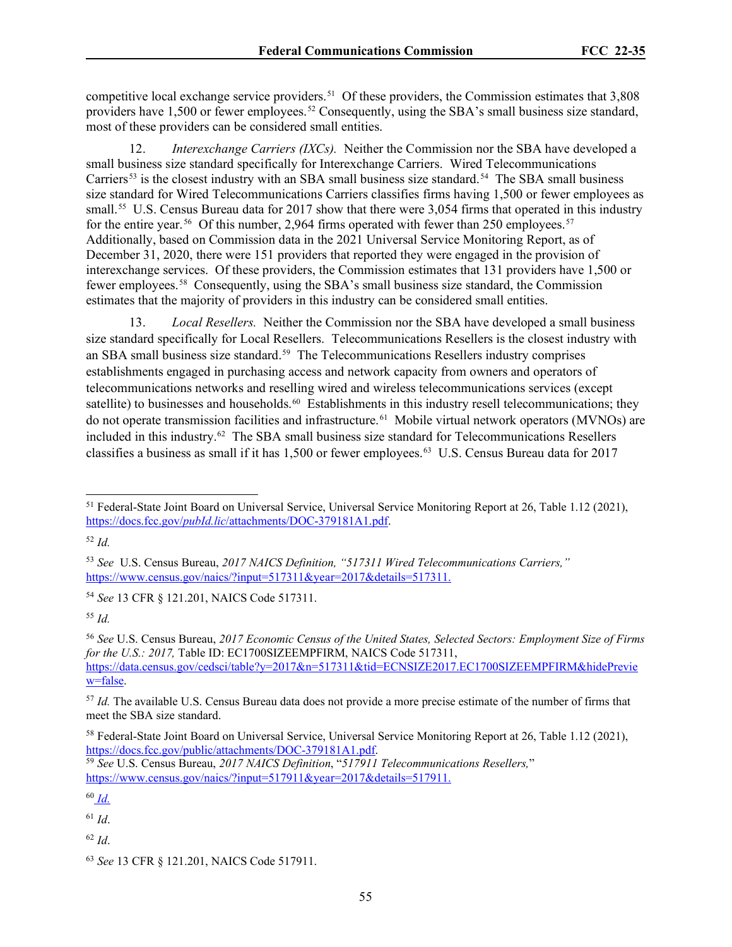competitive local exchange service providers.<sup>51</sup> Of these providers, the Commission estimates that  $3,808$ providers have 1,500 or fewer employees.[52](#page-54-1) Consequently, using the SBA's small business size standard, most of these providers can be considered small entities.

*Interexchange Carriers (IXCs).* Neither the Commission nor the SBA have developed a small business size standard specifically for Interexchange Carriers. Wired Telecommunications Carriers<sup>[53](#page-54-2)</sup> is the closest industry with an SBA small business size standard.<sup>54</sup> The SBA small business size standard for Wired Telecommunications Carriers classifies firms having 1,500 or fewer employees as small.<sup>55</sup> U.S. Census Bureau data for 2017 show that there were 3,054 firms that operated in this industry for the entire year.<sup>56</sup> Of this number, 2,964 firms operated with fewer than 250 employees.<sup>[57](#page-54-6)</sup> Additionally, based on Commission data in the 2021 Universal Service Monitoring Report, as of December 31, 2020, there were 151 providers that reported they were engaged in the provision of interexchange services. Of these providers, the Commission estimates that 131 providers have 1,500 or fewer employees.[58](#page-54-7) Consequently, using the SBA's small business size standard, the Commission estimates that the majority of providers in this industry can be considered small entities.

13. *Local Resellers.* Neither the Commission nor the SBA have developed a small business size standard specifically for Local Resellers. Telecommunications Resellers is the closest industry with an SBA small business size standard.<sup>[59](#page-54-8)</sup> The Telecommunications Resellers industry comprises establishments engaged in purchasing access and network capacity from owners and operators of telecommunications networks and reselling wired and wireless telecommunications services (except satellite) to businesses and households.<sup>[60](#page-54-9)</sup> Establishments in this industry resell telecommunications; they do not operate transmission facilities and infrastructure. [61](#page-54-10) Mobile virtual network operators (MVNOs) are included in this industry. [62](#page-54-11) The SBA small business size standard for Telecommunications Resellers classifies a business as small if it has 1,500 or fewer employees.[63](#page-54-12) U.S. Census Bureau data for 2017

<span id="page-54-3"></span><sup>54</sup> *See* 13 CFR § 121.201, NAICS Code 517311.

<span id="page-54-4"></span><sup>55</sup> *Id.*

<span id="page-54-5"></span><sup>56</sup> *See* U.S. Census Bureau, *2017 Economic Census of the United States, Selected Sectors: Employment Size of Firms for the U.S.: 2017,* Table ID: EC1700SIZEEMPFIRM, NAICS Code 517311, [https://data.census.gov/cedsci/table?y=2017&n=517311&tid=ECNSIZE2017.EC1700SIZEEMPFIRM&hidePrevie](https://data.census.gov/cedsci/table?y=2017&n=517311&tid=ECNSIZE2017.EC1700SIZEEMPFIRM&hidePreview=false) [w=false.](https://data.census.gov/cedsci/table?y=2017&n=517311&tid=ECNSIZE2017.EC1700SIZEEMPFIRM&hidePreview=false)

<span id="page-54-9"></span><sup>60</sup> *Id.*

<span id="page-54-10"></span><sup>61</sup> *Id*.

<span id="page-54-11"></span><sup>62</sup> *Id*.

<span id="page-54-0"></span><sup>51</sup> Federal-State Joint Board on Universal Service, Universal Service Monitoring Report at 26, Table 1.12 (2021), https://docs.fcc.gov/*pubId.lic*[/attachments/DOC-379181A1.pdf.](https://docs.fcc.gov/public/attachments/DOC-379181A1.pdf)

<span id="page-54-1"></span><sup>52</sup> *Id.* 

<span id="page-54-2"></span><sup>53</sup> *See* U.S. Census Bureau, *2017 NAICS Definition, "517311 Wired Telecommunications Carriers,"* [https://www.census.gov/naics/?input=517311&year=2017&details=517311.](https://www.census.gov/naics/?input=517311&year=2017&details=517311)

<span id="page-54-6"></span><sup>57</sup> *Id.* The available U.S. Census Bureau data does not provide a more precise estimate of the number of firms that meet the SBA size standard.

<span id="page-54-7"></span><sup>&</sup>lt;sup>58</sup> Federal-State Joint Board on Universal Service, Universal Service Monitoring Report at 26, Table 1.12 (2021), https://docs.fcc.gov/public/attachments/DOC-379181A1.pdf.

<span id="page-54-8"></span><sup>&</sup>lt;sup>59</sup> See U.S. Census Bureau, 2017 NAICS Definition, "517911 Telecommunications Resellers," [https://www.census.gov/naics/?input=517911&year=2017&details=517911.](https://www.census.gov/naics/?input=517911&year=2017&details=517911)

<span id="page-54-12"></span><sup>63</sup> *See* 13 CFR § 121.201, NAICS Code 517911.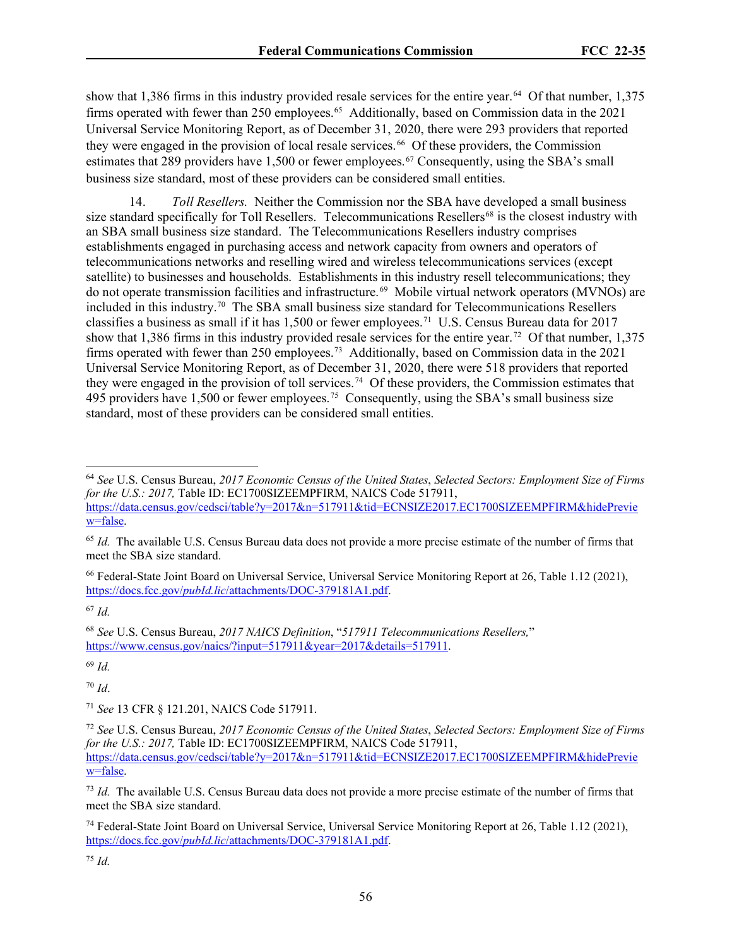show that 1,386 firms in this industry provided resale services for the entire year.<sup>[64](#page-55-0)</sup> Of that number, 1,375 firms operated with fewer than 250 employees.<sup>65</sup> Additionally, based on Commission data in the 2021 Universal Service Monitoring Report, as of December 31, 2020, there were 293 providers that reported they were engaged in the provision of local resale services.<sup>[66](#page-55-2)</sup> Of these providers, the Commission estimates that 289 providers have 1,500 or fewer employees.<sup>[67](#page-55-3)</sup> Consequently, using the SBA's small business size standard, most of these providers can be considered small entities.

14. *Toll Resellers.* Neither the Commission nor the SBA have developed a small business size standard specifically for Toll Resellers. Telecommunications Resellers<sup>[68](#page-55-4)</sup> is the closest industry with an SBA small business size standard. The Telecommunications Resellers industry comprises establishments engaged in purchasing access and network capacity from owners and operators of telecommunications networks and reselling wired and wireless telecommunications services (except satellite) to businesses and households. Establishments in this industry resell telecommunications; they do not operate transmission facilities and infrastructure. [69](#page-55-5) Mobile virtual network operators (MVNOs) are included in this industry. [70](#page-55-6) The SBA small business size standard for Telecommunications Resellers classifies a business as small if it has 1,500 or fewer employees.<sup>[71](#page-55-7)</sup> U.S. Census Bureau data for 2017 show that 1,386 firms in this industry provided resale services for the entire year.[72](#page-55-8) Of that number, 1,375 firms operated with fewer than 250 employees.<sup>73</sup> Additionally, based on Commission data in the 2021 Universal Service Monitoring Report, as of December 31, 2020, there were 518 providers that reported they were engaged in the provision of toll services.<sup>74</sup> Of these providers, the Commission estimates that 495 providers have 1,500 or fewer employees.<sup>[75](#page-55-11)</sup> Consequently, using the SBA's small business size standard, most of these providers can be considered small entities.

<span id="page-55-5"></span><sup>69</sup> *Id.*

<span id="page-55-6"></span><sup>70</sup> *Id*.

<span id="page-55-7"></span><sup>71</sup> *See* 13 CFR § 121.201, NAICS Code 517911.

<span id="page-55-0"></span><sup>64</sup> *See* U.S. Census Bureau, *2017 Economic Census of the United States*, *Selected Sectors: Employment Size of Firms for the U.S.: 2017,* Table ID: EC1700SIZEEMPFIRM, NAICS Code 517911, [https://data.census.gov/cedsci/table?y=2017&n=517911&tid=ECNSIZE2017.EC1700SIZEEMPFIRM&hidePrevie](https://data.census.gov/cedsci/table?y=2017&n=517911&tid=ECNSIZE2017.EC1700SIZEEMPFIRM&hidePreview=false) [w=false.](https://data.census.gov/cedsci/table?y=2017&n=517911&tid=ECNSIZE2017.EC1700SIZEEMPFIRM&hidePreview=false)

<span id="page-55-1"></span><sup>&</sup>lt;sup>65</sup> *Id.* The available U.S. Census Bureau data does not provide a more precise estimate of the number of firms that meet the SBA size standard.

<span id="page-55-2"></span><sup>66</sup> Federal-State Joint Board on Universal Service, Universal Service Monitoring Report at 26, Table 1.12 (2021), https://docs.fcc.gov/*pubId.lic*[/attachments/DOC-379181A1.pdf.](https://docs.fcc.gov/public/attachments/DOC-379181A1.pdf)

<span id="page-55-3"></span> $67$  *Id*.

<span id="page-55-4"></span><sup>68</sup> *See* U.S. Census Bureau, *2017 NAICS Definition*, "*517911 Telecommunications Resellers,*" [https://www.census.gov/naics/?input=517911&year=2017&details=517911.](https://www.census.gov/naics/?input=517911&year=2017&details=517911)

<span id="page-55-8"></span><sup>72</sup> *See* U.S. Census Bureau, *2017 Economic Census of the United States*, *Selected Sectors: Employment Size of Firms for the U.S.: 2017,* Table ID: EC1700SIZEEMPFIRM, NAICS Code 517911, [https://data.census.gov/cedsci/table?y=2017&n=517911&tid=ECNSIZE2017.EC1700SIZEEMPFIRM&hidePrevie](https://data.census.gov/cedsci/table?y=2017&n=517911&tid=ECNSIZE2017.EC1700SIZEEMPFIRM&hidePreview=false) [w=false.](https://data.census.gov/cedsci/table?y=2017&n=517911&tid=ECNSIZE2017.EC1700SIZEEMPFIRM&hidePreview=false)

<span id="page-55-9"></span><sup>73</sup> *Id.* The available U.S. Census Bureau data does not provide a more precise estimate of the number of firms that meet the SBA size standard.

<span id="page-55-10"></span><sup>74</sup> Federal-State Joint Board on Universal Service, Universal Service Monitoring Report at 26, Table 1.12 (2021), https://docs.fcc.gov/*pubId.lic*[/attachments/DOC-379181A1.pdf.](https://docs.fcc.gov/public/attachments/DOC-379181A1.pdf)

<span id="page-55-11"></span><sup>75</sup> *Id.*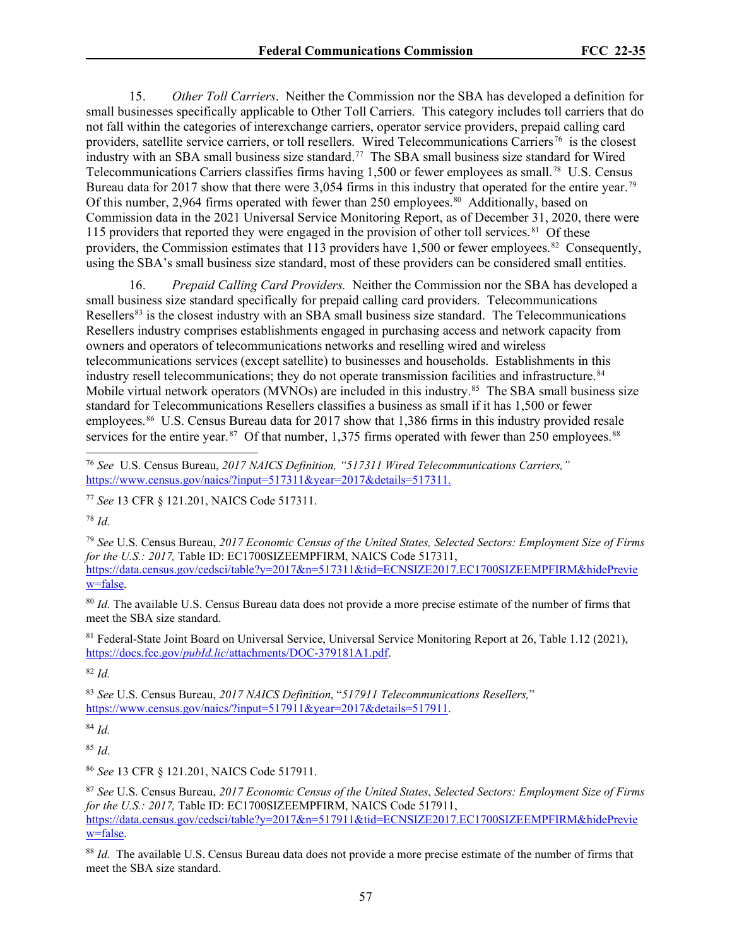15. *Other Toll Carriers*. Neither the Commission nor the SBA has developed a definition for small businesses specifically applicable to Other Toll Carriers. This category includes toll carriers that do not fall within the categories of interexchange carriers, operator service providers, prepaid calling card providers, satellite service carriers, or toll resellers. Wired Telecommunications Carriers<sup>76</sup> is the closest industry with an SBA small business size standard.[77](#page-56-1) The SBA small business size standard for Wired Telecommunications Carriers classifies firms having 1,500 or fewer employees as small.<sup>78</sup> U.S. Census Bureau data for 2017 show that there were 3,054 firms in this industry that operated for the entire year.<sup>79</sup> Of this number, 2,964 firms operated with fewer than 250 employees.<sup>[80](#page-56-4)</sup> Additionally, based on Commission data in the 2021 Universal Service Monitoring Report, as of December 31, 2020, there were 115 providers that reported they were engaged in the provision of other toll services.<sup>[81](#page-56-5)</sup> Of these providers, the Commission estimates that 113 providers have 1,500 or fewer employees.<sup>[82](#page-56-6)</sup> Consequently, using the SBA's small business size standard, most of these providers can be considered small entities.

16. *Prepaid Calling Card Providers.* Neither the Commission nor the SBA has developed a small business size standard specifically for prepaid calling card providers. Telecommunications Resellers<sup>[83](#page-56-7)</sup> is the closest industry with an SBA small business size standard. The Telecommunications Resellers industry comprises establishments engaged in purchasing access and network capacity from owners and operators of telecommunications networks and reselling wired and wireless telecommunications services (except satellite) to businesses and households. Establishments in this industry resell telecommunications; they do not operate transmission facilities and infrastructure.<sup>[84](#page-56-8)</sup> Mobile virtual network operators (MVNOs) are included in this industry.<sup>[85](#page-56-9)</sup> The SBA small business size standard for Telecommunications Resellers classifies a business as small if it has 1,500 or fewer employees.<sup>[86](#page-56-10)</sup> U.S. Census Bureau data for 2017 show that 1,386 firms in this industry provided resale services for the entire year.  $87$  Of that number, 1,375 firms operated with fewer than 250 employees.  $88$ 

<span id="page-56-1"></span><sup>77</sup> *See* 13 CFR § 121.201, NAICS Code 517311.

<span id="page-56-2"></span><sup>78</sup> *Id.*

<span id="page-56-3"></span><sup>79</sup> *See* U.S. Census Bureau, *2017 Economic Census of the United States, Selected Sectors: Employment Size of Firms for the U.S.: 2017, Table ID: EC1700SIZEEMPFIRM, NAICS Code 517311,* [https://data.census.gov/cedsci/table?y=2017&n=517311&tid=ECNSIZE2017.EC1700SIZEEMPFIRM&hidePrevie](https://data.census.gov/cedsci/table?y=2017&n=517311&tid=ECNSIZE2017.EC1700SIZEEMPFIRM&hidePreview=false) [w=false.](https://data.census.gov/cedsci/table?y=2017&n=517311&tid=ECNSIZE2017.EC1700SIZEEMPFIRM&hidePreview=false)

<span id="page-56-4"></span><sup>80</sup> *Id.* The available U.S. Census Bureau data does not provide a more precise estimate of the number of firms that meet the SBA size standard.

<span id="page-56-5"></span>81 Federal-State Joint Board on Universal Service, Universal Service Monitoring Report at 26, Table 1.12 (2021), https://docs.fcc.gov/*pubId.lic*[/attachments/DOC-379181A1.pdf.](https://docs.fcc.gov/public/attachments/DOC-379181A1.pdf)

<span id="page-56-6"></span><sup>82</sup> *Id.* 

<span id="page-56-7"></span><sup>83</sup> *See* U.S. Census Bureau, *2017 NAICS Definition*, "*517911 Telecommunications Resellers,*" [https://www.census.gov/naics/?input=517911&year=2017&details=517911.](https://www.census.gov/naics/?input=517911&year=2017&details=517911)

<span id="page-56-8"></span><sup>84</sup> *Id.*

<span id="page-56-9"></span><sup>85</sup> *Id*.

<span id="page-56-10"></span><sup>86</sup> *See* 13 CFR § 121.201, NAICS Code 517911.

<span id="page-56-11"></span><sup>87</sup> *See* U.S. Census Bureau, *2017 Economic Census of the United States*, *Selected Sectors: Employment Size of Firms for the U.S.: 2017,* Table ID: EC1700SIZEEMPFIRM, NAICS Code 517911, [https://data.census.gov/cedsci/table?y=2017&n=517911&tid=ECNSIZE2017.EC1700SIZEEMPFIRM&hidePrevie](https://data.census.gov/cedsci/table?y=2017&n=517911&tid=ECNSIZE2017.EC1700SIZEEMPFIRM&hidePreview=false) [w=false.](https://data.census.gov/cedsci/table?y=2017&n=517911&tid=ECNSIZE2017.EC1700SIZEEMPFIRM&hidePreview=false)

<span id="page-56-12"></span><sup>88</sup> *Id.* The available U.S. Census Bureau data does not provide a more precise estimate of the number of firms that meet the SBA size standard.

<span id="page-56-0"></span><sup>76</sup> *See* U.S. Census Bureau, *2017 NAICS Definition, "517311 Wired Telecommunications Carriers,"* [https://www.census.gov/naics/?input=517311&year=2017&details=517311.](https://www.census.gov/naics/?input=517311&year=2017&details=517311)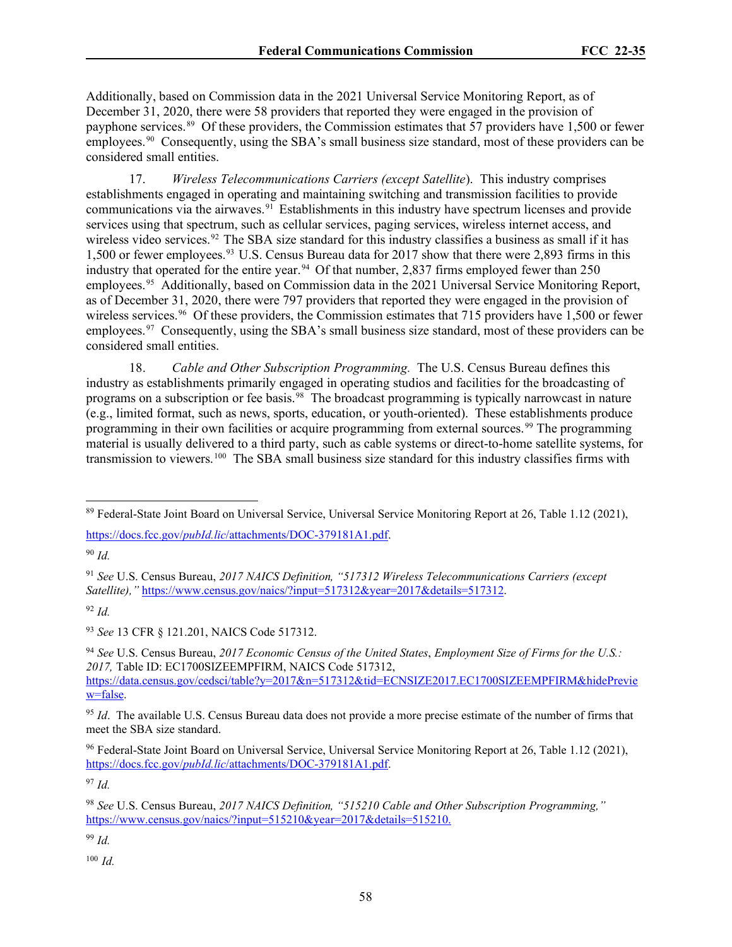Additionally, based on Commission data in the 2021 Universal Service Monitoring Report, as of December 31, 2020, there were 58 providers that reported they were engaged in the provision of payphone services.<sup>[89](#page-57-0)</sup> Of these providers, the Commission estimates that 57 providers have 1,500 or fewer employees.<sup>[90](#page-57-1)</sup> Consequently, using the SBA's small business size standard, most of these providers can be considered small entities.

17. *Wireless Telecommunications Carriers (except Satellite*). This industry comprises establishments engaged in operating and maintaining switching and transmission facilities to provide communications via the airwaves.<sup>[91](#page-57-2)</sup> Establishments in this industry have spectrum licenses and provide services using that spectrum, such as cellular services, paging services, wireless internet access, and wireless video services.<sup>[92](#page-57-3)</sup> The SBA size standard for this industry classifies a business as small if it has 1,500 or fewer employees. [93](#page-57-4) U.S. Census Bureau data for 2017 show that there were 2,893 firms in this industry that operated for the entire year.<sup>[94](#page-57-5)</sup> Of that number, 2,837 firms employed fewer than  $250$ employees.[95](#page-57-6) Additionally, based on Commission data in the 2021 Universal Service Monitoring Report, as of December 31, 2020, there were 797 providers that reported they were engaged in the provision of wireless services.<sup>[96](#page-57-7)</sup> Of these providers, the Commission estimates that 715 providers have 1,500 or fewer employees.<sup>[97](#page-57-8)</sup> Consequently, using the SBA's small business size standard, most of these providers can be considered small entities.

18. *Cable and Other Subscription Programming.* The U.S. Census Bureau defines this industry as establishments primarily engaged in operating studios and facilities for the broadcasting of programs on a subscription or fee basis.<sup>[98](#page-57-9)</sup> The broadcast programming is typically narrowcast in nature (e.g., limited format, such as news, sports, education, or youth-oriented). These establishments produce programming in their own facilities or acquire programming from external sources. [99](#page-57-10) The programming material is usually delivered to a third party, such as cable systems or direct-to-home satellite systems, for transmission to viewers.[100](#page-57-11) The SBA small business size standard for this industry classifies firms with

<span id="page-57-1"></span><sup>90</sup> *Id.* 

<span id="page-57-3"></span> $92$  *Id.* 

<span id="page-57-4"></span><sup>93</sup> *See* 13 CFR § 121.201, NAICS Code 517312.

<span id="page-57-5"></span><sup>94</sup> *See* U.S. Census Bureau, *2017 Economic Census of the United States*, *Employment Size of Firms for the U.S.: 2017,* Table ID: EC1700SIZEEMPFIRM, NAICS Code 517312, [https://data.census.gov/cedsci/table?y=2017&n=517312&tid=ECNSIZE2017.EC1700SIZEEMPFIRM&hidePrevie](https://data.census.gov/cedsci/table?y=2017&n=517312&tid=ECNSIZE2017.EC1700SIZEEMPFIRM&hidePreview=false) [w=false.](https://data.census.gov/cedsci/table?y=2017&n=517312&tid=ECNSIZE2017.EC1700SIZEEMPFIRM&hidePreview=false)

<span id="page-57-6"></span><sup>95</sup> *Id*. The available U.S. Census Bureau data does not provide a more precise estimate of the number of firms that meet the SBA size standard.

<span id="page-57-7"></span><sup>96</sup> Federal-State Joint Board on Universal Service, Universal Service Monitoring Report at 26, Table 1.12 (2021), https://docs.fcc.gov/*pubId.lic*[/attachments/DOC-379181A1.pdf.](https://docs.fcc.gov/public/attachments/DOC-379181A1.pdf)

<span id="page-57-8"></span><sup>97</sup> *Id.* 

<span id="page-57-10"></span><sup>99</sup> *Id.* 

<span id="page-57-11"></span> $100$  *Id.* 

<span id="page-57-0"></span><sup>89</sup> Federal-State Joint Board on Universal Service, Universal Service Monitoring Report at 26, Table 1.12 (2021),

https://docs.fcc.gov/*pubId.lic*[/attachments/DOC-379181A1.pdf.](https://docs.fcc.gov/public/attachments/DOC-379181A1.pdf)

<span id="page-57-2"></span><sup>91</sup> *See* U.S. Census Bureau, *2017 NAICS Definition, "517312 Wireless Telecommunications Carriers (except Satellite),"* [https://www.census.gov/naics/?input=517312&year=2017&details=517312.](https://www.census.gov/naics/?input=517312&year=2017&details=517312)

<span id="page-57-9"></span><sup>98</sup> *See* U.S. Census Bureau, *2017 NAICS Definition, "515210 Cable and Other Subscription Programming,"* [https://www.census.gov/naics/?input=515210&year=2017&details=515210.](https://www.census.gov/naics/?input=517911&year=2017&details=517911)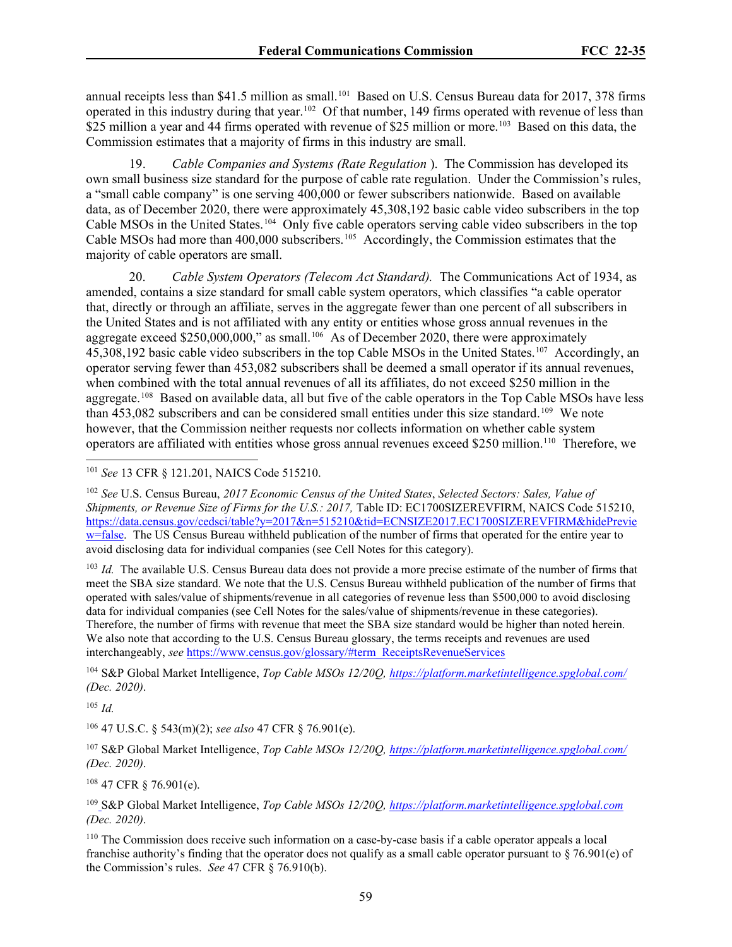annual receipts less than \$41.5 million as small.<sup>[101](#page-58-0)</sup> Based on U.S. Census Bureau data for 2017, 378 firms operated in this industry during that year.[102](#page-58-1) Of that number, 149 firms operated with revenue of less than \$25 million a year and 44 firms operated with revenue of \$25 million or more.<sup>103</sup> Based on this data, the Commission estimates that a majority of firms in this industry are small.

19. *Cable Companies and Systems (Rate Regulation* ). The Commission has developed its own small business size standard for the purpose of cable rate regulation. Under the Commission's rules, a "small cable company" is one serving 400,000 or fewer subscribers nationwide. Based on available data, as of December 2020, there were approximately 45,308,192 basic cable video subscribers in the top Cable MSOs in the United States.[104](#page-58-3) Only five cable operators serving cable video subscribers in the top Cable MSOs had more than 400,000 subscribers.<sup>[105](#page-58-4)</sup> Accordingly, the Commission estimates that the majority of cable operators are small.

20. *Cable System Operators (Telecom Act Standard).* The Communications Act of 1934, as amended, contains a size standard for small cable system operators, which classifies "a cable operator that, directly or through an affiliate, serves in the aggregate fewer than one percent of all subscribers in the United States and is not affiliated with any entity or entities whose gross annual revenues in the aggregate exceed \$250,000,000," as small.<sup>106</sup> As of December 2020, there were approximately 45,308,192 basic cable video subscribers in the top Cable MSOs in the United States.[107](#page-58-6) Accordingly, an operator serving fewer than 453,082 subscribers shall be deemed a small operator if its annual revenues, when combined with the total annual revenues of all its affiliates, do not exceed \$250 million in the aggregate.<sup>[108](#page-58-7)</sup> Based on available data, all but five of the cable operators in the Top Cable MSOs have less than 453,082 subscribers and can be considered small entities under this size standard.[109](#page-58-8) We note however, that the Commission neither requests nor collects information on whether cable system operators are affiliated with entities whose gross annual revenues exceed \$250 million.<sup>[110](#page-58-9)</sup> Therefore, we

<span id="page-58-2"></span><sup>103</sup> *Id.* The available U.S. Census Bureau data does not provide a more precise estimate of the number of firms that meet the SBA size standard. We note that the U.S. Census Bureau withheld publication of the number of firms that operated with sales/value of shipments/revenue in all categories of revenue less than \$500,000 to avoid disclosing data for individual companies (see Cell Notes for the sales/value of shipments/revenue in these categories). Therefore, the number of firms with revenue that meet the SBA size standard would be higher than noted herein. We also note that according to the U.S. Census Bureau glossary, the terms receipts and revenues are used interchangeably, *see* [https://www.census.gov/glossary/#term\\_ReceiptsRevenueServices](https://www.census.gov/glossary/#term_ReceiptsRevenueServices)

<span id="page-58-3"></span><sup>104</sup> S&P Global Market Intelligence, *Top Cable MSOs 12/20Q[, https://platform.marketintelligence.spglobal.com/](https://platform.marketintelligence.spglobal.com/) (Dec. 2020)*.

<span id="page-58-4"></span> $105$  *Id.* 

<span id="page-58-5"></span><sup>106</sup> 47 U.S.C. § 543(m)(2); *see also* 47 CFR § 76.901(e).

<span id="page-58-6"></span><sup>107</sup> S&P Global Market Intelligence, *Top Cable MSOs 12/20Q[, https://platform.marketintelligence.spglobal.com/](https://platform.marketintelligence.spglobal.com/) (Dec. 2020)*.

<span id="page-58-7"></span> $108$  47 CFR  $\S$  76.901(e).

<span id="page-58-8"></span><sup>109</sup> S&P Global Market Intelligence, *Top Cable MSOs 12/20Q[, https://platform.marketintelligence.spglobal.com](https://platform.marketintelligence.spglobal.com/) (Dec. 2020)*.

<span id="page-58-9"></span><sup>110</sup> The Commission does receive such information on a case-by-case basis if a cable operator appeals a local franchise authority's finding that the operator does not qualify as a small cable operator pursuant to  $\S$  76.901(e) of the Commission's rules. *See* 47 CFR § 76.910(b).

<span id="page-58-0"></span><sup>101</sup> *See* 13 CFR § 121.201, NAICS Code 515210.

<span id="page-58-1"></span><sup>102</sup> *See* U.S. Census Bureau, *2017 Economic Census of the United States*, *Selected Sectors: Sales, Value of Shipments, or Revenue Size of Firms for the U.S.: 2017, Table ID: EC1700SIZEREVFIRM, NAICS Code 515210,* [https://data.census.gov/cedsci/table?y=2017&n=515210&tid=ECNSIZE2017.EC1700SIZEREVFIRM&hidePrevie](https://data.census.gov/cedsci/table?y=2017&n=515210&tid=ECNSIZE2017.EC1700SIZEREVFIRM&hidePreview=false) [w=false.](https://data.census.gov/cedsci/table?y=2017&n=515210&tid=ECNSIZE2017.EC1700SIZEREVFIRM&hidePreview=false) The US Census Bureau withheld publication of the number of firms that operated for the entire year to avoid disclosing data for individual companies (see Cell Notes for this category).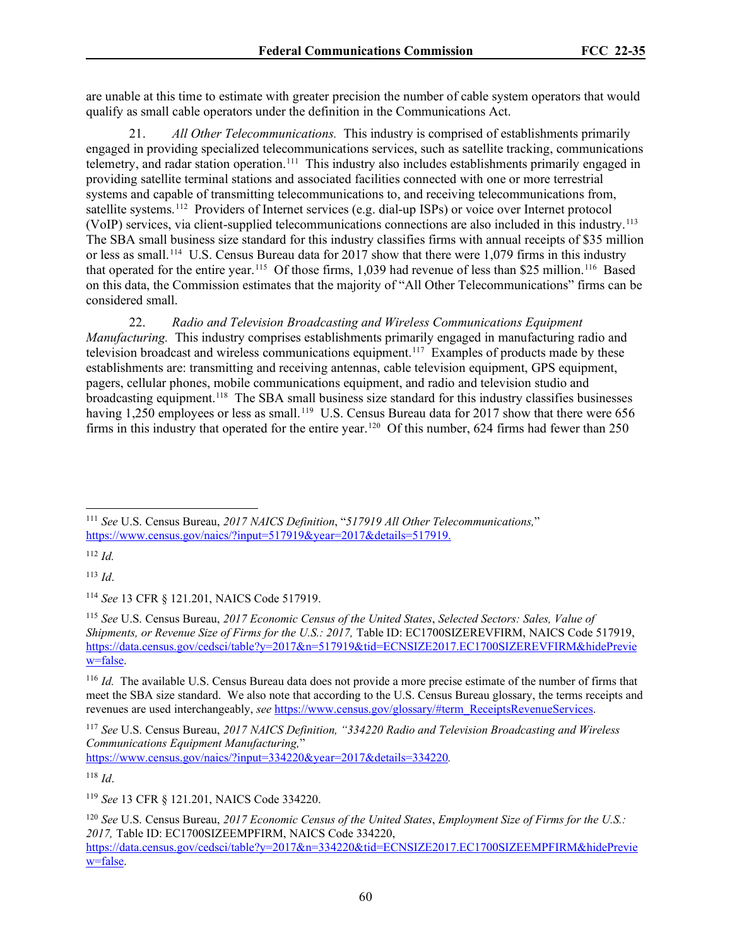are unable at this time to estimate with greater precision the number of cable system operators that would qualify as small cable operators under the definition in the Communications Act.

21. *All Other Telecommunications.* This industry is comprised of establishments primarily engaged in providing specialized telecommunications services, such as satellite tracking, communications telemetry, and radar station operation.<sup>[111](#page-59-0)</sup> This industry also includes establishments primarily engaged in providing satellite terminal stations and associated facilities connected with one or more terrestrial systems and capable of transmitting telecommunications to, and receiving telecommunications from, satellite systems.[112](#page-59-1) Providers of Internet services (e.g. dial-up ISPs) or voice over Internet protocol (VoIP) services, via client-supplied telecommunications connections are also included in this industry.[113](#page-59-2) The SBA small business size standard for this industry classifies firms with annual receipts of \$35 million or less as small.<sup>[114](#page-59-3)</sup> U.S. Census Bureau data for 2017 show that there were 1,079 firms in this industry that operated for the entire year.<sup>115</sup> Of those firms, 1,039 had revenue of less than \$25 million.<sup>[116](#page-59-5)</sup> Based on this data, the Commission estimates that the majority of "All Other Telecommunications" firms can be considered small.

22. *Radio and Television Broadcasting and Wireless Communications Equipment Manufacturing.*This industry comprises establishments primarily engaged in manufacturing radio and television broadcast and wireless communications equipment.[117](#page-59-6) Examples of products made by these establishments are: transmitting and receiving antennas, cable television equipment, GPS equipment, pagers, cellular phones, mobile communications equipment, and radio and television studio and broadcasting equipment.<sup>118</sup> The SBA small business size standard for this industry classifies businesses having 1,250 employees or less as small.<sup>[119](#page-59-8)</sup> U.S. Census Bureau data for 2017 show that there were 656 firms in this industry that operated for the entire year.<sup>[120](#page-59-9)</sup> Of this number, 624 firms had fewer than 250

<span id="page-59-0"></span><sup>111</sup> *See* U.S. Census Bureau, *2017 NAICS Definition*, "*517919 All Other Telecommunications,*" [https://www.census.gov/naics/?input=517919&year=2017&details=517919.](https://www.census.gov/naics/?input=517919&year=2017&details=517919)

<span id="page-59-1"></span> $112$  *Id.* 

<span id="page-59-2"></span><sup>113</sup> *Id*.

<span id="page-59-3"></span><sup>114</sup> *See* 13 CFR § 121.201, NAICS Code 517919.

<span id="page-59-4"></span><sup>115</sup> *See* U.S. Census Bureau, *2017 Economic Census of the United States*, *Selected Sectors: Sales, Value of Shipments, or Revenue Size of Firms for the U.S.: 2017, Table ID: EC1700SIZEREVFIRM, NAICS Code 517919,* [https://data.census.gov/cedsci/table?y=2017&n=517919&tid=ECNSIZE2017.EC1700SIZEREVFIRM&hidePrevie](https://data.census.gov/cedsci/table?y=2017&n=517919&tid=ECNSIZE2017.EC1700SIZEREVFIRM&hidePreview=false) [w=false.](https://data.census.gov/cedsci/table?y=2017&n=517919&tid=ECNSIZE2017.EC1700SIZEREVFIRM&hidePreview=false)

<span id="page-59-5"></span><sup>116</sup> *Id.* The available U.S. Census Bureau data does not provide a more precise estimate of the number of firms that meet the SBA size standard. We also note that according to the U.S. Census Bureau glossary, the terms receipts and revenues are used interchangeably, *see* [https://www.census.gov/glossary/#term\\_ReceiptsRevenueServices.](https://www.census.gov/glossary/#term_ReceiptsRevenueServices) 

<span id="page-59-6"></span><sup>117</sup> *See* U.S. Census Bureau, *2017 NAICS Definition, "334220 Radio and Television Broadcasting and Wireless Communications Equipment Manufacturing,*"

<https://www.census.gov/naics/?input=334220&year=2017&details=334220>*.* 

<span id="page-59-7"></span><sup>118</sup> *Id*.

<span id="page-59-8"></span><sup>119</sup> *See* 13 CFR § 121.201, NAICS Code 334220.

<span id="page-59-9"></span><sup>120</sup> *See* U.S. Census Bureau, *2017 Economic Census of the United States*, *Employment Size of Firms for the U.S.: 2017,* Table ID: EC1700SIZEEMPFIRM, NAICS Code 334220, [https://data.census.gov/cedsci/table?y=2017&n=334220&tid=ECNSIZE2017.EC1700SIZEEMPFIRM&hidePrevie](https://data.census.gov/cedsci/table?y=2017&n=334220&tid=ECNSIZE2017.EC1700SIZEEMPFIRM&hidePreview=false) [w=false.](https://data.census.gov/cedsci/table?y=2017&n=334220&tid=ECNSIZE2017.EC1700SIZEEMPFIRM&hidePreview=false)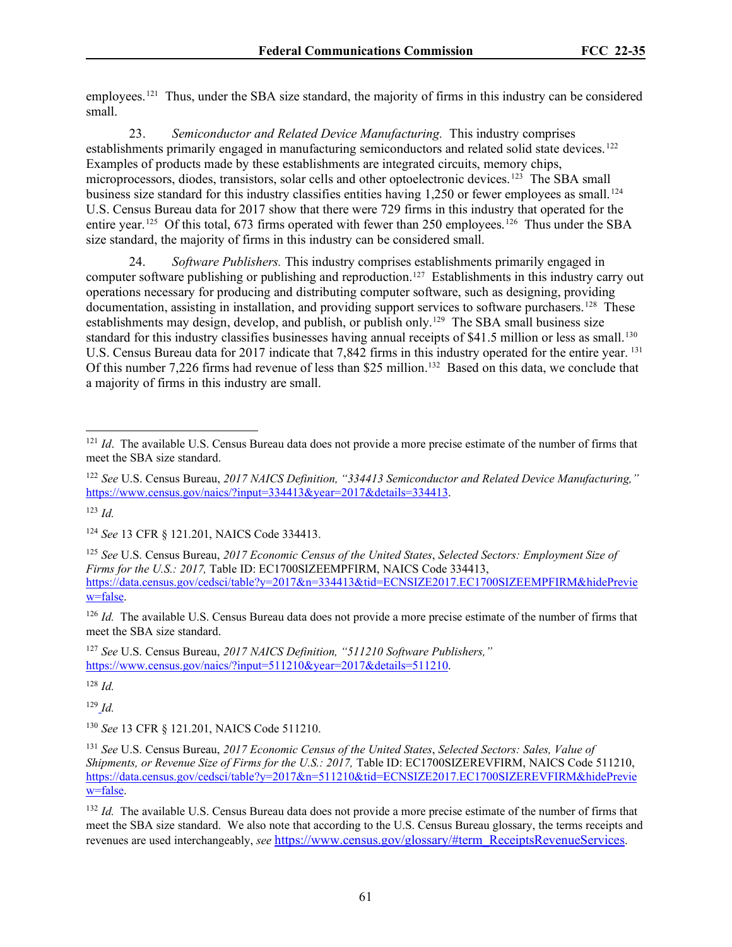employees.<sup>121</sup> Thus, under the SBA size standard, the majority of firms in this industry can be considered small.

23. *Semiconductor and Related Device Manufacturing.* This industry comprises establishments primarily engaged in manufacturing semiconductors and related solid state devices.<sup>[122](#page-60-1)</sup> Examples of products made by these establishments are integrated circuits, memory chips, microprocessors, diodes, transistors, solar cells and other optoelectronic devices.[123](#page-60-2) The SBA small business size standard for this industry classifies entities having 1,250 or fewer employees as small.<sup>[124](#page-60-3)</sup> U.S. Census Bureau data for 2017 show that there were 729 firms in this industry that operated for the entire year.<sup>[125](#page-60-4)</sup> Of this total, 673 firms operated with fewer than 250 employees.<sup>[126](#page-60-5)</sup> Thus under the SBA size standard, the majority of firms in this industry can be considered small.

24. *Software Publishers.* This industry comprises establishments primarily engaged in computer software publishing or publishing and reproduction[.127](#page-60-6) Establishments in this industry carry out operations necessary for producing and distributing computer software, such as designing, providing documentation, assisting in installation, and providing support services to software purchasers.<sup>128</sup> These establishments may design, develop, and publish, or publish only.<sup>[129](#page-60-8)</sup> The SBA small business size standard for this industry classifies businesses having annual receipts of \$41.5 million or less as small.<sup>[130](#page-60-9)</sup> U.S. Census Bureau data for 2017 indicate that 7,842 firms in this industry operated for the entire year. <sup>[131](#page-60-10)</sup> Of this number 7,226 firms had revenue of less than \$25 million.<sup>[132](#page-60-11)</sup> Based on this data, we conclude that a majority of firms in this industry are small.

<span id="page-60-5"></span><sup>126</sup> *Id.* The available U.S. Census Bureau data does not provide a more precise estimate of the number of firms that meet the SBA size standard.

<span id="page-60-6"></span><sup>127</sup> *See* U.S. Census Bureau, *2017 NAICS Definition, "511210 Software Publishers,"* [https://www.census.gov/naics/?input=511210&year=2017&details=511210.](https://www.census.gov/naics/?input=511210&year=2017&details=511210)

<span id="page-60-7"></span> $128$  *Id.* 

<span id="page-60-8"></span><sup>129</sup> *Id.*

<span id="page-60-9"></span><sup>130</sup> *See* 13 CFR § 121.201, NAICS Code 511210.

<span id="page-60-0"></span><sup>&</sup>lt;sup>121</sup> *Id*. The available U.S. Census Bureau data does not provide a more precise estimate of the number of firms that meet the SBA size standard.

<span id="page-60-1"></span><sup>122</sup> *See* U.S. Census Bureau, *2017 NAICS Definition, "334413 Semiconductor and Related Device Manufacturing,"* [https://www.census.gov/naics/?input=334413&year=2017&details=334413.](https://www.census.gov/naics/?input=334413&year=2017&details=334413)

<span id="page-60-2"></span> $123$  *Id.* 

<span id="page-60-3"></span><sup>124</sup> *See* 13 CFR § 121.201, NAICS Code 334413.

<span id="page-60-4"></span><sup>125</sup> *See* U.S. Census Bureau, *2017 Economic Census of the United States*, *Selected Sectors: Employment Size of Firms for the U.S.: 2017,* Table ID: EC1700SIZEEMPFIRM, NAICS Code 334413, [https://data.census.gov/cedsci/table?y=2017&n=334413&tid=ECNSIZE2017.EC1700SIZEEMPFIRM&hidePrevie](https://data.census.gov/cedsci/table?y=2017&n=334413&tid=ECNSIZE2017.EC1700SIZEEMPFIRM&hidePreview=false) [w=false.](https://data.census.gov/cedsci/table?y=2017&n=334413&tid=ECNSIZE2017.EC1700SIZEEMPFIRM&hidePreview=false)

<span id="page-60-10"></span><sup>131</sup> *See* U.S. Census Bureau, *2017 Economic Census of the United States*, *Selected Sectors: Sales, Value of Shipments, or Revenue Size of Firms for the U.S.: 2017, Table ID: EC1700SIZEREVFIRM, NAICS Code 511210,* [https://data.census.gov/cedsci/table?y=2017&n=511210&tid=ECNSIZE2017.EC1700SIZEREVFIRM&hidePrevie](https://data.census.gov/cedsci/table?y=2017&n=511210&tid=ECNSIZE2017.EC1700SIZEREVFIRM&hidePreview=false) [w=false.](https://data.census.gov/cedsci/table?y=2017&n=511210&tid=ECNSIZE2017.EC1700SIZEREVFIRM&hidePreview=false)

<span id="page-60-11"></span><sup>&</sup>lt;sup>132</sup> *Id.* The available U.S. Census Bureau data does not provide a more precise estimate of the number of firms that meet the SBA size standard. We also note that according to the U.S. Census Bureau glossary, the terms receipts and revenues are used interchangeably, *see* [https://www.census.gov/glossary/#term\\_ReceiptsRevenueServices.](https://www.census.gov/glossary/#term_ReceiptsRevenueServices)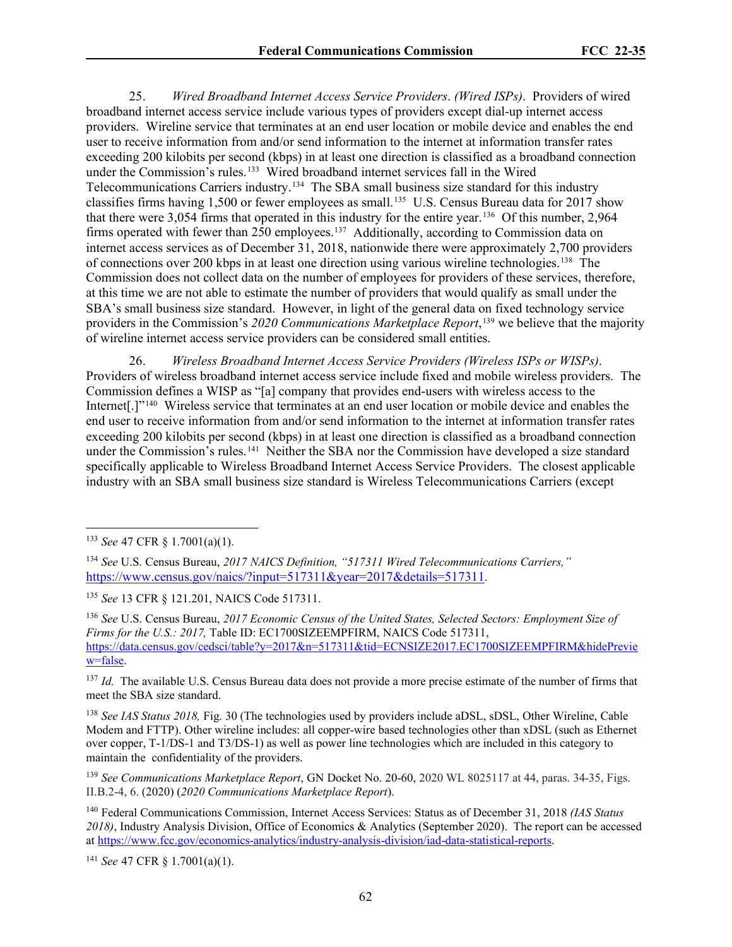25. *Wired Broadband Internet Access Service Providers*. *(Wired ISPs)*. Providers of wired broadband internet access service include various types of providers except dial-up internet access providers. Wireline service that terminates at an end user location or mobile device and enables the end user to receive information from and/or send information to the internet at information transfer rates exceeding 200 kilobits per second (kbps) in at least one direction is classified as a broadband connection under the Commission's rules.<sup>[133](#page-61-0)</sup> Wired broadband internet services fall in the Wired Telecommunications Carriers industry.[134](#page-61-1) The SBA small business size standard for this industry classifies firms having 1,500 or fewer employees as small. [135](#page-61-2) U.S. Census Bureau data for 2017 show that there were 3,054 firms that operated in this industry for the entire year.[136](#page-61-3) Of this number, 2,964 firms operated with fewer than  $250$  employees.<sup>[137](#page-61-4)</sup> Additionally, according to Commission data on internet access services as of December 31, 2018, nationwide there were approximately 2,700 providers of connections over 200 kbps in at least one direction using various wireline technologies.<sup>[138](#page-61-5)</sup> The Commission does not collect data on the number of employees for providers of these services, therefore, at this time we are not able to estimate the number of providers that would qualify as small under the SBA's small business size standard. However, in light of the general data on fixed technology service providers in the Commission's *2020 Communications Marketplace Report*, [139](#page-61-6) we believe that the majority of wireline internet access service providers can be considered small entities.

26. *Wireless Broadband Internet Access Service Providers (Wireless ISPs or WISPs)*. Providers of wireless broadband internet access service include fixed and mobile wireless providers. The Commission defines a WISP as "[a] company that provides end-users with wireless access to the Internet[.]"[140](#page-61-7) Wireless service that terminates at an end user location or mobile device and enables the end user to receive information from and/or send information to the internet at information transfer rates exceeding 200 kilobits per second (kbps) in at least one direction is classified as a broadband connection under the Commission's rules.<sup>[141](#page-61-8)</sup> Neither the SBA nor the Commission have developed a size standard specifically applicable to Wireless Broadband Internet Access Service Providers. The closest applicable industry with an SBA small business size standard is Wireless Telecommunications Carriers (except

<span id="page-61-3"></span><sup>136</sup> *See* U.S. Census Bureau, *2017 Economic Census of the United States, Selected Sectors: Employment Size of Firms for the U.S.: 2017,* Table ID: EC1700SIZEEMPFIRM, NAICS Code 517311, [https://data.census.gov/cedsci/table?y=2017&n=517311&tid=ECNSIZE2017.EC1700SIZEEMPFIRM&hidePrevie](https://data.census.gov/cedsci/table?y=2017&n=517311&tid=ECNSIZE2017.EC1700SIZEEMPFIRM&hidePreview=false) [w=false.](https://data.census.gov/cedsci/table?y=2017&n=517311&tid=ECNSIZE2017.EC1700SIZEEMPFIRM&hidePreview=false)

<span id="page-61-4"></span><sup>137</sup> *Id.* The available U.S. Census Bureau data does not provide a more precise estimate of the number of firms that meet the SBA size standard.

<span id="page-61-5"></span><sup>138</sup> *See IAS Status 2018,* Fig. 30 (The technologies used by providers include aDSL, sDSL, Other Wireline, Cable Modem and FTTP). Other wireline includes: all copper-wire based technologies other than xDSL (such as Ethernet over copper, T-1/DS-1 and T3/DS-1) as well as power line technologies which are included in this category to maintain the confidentiality of the providers.

<span id="page-61-8"></span><sup>141</sup> *See* 47 CFR § 1.7001(a)(1).

<span id="page-61-0"></span><sup>133</sup> *See* 47 CFR § 1.7001(a)(1).

<span id="page-61-1"></span><sup>134</sup> *See* U.S. Census Bureau, *2017 NAICS Definition, "517311 Wired Telecommunications Carriers,"* [https://www.census.gov/naics/?input=517311&year=2017&details=517311.](https://www.census.gov/naics/?input=517311&year=2017&details=517311) 

<span id="page-61-2"></span><sup>135</sup> *See* 13 CFR § 121.201, NAICS Code 517311.

<span id="page-61-6"></span><sup>139</sup> *See Communications Marketplace Report*, GN Docket No. 20-60, 2020 WL 8025117 at 44, paras. 34-35, Figs. II.B.2-4, 6. (2020) (*2020 Communications Marketplace Report*).

<span id="page-61-7"></span><sup>140</sup> Federal Communications Commission, Internet Access Services: Status as of December 31, 2018 *(IAS Status 2018)*, Industry Analysis Division, Office of Economics & Analytics (September 2020). The report can be accessed a[t https://www.fcc.gov/economics-analytics/industry-analysis-division/iad-data-statistical-reports.](https://www.fcc.gov/economics-analytics/industry-analysis-division/iad-data-statistical-reports)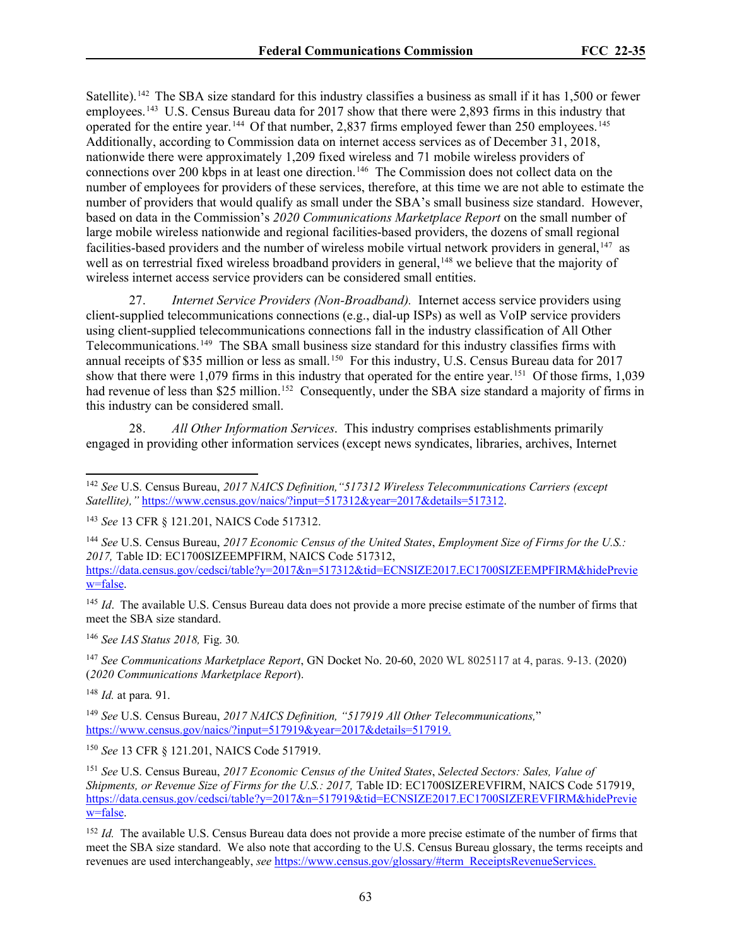Satellite).<sup>[142](#page-62-0)</sup> The SBA size standard for this industry classifies a business as small if it has 1,500 or fewer employees.<sup>143</sup> U.S. Census Bureau data for 2017 show that there were 2,893 firms in this industry that operated for the entire year. [144](#page-62-2) Of that number, 2,837 firms employed fewer than 250 employees. [145](#page-62-3) Additionally, according to Commission data on internet access services as of December 31, 2018, nationwide there were approximately 1,209 fixed wireless and 71 mobile wireless providers of connections over 200 kbps in at least one direction.<sup>[146](#page-62-4)</sup> The Commission does not collect data on the number of employees for providers of these services, therefore, at this time we are not able to estimate the number of providers that would qualify as small under the SBA's small business size standard. However, based on data in the Commission's *2020 Communications Marketplace Report* on the small number of large mobile wireless nationwide and regional facilities-based providers, the dozens of small regional facilities-based providers and the number of wireless mobile virtual network providers in general, $147$  as well as on terrestrial fixed wireless broadband providers in general,<sup>[148](#page-62-6)</sup> we believe that the majority of wireless internet access service providers can be considered small entities.

27. *Internet Service Providers (Non-Broadband).* Internet access service providers using client-supplied telecommunications connections (e.g., dial-up ISPs) as well as VoIP service providers using client-supplied telecommunications connections fall in the industry classification of All Other Telecommunications.[149](#page-62-7) The SBA small business size standard for this industry classifies firms with annual receipts of \$35 million or less as small.<sup>[150](#page-62-8)</sup> For this industry, U.S. Census Bureau data for 2017 show that there were 1,079 firms in this industry that operated for the entire year. [151](#page-62-9) Of those firms, 1,039 had revenue of less than \$25 million.<sup>152</sup> Consequently, under the SBA size standard a majority of firms in this industry can be considered small.

28. *All Other Information Services*. This industry comprises establishments primarily engaged in providing other information services (except news syndicates, libraries, archives, Internet

<span id="page-62-3"></span><sup>145</sup> *Id.* The available U.S. Census Bureau data does not provide a more precise estimate of the number of firms that meet the SBA size standard.

<span id="page-62-4"></span><sup>146</sup> *See IAS Status 2018,* Fig. 30*.* 

<span id="page-62-5"></span><sup>147</sup> *See Communications Marketplace Report*, GN Docket No. 20-60, 2020 WL 8025117 at 4, paras. 9-13. (2020) (*2020 Communications Marketplace Report*).

<span id="page-62-6"></span><sup>148</sup> *Id.* at para. 91.

<span id="page-62-8"></span><sup>150</sup> *See* 13 CFR § 121.201, NAICS Code 517919.

<span id="page-62-9"></span><sup>151</sup> *See* U.S. Census Bureau, *2017 Economic Census of the United States*, *Selected Sectors: Sales, Value of Shipments, or Revenue Size of Firms for the U.S.: 2017, Table ID: EC1700SIZEREVFIRM, NAICS Code 517919,* [https://data.census.gov/cedsci/table?y=2017&n=517919&tid=ECNSIZE2017.EC1700SIZEREVFIRM&hidePrevie](https://data.census.gov/cedsci/table?y=2017&n=517919&tid=ECNSIZE2017.EC1700SIZEREVFIRM&hidePreview=false) [w=false.](https://data.census.gov/cedsci/table?y=2017&n=517919&tid=ECNSIZE2017.EC1700SIZEREVFIRM&hidePreview=false)

<span id="page-62-0"></span><sup>142</sup> *See* U.S. Census Bureau, *2017 NAICS Definition,"517312 Wireless Telecommunications Carriers (except Satellite),"* [https://www.census.gov/naics/?input=517312&year=2017&details=517312.](https://www.census.gov/naics/?input=517911&year=2017&details=517911)

<span id="page-62-1"></span><sup>143</sup> *See* 13 CFR § 121.201, NAICS Code 517312.

<span id="page-62-2"></span><sup>144</sup> *See* U.S. Census Bureau, *2017 Economic Census of the United States*, *Employment Size of Firms for the U.S.: 2017,* Table ID: EC1700SIZEEMPFIRM, NAICS Code 517312,

[https://data.census.gov/cedsci/table?y=2017&n=517312&tid=ECNSIZE2017.EC1700SIZEEMPFIRM&hidePrevie](https://data.census.gov/cedsci/table?y=2017&n=517312&tid=ECNSIZE2017.EC1700SIZEEMPFIRM&hidePreview=false) [w=false.](https://data.census.gov/cedsci/table?y=2017&n=517312&tid=ECNSIZE2017.EC1700SIZEEMPFIRM&hidePreview=false)

<span id="page-62-7"></span><sup>149</sup> *See* U.S. Census Bureau, *2017 NAICS Definition, "517919 All Other Telecommunications,*" [https://www.census.gov/naics/?input=517919&year=2017&details=517919.](https://www.census.gov/naics/?input=517919&year=2017&details=517919)

<span id="page-62-10"></span><sup>&</sup>lt;sup>152</sup> *Id.* The available U.S. Census Bureau data does not provide a more precise estimate of the number of firms that meet the SBA size standard. We also note that according to the U.S. Census Bureau glossary, the terms receipts and revenues are used interchangeably, *see* [https://www.census.gov/glossary/#term\\_ReceiptsRevenueServices.](https://www.census.gov/glossary/#term_ReceiptsRevenueServices)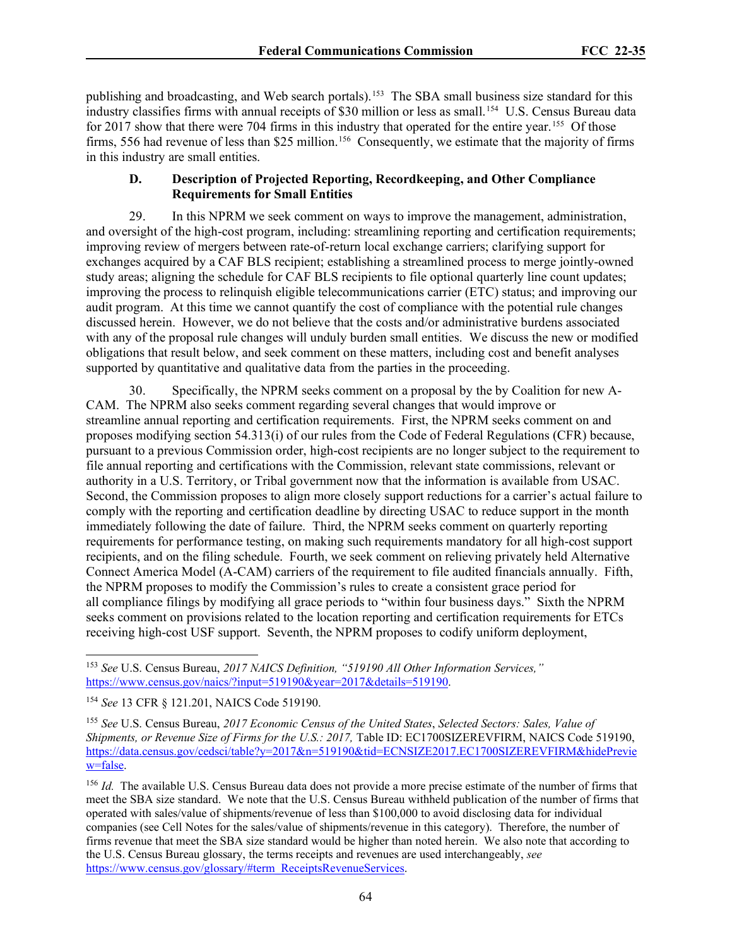publishing and broadcasting, and Web search portals).<sup>153</sup> The SBA small business size standard for this industry classifies firms with annual receipts of \$30 million or less as small.<sup>[154](#page-63-1)</sup> U.S. Census Bureau data for 2017 show that there were 704 firms in this industry that operated for the entire year.<sup>[155](#page-63-2)</sup> Of those firms, 556 had revenue of less than \$25 million.<sup>156</sup> Consequently, we estimate that the majority of firms in this industry are small entities.

### **D. Description of Projected Reporting, Recordkeeping, and Other Compliance Requirements for Small Entities**

29. In this NPRM we seek comment on ways to improve the management, administration, and oversight of the high-cost program, including: streamlining reporting and certification requirements; improving review of mergers between rate-of-return local exchange carriers; clarifying support for exchanges acquired by a CAF BLS recipient; establishing a streamlined process to merge jointly-owned study areas; aligning the schedule for CAF BLS recipients to file optional quarterly line count updates; improving the process to relinquish eligible telecommunications carrier (ETC) status; and improving our audit program. At this time we cannot quantify the cost of compliance with the potential rule changes discussed herein. However, we do not believe that the costs and/or administrative burdens associated with any of the proposal rule changes will unduly burden small entities. We discuss the new or modified obligations that result below, and seek comment on these matters, including cost and benefit analyses supported by quantitative and qualitative data from the parties in the proceeding.

30. Specifically, the NPRM seeks comment on a proposal by the by Coalition for new A-CAM. The NPRM also seeks comment regarding several changes that would improve or streamline annual reporting and certification requirements. First, the NPRM seeks comment on and proposes modifying section 54.313(i) of our rules from the Code of Federal Regulations (CFR) because, pursuant to a previous Commission order, high-cost recipients are no longer subject to the requirement to file annual reporting and certifications with the Commission, relevant state commissions, relevant or authority in a U.S. Territory, or Tribal government now that the information is available from USAC. Second, the Commission proposes to align more closely support reductions for a carrier's actual failure to comply with the reporting and certification deadline by directing USAC to reduce support in the month immediately following the date of failure. Third, the NPRM seeks comment on quarterly reporting requirements for performance testing, on making such requirements mandatory for all high-cost support recipients, and on the filing schedule. Fourth, we seek comment on relieving privately held Alternative Connect America Model (A-CAM) carriers of the requirement to file audited financials annually. Fifth, the NPRM proposes to modify the Commission's rules to create a consistent grace period for all compliance filings by modifying all grace periods to "within four business days." Sixth the NPRM seeks comment on provisions related to the location reporting and certification requirements for ETCs receiving high-cost USF support. Seventh, the NPRM proposes to codify uniform deployment,

<span id="page-63-0"></span><sup>153</sup> *See* U.S. Census Bureau, *2017 NAICS Definition, "519190 All Other Information Services,"* [https://www.census.gov/naics/?input=519190&year=2017&details=519190.](https://www.census.gov/naics/?input=517911&year=2017&details=517911)

<span id="page-63-1"></span><sup>154</sup> *See* 13 CFR § 121.201, NAICS Code 519190.

<span id="page-63-2"></span><sup>155</sup> *See* U.S. Census Bureau, *2017 Economic Census of the United States*, *Selected Sectors: Sales, Value of Shipments, or Revenue Size of Firms for the U.S.: 2017, Table ID: EC1700SIZEREVFIRM, NAICS Code 519190,* [https://data.census.gov/cedsci/table?y=2017&n=519190&tid=ECNSIZE2017.EC1700SIZEREVFIRM&hidePrevie](https://data.census.gov/cedsci/table?y=2017&n=519190&tid=ECNSIZE2017.EC1700SIZEREVFIRM&hidePreview=false) [w=false.](https://data.census.gov/cedsci/table?y=2017&n=519190&tid=ECNSIZE2017.EC1700SIZEREVFIRM&hidePreview=false)

<span id="page-63-3"></span><sup>&</sup>lt;sup>156</sup> *Id.* The available U.S. Census Bureau data does not provide a more precise estimate of the number of firms that meet the SBA size standard. We note that the U.S. Census Bureau withheld publication of the number of firms that operated with sales/value of shipments/revenue of less than \$100,000 to avoid disclosing data for individual companies (see Cell Notes for the sales/value of shipments/revenue in this category). Therefore, the number of firms revenue that meet the SBA size standard would be higher than noted herein. We also note that according to the U.S. Census Bureau glossary, the terms receipts and revenues are used interchangeably, *see* [https://www.census.gov/glossary/#term\\_ReceiptsRevenueServices.](https://www.census.gov/glossary/#term_ReceiptsRevenueServices)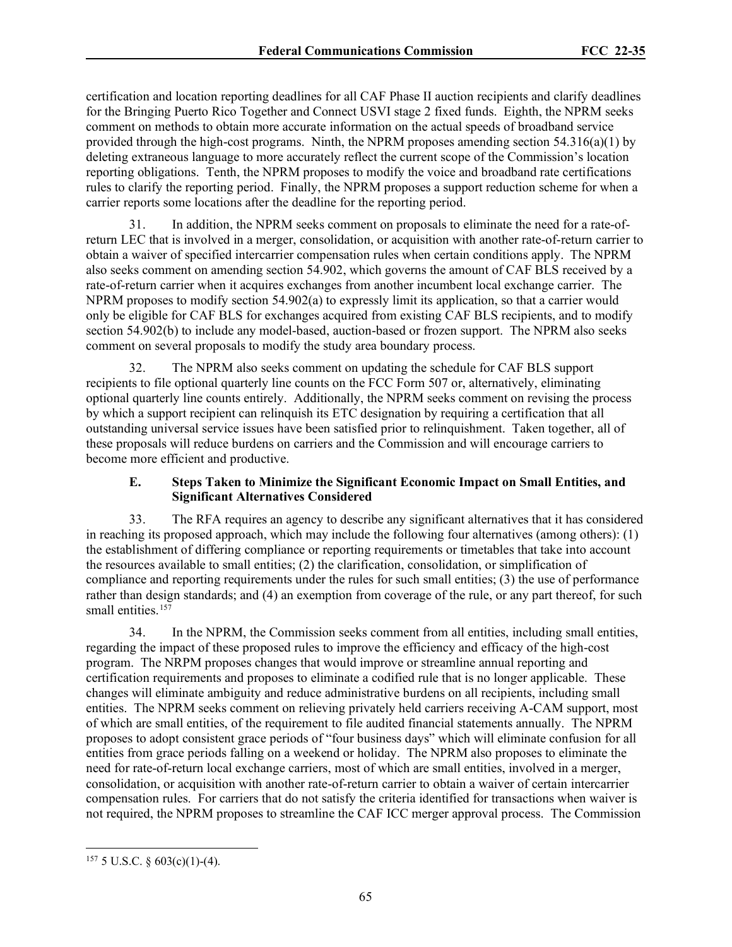certification and location reporting deadlines for all CAF Phase II auction recipients and clarify deadlines for the Bringing Puerto Rico Together and Connect USVI stage 2 fixed funds. Eighth, the NPRM seeks comment on methods to obtain more accurate information on the actual speeds of broadband service provided through the high-cost programs. Ninth, the NPRM proposes amending section  $54.316(a)(1)$  by deleting extraneous language to more accurately reflect the current scope of the Commission's location reporting obligations. Tenth, the NPRM proposes to modify the voice and broadband rate certifications rules to clarify the reporting period. Finally, the NPRM proposes a support reduction scheme for when a carrier reports some locations after the deadline for the reporting period.

In addition, the NPRM seeks comment on proposals to eliminate the need for a rate-ofreturn LEC that is involved in a merger, consolidation, or acquisition with another rate-of-return carrier to obtain a waiver of specified intercarrier compensation rules when certain conditions apply. The NPRM also seeks comment on amending section 54.902, which governs the amount of CAF BLS received by a rate-of-return carrier when it acquires exchanges from another incumbent local exchange carrier. The NPRM proposes to modify section 54.902(a) to expressly limit its application, so that a carrier would only be eligible for CAF BLS for exchanges acquired from existing CAF BLS recipients, and to modify section 54.902(b) to include any model-based, auction-based or frozen support. The NPRM also seeks comment on several proposals to modify the study area boundary process.

32. The NPRM also seeks comment on updating the schedule for CAF BLS support recipients to file optional quarterly line counts on the FCC Form 507 or, alternatively, eliminating optional quarterly line counts entirely. Additionally, the NPRM seeks comment on revising the process by which a support recipient can relinquish its ETC designation by requiring a certification that all outstanding universal service issues have been satisfied prior to relinquishment. Taken together, all of these proposals will reduce burdens on carriers and the Commission and will encourage carriers to become more efficient and productive.

# **E. Steps Taken to Minimize the Significant Economic Impact on Small Entities, and Significant Alternatives Considered**

33. The RFA requires an agency to describe any significant alternatives that it has considered in reaching its proposed approach, which may include the following four alternatives (among others): (1) the establishment of differing compliance or reporting requirements or timetables that take into account the resources available to small entities; (2) the clarification, consolidation, or simplification of compliance and reporting requirements under the rules for such small entities; (3) the use of performance rather than design standards; and (4) an exemption from coverage of the rule, or any part thereof, for such small entities.<sup>157</sup>

34. In the NPRM, the Commission seeks comment from all entities, including small entities, regarding the impact of these proposed rules to improve the efficiency and efficacy of the high-cost program. The NRPM proposes changes that would improve or streamline annual reporting and certification requirements and proposes to eliminate a codified rule that is no longer applicable. These changes will eliminate ambiguity and reduce administrative burdens on all recipients, including small entities. The NPRM seeks comment on relieving privately held carriers receiving A-CAM support, most of which are small entities, of the requirement to file audited financial statements annually. The NPRM proposes to adopt consistent grace periods of "four business days" which will eliminate confusion for all entities from grace periods falling on a weekend or holiday. The NPRM also proposes to eliminate the need for rate-of-return local exchange carriers, most of which are small entities, involved in a merger, consolidation, or acquisition with another rate-of-return carrier to obtain a waiver of certain intercarrier compensation rules. For carriers that do not satisfy the criteria identified for transactions when waiver is not required, the NPRM proposes to streamline the CAF ICC merger approval process. The Commission

<span id="page-64-0"></span> $157$  5 U.S.C. § 603(c)(1)-(4).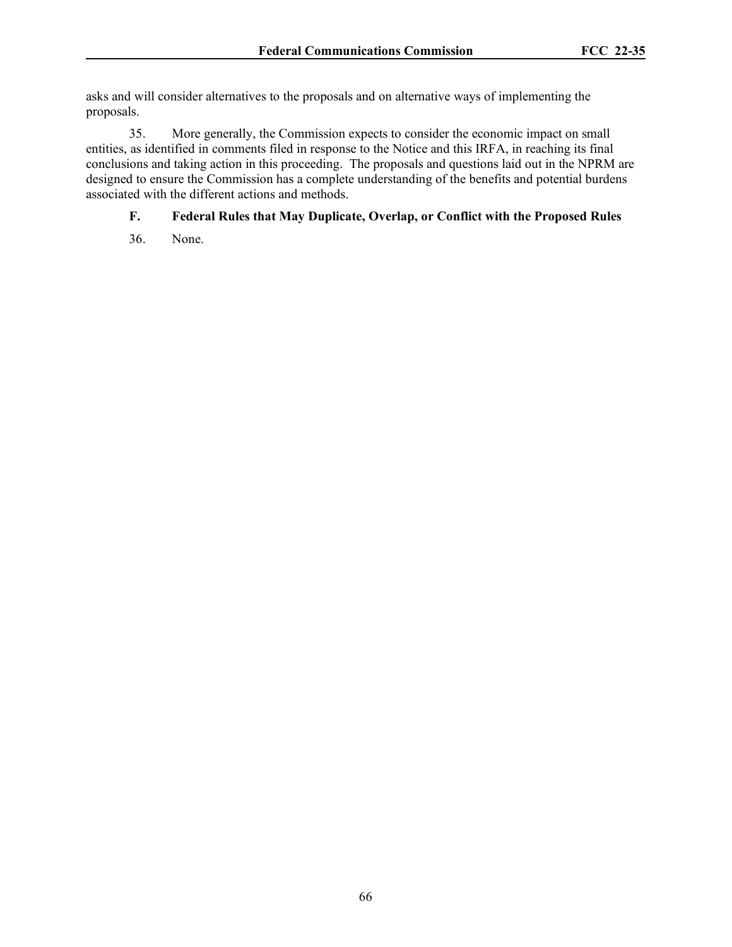asks and will consider alternatives to the proposals and on alternative ways of implementing the proposals.

35. More generally, the Commission expects to consider the economic impact on small entities, as identified in comments filed in response to the Notice and this IRFA, in reaching its final conclusions and taking action in this proceeding. The proposals and questions laid out in the NPRM are designed to ensure the Commission has a complete understanding of the benefits and potential burdens associated with the different actions and methods.

# **F. Federal Rules that May Duplicate, Overlap, or Conflict with the Proposed Rules**

36. None.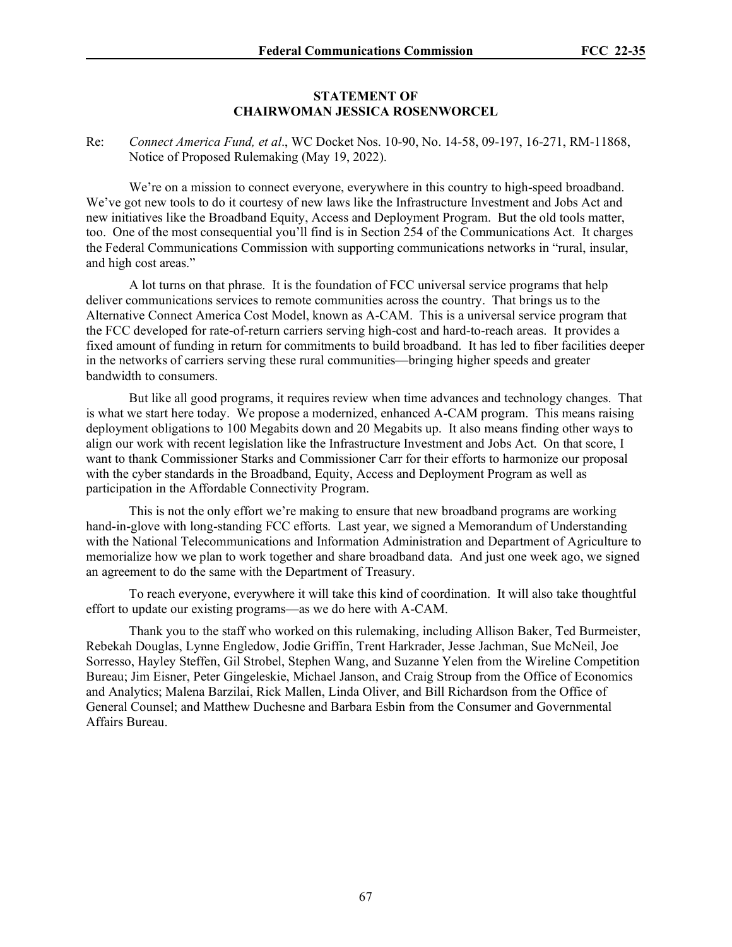# **STATEMENT OF CHAIRWOMAN JESSICA ROSENWORCEL**

Re: *Connect America Fund, et al*., WC Docket Nos. 10-90, No. 14-58, 09-197, 16-271, RM-11868, Notice of Proposed Rulemaking (May 19, 2022).

We're on a mission to connect everyone, everywhere in this country to high-speed broadband. We've got new tools to do it courtesy of new laws like the Infrastructure Investment and Jobs Act and new initiatives like the Broadband Equity, Access and Deployment Program. But the old tools matter, too. One of the most consequential you'll find is in Section 254 of the Communications Act. It charges the Federal Communications Commission with supporting communications networks in "rural, insular, and high cost areas."

A lot turns on that phrase. It is the foundation of FCC universal service programs that help deliver communications services to remote communities across the country. That brings us to the Alternative Connect America Cost Model, known as A-CAM. This is a universal service program that the FCC developed for rate-of-return carriers serving high-cost and hard-to-reach areas. It provides a fixed amount of funding in return for commitments to build broadband. It has led to fiber facilities deeper in the networks of carriers serving these rural communities—bringing higher speeds and greater bandwidth to consumers.

But like all good programs, it requires review when time advances and technology changes. That is what we start here today. We propose a modernized, enhanced A-CAM program. This means raising deployment obligations to 100 Megabits down and 20 Megabits up. It also means finding other ways to align our work with recent legislation like the Infrastructure Investment and Jobs Act. On that score, I want to thank Commissioner Starks and Commissioner Carr for their efforts to harmonize our proposal with the cyber standards in the Broadband, Equity, Access and Deployment Program as well as participation in the Affordable Connectivity Program.

This is not the only effort we're making to ensure that new broadband programs are working hand-in-glove with long-standing FCC efforts. Last year, we signed a Memorandum of Understanding with the National Telecommunications and Information Administration and Department of Agriculture to memorialize how we plan to work together and share broadband data. And just one week ago, we signed an agreement to do the same with the Department of Treasury.

To reach everyone, everywhere it will take this kind of coordination. It will also take thoughtful effort to update our existing programs—as we do here with A-CAM.

Thank you to the staff who worked on this rulemaking, including Allison Baker, Ted Burmeister, Rebekah Douglas, Lynne Engledow, Jodie Griffin, Trent Harkrader, Jesse Jachman, Sue McNeil, Joe Sorresso, Hayley Steffen, Gil Strobel, Stephen Wang, and Suzanne Yelen from the Wireline Competition Bureau; Jim Eisner, Peter Gingeleskie, Michael Janson, and Craig Stroup from the Office of Economics and Analytics; Malena Barzilai, Rick Mallen, Linda Oliver, and Bill Richardson from the Office of General Counsel; and Matthew Duchesne and Barbara Esbin from the Consumer and Governmental Affairs Bureau.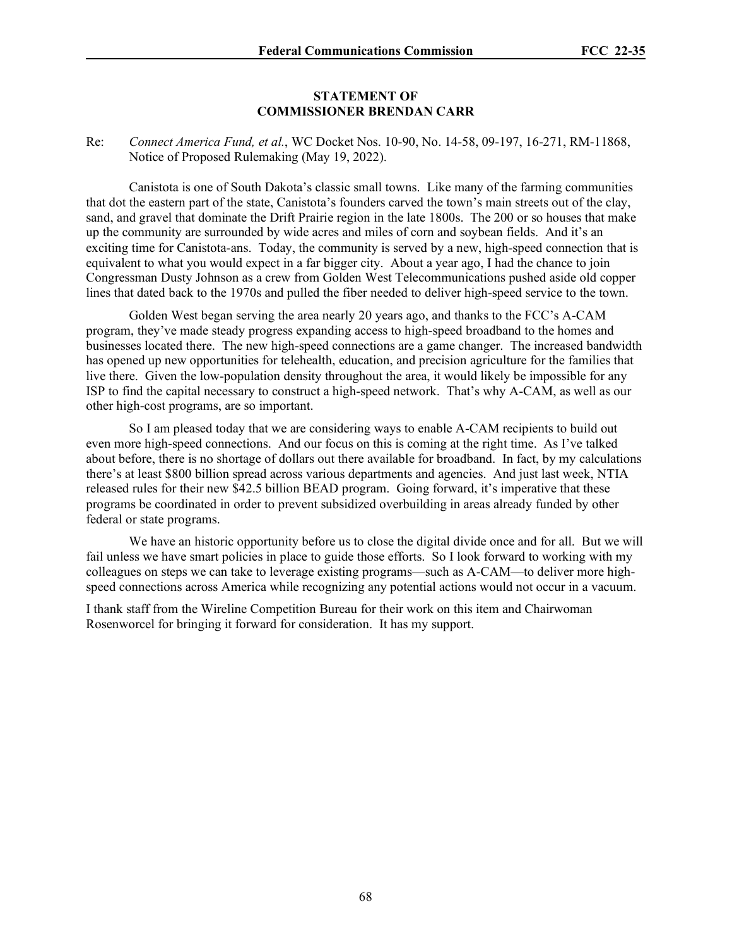# **STATEMENT OF COMMISSIONER BRENDAN CARR**

Re: *Connect America Fund, et al.*, WC Docket Nos. 10-90, No. 14-58, 09-197, 16-271, RM-11868, Notice of Proposed Rulemaking (May 19, 2022).

Canistota is one of South Dakota's classic small towns. Like many of the farming communities that dot the eastern part of the state, Canistota's founders carved the town's main streets out of the clay, sand, and gravel that dominate the Drift Prairie region in the late 1800s. The 200 or so houses that make up the community are surrounded by wide acres and miles of corn and soybean fields. And it's an exciting time for Canistota-ans. Today, the community is served by a new, high-speed connection that is equivalent to what you would expect in a far bigger city. About a year ago, I had the chance to join Congressman Dusty Johnson as a crew from Golden West Telecommunications pushed aside old copper lines that dated back to the 1970s and pulled the fiber needed to deliver high-speed service to the town.

Golden West began serving the area nearly 20 years ago, and thanks to the FCC's A-CAM program, they've made steady progress expanding access to high-speed broadband to the homes and businesses located there. The new high-speed connections are a game changer. The increased bandwidth has opened up new opportunities for telehealth, education, and precision agriculture for the families that live there. Given the low-population density throughout the area, it would likely be impossible for any ISP to find the capital necessary to construct a high-speed network. That's why A-CAM, as well as our other high-cost programs, are so important.

So I am pleased today that we are considering ways to enable A-CAM recipients to build out even more high-speed connections. And our focus on this is coming at the right time. As I've talked about before, there is no shortage of dollars out there available for broadband. In fact, by my calculations there's at least \$800 billion spread across various departments and agencies. And just last week, NTIA released rules for their new \$42.5 billion BEAD program. Going forward, it's imperative that these programs be coordinated in order to prevent subsidized overbuilding in areas already funded by other federal or state programs.

We have an historic opportunity before us to close the digital divide once and for all. But we will fail unless we have smart policies in place to guide those efforts. So I look forward to working with my colleagues on steps we can take to leverage existing programs—such as A-CAM—to deliver more highspeed connections across America while recognizing any potential actions would not occur in a vacuum.

I thank staff from the Wireline Competition Bureau for their work on this item and Chairwoman Rosenworcel for bringing it forward for consideration. It has my support.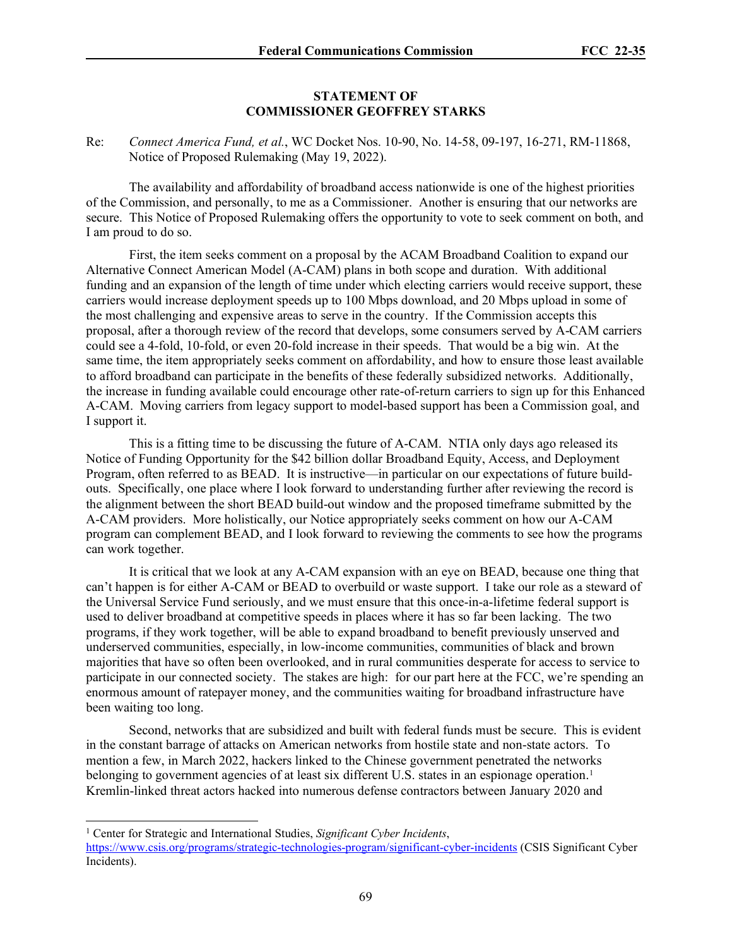### **STATEMENT OF COMMISSIONER GEOFFREY STARKS**

Re: *Connect America Fund, et al.*, WC Docket Nos. 10-90, No. 14-58, 09-197, 16-271, RM-11868, Notice of Proposed Rulemaking (May 19, 2022).

The availability and affordability of broadband access nationwide is one of the highest priorities of the Commission, and personally, to me as a Commissioner. Another is ensuring that our networks are secure. This Notice of Proposed Rulemaking offers the opportunity to vote to seek comment on both, and I am proud to do so.

First, the item seeks comment on a proposal by the ACAM Broadband Coalition to expand our Alternative Connect American Model (A-CAM) plans in both scope and duration. With additional funding and an expansion of the length of time under which electing carriers would receive support, these carriers would increase deployment speeds up to 100 Mbps download, and 20 Mbps upload in some of the most challenging and expensive areas to serve in the country. If the Commission accepts this proposal, after a thorough review of the record that develops, some consumers served by A-CAM carriers could see a 4-fold, 10-fold, or even 20-fold increase in their speeds. That would be a big win. At the same time, the item appropriately seeks comment on affordability, and how to ensure those least available to afford broadband can participate in the benefits of these federally subsidized networks. Additionally, the increase in funding available could encourage other rate-of-return carriers to sign up for this Enhanced A-CAM. Moving carriers from legacy support to model-based support has been a Commission goal, and I support it.

This is a fitting time to be discussing the future of A-CAM. NTIA only days ago released its Notice of Funding Opportunity for the \$42 billion dollar Broadband Equity, Access, and Deployment Program, often referred to as BEAD. It is instructive—in particular on our expectations of future buildouts. Specifically, one place where I look forward to understanding further after reviewing the record is the alignment between the short BEAD build-out window and the proposed timeframe submitted by the A-CAM providers. More holistically, our Notice appropriately seeks comment on how our A-CAM program can complement BEAD, and I look forward to reviewing the comments to see how the programs can work together.

It is critical that we look at any A-CAM expansion with an eye on BEAD, because one thing that can't happen is for either A-CAM or BEAD to overbuild or waste support. I take our role as a steward of the Universal Service Fund seriously, and we must ensure that this once-in-a-lifetime federal support is used to deliver broadband at competitive speeds in places where it has so far been lacking. The two programs, if they work together, will be able to expand broadband to benefit previously unserved and underserved communities, especially, in low-income communities, communities of black and brown majorities that have so often been overlooked, and in rural communities desperate for access to service to participate in our connected society. The stakes are high: for our part here at the FCC, we're spending an enormous amount of ratepayer money, and the communities waiting for broadband infrastructure have been waiting too long.

Second, networks that are subsidized and built with federal funds must be secure. This is evident in the constant barrage of attacks on American networks from hostile state and non-state actors. To mention a few, in March 2022, hackers linked to the Chinese government penetrated the networks belonging to government agencies of at least six different U.S. states in an espionage operation.<sup>[1](#page-68-0)</sup> Kremlin-linked threat actors hacked into numerous defense contractors between January 2020 and

<span id="page-68-0"></span><sup>1</sup> Center for Strategic and International Studies, *Significant Cyber Incidents*,

<https://www.csis.org/programs/strategic-technologies-program/significant-cyber-incidents> (CSIS Significant Cyber Incidents).